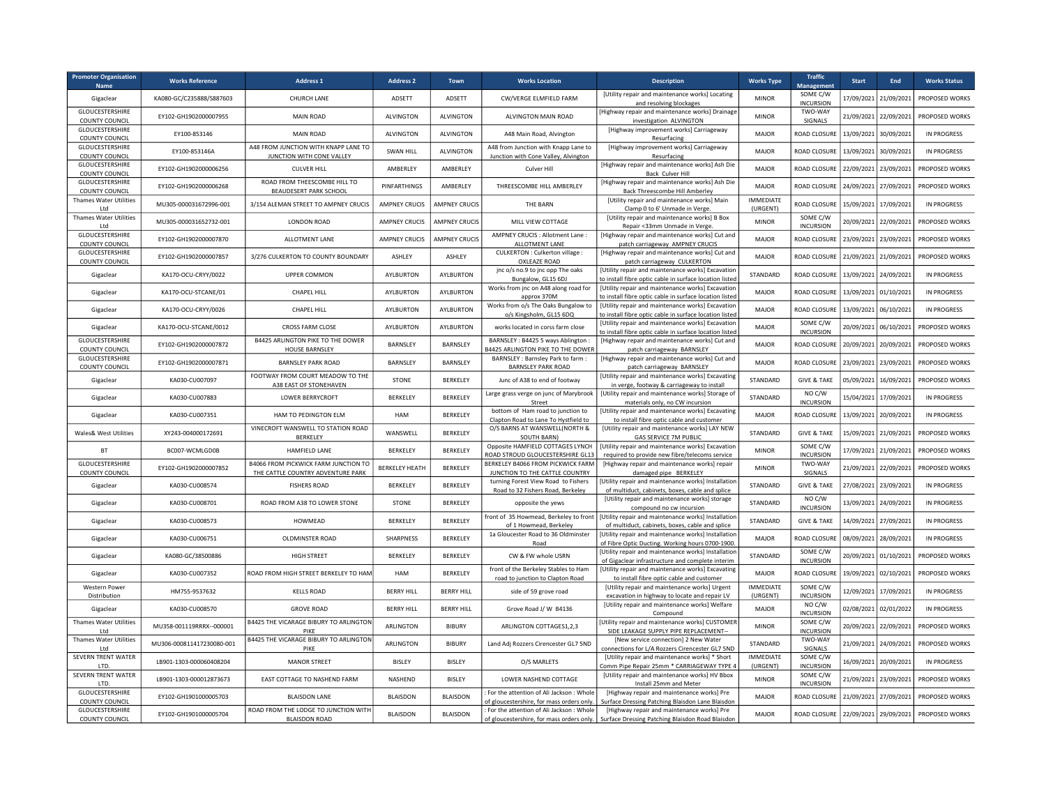| <b>Promoter Organisation</b><br><b>Name</b> | <b>Works Reference</b>    | <b>Address 1</b>                                                          | <b>Address 2</b>      | Town                 | <b>Works Location</b>                                                                 | <b>Description</b>                                                                                                                         | <b>Works Type</b>            | <b>Traffic</b><br><b>Managemen</b> | Start      | End                   | <b>Works Status</b> |
|---------------------------------------------|---------------------------|---------------------------------------------------------------------------|-----------------------|----------------------|---------------------------------------------------------------------------------------|--------------------------------------------------------------------------------------------------------------------------------------------|------------------------------|------------------------------------|------------|-----------------------|---------------------|
| Gigaclear                                   | KA080-GC/C235888/S887603  | CHURCH LANE                                                               | ADSETT                | ADSETT               | CW/VERGE ELMFIELD FARM                                                                | [Utility repair and maintenance works] Locating<br>and resolving blockages                                                                 | <b>MINOR</b>                 | SOME C/W<br><b>INCURSION</b>       | 17/09/2021 | 21/09/2021            | PROPOSED WORKS      |
| GLOUCESTERSHIRE<br><b>COUNTY COUNCIL</b>    | EY102-GH1902000007955     | MAIN ROAD                                                                 | <b>ALVINGTON</b>      | <b>ALVINGTON</b>     | ALVINGTON MAIN ROAD                                                                   | [Highway repair and maintenance works] Drainage<br>investigation ALVINGTON                                                                 | <b>MINOR</b>                 | TWO-WAY<br>SIGNALS                 | 21/09/2021 | 22/09/2021            | PROPOSED WORKS      |
| GLOUCESTERSHIRE<br><b>COUNTY COUNCIL</b>    | EY100-853146              | MAIN ROAD                                                                 | <b>ALVINGTON</b>      | <b>ALVINGTON</b>     | A48 Main Road, Alvington                                                              | [Highway improvement works] Carriageway<br>Resurfacing                                                                                     | MAJOR                        | ROAD CLOSURE                       | 13/09/2021 | 30/09/2021            | <b>IN PROGRESS</b>  |
| GLOUCESTERSHIRE<br>COUNTY COUNCIL           | EY100-853146A             | A48 FROM JUNCTION WITH KNAPP LANE TO<br>JUNCTION WITH CONE VALLEY         | <b>SWAN HILL</b>      | <b>ALVINGTON</b>     | A48 from Junction with Knapp Lane to<br>Junction with Cone Valley, Alvington          | [Highway improvement works] Carriageway<br>Resurfacing                                                                                     | <b>MAJOR</b>                 | ROAD CLOSURE                       | 13/09/2021 | 30/09/2021            | <b>IN PROGRESS</b>  |
| GLOUCESTERSHIRE<br>COUNTY COUNCIL           | EY102-GH1902000006256     | <b>CULVER HILL</b>                                                        | AMBERLEY              | AMBERLEY             | Culver Hill                                                                           | [Highway repair and maintenance works] Ash Die<br><b>Back Culver Hill</b>                                                                  | <b>MAJOR</b>                 | ROAD CLOSURE                       | 22/09/2021 | 23/09/2021            | PROPOSED WORKS      |
| GLOUCESTERSHIRE<br><b>COUNTY COUNCIL</b>    | EY102-GH1902000006268     | ROAD FROM THEESCOMBE HILL TO<br>BEAUDESERT PARK SCHOOL                    | PINFARTHINGS          | AMBERLEY             | THREESCOMBE HILL AMBERLEY                                                             | [Highway repair and maintenance works] Ash Die<br>Back Threescombe Hill Amberley                                                           | <b>MAJOR</b>                 | ROAD CLOSURE                       | 24/09/2021 | 27/09/2021            | PROPOSED WORKS      |
| Thames Water Utilities<br>I td              | MU305-000031672996-001    | 3/154 ALEMAN STREET TO AMPNEY CRUCIS                                      | AMPNEY CRUCIS         | <b>AMPNEY CRUCK</b>  | THE BARN                                                                              | [Utility repair and maintenance works] Main<br>Clamp 0 to 6' Unmade in Verge                                                               | <b>IMMEDIATE</b><br>(URGENT) | ROAD CLOSURE                       | 15/09/2021 | 17/09/2021            | IN PROGRESS         |
| <b>Thames Water Utilities</b><br>I td       | MU305-000031652732-001    | <b>LONDON ROAD</b>                                                        | AMPNEY CRUCIS         | <b>AMPNEY CRUCIS</b> | MILL VIEW COTTAGE                                                                     | [Utility repair and maintenance works] B Box<br>Repair <33mm Unmade in Verge                                                               | <b>MINOR</b>                 | SOME C/W<br><b>INCURSION</b>       | 20/09/2021 | 22/09/2021            | PROPOSED WORKS      |
| GLOUCESTERSHIRE<br>COUNTY COUNCIL           | EY102-GH1902000007870     | ALLOTMENT LANE                                                            | AMPNEY CRUCIS         | <b>AMPNEY CRUCIS</b> | AMPNEY CRUCIS : Allotment Lane :<br>ALLOTMENT LANE                                    | [Highway repair and maintenance works] Cut and<br>patch carriageway AMPNEY CRUCIS                                                          | <b>MAJOR</b>                 | ROAD CLOSURE                       | 23/09/2021 | 23/09/2021            | PROPOSED WORKS      |
| GLOUCESTERSHIRE<br>COUNTY COUNCIL           | EY102-GH1902000007857     | 3/276 CULKERTON TO COUNTY BOUNDARY                                        | ASHLEY                | ASHLEY               | CULKERTON : Culkerton village :<br>OXLEAZE ROAD                                       | [Highway repair and maintenance works] Cut and<br>patch carriageway CULKERTON                                                              | <b>MAJOR</b>                 | ROAD CLOSURE                       | 21/09/2021 | 21/09/2021            | PROPOSED WORKS      |
| Gigaclear                                   | KA170-OCU-CRYY/0022       | <b>UPPER COMMON</b>                                                       | AYLBURTON             | AYLBURTON            | jnc o/s no.9 to jnc opp The oaks<br>Bungalow, GL15 6DJ                                | [Utility repair and maintenance works] Excavation<br>to install fibre optic cable in surface location listed                               | STANDARD                     | <b>ROAD CLOSURE</b>                | 13/09/2021 | 24/09/2021            | <b>IN PROGRESS</b>  |
| Gigaclear                                   | KA170-OCU-STCANE/01       | CHAPEL HILL                                                               | AYLBURTON             | AYLBURTON            | Works from jnc on A48 along road for<br>approx 370M                                   | [Utility repair and maintenance works] Excavation<br>to install fibre optic cable in surface location listed                               | MAJOR                        | ROAD CLOSURI                       | 13/09/2021 | 01/10/2021            | <b>IN PROGRESS</b>  |
| Gigaclear                                   | KA170-OCU-CRYY/0026       | CHAPEL HILL                                                               | AYLBURTON             | AYLBURTON            | Works from o/s The Oaks Bungalow to<br>o/s Kingsholm, GL15 6DQ                        | [Utility repair and maintenance works] Excavation<br>to install fibre optic cable in surface location listed                               | MAJOR                        | ROAD CLOSUR                        | 13/09/2021 | 06/10/2021            | <b>IN PROGRESS</b>  |
| Gigaclear                                   | KA170-OCU-STCANE/0012     | CROSS FARM CLOSE                                                          | AYLBURTON             | AYLBURTON            | works located in corss farm close                                                     | [Utility repair and maintenance works] Excavation<br>o install fibre optic cable in surface location listed                                | MAJOR                        | SOME C/W<br><b>INCURSION</b>       | 20/09/2021 | 06/10/2021            | PROPOSED WORKS      |
| GLOUCESTERSHIRE<br>COUNTY COUNCIL           | EY102-GH1902000007872     | B4425 ARLINGTON PIKE TO THE DOWER<br>HOUSE BARNSLEY                       | <b>BARNSLEY</b>       | <b>BARNSLEY</b>      | BARNSLEY: B4425 5 ways Ablington:<br>34425 ARLINGTON PIKE TO THE DOWER                | [Highway repair and maintenance works] Cut and<br>patch carriageway BARNSLEY                                                               | MAJOR                        | ROAD CLOSURI                       | 20/09/2021 | 20/09/2021            | PROPOSED WORKS      |
| GLOUCESTERSHIRE<br><b>COUNTY COUNCIL</b>    | EY102-GH1902000007871     | <b>BARNSLEY PARK ROAD</b>                                                 | <b>BARNSLEY</b>       | BARNSLEY             | BARNSLEY: Barnsley Park to farm:<br><b>BARNSLEY PARK ROAD</b>                         | [Highway repair and maintenance works] Cut and<br>patch carriageway BARNSLEY                                                               | MAJOR                        | ROAD CLOSURI                       | 23/09/2021 | 23/09/2021            | PROPOSED WORKS      |
| Gigaclear                                   | KA030-CU007097            | FOOTWAY FROM COURT MEADOW TO THE<br>A38 EAST OF STONEHAVEN                | STONE                 | BERKELEY             | Junc of A38 to end of footway                                                         | [Utility repair and maintenance works] Excavating<br>in verge, footway & carriageway to install                                            | STANDARD                     | <b>GIVE &amp; TAKE</b>             | 05/09/2021 | 16/09/2021            | PROPOSED WORKS      |
| Gigaclear                                   | KA030-CU007883            | LOWER BERRYCROFT                                                          | BERKELEY              | BERKELEY             | Large grass verge on junc of Marybrook<br>Street                                      | [Utility repair and maintenance works] Storage of<br>materials only, no CW incursion                                                       | STANDARD                     | NO C/W<br><b>INCURSION</b>         | 15/04/2021 | 17/09/2021            | <b>IN PROGRESS</b>  |
| Gigaclear                                   | KA030-CU007351            | HAM TO PEDINGTON ELM                                                      | HAM                   | BERKELEY             | bottom of Ham road to junction to<br>Clapton Road to Lane To Hystfield to             | [Utility repair and maintenance works] Excavating<br>to install fibre optic cable and customer                                             | <b>MAJOR</b>                 | ROAD CLOSURE                       | 13/09/2021 | 20/09/2021            | <b>IN PROGRESS</b>  |
| Wales& West Utilities                       | XY243-004000172691        | VINECROFT WANSWELL TO STATION ROAD<br>BERKELEY                            | WANSWELL              | BERKELEY             | O/S BARNS AT WANSWELL(NORTH &<br>SOUTH BARN)                                          | [Utility repair and maintenance works] LAY NEW<br><b>GAS SERVICE 7M PUBLIC</b>                                                             | <b>STANDARD</b>              | <b>GIVE &amp; TAKE</b>             | 15/09/2021 | 21/09/2021            | PROPOSED WORKS      |
| <b>BT</b>                                   | BC007-WCMLGD0B            | HAMFIELD LANE                                                             | BERKELEY              | BERKELEY             | Opposite HAMFIELD COTTAGES LYNCH<br>ROAD STROUD GLOUCESTERSHIRE GL13                  | [Utility repair and maintenance works] Excavation<br>required to provide new fibre/telecoms service                                        | <b>MINOR</b>                 | SOME C/W<br><b>INCURSION</b>       | 17/09/2021 | 21/09/2021            | PROPOSED WORKS      |
| GLOUCESTERSHIRE<br><b>COUNTY COUNCIL</b>    | EY102-GH1902000007852     | B4066 FROM PICKWICK FARM JUNCTION TO<br>THE CATTLE COUNTRY ADVENTURE PARK | <b>BERKELEY HEATH</b> | BERKELEY             | BERKELEY B4066 FROM PICKWICK FARM<br>JUNCTION TO THE CATTLE COUNTRY                   | [Highway repair and maintenance works] repair<br>damaged pipe BERKELEY                                                                     | <b>MINOR</b>                 | TWO-WAY<br>SIGNALS                 | 21/09/2021 | 22/09/2021            | PROPOSED WORKS      |
| Gigaclear                                   | KA030-CU008574            | <b>FISHERS ROAD</b>                                                       | BERKELEY              | BERKELEY             | turning Forest View Road to Fishers<br>Road to 32 Fishers Road, Berkeley              | [Utility repair and maintenance works] Installatior<br>of multiduct, cabinets, boxes, cable and splice                                     | STANDARD                     | <b>GIVE &amp; TAKE</b>             | 27/08/2021 | 23/09/2021            | <b>IN PROGRESS</b>  |
| Gigaclear                                   | KA030-CU008701            | ROAD FROM A38 TO LOWER STONE                                              | STONE                 | BERKELEY             | opposite the yews                                                                     | [Utility repair and maintenance works] storage<br>compound no cw incursion                                                                 | STANDARD                     | NO C/W<br><b>INCURSION</b>         | 13/09/2021 | 24/09/2021            | <b>IN PROGRESS</b>  |
| Gigaclear                                   | KA030-CU008573            | HOWMEAD                                                                   | BERKELEY              | BERKELEY             | front of 35 Howmead, Berkeley to front<br>of 1 Howmead, Berkeley                      | [Utility repair and maintenance works] Installation<br>of multiduct, cabinets, boxes, cable and splice                                     | STANDARD                     | <b>GIVE &amp; TAKE</b>             | 14/09/2021 | 27/09/2021            | <b>IN PROGRESS</b>  |
| Gigaclear                                   | KA030-CU006751            | OLDMINSTER ROAD                                                           | SHARPNESS             | BERKELEY             | 1a Gloucester Road to 36 Oldminster<br>Road                                           | [Utility repair and maintenance works] Installatior<br>of Fibre Optic Ducting. Working hours 0700-1900.                                    | <b>MAJOR</b>                 | ROAD CLOSURI                       | 08/09/2021 | 28/09/2021            | <b>IN PROGRESS</b>  |
| Gigaclear                                   | KA080-GC/38500886         | <b>HIGH STREET</b>                                                        | BERKELEY              | BERKELEY             | CW & FW whole USRN                                                                    | [Utility repair and maintenance works] Installatior<br>of Gigaclear infrastructure and complete interim                                    | STANDARD                     | SOME C/W<br><b>INCURSION</b>       | 20/09/2021 | 01/10/2021            | PROPOSED WORKS      |
| Gigaclear                                   | KA030-CU007352            | ROAD FROM HIGH STREET BERKELEY TO HAM                                     | <b>HAM</b>            | BERKELEY             | front of the Berkeley Stables to Ham<br>road to junction to Clapton Road              | [Utility repair and maintenance works] Excavating<br>to install fibre optic cable and customer                                             | <b>MAJOR</b>                 | ROAD CLOSURE                       |            | 19/09/2021 02/10/2021 | PROPOSED WORKS      |
| <b>Western Power</b><br>Distribution        | HM755-9537632             | <b>KELLS ROAD</b>                                                         | <b>BERRY HILL</b>     | <b>BERRY HILL</b>    | side of 59 grove road                                                                 | [Utility repair and maintenance works] Urgent<br>excavation in highway to locate and repair LV                                             | <b>IMMEDIATE</b><br>(URGENT) | SOME C/W<br><b>INCURSION</b>       | 12/09/2021 | 17/09/2021            | <b>IN PROGRESS</b>  |
| Gigaclear                                   | KA030-CU008570            | <b>GROVE ROAD</b>                                                         | <b>BERRY HILL</b>     | <b>BERRY HILL</b>    | Grove Road J/ W B4136                                                                 | [Utility repair and maintenance works] Welfare<br>Compound                                                                                 | <b>MAJOR</b>                 | NO C/W<br><b>INCURSION</b>         |            | 02/08/2021 02/01/2022 | <b>IN PROGRESS</b>  |
| <b>Thames Water Utilities</b><br>I td       | MU358-001119RRRX--000001  | B4425 THE VICARAGE BIBURY TO ARLINGTON<br>PIKF                            | ARLINGTON             | <b>BIBURY</b>        | ARLINGTON COTTAGES1,2,3                                                               | [Utility repair and maintenance works] CUSTOMER<br>SIDE LEAKAGE SUPPLY PIPE REPLACEMENT--                                                  | <b>MINOR</b>                 | SOME C/W<br><b>INCURSION</b>       |            | 20/09/2021 22/09/2021 | PROPOSED WORKS      |
| <b>Thames Water Utilities</b><br>I td       | MU306-000811417230080-001 | B4425 THE VICARAGE BIBURY TO ARLINGTON<br>PIKF                            | ARLINGTON             | <b>BIBURY</b>        | Land Adj Rozzers Cirencester GL7 5ND                                                  | [New service connection] 2 New Water<br>connections for L/A Rozzers Cirencester GL7 5ND                                                    | STANDARD                     | TWO-WAY<br><b>SIGNALS</b>          |            | 21/09/2021 24/09/2021 | PROPOSED WORKS      |
| SEVERN TRENT WATER<br>ITD.                  | LB901-1303-000060408204   | <b>MANOR STREET</b>                                                       | BISLEY                | BISLEY               | O/S MARLETS                                                                           | [Utility repair and maintenance works] * Short<br>Comm Pipe Repair 25mm * CARRIAGEWAY TYPE 4                                               | <b>IMMEDIATE</b><br>(URGENT) | SOME C/W<br><b>INCURSION</b>       |            | 16/09/2021 20/09/2021 | <b>IN PROGRESS</b>  |
| SEVERN TRENT WATER<br>LTD.                  | LB901-1303-000012873673   | EAST COTTAGE TO NASHEND FARM                                              | <b>NASHEND</b>        | <b>BISLEY</b>        | LOWER NASHEND COTTAGE                                                                 | [Utility repair and maintenance works] HV Bbox<br>Install 25mm and Meter                                                                   | <b>MINOR</b>                 | SOME C/W<br><b>INCURSION</b>       |            | 21/09/2021 23/09/2021 | PROPOSED WORKS      |
| GLOUCESTERSHIRE<br><b>COUNTY COUNCIL</b>    | EY102-GH1901000005703     | <b>BLAISDON LANE</b>                                                      | <b>BLAISDON</b>       | <b>BLAISDON</b>      | For the attention of Ali Jackson : Whole<br>of gloucestershire, for mass orders only. | [Highway repair and maintenance works] Pre<br>Surface Dressing Patching Blaisdon Lane Blaisdon                                             | <b>MAJOR</b>                 | ROAD CLOSURE                       | 21/09/2021 | 27/09/2021            | PROPOSED WORKS      |
| GLOUCESTERSHIRE<br><b>COUNTY COUNCIL</b>    | EY102-GH1901000005704     | ROAD FROM THE LODGE TO JUNCTION WITH<br><b>BLAISDON ROAD</b>              | <b>BLAISDON</b>       | <b>BLAISDON</b>      | : For the attention of Ali Jackson : Whole                                            | [Highway repair and maintenance works] Pre<br>of gloucestershire, for mass orders only.   Surface Dressing Patching Blaisdon Road Blaisdon | MAJOR                        | ROAD CLOSURE                       | 22/09/2021 | 29/09/2021            | PROPOSED WORKS      |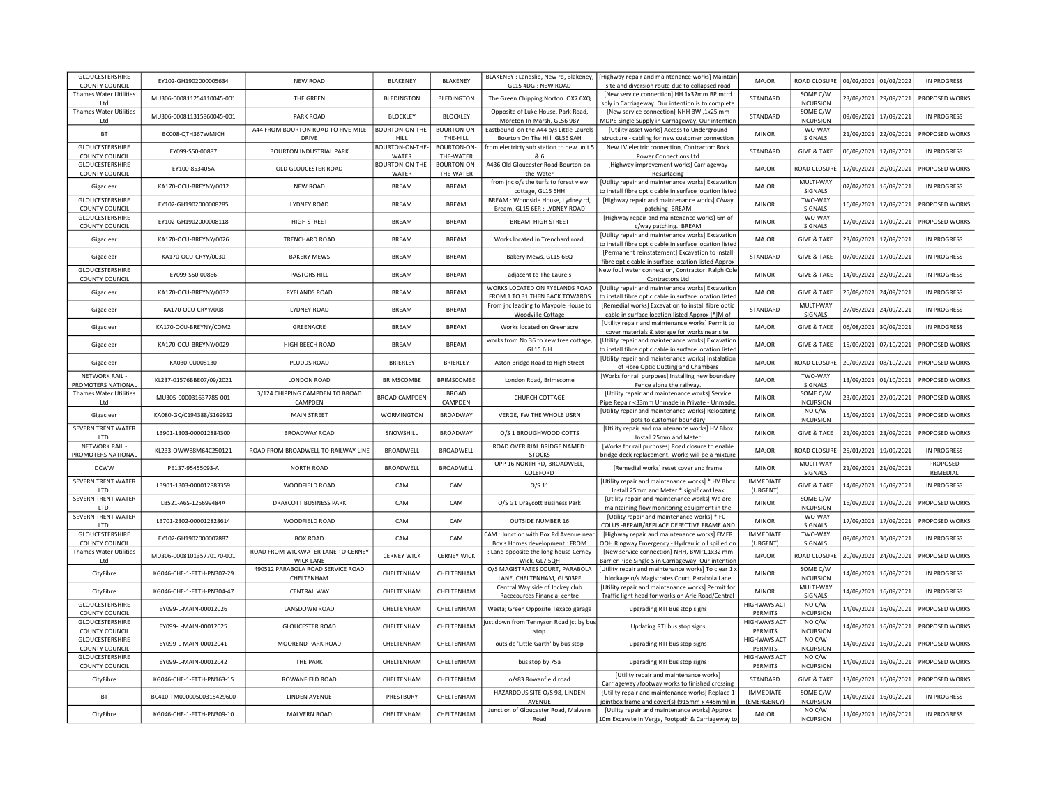| GLOUCESTERSHIRE<br><b>COUNTY COUNCIL</b> | EY102-GH1902000005634     | <b>NEW ROAD</b>                                        | <b>BLAKENEY</b>         | <b>BLAKENEY</b>           | BLAKENEY : Landslip, New rd, Blakeney,<br>GL15 4DG : NEW ROAD             | [Highway repair and maintenance works] Maintair<br>site and diversion route due to collapsed road             | MAJOR                                 | ROAD CLOSURE                 |            | 01/02/2021 01/02/2022 | <b>IN PROGRESS</b>    |
|------------------------------------------|---------------------------|--------------------------------------------------------|-------------------------|---------------------------|---------------------------------------------------------------------------|---------------------------------------------------------------------------------------------------------------|---------------------------------------|------------------------------|------------|-----------------------|-----------------------|
| Thames Water Utilities<br>I td           | MU306-000811254110045-001 | THE GREEN                                              | <b>BLEDINGTON</b>       | BLEDINGTON                | The Green Chipping Norton OX7 6XQ                                         | [New service connection] HH 1x32mm BP mtrd<br>sply in Carriageway. Our intention is to complete               | STANDARD                              | SOME C/W<br><b>INCURSION</b> | 23/09/2021 | 29/09/2021            | PROPOSED WORKS        |
| <b>Thames Water Utilities</b>            | MU306-000811315860045-001 | PARK ROAD                                              | <b>BLOCKLEY</b>         | <b>BLOCKLEY</b>           | Opposite of Luke House, Park Road,                                        | [New service connection] NHH BW ,1x25 mm                                                                      | STANDARD                              | SOME C/W                     | 09/09/2021 | 17/09/2021            | <b>IN PROGRESS</b>    |
| Ltd<br>BT                                | BC008-QTH367WMJCH         | A44 FROM BOURTON ROAD TO FIVE MILE                     | BOURTON-ON-THE-         | BOURTON-ON-               | Moreton-In-Marsh, GL56 9BY<br>Eastbound on the A44 o/s Little Laurels     | MDPE Single Supply in Carriageway. Our intention<br>[Utility asset works] Access to Underground               | <b>MINOR</b>                          | <b>INCURSION</b><br>TWO-WAY  | 21/09/2021 | 22/09/2021            | PROPOSED WORKS        |
| <b>GLOUCESTERSHIRE</b>                   |                           | <b>DRIVE</b>                                           | HILL<br>BOURTON-ON-THE- | THE-HILL<br>BOURTON-ON-   | Bourton On The Hill GL56 9AH<br>from electricty sub station to new unit 5 | structure - cabling for new customer connection<br>New LV electric connection, Contractor: Rock               |                                       | SIGNALS                      |            |                       |                       |
| COUNTY COUNCIL                           | EY099-S50-00887           | <b>BOURTON INDUSTRIAL PARK</b>                         | WATER                   | THE-WATER                 | & 6                                                                       | Power Connections Ltd                                                                                         | STANDARD                              | <b>GIVE &amp; TAKE</b>       | 06/09/2021 | 17/09/2021            | <b>IN PROGRESS</b>    |
| GLOUCESTERSHIRE                          | EY100-853405A             | OLD GLOUCESTER ROAD                                    | BOURTON-ON-THE-         | BOURTON-ON-               | A436 Old Gloucester Road Bourton-on-                                      | [Highway improvement works] Carriageway                                                                       | <b>MAJOR</b>                          | ROAD CLOSUR                  | 17/09/2021 | 20/09/2021            | PROPOSED WORKS        |
| <b>COUNTY COUNCIL</b><br>Gigaclear       | KA170-OCU-BREYNY/0012     | <b>NEW ROAD</b>                                        | WATER<br><b>BREAM</b>   | THE-WATER<br><b>BREAM</b> | the-Water<br>from jnc o/s the turfs to forest view                        | Resurfacing<br>[Utility repair and maintenance works] Excavatior                                              | <b>MAJOR</b>                          | MULTI-WAY                    | 02/02/2021 | 16/09/2021            | <b>IN PROGRESS</b>    |
| GLOUCESTERSHIRE                          |                           |                                                        |                         |                           | cottage, GL15 6HH<br>BREAM : Woodside House, Lydney rd                    | to install fibre optic cable in surface location listed<br>[Highway repair and maintenance works] C/way       |                                       | SIGNALS<br>TWO-WAY           |            |                       |                       |
| COUNTY COUNCIL                           | EY102-GH1902000008285     | <b>LYDNEY ROAD</b>                                     | <b>BREAM</b>            | <b>BREAM</b>              | Bream, GL15 6ER : LYDNEY ROAD                                             | patching BREAM                                                                                                | <b>MINOR</b>                          | SIGNALS                      | 16/09/2021 | 17/09/2021            | PROPOSED WORKS        |
| GLOUCESTERSHIRE<br>COUNTY COUNCIL        | EY102-GH1902000008118     | <b>HIGH STREET</b>                                     | <b>BREAM</b>            | <b>BREAM</b>              | <b>BREAM HIGH STREET</b>                                                  | [Highway repair and maintenance works] 6m of<br>c/way patching. BREAM                                         | <b>MINOR</b>                          | TWO-WAY<br>SIGNALS           | 17/09/2021 | 17/09/2021            | PROPOSED WORKS        |
| Gigaclear                                | KA170-OCU-BREYNY/0026     | TRENCHARD ROAD                                         | <b>BREAM</b>            | <b>BREAM</b>              | Works located in Trenchard road,                                          | [Utility repair and maintenance works] Excavatior<br>to install fibre optic cable in surface location listed  | <b>MAJOR</b>                          | <b>GIVE &amp; TAKE</b>       | 23/07/2021 | 17/09/2021            | <b>IN PROGRESS</b>    |
| Gigaclear                                | KA170-OCU-CRYY/0030       | <b>BAKERY MEWS</b>                                     | <b>BREAM</b>            | <b>BREAM</b>              | Bakery Mews, GL15 6EQ                                                     | [Permanent reinstatement] Excavation to install<br>fibre optic cable in surface location listed Approx        | STANDARD                              | <b>GIVE &amp; TAKE</b>       | 07/09/2021 | 17/09/2021            | <b>IN PROGRESS</b>    |
| GLOUCESTERSHIRE                          | EY099-S50-00866           | <b>PASTORS HILL</b>                                    | <b>BREAM</b>            | <b>BREAM</b>              | adjacent to The Laurels                                                   | New foul water connection, Contractor: Ralph Cole                                                             | <b>MINOR</b>                          | <b>GIVE &amp; TAKE</b>       | 14/09/2021 | 22/09/2021            | <b>IN PROGRESS</b>    |
| COUNTY COUNCIL                           |                           |                                                        |                         |                           | WORKS LOCATED ON RYELANDS ROAD                                            | Contractors Ltd<br>[Utility repair and maintenance works] Excavation                                          |                                       |                              |            |                       |                       |
| Gigaclear                                | KA170-OCU-BREYNY/0032     | <b>RYELANDS ROAD</b>                                   | <b>BRFAM</b>            | <b>BRFAM</b>              | FROM 1 TO 31 THEN BACK TOWARDS                                            | to install fibre optic cable in surface location listed                                                       | MAIOR                                 | <b>GIVE &amp; TAKE</b>       | 25/08/2021 | 24/09/2021            | <b>IN PROGRESS</b>    |
| Gigaclear                                | KA170-OCU-CRYY/008        | LYDNEY ROAD                                            | <b>BREAM</b>            | <b>BREAM</b>              | From jnc leading to Maypole House to<br><b>Woodville Cottage</b>          | [Remedial works] Excavation to install fibre optic<br>cable in surface location listed Approx [*]M of         | STANDARD                              | MULTI-WAY<br>SIGNALS         | 27/08/2021 | 24/09/2021            | <b>IN PROGRESS</b>    |
| Gigaclear                                | KA170-OCU-BREYNY/COM2     | GREENACRE                                              | <b>BREAM</b>            | <b>BREAM</b>              | Works located on Greenacre                                                | [Utility repair and maintenance works] Permit to                                                              | <b>MAJOR</b>                          | <b>GIVE &amp; TAKE</b>       | 06/08/2021 | 30/09/2021            | <b>IN PROGRESS</b>    |
| Gigaclear                                | KA170-OCU-BREYNY/0029     | HIGH BEECH ROAD                                        | <b>BREAM</b>            | <b>BREAM</b>              | works from No 36 to Yew tree cottage                                      | cover materials & storage for works near site.<br>[Utility repair and maintenance works] Excavation           | <b>MAJOR</b>                          | <b>GIVE &amp; TAKE</b>       | 15/09/2021 | 07/10/2021            | PROPOSED WORKS        |
|                                          |                           |                                                        |                         |                           | GL15 6JH                                                                  | to install fibre optic cable in surface location listed<br>[Utility repair and maintenance works] Instalation |                                       |                              |            |                       |                       |
| Gigaclear                                | KA030-CU008130            | PLUDDS ROAD                                            | BRIERLEY                | BRIERLEY                  | Aston Bridge Road to High Street                                          | of Fibre Optic Ducting and Chambers                                                                           | MAJOR                                 | ROAD CLOSURI                 | 20/09/2021 | 08/10/2021            | PROPOSED WORKS        |
| NFTWORK RAIL-<br>PROMOTERS NATIONAL      | KL237-01576BBE07/09/2021  | <b>LONDON ROAD</b>                                     | BRIMSCOMBE              | <b>BRIMSCOMBE</b>         | London Road, Brimscome                                                    | [Works for rail purposes] Installing new boundary<br>Fence along the railway.                                 | <b>MAJOR</b>                          | TWO-WAY<br>SIGNALS           | 13/09/2021 | 01/10/2021            | PROPOSED WORKS        |
| <b>Thames Water Utilities</b><br>Ltd     | MU305-000031637785-001    | 3/124 CHIPPING CAMPDEN TO BROAD<br>CAMPDEN             | <b>BROAD CAMPDEN</b>    | <b>BROAD</b><br>CAMPDEN   | CHURCH COTTAGE                                                            | [Utility repair and maintenance works] Service<br>Pipe Repair <33mm Unmade in Private - Unmade                | <b>MINOR</b>                          | SOME C/W<br><b>INCURSION</b> | 23/09/2021 | 27/09/2021            | PROPOSED WORKS        |
| Gigaclear                                | KA080-GC/C194388/S169932  | <b>MAIN STREET</b>                                     | <b>WORMINGTON</b>       | <b>BROADWAY</b>           | VERGE. FW THE WHOLE USRN                                                  | [Utility repair and maintenance works] Relocating<br>pots to customer boundary                                | <b>MINOR</b>                          | NO C/W<br><b>INCURSION</b>   | 15/09/2021 | 17/09/2021            | PROPOSED WORKS        |
| SEVERN TRENT WATER                       | LB901-1303-000012884300   | <b>BROADWAY ROAD</b>                                   | SNOWSHILL               | <b>BROADWAY</b>           | O/S 1 BROUGHWOOD COTTS                                                    | [Utility repair and maintenance works] HV Bbox                                                                | <b>MINOR</b>                          | <b>GIVE &amp; TAKE</b>       | 21/09/2021 | 23/09/2021            | PROPOSED WORKS        |
| <b>ITD</b><br>NETWORK RAIL-              | KL233-OWW88M64C250121     | ROAD FROM BROADWELL TO RAILWAY LINE                    | BROADWELL               | BROADWELL                 | ROAD OVER RIAL BRIDGE NAMED:                                              | Install 25mm and Meter<br>[Works for rail purposes] Road closure to enable                                    | <b>MAJOR</b>                          | ROAD CLOSUR                  | 25/01/2021 | 19/09/2021            | <b>IN PROGRESS</b>    |
| PROMOTERS NATIONAL                       |                           |                                                        |                         |                           | <b>STOCKS</b><br>OPP 16 NORTH RD, BROADWELL,                              | bridge deck replacement. Works will be a mixture                                                              |                                       | MULTI-WAY                    |            |                       | PROPOSED              |
| <b>DCWW</b>                              | PE137-95455093-A          | <b>NORTH ROAD</b>                                      | BROADWELL               | BROADWELL                 | COLEFORD                                                                  | [Remedial works] reset cover and frame                                                                        | <b>MINOR</b>                          | SIGNALS                      | 21/09/2021 | 21/09/2021            | REMEDIAL              |
| SEVERN TRENT WATER<br>LTD                | LB901-1303-000012883359   | WOODFIELD ROAD                                         | CAM                     | CAM                       | $O/S$ 11                                                                  | [Utility repair and maintenance works] * HV Bbox<br>Install 25mm and Meter * significant leak                 | IMMEDIATE<br>(URGENT)                 | <b>GIVE &amp; TAKE</b>       | 14/09/2021 | 16/09/2021            | <b>IN PROGRESS</b>    |
| SEVERN TRENT WATER<br>LTD.               | LB521-A6S-125699484A      | DRAYCOTT BUSINESS PARK                                 | CAM                     | CAM                       | O/S G1 Draycott Business Park                                             | [Utility repair and maintenance works] We are<br>maintaining flow monitoring equipment in the                 | <b>MINOR</b>                          | SOME C/W<br><b>INCURSION</b> | 16/09/2021 | 17/09/2021            | PROPOSED WORKS        |
| SEVERN TRENT WATER<br>LTD.               | LB701-2302-000012828614   | WOODFIELD ROAD                                         | CAM                     | CAM                       | <b>OUTSIDE NUMBER 16</b>                                                  | [Utility repair and maintenance works] * FC -<br>COLUS -REPAIR/REPLACE DEFECTIVE FRAME AND                    | <b>MINOR</b>                          | TWO-WAY<br>SIGNALS           | 17/09/2021 | 17/09/2021            | <b>PROPOSED WORKS</b> |
| GLOUCESTERSHIRE                          | EY102-GH1902000007887     | <b>BOX ROAD</b>                                        | CAM                     | CAM                       | CAM : Junction with Box Rd Avenue nea                                     | [Highway repair and maintenance works] EMER                                                                   | IMMEDIATE                             | TWO-WAY                      | 09/08/2021 | 30/09/2021            | <b>IN PROGRESS</b>    |
| COUNTY COUNCIL                           |                           |                                                        |                         |                           | Bovis Homes development : FROM                                            | OOH Ringway Emergency - Hydraulic oil spilled or                                                              | (URGENT)                              | SIGNALS                      |            |                       |                       |
| Thames Water Utilities<br>Ltd            | MU306-000810135770170-001 | ROAD FROM WICKWATER LANE TO CERNEY<br><b>WICK LANE</b> | <b>CERNEY WICK</b>      | <b>CERNEY WICK</b>        | : Land opposite the long house Cerney<br>Wick, GL7 5QH                    | [New service connection] NHH, BWP1,1x32 mm<br>Barrier Pipe Single S in Carriageway. Our intentior             | <b>MAJOR</b>                          | ROAD CLOSURI                 |            | 20/09/2021 24/09/2021 | PROPOSED WORKS        |
| CityFibre                                | KG046-CHE-1-FTTH-PN307-29 | 490512 PARABOLA ROAD SERVICE ROAD<br>CHELTENHAM        | CHELTENHAM              | CHELTENHAM                | O/S MAGISTRATES COURT, PARABOLA<br>LANE, CHELTENHAM, GL503PF              | [Utility repair and maintenance works] To clear 1:<br>blockage o/s Magistrates Court, Parabola Lane           | <b>MINOR</b>                          | SOME C/W<br><b>INCURSION</b> | 14/09/2021 | 16/09/2021            | <b>IN PROGRESS</b>    |
| CityFibre                                | KG046-CHE-1-FTTH-PN304-47 | <b>CENTRAL WAY</b>                                     | CHELTENHAM              | CHELTENHAM                | Central Way side of Jockey club<br>Racecources Financial centre           | [Utility repair and maintenance works] Permit for<br>Traffic light head for works on Arle Road/Central        | <b>MINOR</b>                          | MULTI-WAY<br>SIGNALS         | 14/09/2021 | 16/09/2021            | <b>IN PROGRESS</b>    |
| GLOUCESTERSHIRE                          | EY099-L-MAIN-00012026     | LANSDOWN ROAD                                          | CHELTENHAM              | CHELTENHAM                | Westa; Green Opposite Texaco garage                                       | upgrading RTI Bus stop signs                                                                                  | <b>HIGHWAYS ACT</b>                   | NO C/W                       | 14/09/2021 | 16/09/2021            | PROPOSED WORKS        |
| <b>COUNTY COUNCIL</b><br>GLOUCESTERSHIRE | EY099-L-MAIN-00012025     | <b>GLOUCESTER ROAD</b>                                 | CHELTENHAM              | CHELTENHAM                | ust down from Tennyson Road jct by bus                                    | Updating RTI bus stop signs                                                                                   | <b>PERMITS</b><br><b>HIGHWAYS ACT</b> | <b>INCURSION</b><br>NO C/W   | 14/09/2021 | 16/09/2021            | <b>PROPOSED WORKS</b> |
| <b>COUNTY COUNCIL</b><br>GLOUCESTERSHIRE |                           |                                                        |                         |                           | stoc                                                                      |                                                                                                               | PERMITS<br><b>HIGHWAYS ACT</b>        | <b>INCURSION</b><br>NO C/W   |            |                       |                       |
| <b>COUNTY COUNCIL</b><br>GLOUCESTERSHIRE | EY099-L-MAIN-00012041     | MOOREND PARK ROAD                                      | CHELTENHAM              | CHELTENHAM                | outside 'Little Garth' by bus stop                                        | upgrading RTI bus stop signs                                                                                  | PERMITS<br><b>HIGHWAYS ACT</b>        | <b>INCURSION</b><br>NO C/W   | 14/09/2021 | 16/09/2021            | PROPOSED WORKS        |
| <b>COUNTY COUNCIL</b>                    | EY099-L-MAIN-00012042     | THE PARK                                               | CHELTENHAM              | CHELTENHAM                | bus stop by 75a                                                           | upgrading RTI bus stop signs                                                                                  | PERMITS                               | <b>INCURSION</b>             | 14/09/2021 | 16/09/2021            | PROPOSED WORKS        |
| CityFibre                                | KG046-CHE-1-FTTH-PN163-15 | ROWANFIELD ROAD                                        | CHELTENHAM              | CHELTENHAM                | o/s83 Rowanfield road                                                     | [Utility repair and maintenance works]<br>Carriageway /footway works to finished crossing                     | STANDARD                              | <b>GIVE &amp; TAKE</b>       |            | 13/09/2021 16/09/2021 | PROPOSED WORKS        |
| BT                                       | BC410-TM00000500315429600 | <b>LINDEN AVENUE</b>                                   | PRESTBURY               | CHELTENHAM                | HAZARDOUS SITE O/S 98, LINDEN<br>AVENUE                                   | [Utility repair and maintenance works] Replace 1<br>jointbox frame and cover(s) (915mm x 445mm) in            | <b>IMMEDIATE</b><br>(EMERGENCY)       | SOME C/W<br><b>INCURSION</b> |            | 14/09/2021 16/09/2021 | <b>IN PROGRESS</b>    |
| CityFibre                                | KG046-CHE-1-FTTH-PN309-10 | MALVERN ROAD                                           | CHELTENHAM              | CHELTENHAM                | Junction of Gloucester Road, Malvern                                      | [Utility repair and maintenance works] Approx                                                                 | <b>MAJOR</b>                          | NO C/W                       | 11/09/2021 | 16/09/2021            | <b>IN PROGRESS</b>    |
|                                          |                           |                                                        |                         |                           | Road                                                                      | 10m Excavate in Verge, Footpath & Carriageway to                                                              |                                       | <b>INCURSION</b>             |            |                       |                       |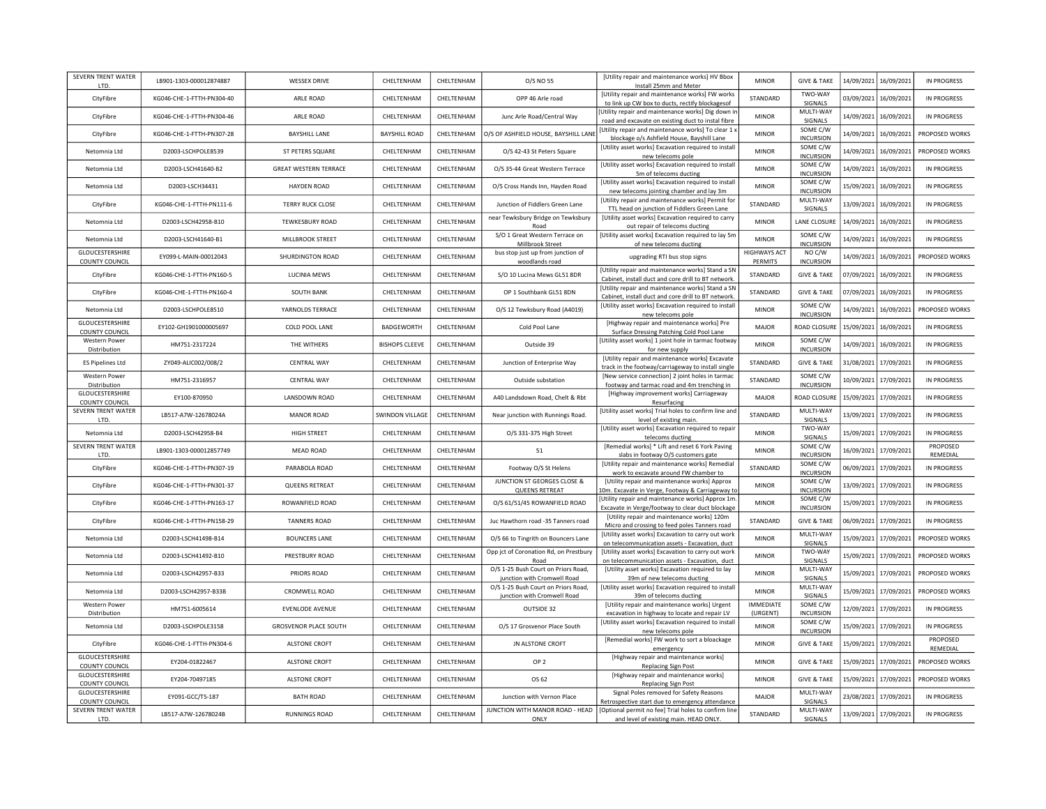| SEVERN TRENT WATER<br>LTD.               | LB901-1303-000012874887   | <b>WESSEX DRIVE</b>          | CHELTENHAM            | CHELTENHAM | O/S NO 55                                                          | [Utility repair and maintenance works] HV Bbox<br>Install 25mm and Meter                                                              | <b>MINOR</b>                          | <b>GIVE &amp; TAKE</b>       |            | 14/09/2021 16/09/2021   | <b>IN PROGRESS</b>   |
|------------------------------------------|---------------------------|------------------------------|-----------------------|------------|--------------------------------------------------------------------|---------------------------------------------------------------------------------------------------------------------------------------|---------------------------------------|------------------------------|------------|-------------------------|----------------------|
| CityFibre                                | KG046-CHE-1-FTTH-PN304-40 | ARLE ROAD                    | CHELTENHAM            | CHELTENHAM | OPP 46 Arle road                                                   | [Utility repair and maintenance works] FW works<br>to link up CW box to ducts, rectify blockagesof                                    | STANDARD                              | TWO-WAY<br>SIGNALS           |            | 03/09/2021 16/09/2021   | <b>IN PROGRESS</b>   |
| CityFibre                                | KG046-CHE-1-FTTH-PN304-46 | ARLE ROAD                    | CHELTENHAM            | CHELTENHAM | Junc Arle Road/Central Way                                         | [Utility repair and maintenance works] Dig down in<br>road and excavate on existing duct to instal fibre                              | <b>MINOR</b>                          | MULTI-WAY<br>SIGNALS         |            | 14/09/2021 16/09/2021   | <b>IN PROGRESS</b>   |
| CityFibre                                | KG046-CHE-1-FTTH-PN307-28 | <b>BAYSHILL LANE</b>         | <b>BAYSHILL ROAD</b>  | CHELTENHAM |                                                                    | O/S OF ASHFIELD HOUSE, BAYSHILL LANE Utility repair and maintenance works] To clear 1 x<br>blockage o/s Ashfield House, Bayshill Lane | <b>MINOR</b>                          | SOME C/W<br><b>INCURSION</b> |            | 14/09/2021   16/09/2021 | PROPOSED WORKS       |
| Netomnia Ltd                             | D2003-LSCHPOLE8539        | ST PETERS SQUARE             | CHELTENHAM            | CHELTENHAM | O/S 42-43 St Peters Square                                         | [Utility asset works] Excavation required to install<br>new telecoms pole                                                             | <b>MINOR</b>                          | SOME C/W<br><b>INCURSION</b> | 14/09/2021 | 16/09/2021              | PROPOSED WORKS       |
| Netomnia Ltd                             | D2003-LSCH41640-B2        | <b>GREAT WESTERN TERRACE</b> | CHELTENHAM            | CHELTENHAM | O/S 35-44 Great Western Terrace                                    | [Utility asset works] Excavation required to install<br>5m of telecoms ducting                                                        | <b>MINOR</b>                          | SOME C/W<br><b>INCURSION</b> | 14/09/2021 | 16/09/2021              | <b>IN PROGRESS</b>   |
| Netomnia Ltd                             | D2003-LSCH34431           | <b>HAYDEN ROAD</b>           | CHELTENHAM            | CHELTENHAM | O/S Cross Hands Inn, Hayden Road                                   | [Utility asset works] Excavation required to install<br>new telecoms jointing chamber and lay 3m                                      | <b>MINOR</b>                          | SOME C/W<br><b>INCURSION</b> | 15/09/2021 | 16/09/2021              | IN PROGRESS          |
| CityFibre                                | KG046-CHE-1-FTTH-PN111-6  | <b>TERRY RUCK CLOSE</b>      | CHELTENHAM            | CHELTENHAM | Junction of Fiddlers Green Lane                                    | [Utility repair and maintenance works] Permit for<br>TTL head on junction of Fiddlers Green Lane                                      | STANDARD                              | MULTI-WAY<br>SIGNALS         | 13/09/2021 | 16/09/2021              | <b>IN PROGRESS</b>   |
| Netomnia Ltd                             | D2003-LSCH42958-B10       | TEWKESBURY ROAD              | CHELTENHAM            | CHELTENHAM | near Tewksbury Bridge on Tewksbury<br>Road                         | [Utility asset works] Excavation required to carry<br>out repair of telecoms ducting                                                  | <b>MINOR</b>                          | LANE CLOSURE                 | 14/09/2021 | 16/09/2021              | <b>IN PROGRESS</b>   |
| Netomnia Ltd                             | D2003-LSCH41640-B1        | MILLBROOK STREET             | CHELTENHAM            | CHELTENHAM | S/O 1 Great Western Terrace on<br>Millbrook Street                 | [Utility asset works] Excavation required to lay 5m<br>of new telecoms ducting                                                        | <b>MINOR</b>                          | SOME C/W<br><b>INCURSION</b> | 14/09/2021 | 16/09/2021              | <b>IN PROGRESS</b>   |
| GLOUCESTERSHIRE<br>COUNTY COUNCIL        | EY099-L-MAIN-00012043     | SHURDINGTON ROAD             | CHELTENHAM            | CHELTENHAM | bus stop just up from junction of<br>woodlands road                | upgrading RTI bus stop signs                                                                                                          | <b>HIGHWAYS ACT</b><br><b>PERMITS</b> | NO C/W<br><b>INCURSION</b>   | 14/09/2021 | 16/09/2021              | PROPOSED WORKS       |
| CityFibre                                | KG046-CHE-1-FTTH-PN160-5  | LUCINIA MEWS                 | CHELTENHAM            | CHELTENHAM | S/O 10 Lucina Mews GL51 8DR                                        | [Utility repair and maintenance works] Stand a SN<br>Cabinet, install duct and core drill to BT network.                              | STANDARD                              | <b>GIVE &amp; TAKE</b>       | 07/09/2021 | 16/09/2021              | <b>IN PROGRESS</b>   |
| CityFibre                                | KG046-CHE-1-FTTH-PN160-4  | <b>SOUTH BANK</b>            | CHELTENHAM            | CHELTENHAM | OP 1 Southbank GL51 8DN                                            | [Utility repair and maintenance works] Stand a SN<br>Cabinet, install duct and core drill to BT network.                              | STANDARD                              | <b>GIVE &amp; TAKE</b>       | 07/09/2021 | 16/09/2021              | <b>IN PROGRESS</b>   |
| Netomnia Ltd                             | D2003-LSCHPOLE8510        | YARNOLDS TERRACE             | CHELTENHAM            | CHELTENHAM | O/S 12 Tewksbury Road (A4019)                                      | [Utility asset works] Excavation required to install<br>new telecoms pole                                                             | <b>MINOR</b>                          | SOME C/W<br><b>INCURSION</b> | 14/09/2021 | 16/09/2021              | PROPOSED WORKS       |
| GLOUCESTERSHIRE<br>COUNTY COUNCIL        | EY102-GH1901000005697     | COLD POOL LANE               | <b>BADGEWORTH</b>     | CHELTENHAM | Cold Pool Lane                                                     | [Highway repair and maintenance works] Pre<br>Surface Dressing Patching Cold Pool Lane                                                | MAJOR                                 | ROAD CLOSURE                 | 15/09/2021 | 16/09/2021              | <b>IN PROGRESS</b>   |
| Western Power<br>Distribution            | HM751-2317224             | THE WITHERS                  | <b>BISHOPS CLEEVE</b> | CHELTENHAM | Outside 39                                                         | [Utility asset works] 1 joint hole in tarmac footway<br>for new supply                                                                | <b>MINOR</b>                          | SOME C/W<br><b>INCURSION</b> | 14/09/2021 | 16/09/2021              | <b>IN PROGRESS</b>   |
| <b>ES Pipelines Ltd</b>                  | ZY049-ALIC002/008/2       | <b>CENTRAL WAY</b>           | CHELTENHAM            | CHELTENHAM | Junction of Enterprise Way                                         | [Utility repair and maintenance works] Excavate<br>track in the footway/carriageway to install single                                 | STANDARD                              | <b>GIVE &amp; TAKE</b>       | 31/08/2021 | 17/09/2021              | <b>IN PROGRESS</b>   |
| <b>Western Power</b><br>Distribution     | HM751-2316957             | <b>CENTRAL WAY</b>           | CHELTENHAM            | CHELTENHAM | Outside substation                                                 | [New service connection] 2 joint holes in tarmac<br>footway and tarmac road and 4m trenching in                                       | STANDARD                              | SOME C/W<br><b>INCURSION</b> | 10/09/2021 | 17/09/2021              | <b>IN PROGRESS</b>   |
| <b>GLOUCESTERSHIRE</b><br>COUNTY COUNCIL | EY100-870950              | LANSDOWN ROAD                | CHELTENHAM            | CHELTENHAM | A40 Landsdown Road, Chelt & Rbt                                    | [Highway improvement works] Carriageway<br>Resurfacing                                                                                | MAJOR                                 | ROAD CLOSURE                 | 15/09/2021 | 17/09/2021              | <b>IN PROGRESS</b>   |
| SEVERN TRENT WATER<br>LTD.               | LB517-A7W-12678024A       | <b>MANOR ROAD</b>            | SWINDON VILLAGE       | CHELTENHAM | Near junction with Runnings Road.                                  | [Utility asset works] Trial holes to confirm line and<br>level of existing main.                                                      | STANDARD                              | MULTI-WAY<br>SIGNALS         | 13/09/2021 | 17/09/2021              | <b>IN PROGRESS</b>   |
| Netomnia Ltd                             | D2003-LSCH42958-B4        | <b>HIGH STREET</b>           | CHELTENHAM            | CHELTENHAM | O/S 331-375 High Street                                            | [Utility asset works] Excavation required to repair<br>telecoms ducting                                                               | <b>MINOR</b>                          | TWO-WAY<br>SIGNALS           | 15/09/2021 | 17/09/2021              | <b>IN PROGRESS</b>   |
| SEVERN TRENT WATER<br>LTD.               | LB901-1303-000012857749   | <b>MEAD ROAD</b>             | CHELTENHAM            | CHELTENHAM | 51                                                                 | [Remedial works] * Lift and reset 6 York Paving<br>slabs in footway O/S customers gate                                                | <b>MINOR</b>                          | SOME C/W<br><b>INCURSION</b> | 16/09/2021 | 17/09/2021              | PROPOSED<br>REMEDIAL |
| CityFibre                                | KG046-CHE-1-FTTH-PN307-19 | PARABOLA ROAD                | CHELTENHAM            | CHELTENHAM | Footway O/S St Helens                                              | [Utility repair and maintenance works] Remedial<br>work to excavate around FW chamber to                                              | STANDARD                              | SOME C/W<br><b>INCURSION</b> | 06/09/2021 | 17/09/2021              | <b>IN PROGRESS</b>   |
| CityFibre                                | KG046-CHE-1-FTTH-PN301-37 | QUEENS RETREAT               | CHELTENHAM            | CHELTENHAM | JUNCTION ST GEORGES CLOSE &<br>QUEENS RETREAT                      | [Utility repair and maintenance works] Approx<br>10m. Excavate in Verge, Footway & Carriageway to                                     | <b>MINOR</b>                          | SOME C/W<br><b>INCURSION</b> | 13/09/2021 | 17/09/2021              | <b>IN PROGRESS</b>   |
| CityFibre                                | KG046-CHE-1-FTTH-PN163-17 | ROWANFIELD ROAD              | CHELTENHAM            | CHELTENHAM | O/S 61/51/45 ROWANFIELD ROAD                                       | [Utility repair and maintenance works] Approx 1m<br>Excavate in Verge/footway to clear duct blockage                                  | <b>MINOR</b>                          | SOME C/W<br><b>INCURSION</b> | 15/09/2021 | 17/09/2021              | <b>IN PROGRESS</b>   |
| CityFibre                                | KG046-CHE-1-FTTH-PN158-29 | <b>TANNERS ROAD</b>          | CHELTENHAM            | CHELTENHAM | Juc Hawthorn road -35 Tanners road                                 | [Utility repair and maintenance works] 120m<br>Micro and crossing to feed poles Tanners road                                          | STANDARD                              | <b>GIVE &amp; TAKE</b>       | 06/09/2021 | 17/09/2021              | <b>IN PROGRESS</b>   |
| Netomnia Ltd                             | D2003-LSCH41498-B14       | <b>BOUNCERS LANE</b>         | CHELTENHAM            | CHELTENHAM | O/S 66 to Tingrith on Bouncers Lane                                | [Utility asset works] Excavation to carry out work<br>on telecommunication assets - Excavation, duct                                  | <b>MINOR</b>                          | MULTI-WAY<br>SIGNALS         | 15/09/2021 | 17/09/2021              | PROPOSED WORKS       |
| Netomnia Ltd                             | D2003-LSCH41492-B10       | PRESTBURY ROAD               | CHELTENHAM            | CHELTENHAM | Opp jct of Coronation Rd, on Prestbury<br>Road                     | [Utility asset works] Excavation to carry out work<br>on telecommunication assets - Excavation, duct                                  | <b>MINOR</b>                          | TWO-WAY<br>SIGNALS           | 15/09/2021 | 17/09/2021              | PROPOSED WORKS       |
| Netomnia Ltd                             | D2003-LSCH42957-B33       | PRIORS ROAD                  | CHELTENHAM            | CHELTENHAM | O/S 1-25 Bush Court on Priors Road,<br>junction with Cromwell Road | [Utility asset works] Excavation required to lay<br>39m of new telecoms ducting                                                       | <b>MINOR</b>                          | MULTI-WAY<br>SIGNALS         |            | 15/09/2021 17/09/2021   | PROPOSED WORKS       |
| Netomnia Ltd                             | D2003-LSCH42957-B33B      | CROMWELL ROAD                | CHELTENHAM            | CHELTENHAM | O/S 1-25 Bush Court on Priors Road,<br>junction with Cromwell Road | [Utility asset works] Excavation required to install<br>39m of telecoms ducting                                                       | <b>MINOR</b>                          | MULTI-WAY<br>SIGNALS         |            | 15/09/2021 17/09/2021   | PROPOSED WORKS       |
| <b>Western Power</b><br>Distribution     | HM751-6005614             | <b>EVENLODE AVENUE</b>       | CHELTENHAM            | CHELTENHAM | OUTSIDE 32                                                         | [Utility repair and maintenance works] Urgent<br>excavation in highway to locate and repair LV                                        | <b>IMMEDIATE</b><br>(URGENT)          | SOME C/W<br><b>INCURSION</b> |            | 12/09/2021 17/09/2021   | <b>IN PROGRESS</b>   |
| Netomnia Ltd                             | D2003-LSCHPOLE3158        | <b>GROSVENOR PLACE SOUTH</b> | CHELTENHAM            | CHELTENHAM | O/S 17 Grosvenor Place South                                       | [Utility asset works] Excavation required to install<br>new telecoms pole                                                             | <b>MINOR</b>                          | SOME C/W<br><b>INCURSION</b> |            | 15/09/2021 17/09/2021   | <b>IN PROGRESS</b>   |
| CityFibre                                | KG046-CHE-1-FTTH-PN304-6  | ALSTONE CROET                | CHELTENHAM            | CHELTENHAM | JN ALSTONE CROFT                                                   | [Remedial works] FW work to sort a bloackage<br>emergency                                                                             | <b>MINOR</b>                          | <b>GIVE &amp; TAKE</b>       |            | 15/09/2021 17/09/2021   | PROPOSED<br>REMEDIAL |
| GLOUCESTERSHIRE<br><b>COUNTY COUNCIL</b> | EY204-01822467            | ALSTONE CROFT                | CHELTENHAM            | CHELTENHAM | OP <sub>2</sub>                                                    | [Highway repair and maintenance works]<br><b>Replacing Sign Post</b>                                                                  | <b>MINOR</b>                          | <b>GIVE &amp; TAKE</b>       |            | 15/09/2021 17/09/2021   | PROPOSED WORKS       |
| GLOUCESTERSHIRE<br><b>COUNTY COUNCIL</b> | EY204-70497185            | <b>ALSTONE CROFT</b>         | CHELTENHAM            | CHELTENHAM | OS 62                                                              | [Highway repair and maintenance works]<br><b>Replacing Sign Post</b>                                                                  | <b>MINOR</b>                          | <b>GIVE &amp; TAKE</b>       |            | 15/09/2021 17/09/2021   | PROPOSED WORKS       |
| GLOUCESTERSHIRE<br><b>COUNTY COUNCIL</b> | EY091-GCC/TS-187          | <b>BATH ROAD</b>             | CHELTENHAM            | CHELTENHAM | Junction with Vernon Place                                         | Signal Poles removed for Safety Reasons<br>Retrospective start due to emergency attendance                                            | MAJOR                                 | MULTI-WAY<br>SIGNALS         |            | 23/08/2021 17/09/2021   | <b>IN PROGRESS</b>   |
| SEVERN TRENT WATER<br>LTD.               | LB517-A7W-12678024B       | <b>RUNNINGS ROAD</b>         | CHELTENHAM            | CHELTENHAM | ONLY                                                               | JUNCTION WITH MANOR ROAD - HEAD   [Optional permit no fee] Trial holes to confirm line<br>and level of existing main. HEAD ONLY.      | STANDARD                              | MULTI-WAY<br>SIGNALS         |            | 13/09/2021 17/09/2021   | <b>IN PROGRESS</b>   |
|                                          |                           |                              |                       |            |                                                                    |                                                                                                                                       |                                       |                              |            |                         |                      |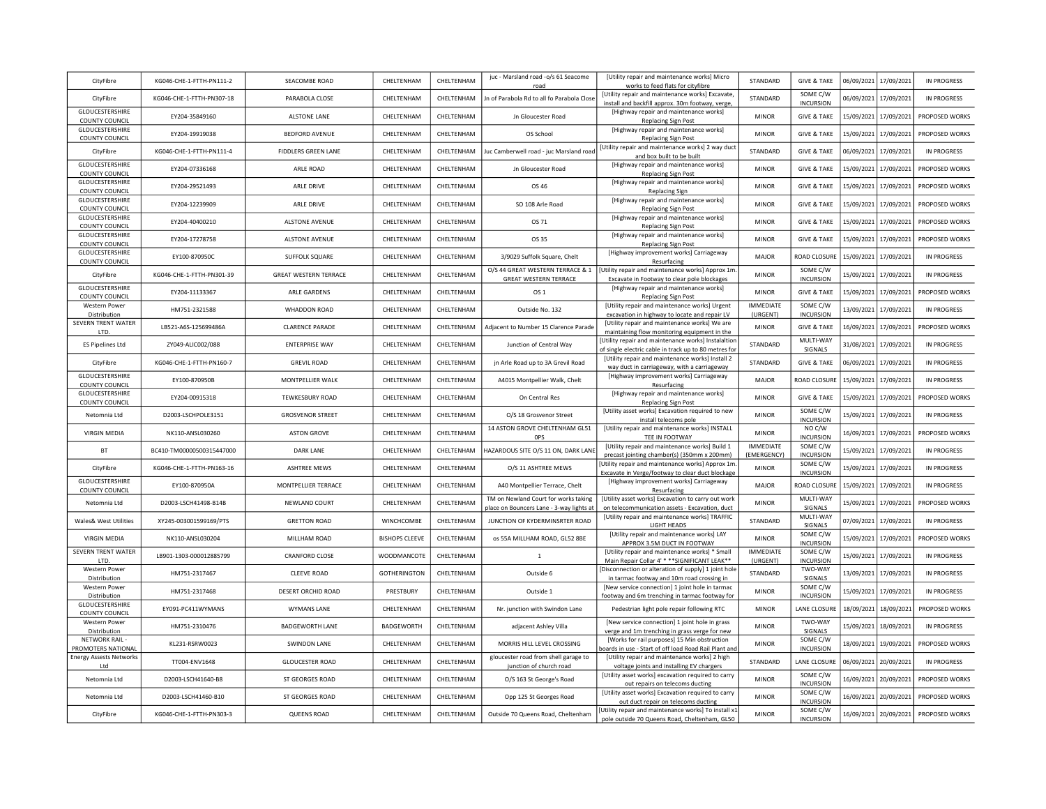| CityFibre                                       | KG046-CHE-1-FTTH-PN111-2  | SEACOMBE ROAD                | CHELTENHAM            | CHELTENHAM  | juc - Marsland road -o/s 61 Seacome<br>road                                      | <b>IUtility repair and maintenance worksl Micro</b><br>works to feed flats for cityfibre                    | STANDARD                     | <b>GIVE &amp; TAKE</b>       |            | 06/09/2021 17/09/2021 | <b>IN PROGRESS</b> |
|-------------------------------------------------|---------------------------|------------------------------|-----------------------|-------------|----------------------------------------------------------------------------------|-------------------------------------------------------------------------------------------------------------|------------------------------|------------------------------|------------|-----------------------|--------------------|
| CityFibre                                       | KG046-CHE-1-FTTH-PN307-18 | PARABOLA CLOSE               | CHELTENHAM            | CHELTENHAM  | Jn of Parabola Rd to all fo Parabola Close                                       | [Utility repair and maintenance works] Excavate,<br>install and backfill approx. 30m footway, verge,        | STANDARD                     | SOME C/W<br><b>INCURSION</b> | 06/09/2021 | 17/09/2021            | <b>IN PROGRESS</b> |
| GLOUCESTERSHIRE<br>COUNTY COUNCIL               | EY204-35849160            | <b>ALSTONE LANE</b>          | CHELTENHAM            | CHELTENHAM  | Jn Gloucester Road                                                               | [Highway repair and maintenance works]<br><b>Replacing Sign Post</b>                                        | <b>MINOR</b>                 | <b>GIVE &amp; TAKE</b>       | 15/09/2021 | 17/09/2021            | PROPOSED WORKS     |
| GLOUCESTERSHIRE<br><b>COUNTY COUNCIL</b>        | EY204-19919038            | <b>BEDFORD AVENUE</b>        | CHELTENHAM            | CHELTENHAM  | OS School                                                                        | [Highway repair and maintenance works]<br><b>Replacing Sign Post</b>                                        | <b>MINOR</b>                 | <b>GIVE &amp; TAKE</b>       | 15/09/2021 | 17/09/2021            | PROPOSED WORKS     |
| CityFibre                                       | KG046-CHE-1-FTTH-PN111-4  | <b>FIDDLERS GREEN LANE</b>   | CHELTENHAM            | CHELTENHAM  | Juc Camberwell road - juc Marsland road                                          | [Utility repair and maintenance works] 2 way duct<br>and box built to be built                              | STANDARD                     | <b>GIVE &amp; TAKE</b>       | 06/09/2021 | 17/09/2021            | <b>IN PROGRESS</b> |
| GLOUCESTERSHIRE<br>COUNTY COUNCIL               | EY204-07336168            | ARI F ROAD                   | CHELTENHAM            | CHEITENHAM  | Jn Gloucester Road                                                               | [Highway repair and maintenance works]<br><b>Replacing Sign Post</b>                                        | <b>MINOR</b>                 | <b>GIVE &amp; TAKE</b>       | 15/09/2021 | 17/09/2021            | PROPOSED WORKS     |
| GLOUCESTERSHIRE<br><b>COUNTY COUNCIL</b>        | EY204-29521493            | <b>ARIF DRIVE</b>            | CHELTENHAM            | CHELTENHAM  | OS 46                                                                            | [Highway repair and maintenance works]<br><b>Replacing Sign</b>                                             | <b>MINOR</b>                 | <b>GIVE &amp; TAKE</b>       | 15/09/2021 | 17/09/2021            | PROPOSED WORKS     |
| GLOUCESTERSHIRE<br><b>COUNTY COUNCIL</b>        | EY204-12239909            | ARLE DRIVE                   | CHELTENHAM            | CHELTENHAM  | SO 108 Arle Road                                                                 | [Highway repair and maintenance works]<br>Replacing Sign Post                                               | <b>MINOR</b>                 | <b>GIVE &amp; TAKE</b>       | 15/09/2021 | 17/09/2021            | PROPOSED WORKS     |
| GLOUCESTERSHIRE<br>COUNTY COUNCIL               | EY204-40400210            | ALSTONE AVENUE               | CHELTENHAM            | CHFI TFNHAM | OS 71                                                                            | [Highway repair and maintenance works]<br><b>Replacing Sign Post</b>                                        | <b>MINOR</b>                 | <b>GIVE &amp; TAKE</b>       | 15/09/2021 | 17/09/2021            | PROPOSED WORKS     |
| GLOUCESTERSHIRE<br>COUNTY COUNCIL               | EY204-17278758            | ALSTONE AVENUE               | CHELTENHAM            | CHELTENHAM  | OS 35                                                                            | [Highway repair and maintenance works]<br><b>Replacing Sign Post</b>                                        | <b>MINOR</b>                 | <b>GIVE &amp; TAKE</b>       | 15/09/2021 | 17/09/2021            | PROPOSED WORKS     |
| <b>GLOUCESTERSHIRE</b><br>COUNTY COUNCIL        | EY100-870950C             | <b>SUFFOLK SQUARE</b>        | CHELTENHAM            | CHELTENHAM  | 3/9029 Suffolk Square, Chelt                                                     | [Highway improvement works] Carriageway<br>Resurfacing                                                      | MAJOR                        | ROAD CLOSUR                  | 15/09/2021 | 17/09/2021            | <b>IN PROGRESS</b> |
| CityFibre                                       | KG046-CHE-1-FTTH-PN301-39 | <b>GREAT WESTERN TERRACE</b> | CHELTENHAM            | CHELTENHAM  | O/S 44 GREAT WESTERN TERRACE & 1<br><b>GREAT WESTERN TERRACE</b>                 | [Utility repair and maintenance works] Approx 1m<br>Excavate in Footway to clear pole blockages             | <b>MINOR</b>                 | SOME C/W<br><b>INCURSION</b> | 15/09/2021 | 17/09/2021            | <b>IN PROGRESS</b> |
| <b>GLOUCESTERSHIRE</b><br><b>COUNTY COUNCIL</b> | EY204-11133367            | ARLE GARDENS                 | CHELTENHAM            | CHELTENHAM  | OS 1                                                                             | [Highway repair and maintenance works]<br><b>Replacing Sign Post</b>                                        | <b>MINOR</b>                 | <b>GIVE &amp; TAKE</b>       | 15/09/2021 | 17/09/2021            | PROPOSED WORKS     |
| Western Power<br>Distribution                   | HM751-2321588             | <b>WHADDON ROAD</b>          | CHELTENHAM            | CHELTENHAM  | Outside No. 132                                                                  | [Utility repair and maintenance works] Urgent<br>excavation in highway to locate and repair LV              | <b>IMMEDIATE</b><br>(URGENT) | SOME C/W<br><b>INCURSION</b> | 13/09/2021 | 17/09/2021            | <b>IN PROGRESS</b> |
| SEVERN TRENT WATER<br>LTD.                      | LB521-A6S-125699486A      | <b>CLARENCE PARADE</b>       | CHELTENHAM            | CHELTENHAM  | Adjacent to Number 15 Clarence Parade                                            | [Utility repair and maintenance works] We are<br>maintaining flow monitoring equipment in the               | <b>MINOR</b>                 | <b>GIVE &amp; TAKE</b>       | 16/09/2021 | 17/09/2021            | PROPOSED WORKS     |
| <b>ES Pipelines Ltd</b>                         | ZY049-ALIC002/088         | <b>ENTERPRISE WAY</b>        | CHELTENHAM            | CHELTENHAM  | Junction of Central Way                                                          | Utility repair and maintenance works] Instalaltion<br>of single electric cable in track up to 80 metres for | STANDARD                     | MULTI-WAY<br>SIGNALS         | 31/08/2021 | 17/09/2021            | <b>IN PROGRESS</b> |
| CityFibre                                       | KG046-CHE-1-FTTH-PN160-7  | <b>GREVIL ROAD</b>           | CHELTENHAM            | CHELTENHAM  | jn Arle Road up to 3A Grevil Road                                                | [Utility repair and maintenance works] Install 2<br>way duct in carriageway, with a carriageway             | STANDARD                     | <b>GIVE &amp; TAKE</b>       | 06/09/2021 | 17/09/2021            | <b>IN PROGRESS</b> |
| GLOUCESTERSHIRE<br><b>COUNTY COUNCIL</b>        | EY100-870950B             | MONTPELLIER WALK             | CHELTENHAM            | CHELTENHAM  | A4015 Montpellier Walk, Chelt                                                    | [Highway improvement works] Carriageway<br>Resurfacing                                                      | <b>MAJOR</b>                 | ROAD CLOSURI                 | 15/09/2021 | 17/09/2021            | <b>IN PROGRESS</b> |
| GLOUCESTERSHIRE<br><b>COUNTY COUNCIL</b>        | EY204-00915318            | <b>TEWKESBURY ROAD</b>       | CHELTENHAM            | CHELTENHAM  | On Central Res                                                                   | [Highway repair and maintenance works]<br><b>Replacing Sign Post</b>                                        | <b>MINOR</b>                 | <b>GIVE &amp; TAKE</b>       | 15/09/2021 | 17/09/2021            | PROPOSED WORKS     |
| Netomnia Ltd                                    | D2003-LSCHPOLE3151        | <b>GROSVENOR STREET</b>      | CHELTENHAM            | CHELTENHAM  | O/S 18 Grosvenor Street                                                          | [Utility asset works] Excavation required to new<br>install telecoms pole                                   | <b>MINOR</b>                 | SOME C/W<br><b>INCURSION</b> | 15/09/2021 | 17/09/2021            | <b>IN PROGRESS</b> |
| <b>VIRGIN MEDIA</b>                             | NK110-ANSL030260          | <b>ASTON GROVE</b>           | CHELTENHAM            | CHELTENHAM  | 14 ASTON GROVE CHELTENHAM GL51<br><b>OPS</b>                                     | [Utility repair and maintenance works] INSTALL<br>TEE IN FOOTWAY                                            | <b>MINOR</b>                 | NO C/W<br><b>INCURSION</b>   | 16/09/2021 | 17/09/2021            | PROPOSED WORKS     |
| <b>BT</b>                                       | BC410-TM00000500315447000 | <b>DARK LANE</b>             | CHELTENHAM            | CHELTENHAM  | HAZARDOUS SITE O/S 11 ON, DARK LANE                                              | [Utility repair and maintenance works] Build 1<br>precast jointing chamber(s) (350mm x 200mm)               | IMMEDIATE<br>(EMERGENCY)     | SOME C/W<br><b>INCURSION</b> | 15/09/2021 | 17/09/2021            | <b>IN PROGRESS</b> |
| CityFibre                                       | KG046-CHE-1-FTTH-PN163-16 | ASHTREE MEWS                 | CHELTENHAM            | CHELTENHAM  | O/S 11 ASHTREE MEWS                                                              | [Utility repair and maintenance works] Approx 1m<br>Excavate in Verge/footway to clear duct blockage        | <b>MINOR</b>                 | SOME C/W<br><b>INCURSION</b> | 15/09/2021 | 17/09/2021            | <b>IN PROGRESS</b> |
| GLOUCESTERSHIRE<br>COUNTY COUNCIL               | EY100-870950A             | MONTPELLIER TERRACE          | CHELTENHAM            | CHELTENHAM  | A40 Montpellier Terrace, Chelt                                                   | [Highway improvement works] Carriageway<br>Resurfacing                                                      | MAJOR                        | ROAD CLOSURI                 | 15/09/2021 | 17/09/2021            | <b>IN PROGRESS</b> |
| Netomnia Ltd                                    | D2003-LSCH41498-B14B      | NEWLAND COURT                | CHELTENHAM            | CHELTENHAM  | TM on Newland Court for works taking<br>place on Bouncers Lane - 3-way lights at | [Utility asset works] Excavation to carry out work<br>on telecommunication assets - Excavation, duct        | <b>MINOR</b>                 | MULTI-WAY<br>SIGNALS         | 15/09/2021 | 17/09/2021            | PROPOSED WORKS     |
| Wales& West Utilities                           | XY245-003001599169/PTS    | <b>GRETTON ROAD</b>          | WINCHCOMBE            | CHELTENHAM  | JUNCTION OF KYDERMINSRTER ROAD                                                   | [Utility repair and maintenance works] TRAFFIC<br>LIGHT HEADS                                               | STANDARD                     | MULTI-WAY<br>SIGNALS         | 07/09/2021 | 17/09/2021            | <b>IN PROGRESS</b> |
| <b>VIRGIN MEDIA</b>                             | NK110-ANSL030204          | MILLHAM ROAD                 | <b>BISHOPS CLEEVE</b> | CHELTENHAM  | os 55A MILLHAM ROAD, GL52 8BE                                                    | [Utility repair and maintenance works] LAY<br>APPROX 3.5M DUCT IN FOOTWAY                                   | <b>MINOR</b>                 | SOME C/W<br><b>INCURSION</b> | 15/09/2021 | 17/09/2021            | PROPOSED WORKS     |
| SEVERN TRENT WATER<br><b>ITD</b>                | LB901-1303-000012885799   | <b>CRANFORD CLOSE</b>        | WOODMANCOTE           | CHELTENHAM  | $\mathbf 1$                                                                      | <b>IUtility repair and maintenance worksl * Small</b><br>Main Repair Collar 4' * ** SIGNIFICANT LEAK**      | <b>IMMEDIATE</b><br>(URGENT) | SOME C/W<br><b>INCURSION</b> | 15/09/2021 | 17/09/2021            | <b>IN PROGRESS</b> |
| <b>Western Power</b><br>Distribution            | HM751-2317467             | <b>CLEEVE ROAD</b>           | <b>GOTHERINGTON</b>   | CHELTENHAM  | Outside 6                                                                        | [Disconnection or alteration of supply] 1 joint hole<br>in tarmac footway and 10m road crossing in          | STANDARD                     | TWO-WAY<br><b>SIGNALS</b>    |            | 13/09/2021 17/09/2021 | <b>IN PROGRESS</b> |
| Western Power<br>Distribution                   | HM751-2317468             | DESERT ORCHID ROAD           | PRESTBURY             | CHELTENHAM  | Outside 1                                                                        | [New service connection] 1 joint hole in tarmac<br>footway and 6m trenching in tarmac footway for           | <b>MINOR</b>                 | SOME C/W<br><b>INCURSION</b> |            | 15/09/2021 17/09/2021 | <b>IN PROGRESS</b> |
| GLOUCESTERSHIRE<br><b>COUNTY COUNCIL</b>        | FY091-PC411WYMANS         | <b>WYMANS LANE</b>           | CHELTENHAM            | CHELTENHAM  | Nr. junction with Swindon Lane                                                   | Pedestrian light pole repair following RTC                                                                  | <b>MINOR</b>                 | <b>LANE CLOSURE</b>          | 18/09/2021 | 18/09/2021            | PROPOSED WORKS     |
| Western Power<br>Distribution                   | HM751-2310476             | <b>BADGEWORTH LANE</b>       | BADGEWORTH            | CHELTENHAM  | adjacent Ashley Villa                                                            | [New service connection] 1 joint hole in grass<br>verge and 1m trenching in grass verge for new             | <b>MINOR</b>                 | TWO-WAY<br>SIGNALS           | 15/09/2021 | 18/09/2021            | IN PROGRESS        |
| NETWORK RAIL -<br>PROMOTERS NATIONAL            | KL231-RSRW0023            | <b>SWINDON LANE</b>          | CHELTENHAM            | CHELTENHAM  | MORRIS HILL LEVEL CROSSING                                                       | [Works for rail purposes] 15 Min obstruction<br>oards in use - Start of off load Road Rail Plant an         | <b>MINOR</b>                 | SOME C/W<br><b>INCURSION</b> | 18/09/2021 | 19/09/2021            | PROPOSED WORKS     |
| <b>Energy Assests Networks</b><br>Ltd           | TT004-ENV1648             | <b>GLOUCESTER ROAD</b>       | CHELTENHAM            | CHELTENHAM  | gloucester road from shell garage to<br>junction of church road                  | [Utility repair and maintenance works] 2 high<br>voltage joints and installing EV chargers                  | STANDARD                     | <b>LANE CLOSURE</b>          |            | 06/09/2021 20/09/2021 | IN PROGRESS        |
| Netomnia Ltd                                    | D2003-LSCH41640-B8        | ST GEORGES ROAD              | CHELTENHAM            | CHELTENHAM  | O/S 163 St George's Road                                                         | [Utility asset works] excavation required to carry<br>out repairs on telecoms ducting                       | <b>MINOR</b>                 | SOME C/W<br><b>INCURSION</b> | 16/09/2021 | 20/09/2021            | PROPOSED WORKS     |
| Netomnia Ltd                                    | D2003-LSCH41460-B10       | ST GEORGES ROAD              | CHELTENHAM            | CHELTENHAM  | Opp 125 St Georges Road                                                          | [Utility asset works] Excavation required to carry<br>out duct repair on telecoms ducting                   | <b>MINOR</b>                 | SOME C/W<br><b>INCURSION</b> | 16/09/2021 | 20/09/2021            | PROPOSED WORKS     |
| CityFibre                                       | KG046-CHE-1-FTTH-PN303-3  | QUEENS ROAD                  | CHELTENHAM            | CHELTENHAM  | Outside 70 Queens Road, Cheltenham                                               | [Utility repair and maintenance works] To install x1<br>pole outside 70 Queens Road, Cheltenham, GL50       | <b>MINOR</b>                 | SOME C/W<br><b>INCURSION</b> | 16/09/2021 | 20/09/2021            | PROPOSED WORKS     |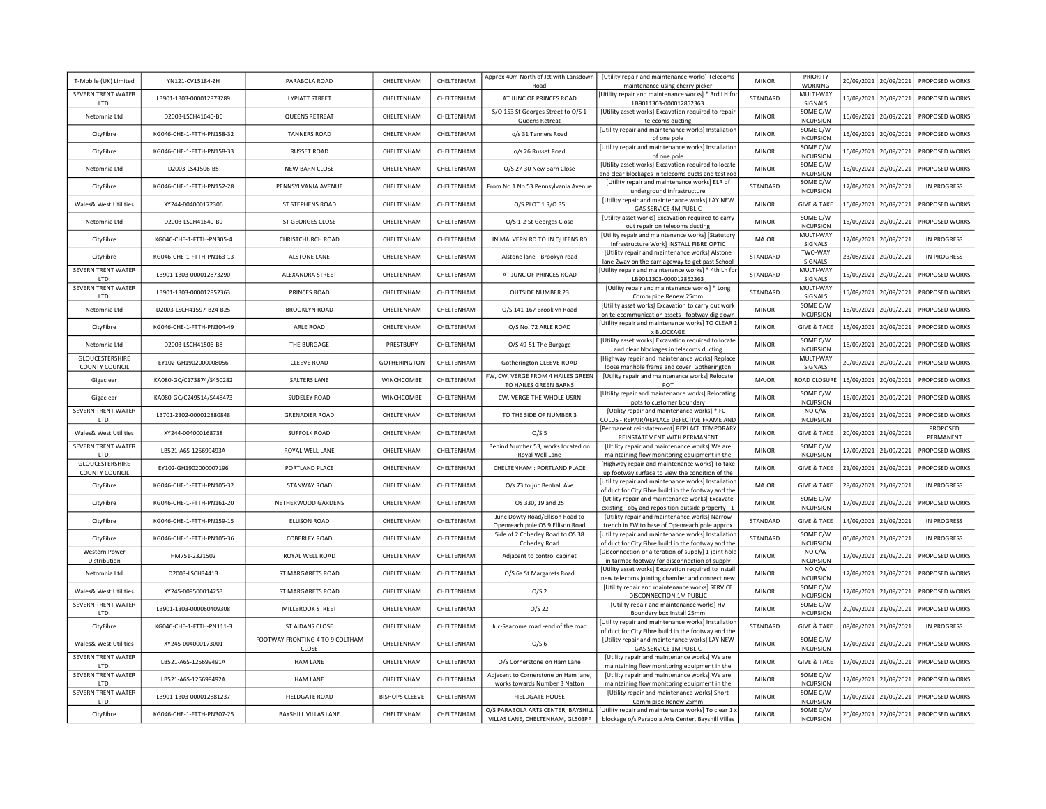| T-Mobile (UK) Limited                           | YN121-CV15184-ZH          | PARABOLA ROAD                            | CHELTENHAM            | CHELTENHAM | Approx 40m North of Jct with Lansdown<br>Road                         | [Utility repair and maintenance works] Telecoms<br>maintenance using cherry picker                                                             | <b>MINOR</b> | PRIORITY<br><b>WORKING</b>   | 20/09/2021 20/09/2021 | PROPOSED WORKS        |
|-------------------------------------------------|---------------------------|------------------------------------------|-----------------------|------------|-----------------------------------------------------------------------|------------------------------------------------------------------------------------------------------------------------------------------------|--------------|------------------------------|-----------------------|-----------------------|
| SEVERN TRENT WATER<br><b>ITD</b>                | LB901-1303-000012873289   | <b>LYPIATT STREET</b>                    | <b>CHEITENHAM</b>     | CHFITENHAM | AT JUNC OF PRINCES ROAD                                               | [Utility repair and maintenance works] * 3rd LH for<br>LB9011303-000012852363                                                                  | STANDARD     | MULTI-WAY<br>SIGNALS         | 15/09/2021 20/09/2021 | PROPOSED WORKS        |
| Netomnia I td                                   | D2003-LSCH41640-B6        | <b>QUEENS RETREAT</b>                    | CHELTENHAM            | CHELTENHAM | S/O 153 St Georges Street to O/S 1<br>Queens Retreat                  | [Utility asset works] Excavation required to repair<br>telecoms ducting                                                                        | <b>MINOR</b> | SOME C/W<br><b>INCURSION</b> | 16/09/2021 20/09/2021 | PROPOSED WORKS        |
| CityFibre                                       | KG046-CHE-1-FTTH-PN158-32 | <b>TANNERS ROAD</b>                      | CHELTENHAM            | CHELTENHAM | o/s 31 Tanners Road                                                   | [Utility repair and maintenance works] Installation<br>of one pole                                                                             | <b>MINOR</b> | SOME C/W<br><b>INCURSION</b> | 16/09/2021 20/09/2021 | <b>PROPOSED WORKS</b> |
| CityFibre                                       | KG046-CHE-1-FTTH-PN158-33 | <b>RUSSET ROAD</b>                       | CHELTENHAM            | CHELTENHAM | o/s 26 Russet Road                                                    | [Utility repair and maintenance works] Installation<br>of one pole                                                                             | <b>MINOR</b> | SOME C/W<br><b>INCURSION</b> | 16/09/2021 20/09/2021 | PROPOSED WORKS        |
| Netomnia Ltd                                    | D2003-LS41506-B5          | <b>NEW BARN CLOSE</b>                    | CHELTENHAM            | CHELTENHAM | O/S 27-30 New Barn Close                                              | [Utility asset works] Excavation required to locate<br>and clear blockages in telecoms ducts and test rod                                      | <b>MINOR</b> | SOME C/W<br><b>INCURSION</b> | 16/09/2021 20/09/2021 | PROPOSED WORKS        |
| CityFibre                                       | KG046-CHE-1-FTTH-PN152-28 | PENNSYLVANIA AVENUE                      | CHELTENHAM            | CHELTENHAM | From No 1 No 53 Pennsylvania Avenue                                   | [Utility repair and maintenance works] ELR of<br>underground infrastructure                                                                    | STANDARD     | SOME C/W<br><b>INCURSION</b> | 17/08/2021 20/09/2021 | <b>IN PROGRESS</b>    |
| Wales& West Utilities                           | XY244-004000172306        | ST STEPHENS ROAD                         | CHELTENHAM            | CHELTENHAM | O/S PLOT 1 R/O 35                                                     | [Utility repair and maintenance works] LAY NEW<br>GAS SERVICE 4M PUBLIC                                                                        | <b>MINOR</b> | <b>GIVE &amp; TAKE</b>       | 16/09/2021 20/09/2021 | PROPOSED WORKS        |
| Netomnia Ltd                                    | D2003-LSCH41640-B9        | ST GEORGES CLOSE                         | CHELTENHAM            | CHELTENHAM | O/S 1-2 St Georges Close                                              | [Utility asset works] Excavation required to carry<br>out repair on telecoms ducting                                                           | <b>MINOR</b> | SOME C/W<br><b>INCURSION</b> | 16/09/2021 20/09/2021 | PROPOSED WORKS        |
| CityFibre                                       | KG046-CHE-1-FTTH-PN305-4  | <b>CHRISTCHURCH ROAD</b>                 | CHELTENHAM            | CHELTENHAM | JN MALVERN RD TO JN QUEENS RD                                         | [Utility repair and maintenance works] [Statutory<br>Infrastructure Work] INSTALL FIBRE OPTIC                                                  | <b>MAJOR</b> | MULTI-WAY<br>SIGNALS         | 17/08/2021 20/09/2021 | <b>IN PROGRESS</b>    |
| CityFibre                                       | KG046-CHE-1-FTTH-PN163-13 | <b>ALSTONE LANE</b>                      | CHELTENHAM            | CHELTENHAM | Alstone lane - Brookyn road                                           | [Utility repair and maintenance works] Alstone<br>lane 2way on the carriageway to get past School                                              | STANDARD     | TWO-WAY<br>SIGNALS           | 23/08/2021 20/09/2021 | <b>IN PROGRESS</b>    |
| SEVERN TRENT WATER<br>ITD                       | LB901-1303-000012873290   | ALEXANDRA STREET                         | CHELTENHAM            | CHELTENHAM | AT JUNC OF PRINCES ROAD                                               | [Utility repair and maintenance works] * 4th Lh for<br>LB9011303-000012852363                                                                  | STANDARD     | MULTI-WAY<br>SIGNALS         | 15/09/2021 20/09/2021 | PROPOSED WORKS        |
| SEVERN TRENT WATER<br>LTD.                      | LB901-1303-000012852363   | PRINCES ROAD                             | CHELTENHAM            | CHELTENHAM | <b>OUTSIDE NUMBER 23</b>                                              | [Utility repair and maintenance works] * Long<br>Comm pipe Renew 25mm                                                                          | STANDARD     | MULTI-WAY<br>SIGNALS         | 15/09/2021 20/09/2021 | PROPOSED WORKS        |
| Netomnia Ltd                                    | D2003-LSCH41597-B24-B25   | <b>BROOKLYN ROAD</b>                     | CHELTENHAM            | CHELTENHAM | O/S 141-167 Brooklyn Road                                             | [Utility asset works] Excavation to carry out work<br>on telecommunication assets - footway dig down                                           | <b>MINOR</b> | SOME C/W<br><b>INCURSION</b> | 16/09/2021 20/09/2021 | PROPOSED WORKS        |
| CityFibre                                       | KG046-CHE-1-FTTH-PN304-49 | ARLE ROAD                                | CHELTENHAM            | CHELTENHAM | O/S No. 72 ARLE ROAD                                                  | [Utility repair and maintenance works] TO CLEAR 1<br>x BLOCKAGE                                                                                | <b>MINOR</b> | <b>GIVE &amp; TAKE</b>       | 16/09/2021 20/09/2021 | PROPOSED WORKS        |
| Netomnia I td                                   | D2003-LSCH41506-B8        | THE BURGAGE                              | PRESTBURY             | CHELTENHAM | O/S 49-51 The Burgage                                                 | [Utility asset works] Excavation required to locate<br>and clear blockages in telecoms ducting                                                 | <b>MINOR</b> | SOME C/W<br><b>INCURSION</b> | 16/09/2021 20/09/2021 | PROPOSED WORKS        |
| <b>GLOUCESTERSHIRE</b><br><b>COUNTY COUNCIL</b> | EY102-GH1902000008056     | <b>CLEEVE ROAD</b>                       | <b>GOTHERINGTON</b>   | CHELTENHAM | Gotherington CLEEVE ROAD                                              | [Highway repair and maintenance works] Replace<br>loose manhole frame and cover Gotherington                                                   | <b>MINOR</b> | MULTI-WAY<br>SIGNALS         | 20/09/2021 20/09/2021 | PROPOSED WORKS        |
| Gigaclear                                       | KA080-GC/C173874/S450282  | SALTERS LANE                             | WINCHCOMBE            | CHELTENHAM | FW, CW, VERGE FROM 4 HAILES GREEN<br>TO HAILES GREEN BARNS            | [Utility repair and maintenance works] Relocate<br>POT                                                                                         | MAJOR        | <b>ROAD CLOSURE</b>          | 16/09/2021 20/09/2021 | PROPOSED WORKS        |
| Gigaclear                                       | KA080-GC/C249514/S448473  | <b>SUDELEY ROAD</b>                      | WINCHCOMBE            | CHELTENHAM | CW, VERGE THE WHOLE USRN                                              | [Utility repair and maintenance works] Relocating<br>pots to customer boundary                                                                 | <b>MINOR</b> | SOME C/W<br><b>INCURSION</b> | 16/09/2021 20/09/2021 | PROPOSED WORKS        |
| SEVERN TRENT WATER<br>LTD.                      | LB701-2302-000012880848   | <b>GRENADIER ROAD</b>                    | CHELTENHAM            | CHELTENHAM | TO THE SIDE OF NUMBER 3                                               | [Utility repair and maintenance works] * FC -<br>COLUS - REPAIR/REPLACE DEFECTIVE FRAME AND                                                    | <b>MINOR</b> | NO C/W<br><b>INCURSION</b>   | 21/09/2021 21/09/2021 | PROPOSED WORKS        |
| Wales& West Utilities                           | XY244-004000168738        | <b>SUFFOLK ROAD</b>                      | CHELTENHAM            | CHELTENHAM | O/S <sub>5</sub>                                                      | [Permanent reinstatement] REPLACE TEMPORARY<br>REINSTATEMENT WITH PERMANENT                                                                    | <b>MINOR</b> | <b>GIVE &amp; TAKE</b>       | 20/09/2021 21/09/2021 | PROPOSED<br>PERMANENT |
| SEVERN TRENT WATER<br>LTD.                      | LB521-A6S-125699493A      | ROYAL WELL LANE                          | CHELTENHAM            | CHELTENHAM | Behind Number 53, works located on<br>Royal Well Lane                 | [Utility repair and maintenance works] We are<br>maintaining flow monitoring equipment in the                                                  | <b>MINOR</b> | SOME C/W<br><b>INCURSION</b> | 17/09/2021 21/09/2021 | PROPOSED WORKS        |
| GLOUCESTERSHIRE<br>COUNTY COUNCIL               | EY102-GH1902000007196     | PORTLAND PLACE                           | CHELTENHAM            | CHELTENHAM | CHELTENHAM : PORTLAND PLACE                                           | [Highway repair and maintenance works] To take<br>up footway surface to view the condition of the                                              | <b>MINOR</b> | <b>GIVE &amp; TAKE</b>       | 21/09/2021 21/09/2021 | PROPOSED WORKS        |
| CityFibre                                       | KG046-CHE-1-FTTH-PN105-32 | STANWAY ROAD                             | CHELTENHAM            | CHELTENHAM | O/s 73 to juc Benhall Ave                                             | [Utility repair and maintenance works] Installation<br>of duct for City Fibre build in the footway and the                                     | <b>MAJOR</b> | <b>GIVE &amp; TAKE</b>       | 28/07/2021 21/09/2021 | IN PROGRESS           |
| CityFibre                                       | KG046-CHE-1-FTTH-PN161-20 | NETHERWOOD GARDENS                       | CHELTENHAM            | CHELTENHAM | OS 330, 19 and 25                                                     | [Utility repair and maintenance works] Excavate<br>existing Toby and reposition outside property - 1                                           | <b>MINOR</b> | SOME C/W<br><b>INCURSION</b> | 17/09/2021 21/09/2021 | PROPOSED WORKS        |
| CityFibre                                       | KG046-CHE-1-FTTH-PN159-15 | ELLISON ROAD                             | CHELTENHAM            | CHELTENHAM | Junc Dowty Road/Ellison Road to<br>Openreach pole OS 9 Ellison Road   | [Utility repair and maintenance works] Narrow<br>trench in FW to base of Openreach pole approx                                                 | STANDARD     | <b>GIVE &amp; TAKE</b>       | 14/09/2021 21/09/2021 | <b>IN PROGRESS</b>    |
| CityFibre                                       | KG046-CHE-1-FTTH-PN105-36 | <b>COBERLEY ROAD</b>                     | CHELTENHAM            | CHELTENHAM | Side of 2 Coberley Road to OS 38<br>Coberley Road                     | [Utility repair and maintenance works] Installation<br>of duct for City Fibre build in the footway and the                                     | STANDARD     | SOME C/W<br><b>INCURSION</b> | 06/09/2021 21/09/2021 | <b>IN PROGRESS</b>    |
| Western Power<br>Distribution                   | HM751-2321502             | ROYAL WELL ROAD                          | CHELTENHAM            | CHELTENHAM | Adjacent to control cabinet                                           | [Disconnection or alteration of supply] 1 joint hole<br>in tarmac footway for disconnection of supply                                          | <b>MINOR</b> | NO C/W<br><b>INCURSION</b>   | 17/09/2021 21/09/2021 | PROPOSED WORKS        |
| Netomnia I td                                   | D2003-LSCH34413           | ST MARGARETS ROAD                        | CHELTENHAM            | CHELTENHAM | O/S 6a St Margarets Road                                              | [Utility asset works] Excavation required to install<br>new telecoms jointing chamber and connect new                                          | <b>MINOR</b> | NO C/W<br><b>INCURSION</b>   | 17/09/2021 21/09/2021 | PROPOSED WORKS        |
| <b>Wales&amp; West Utilities</b>                | XY245-009500014253        | ST MARGARETS ROAD                        | CHELTENHAM            | CHELTENHAM | O/S <sub>2</sub>                                                      | [Utility repair and maintenance works] SERVICE<br>DISCONNECTION 1M PUBLIC                                                                      | <b>MINOR</b> | SOME C/W<br><b>INCURSION</b> | 17/09/2021 21/09/2021 | PROPOSED WORKS        |
| SEVERN TRENT WATER<br>LTD.                      | 18901-1303-000060409308   | MILLBROOK STREET                         | CHELTENHAM            | CHELTENHAM | $O/S$ 22                                                              | [Utility repair and maintenance works] HV<br>Boundary box Install 25mm                                                                         | <b>MINOR</b> | SOME C/W<br><b>INCURSION</b> | 20/09/2021 21/09/2021 | PROPOSED WORKS        |
| CityFibre                                       | KG046-CHE-1-FTTH-PN111-3  | ST AIDANS CLOSE                          | CHELTENHAM            | CHELTENHAM | Juc-Seacome road -end of the road                                     | [Utility repair and maintenance works] Installation<br>of duct for City Fibre build in the footway and the                                     | STANDARD     | <b>GIVE &amp; TAKE</b>       | 08/09/2021 21/09/2021 | IN PROGRESS           |
| Wales& West Utilities                           | XY245-004000173001        | FOOTWAY FRONTING 4 TO 9 COLTHAM<br>CLOSE | CHELTENHAM            | CHELTENHAM | O/S <sub>6</sub>                                                      | [Utility repair and maintenance works] LAY NEW<br><b>GAS SERVICE 1M PUBLIC</b>                                                                 | <b>MINOR</b> | SOME C/W<br><b>INCURSION</b> | 17/09/2021 21/09/2021 | PROPOSED WORKS        |
| SEVERN TRENT WATER<br>LTD.                      | LB521-A6S-125699491A      | <b>HAM LANE</b>                          | CHELTENHAM            | CHELTENHAM | O/S Cornerstone on Ham Lane                                           | [Utility repair and maintenance works] We are<br>maintaining flow monitoring equipment in the                                                  | <b>MINOR</b> | <b>GIVE &amp; TAKE</b>       | 17/09/2021 21/09/2021 | PROPOSED WORKS        |
| SEVERN TRENT WATER<br>LTD.                      | LB521-A6S-125699492A      | <b>HAM LANE</b>                          | CHELTENHAM            | CHELTENHAM | Adjacent to Cornerstone on Ham lane,<br>works towards Number 3 Natton | [Utility repair and maintenance works] We are<br>maintaining flow monitoring equipment in the                                                  | <b>MINOR</b> | SOME C/W<br><b>INCURSION</b> | 17/09/2021 21/09/2021 | PROPOSED WORKS        |
| SEVERN TRENT WATER<br>LTD.                      | LB901-1303-000012881237   | <b>FIELDGATE ROAD</b>                    | <b>BISHOPS CLEEVE</b> | CHELTENHAM | <b>FIELDGATE HOUSE</b>                                                | [Utility repair and maintenance works] Short<br>Comm pipe Renew 25mm                                                                           | <b>MINOR</b> | SOME C/W<br><b>INCURSION</b> | 17/09/2021 21/09/2021 | PROPOSED WORKS        |
| CityFibre                                       | KG046-CHE-1-FTTH-PN307-25 | <b>BAYSHILL VILLAS LANE</b>              | CHELTENHAM            | CHELTENHAM | VILLAS LANE, CHELTENHAM, GL503PF                                      | O/S PARABOLA ARTS CENTER, BAYSHILL   [Utility repair and maintenance works] To clear 1 x<br>blockage o/s Parabola Arts Center, Bayshill Villas | <b>MINOR</b> | SOME C/W<br><b>INCURSION</b> | 20/09/2021 22/09/2021 | PROPOSED WORKS        |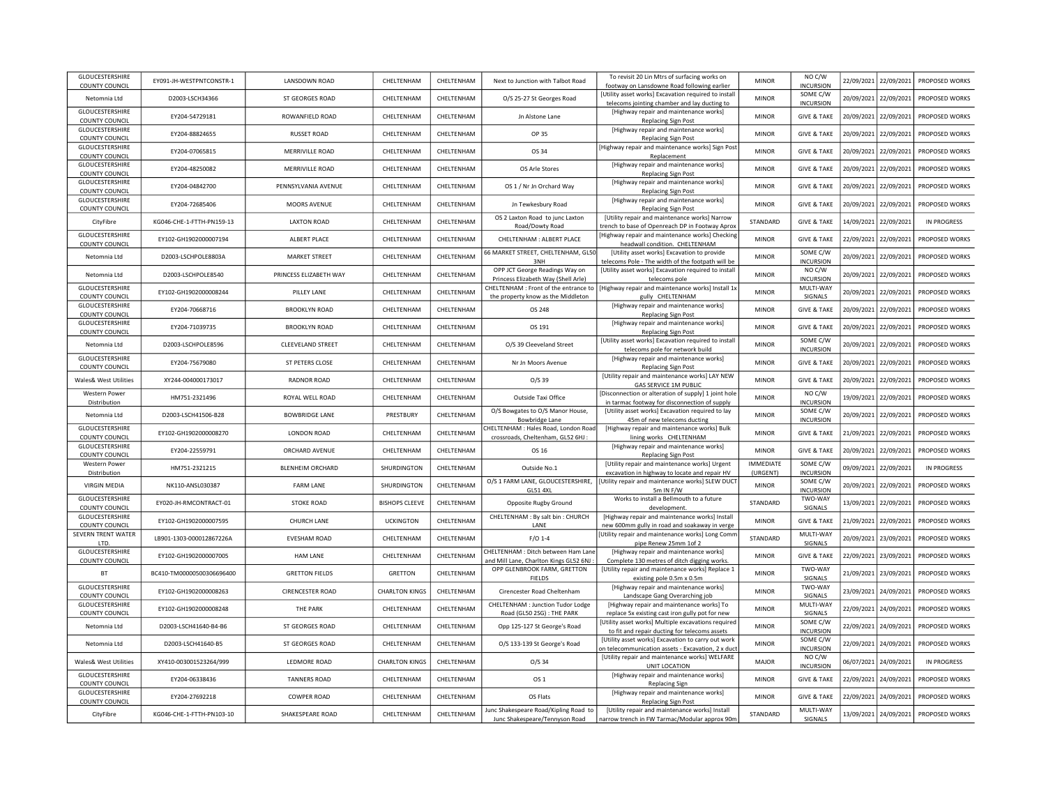| <b>GLOUCESTERSHIRE</b><br><b>COUNTY COUNCIL</b>                   | EY091-JH-WESTPNTCONSTR-1  | LANSDOWN ROAD           | CHELTENHAM            | CHELTENHAM | Next to Junction with Talbot Road                                             | To revisit 20 Lin Mtrs of surfacing works on<br>footway on Lansdowne Road following earlier             | <b>MINOR</b>                 | NO C/W<br><b>INCURSION</b>   |            | 22/09/2021 22/09/2021 | PROPOSED WORKS        |
|-------------------------------------------------------------------|---------------------------|-------------------------|-----------------------|------------|-------------------------------------------------------------------------------|---------------------------------------------------------------------------------------------------------|------------------------------|------------------------------|------------|-----------------------|-----------------------|
| Netomnia Ltd                                                      | D2003-LSCH34366           | ST GEORGES ROAD         | CHFI TFNHAM           | CHELTENHAM | O/S 25-27 St Georges Road                                                     | [Utility asset works] Excavation required to install<br>telecoms jointing chamber and lay ducting to    | <b>MINOR</b>                 | SOME C/W<br><b>INCURSION</b> |            | 20/09/2021 22/09/2021 | PROPOSED WORKS        |
| <b>GLOUCESTERSHIRE</b>                                            | EY204-54729181            | ROWANFIELD ROAD         | CHELTENHAM            | CHELTENHAM | In Alstone Lane                                                               | [Highway repair and maintenance works]                                                                  | <b>MINOR</b>                 | <b>GIVE &amp; TAKE</b>       | 20/09/2021 | 22/09/2021            | PROPOSED WORKS        |
| <b>COUNTY COUNCIL</b><br>GLOUCESTERSHIRE<br><b>COUNTY COUNCIL</b> | EY204-88824655            | <b>RUSSET ROAD</b>      | CHELTENHAM            | CHELTENHAM | OP 35                                                                         | <b>Replacing Sign Post</b><br>[Highway repair and maintenance works]<br><b>Replacing Sign Post</b>      | <b>MINOR</b>                 | <b>GIVE &amp; TAKE</b>       | 20/09/2021 | 22/09/2021            | <b>PROPOSED WORKS</b> |
| GLOUCESTERSHIRE<br><b>COUNTY COUNCIL</b>                          | EY204-07065815            | MERRIVILLE ROAD         | CHELTENHAM            | CHELTENHAM | OS 34                                                                         | [Highway repair and maintenance works] Sign Post<br>Replacement                                         | <b>MINOR</b>                 | <b>GIVE &amp; TAKE</b>       | 20/09/2021 | 22/09/2021            | PROPOSED WORKS        |
| GLOUCESTERSHIRE<br><b>COUNTY COUNCIL</b>                          | EY204-48250082            | <b>MERRIVILLE ROAD</b>  | CHELTENHAM            | CHELTENHAM | OS Arle Stores                                                                | [Highway repair and maintenance works]<br><b>Replacing Sign Post</b>                                    | <b>MINOR</b>                 | <b>GIVE &amp; TAKE</b>       | 20/09/2021 | 22/09/2021            | PROPOSED WORKS        |
| GLOUCESTERSHIRE<br><b>COUNTY COUNCIL</b>                          | EY204-04842700            | PENNSYLVANIA AVENUE     | CHELTENHAM            | CHELTENHAM | OS 1 / Nr Jn Orchard Way                                                      | [Highway repair and maintenance works]<br><b>Replacing Sign Post</b>                                    | <b>MINOR</b>                 | <b>GIVE &amp; TAKE</b>       | 20/09/2021 | 22/09/2021            | PROPOSED WORKS        |
| GLOUCESTERSHIRE<br>COUNTY COUNCIL                                 | EY204-72685406            | MOORS AVENUE            | CHELTENHAM            | CHELTENHAM | Jn Tewkesbury Road                                                            | [Highway repair and maintenance works]<br><b>Replacing Sign Post</b>                                    | <b>MINOR</b>                 | <b>GIVE &amp; TAKE</b>       | 20/09/2021 | 22/09/2021            | PROPOSED WORKS        |
| CityFibre                                                         | KG046-CHE-1-FTTH-PN159-13 | <b>LAXTON ROAD</b>      | CHELTENHAM            | CHELTENHAM | OS 2 Laxton Road to junc Laxton<br>Road/Dowty Road                            | [Utility repair and maintenance works] Narrow<br>trench to base of Openreach DP in Footway Aprox        | STANDARD                     | <b>GIVE &amp; TAKE</b>       | 14/09/2021 | 22/09/2021            | <b>IN PROGRESS</b>    |
| GLOUCESTERSHIRE<br>COUNTY COUNCIL                                 | EY102-GH1902000007194     | ALBERT PLACE            | CHELTENHAM            | CHELTENHAM | CHELTENHAM : ALBERT PLACE                                                     | [Highway repair and maintenance works] Checking<br>headwall condition. CHELTENHAM                       | <b>MINOR</b>                 | <b>GIVE &amp; TAKE</b>       | 22/09/2021 | 22/09/2021            | PROPOSED WORKS        |
| Netomnia Ltd                                                      | D2003-LSCHPOLE8803A       | <b>MARKET STREET</b>    | CHELTENHAM            | CHELTENHAM | 66 MARKET STREET, CHELTENHAM, GL50<br>3NH                                     | [Utility asset works] Excavation to provide<br>telecoms Pole - The width of the footpath will be        | <b>MINOR</b>                 | SOME C/W<br><b>INCURSION</b> | 20/09/2021 | 22/09/2021            | PROPOSED WORKS        |
| Netomnia Ltd                                                      | D2003-LSCHPOLE8540        | PRINCESS ELIZABETH WAY  | CHELTENHAM            | CHELTENHAM | OPP JCT George Readings Way on<br>Princess Elizabeth Way (Shell Arle)         | [Utility asset works] Excavation required to install<br>telecoms pole                                   | <b>MINOR</b>                 | NO C/W<br><b>INCURSION</b>   | 20/09/2021 | 22/09/2021            | PROPOSED WORKS        |
| GLOUCESTERSHIRE<br><b>COUNTY COUNCIL</b>                          | EY102-GH1902000008244     | PILLEY LANE             | CHELTENHAM            | CHELTENHAM | CHELTENHAM : Front of the entrance to<br>the property know as the Middleton   | [Highway repair and maintenance works] Install 1x<br>gully CHELTENHAM                                   | <b>MINOR</b>                 | MULTI-WAY<br>SIGNALS         | 20/09/2021 | 22/09/2021            | PROPOSED WORKS        |
| GLOUCESTERSHIRE<br><b>COUNTY COUNCIL</b>                          | EY204-70668716            | <b>BROOKLYN ROAD</b>    | CHELTENHAM            | CHELTENHAM | OS 248                                                                        | [Highway repair and maintenance works]<br><b>Replacing Sign Post</b>                                    | <b>MINOR</b>                 | <b>GIVE &amp; TAKE</b>       | 20/09/2021 | 22/09/2021            | PROPOSED WORKS        |
| GLOUCESTERSHIRE<br>COUNTY COUNCIL                                 | EY204-71039735            | <b>BROOKLYN ROAD</b>    | CHELTENHAM            | CHELTENHAM | OS 191                                                                        | [Highway repair and maintenance works]<br><b>Replacing Sign Post</b>                                    | <b>MINOR</b>                 | <b>GIVE &amp; TAKE</b>       | 20/09/2021 | 22/09/2021            | PROPOSED WORKS        |
| Netomnia Ltd                                                      | D2003-LSCHPOLE8596        | CLEEVELAND STREET       | CHELTENHAM            | CHELTENHAM | O/S 39 Cleeveland Street                                                      | [Utility asset works] Excavation required to install<br>telecoms pole for network build                 | <b>MINOR</b>                 | SOME C/W<br><b>INCURSION</b> | 20/09/2021 | 22/09/2021            | PROPOSED WORKS        |
| GLOUCESTERSHIRE<br>COUNTY COUNCIL                                 | EY204-75679080            | ST PETERS CLOSE         | CHELTENHAM            | CHELTENHAM | Nr Jn Moors Avenue                                                            | [Highway repair and maintenance works]<br><b>Replacing Sign Post</b>                                    | <b>MINOR</b>                 | <b>GIVE &amp; TAKE</b>       | 20/09/2021 | 22/09/2021            | PROPOSED WORKS        |
| Wales& West Utilities                                             | XY244-004000173017        | <b>RADNOR ROAD</b>      | CHELTENHAM            | CHELTENHAM | $O/S$ 39                                                                      | [Utility repair and maintenance works] LAY NEW<br>GAS SERVICE 1M PUBLIC                                 | <b>MINOR</b>                 | <b>GIVE &amp; TAKE</b>       | 20/09/2021 | 22/09/2021            | PROPOSED WORKS        |
| <b>Western Power</b><br>Distribution                              | HM751-2321496             | ROYAL WELL ROAD         | CHELTENHAM            | CHELTENHAM | Outside Taxi Office                                                           | [Disconnection or alteration of supply] 1 joint hole<br>in tarmac footway for disconnection of supply   | <b>MINOR</b>                 | NO C/W<br><b>INCURSION</b>   | 19/09/2021 | 22/09/2021            | <b>PROPOSED WORKS</b> |
| Netomnia Ltd                                                      | D2003-LSCH41506-B28       | <b>BOWBRIDGE LANE</b>   | PRESTBURY             | CHELTENHAM | O/S Bowgates to O/S Manor House,<br>Bowbridge Lane                            | [Utility asset works] Excavation required to lay<br>45m of new telecoms ducting                         | <b>MINOR</b>                 | SOME C/W<br><b>INCURSION</b> | 20/09/2021 | 22/09/2021            | PROPOSED WORKS        |
| GLOUCESTERSHIRE<br><b>COUNTY COUNCIL</b>                          | EY102-GH1902000008270     | LONDON ROAD             | CHELTENHAM            | CHELTENHAM | CHELTENHAM : Hales Road, London Road<br>crossroads, Cheltenham, GL52 6HJ :    | [Highway repair and maintenance works] Bulk<br>lining works CHELTENHAM                                  | <b>MINOR</b>                 | <b>GIVE &amp; TAKE</b>       | 21/09/2021 | 22/09/2021            | PROPOSED WORKS        |
| GLOUCESTERSHIRE<br>COUNTY COUNCIL                                 | EY204-22559791            | ORCHARD AVENUE          | CHELTENHAM            | CHELTENHAM | OS 16                                                                         | [Highway repair and maintenance works]<br><b>Replacing Sign Post</b>                                    | <b>MINOR</b>                 | <b>GIVE &amp; TAKE</b>       | 20/09/2021 | 22/09/2021            | <b>PROPOSED WORKS</b> |
| Western Power<br>Distribution                                     | HM751-2321215             | <b>BLENHEIM ORCHARD</b> | SHURDINGTON           | CHELTENHAM | Outside No.1                                                                  | [Utility repair and maintenance works] Urgent<br>excavation in highway to locate and repair HV          | <b>IMMEDIATE</b><br>(URGENT) | SOME C/W<br><b>INCURSION</b> | 09/09/2021 | 22/09/2021            | <b>IN PROGRESS</b>    |
| <b>VIRGIN MEDIA</b>                                               | NK110-ANSL030387          | <b>FARM LANE</b>        | SHURDINGTON           | CHELTENHAM | O/S 1 FARM LANE, GLOUCESTERSHIRE,<br><b>GL51 4XL</b>                          | [Utility repair and maintenance works] SLEW DUC<br>5m IN F/W                                            | <b>MINOR</b>                 | SOME C/W<br><b>INCURSION</b> |            | 20/09/2021 22/09/2021 | PROPOSED WORKS        |
| GLOUCESTERSHIRE<br>COUNTY COUNCIL                                 | EY020-JH-RMCONTRACT-01    | <b>STOKE ROAD</b>       | <b>BISHOPS CLEEVE</b> | CHELTENHAM | Opposite Rugby Ground                                                         | Works to install a Bellmouth to a future<br>development.                                                | STANDARD                     | TWO-WAY<br>SIGNALS           | 13/09/2021 | 22/09/2021            | PROPOSED WORKS        |
| GLOUCESTERSHIRE<br>COUNTY COUNCIL                                 | EY102-GH1902000007595     | CHURCH LANE             | <b>UCKINGTON</b>      | CHELTENHAM | CHELTENHAM : By salt bin : CHURCH<br>LANE                                     | [Highway repair and maintenance works] Install<br>new 600mm gully in road and soakaway in verge         | <b>MINOR</b>                 | <b>GIVE &amp; TAKE</b>       | 21/09/2021 | 22/09/2021            | PROPOSED WORKS        |
| SEVERN TRENT WATER<br>LTD.                                        | LB901-1303-000012867226A  | <b>EVESHAM ROAD</b>     | CHELTENHAM            | CHELTENHAM | $F/O$ 1-4                                                                     | [Utility repair and maintenance works] Long Comn<br>pipe Renew 25mm 1of 2                               | STANDARD                     | MULTI-WAY<br>SIGNALS         |            | 20/09/2021 23/09/2021 | PROPOSED WORKS        |
| GLOUCESTERSHIRE<br><b>COUNTY COUNCIL</b>                          | EY102-GH1902000007005     | HAM LANE                | CHELTENHAM            | CHELTENHAM | CHELTENHAM : Ditch between Ham Lane<br>and Mill Lane, Charlton Kings GL52 6NJ | [Highway repair and maintenance works]<br>Complete 130 metres of ditch digging works                    | <b>MINOR</b>                 | <b>GIVE &amp; TAKE</b>       |            | 22/09/2021 23/09/2021 | PROPOSED WORKS        |
| BT                                                                | BC410-TM00000500306696400 | <b>GRETTON FIELDS</b>   | GRETTON               | CHELTENHAM | OPP GLENBROOK FARM, GRETTON<br><b>FIELDS</b>                                  | [Utility repair and maintenance works] Replace 1<br>existing pole 0.5m x 0.5m                           | <b>MINOR</b>                 | TWO-WAY<br><b>SIGNALS</b>    |            | 21/09/2021 23/09/2021 | PROPOSED WORKS        |
| GLOUCESTERSHIRE<br><b>COUNTY COUNCIL</b>                          | EY102-GH1902000008263     | <b>CIRENCESTER ROAD</b> | <b>CHARLTON KINGS</b> | CHELTENHAM | Cirencester Road Cheltenham                                                   | [Highway repair and maintenance works]<br>Landscape Gang Overarching job                                | <b>MINOR</b>                 | TWO-WAY<br>SIGNALS           |            | 23/09/2021 24/09/2021 | PROPOSED WORKS        |
| GLOUCESTERSHIRE<br>COUNTY COUNCIL                                 | EY102-GH1902000008248     | THE PARK                | CHELTENHAM            | CHELTENHAM | CHELTENHAM : Junction Tudor Lodge<br>Road (GL50 2SG) : THE PARK               | [Highway repair and maintenance works] To<br>replace 5x existing cast iron gully pot for new            | <b>MINOR</b>                 | MULTI-WAY<br>SIGNALS         | 22/09/2021 | 24/09/2021            | PROPOSED WORKS        |
| Netomnia Ltd                                                      | D2003-LSCH41640-B4-B6     | ST GEORGES ROAD         | CHELTENHAM            | CHELTENHAM | Opp 125-127 St George's Road                                                  | [Utility asset works] Multiple excavations required<br>to fit and repair ducting for telecoms assets    | <b>MINOR</b>                 | SOME C/W<br><b>INCURSION</b> |            | 22/09/2021 24/09/2021 | PROPOSED WORKS        |
| Netomnia Ltd                                                      | D2003-LSCH41640-B5        | ST GEORGES ROAD         | CHELTENHAM            | CHELTENHAM | O/S 133-139 St George's Road                                                  | [Utility asset works] Excavation to carry out work<br>on telecommunication assets - Excavation, 2 x due | <b>MINOR</b>                 | SOME C/W<br><b>INCURSION</b> | 22/09/2021 | 24/09/2021            | PROPOSED WORKS        |
| Wales& West Utilities                                             | XY410-003001523264/999    | LEDMORE ROAD            | <b>CHARLTON KINGS</b> | CHELTENHAM | $O/S$ 34                                                                      | [Utility repair and maintenance works] WELFARE<br>UNIT LOCATION                                         | MAJOR                        | NO C/W<br><b>INCURSION</b>   |            | 06/07/2021 24/09/2021 | <b>IN PROGRESS</b>    |
| GLOUCESTERSHIRE<br><b>COUNTY COUNCIL</b>                          | EY204-06338436            | <b>TANNERS ROAD</b>     | CHELTENHAM            | CHELTENHAM | OS <sub>1</sub>                                                               | [Highway repair and maintenance works]<br><b>Replacing Sign</b>                                         | <b>MINOR</b>                 | <b>GIVE &amp; TAKE</b>       | 22/09/2021 | 24/09/2021            | PROPOSED WORKS        |
| GLOUCESTERSHIRE<br>COUNTY COUNCIL                                 | EY204-27692218            | <b>COWPER ROAD</b>      | CHELTENHAM            | CHELTENHAM | OS Flats                                                                      | [Highway repair and maintenance works]<br>Replacing Sign Post                                           | <b>MINOR</b>                 | <b>GIVE &amp; TAKE</b>       | 22/09/2021 | 24/09/2021            | PROPOSED WORKS        |
| CityFibre                                                         | KG046-CHE-1-FTTH-PN103-10 | SHAKESPEARE ROAD        | CHELTENHAM            | CHELTENHAM | Junc Shakespeare Road/Kipling Road to<br>Junc Shakespeare/Tennyson Road       | [Utility repair and maintenance works] Install<br>narrow trench in FW Tarmac/Modular approx 90m         | STANDARD                     | MULTI-WAY<br>SIGNALS         | 13/09/2021 | 24/09/2021            | PROPOSED WORKS        |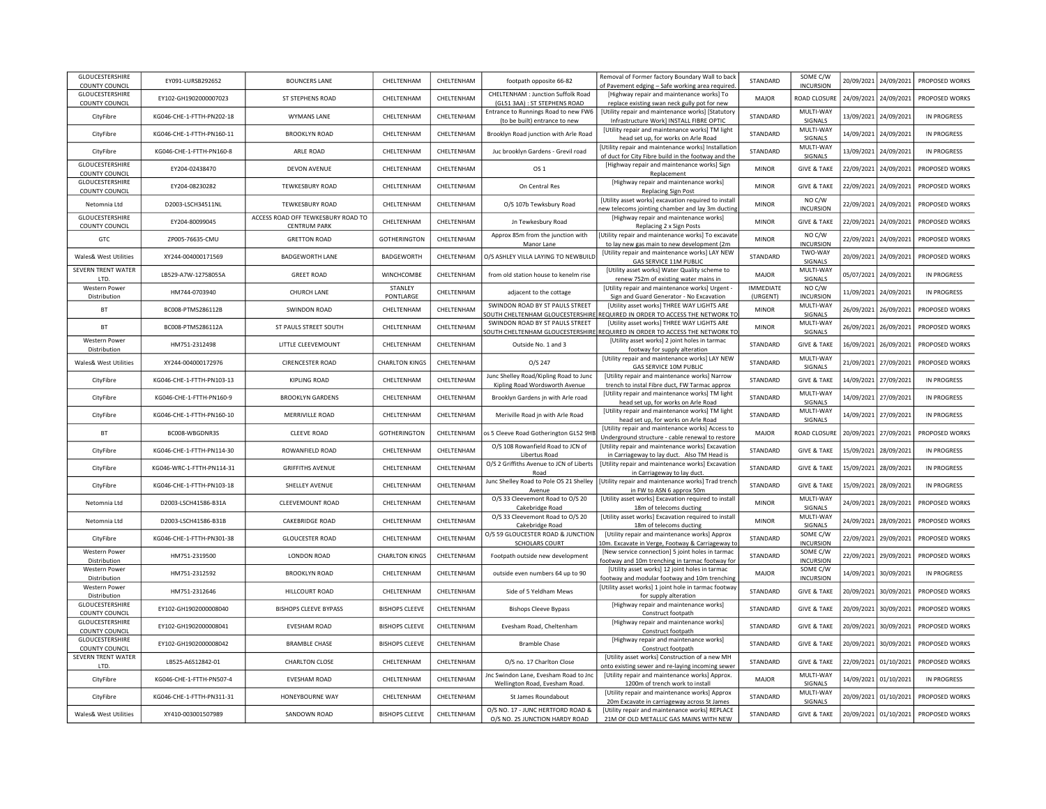| GLOUCESTERSHIRE<br>COUNTY COUNCIL    | EY091-LURSB292652         | <b>BOUNCERS LANE</b>                                      | CHELTENHAM            | CHELTENHAM  | footpath opposite 66-82                                                  | Removal of Former factory Boundary Wall to back<br>of Pavement edging - Safe working area required                        | STANDARD                     | SOME C/W<br><b>INCURSION</b> |            | 20/09/2021 24/09/2021 | PROPOSED WORKS     |
|--------------------------------------|---------------------------|-----------------------------------------------------------|-----------------------|-------------|--------------------------------------------------------------------------|---------------------------------------------------------------------------------------------------------------------------|------------------------------|------------------------------|------------|-----------------------|--------------------|
| GLOUCESTERSHIRE<br>COUNTY COUNCIL    | EY102-GH1902000007023     | ST STEPHENS ROAD                                          | CHELTENHAM            | CHELTENHAM  | CHELTENHAM : Junction Suffolk Road<br>(GL51 3AA) : ST STEPHENS ROAD      | [Highway repair and maintenance works] To<br>replace existing swan neck gully pot for new                                 | MAJOR                        | ROAD CLOSURE                 |            | 24/09/2021 24/09/2021 | PROPOSED WORKS     |
| CityFibre                            | KG046-CHE-1-FTTH-PN202-18 | <b>WYMANS LANE</b>                                        | CHELTENHAM            | CHELTENHAM  | Entrance to Runnings Road to new FW6<br>(to be built) entrance to new    | [Utility repair and maintenance works] [Statutory<br>Infrastructure Work] INSTALL FIBRE OPTIC                             | STANDARD                     | MULTI-WAY<br>SIGNALS         |            | 13/09/2021 24/09/2021 | <b>IN PROGRESS</b> |
| CityFibre                            | KG046-CHE-1-FTTH-PN160-11 | <b>BROOKLYN ROAD</b>                                      | CHELTENHAM            | CHELTENHAM  | Brooklyn Road junction with Arle Road                                    | [Utility repair and maintenance works] TM light<br>head set up, for works on Arle Road                                    | STANDARD                     | MULTI-WAY<br><b>SIGNALS</b>  |            | 14/09/2021 24/09/2021 | IN PROGRESS        |
| CityFibre                            | KG046-CHE-1-FTTH-PN160-8  | ARLE ROAD                                                 | CHELTENHAM            | CHELTENHAM  | Juc brooklyn Gardens - Grevil road                                       | [Utility repair and maintenance works] Installation<br>of duct for City Fibre build in the footway and the                | STANDARD                     | MULTI-WAY<br>SIGNALS         |            | 13/09/2021 24/09/2021 | <b>IN PROGRESS</b> |
| GLOUCESTERSHIRE<br>COUNTY COUNCIL    | EY204-02438470            | <b>DEVON AVENUE</b>                                       | CHELTENHAM            | CHEI TENHAM | OS <sub>1</sub>                                                          | [Highway repair and maintenance works] Sign<br>Replacement                                                                | <b>MINOR</b>                 | <b>GIVE &amp; TAKE</b>       | 22/09/2021 | 24/09/2021            | PROPOSED WORKS     |
| GLOUCESTERSHIRE<br>COUNTY COUNCIL    | EY204-08230282            | TEWKESBURY ROAD                                           | CHELTENHAM            | CHELTENHAM  | On Central Res                                                           | [Highway repair and maintenance works]<br>Replacing Sign Post                                                             | <b>MINOR</b>                 | <b>GIVE &amp; TAKE</b>       | 22/09/2021 | 24/09/2021            | PROPOSED WORKS     |
| Netomnia Ltd                         | D2003-LSCH34511NL         | TEWKESBURY ROAD                                           | CHELTENHAM            | CHELTENHAM  | O/S 107b Tewksbury Road                                                  | [Utility asset works] excavation required to install<br>new telecoms jointing chamber and lay 3m ducting                  | <b>MINOR</b>                 | NO C/W<br><b>INCURSION</b>   | 22/09/2021 | 24/09/2021            | PROPOSED WORKS     |
| GLOUCESTERSHIRE<br>COUNTY COUNCIL    | FY204-80099045            | ACCESS ROAD OFF TEWKESBURY ROAD TO<br><b>CENTRUM PARK</b> | CHELTENHAM            | CHELTENHAM  | Jn Tewkesbury Road                                                       | [Highway repair and maintenance works]<br>Replacing 2 x Sign Posts                                                        | <b>MINOR</b>                 | <b>GIVE &amp; TAKE</b>       | 22/09/2021 | 24/09/2021            | PROPOSED WORKS     |
| GTC                                  | ZP005-76635-CMU           | <b>GRETTON ROAD</b>                                       | GOTHERINGTON          | CHELTENHAM  | Approx 85m from the junction with<br>Manor Lane                          | [Utility repair and maintenance works] To excavate<br>to lay new gas main to new development (2m                          | <b>MINOR</b>                 | NO C/W<br><b>INCURSION</b>   | 22/09/2021 | 24/09/2021            | PROPOSED WORKS     |
| Wales& West Utilities                | XY244-004000171569        | <b>BADGEWORTH LANE</b>                                    | BADGEWORTH            | CHELTENHAM  | O/S ASHLEY VILLA LAYING TO NEWBUILD                                      | [Utility repair and maintenance works] LAY NEW<br>GAS SERVICE 11M PUBLIC                                                  | STANDARD                     | TWO-WAY<br>SIGNALS           | 20/09/2021 | 24/09/2021            | PROPOSED WORKS     |
| <b>SEVERN TRENT WATER</b><br>LTD.    | LB529-A7W-12758055A       | <b>GREET ROAD</b>                                         | WINCHCOMBE            | CHELTENHAM  | from old station house to kenelm rise                                    | [Utility asset works] Water Quality scheme to<br>renew 752m of existing water mains in                                    | MAJOR                        | MULTI-WAY<br>SIGNALS         | 05/07/2021 | 24/09/2021            | <b>IN PROGRESS</b> |
| Western Power<br>Distribution        | HM744-0703940             | CHURCH LANE                                               | STANLEY<br>PONTLARGE  | CHELTENHAM  | adjacent to the cottage                                                  | [Utility repair and maintenance works] Urgent -<br>Sign and Guard Generator - No Excavation                               | <b>IMMEDIATE</b><br>(URGENT) | NO C/W<br><b>INCURSION</b>   | 11/09/2021 | 24/09/2021            | IN PROGRESS        |
| BT                                   | BC008-PTMS286112B         | <b>SWINDON ROAD</b>                                       | CHELTENHAM            | CHELTENHAM  | SWINDON ROAD BY ST PAULS STREET                                          | [Utility asset works] THREE WAY LIGHTS ARE<br>OUTH CHELTENHAM GLOUCESTERSHIRE REQUIRED IN ORDER TO ACCESS THE NETWORK TO  | <b>MINOR</b>                 | MULTI-WAY<br>SIGNALS         | 26/09/2021 | 26/09/2021            | PROPOSED WORKS     |
| <b>BT</b>                            | BC008-PTMS286112A         | ST PAULS STREET SOUTH                                     | CHELTENHAM            | CHELTENHAM  | SWINDON ROAD BY ST PAULS STREET                                          | [Utility asset works] THREE WAY LIGHTS ARE<br>SOUTH CHELTENHAM GLOUCESTERSHIRE REQUIRED IN ORDER TO ACCESS THE NETWORK TO | <b>MINOR</b>                 | MULTI-WAY<br>SIGNALS         | 26/09/2021 | 26/09/2021            | PROPOSED WORKS     |
| <b>Western Power</b><br>Distribution | HM751-2312498             | LITTLE CLEEVEMOUNT                                        | CHELTENHAM            | CHELTENHAM  | Outside No. 1 and 3                                                      | [Utility asset works] 2 joint holes in tarmac<br>footway for supply alteration                                            | STANDARD                     | <b>GIVE &amp; TAKE</b>       | 16/09/2021 | 26/09/2021            | PROPOSED WORKS     |
| Wales& West Utilities                | XY244-004000172976        | <b>CIRENCESTER ROAD</b>                                   | <b>CHARLTON KINGS</b> | CHELTENHAM  | O/S 247                                                                  | [Utility repair and maintenance works] LAY NEW<br>GAS SERVICE 10M PUBLIC                                                  | STANDARD                     | MULTI-WAY<br>SIGNALS         | 21/09/2021 | 27/09/2021            | PROPOSED WORKS     |
| CityFibre                            | KG046-CHE-1-FTTH-PN103-13 | KIPLING ROAD                                              | CHELTENHAM            | CHELTENHAM  | Junc Shelley Road/Kipling Road to Junc<br>Kipling Road Wordsworth Avenue | [Utility repair and maintenance works] Narrow<br>trench to instal Fibre duct, FW Tarmac approx                            | STANDARD                     | <b>GIVE &amp; TAKE</b>       | 14/09/2021 | 27/09/2021            | <b>IN PROGRESS</b> |
| CityFibre                            | KG046-CHE-1-FTTH-PN160-9  | <b>BROOKLYN GARDENS</b>                                   | CHELTENHAM            | CHELTENHAM  | Brooklyn Gardens jn with Arle road                                       | [Utility repair and maintenance works] TM light<br>head set up, for works on Arle Road                                    | STANDARD                     | MULTI-WAY<br><b>SIGNALS</b>  | 14/09/2021 | 27/09/2021            | <b>IN PROGRESS</b> |
| CityFibre                            | KG046-CHE-1-FTTH-PN160-10 | MERRIVILLE ROAD                                           | CHELTENHAM            | CHELTENHAM  | Meriville Road jn with Arle Road                                         | [Utility repair and maintenance works] TM light<br>head set up, for works on Arle Road                                    | STANDARD                     | MULTI-WAY<br>SIGNALS         | 14/09/2021 | 27/09/2021            | <b>IN PROGRESS</b> |
| BT                                   | BC008-WBGDNR3S            | <b>CLEEVE ROAD</b>                                        | GOTHERINGTON          | CHELTENHAM  | os 5 Cleeve Road Gotherington GL52 9H                                    | [Utility repair and maintenance works] Access to<br>Underground structure - cable renewal to restore                      | <b>MAJOR</b>                 | ROAD CLOSURI                 | 20/09/2021 | 27/09/2021            | PROPOSED WORKS     |
| CityFibre                            | KG046-CHE-1-FTTH-PN114-30 | ROWANFIELD ROAD                                           | CHELTENHAM            | CHELTENHAM  | O/S 108 Rowanfield Road to JCN of<br>Libertus Road                       | [Utility repair and maintenance works] Excavation<br>in Carriageway to lay duct. Also TM Head is                          | STANDARD                     | <b>GIVE &amp; TAKE</b>       | 15/09/2021 | 28/09/2021            | <b>IN PROGRESS</b> |
| CityFibre                            | KG046-WRC-1-FTTH-PN114-31 | <b>GRIFFITHS AVENUE</b>                                   | CHELTENHAM            | CHELTENHAM  | O/S 2 Griffiths Avenue to JCN of Liberts<br>Road                         | [Utility repair and maintenance works] Excavation<br>in Carriageway to lay duct.                                          | STANDARD                     | <b>GIVE &amp; TAKE</b>       |            | 15/09/2021 28/09/2021 | <b>IN PROGRESS</b> |
| CityFibre                            | KG046-CHE-1-FTTH-PN103-18 | SHELLEY AVENUE                                            | CHELTENHAM            | CHELTENHAM  | Junc Shelley Road to Pole OS 21 Shelley<br>Avenue                        | [Utility repair and maintenance works] Trad trench<br>in FW to ASN 6 approx 50m                                           | STANDARD                     | <b>GIVE &amp; TAKE</b>       |            | 15/09/2021 28/09/2021 | <b>IN PROGRESS</b> |
| Netomnia Ltd                         | D2003-LSCH41586-B31A      | CLEEVEMOUNT ROAD                                          | CHELTENHAM            | CHELTENHAM  | O/S 33 Cleevemont Road to O/S 20<br>Cakebridge Road                      | [Utility asset works] Excavation required to install<br>18m of telecoms ducting                                           | <b>MINOR</b>                 | MULTI-WAY<br>SIGNALS         |            | 24/09/2021 28/09/2021 | PROPOSED WORKS     |
| Netomnia Ltd                         | D2003-LSCH41586-B31B      | <b>CAKEBRIDGE ROAD</b>                                    | CHELTENHAM            | CHELTENHAM  | O/S 33 Cleevemont Road to O/S 20<br>Cakebridge Road                      | [Utility asset works] Excavation required to install<br>18m of telecoms ducting                                           | <b>MINOR</b>                 | MULTI-WAY<br>SIGNALS         |            | 24/09/2021 28/09/2021 | PROPOSED WORKS     |
| CityFibre                            | KG046-CHE-1-FTTH-PN301-38 | <b>GLOUCESTER ROAD</b>                                    | CHELTENHAM            | CHELTENHAM  | O/S 59 GLOUCESTER ROAD & JUNCTION<br><b>SCHOLARS COURT</b>               | [Utility repair and maintenance works] Approx<br>10m. Excavate in Verge, Footway & Carriageway to                         | STANDARD                     | SOME C/W<br><b>INCURSION</b> |            | 22/09/2021 29/09/2021 | PROPOSED WORKS     |
| <b>Western Power</b><br>Distribution | HM751-2319500             | LONDON ROAD                                               | <b>CHARLTON KINGS</b> | CHELTENHAM  | Footpath outside new development                                         | [New service connection] 5 joint holes in tarmac<br>footway and 10m trenching in tarmac footway for                       | STANDARD                     | SOME C/W<br><b>INCURSION</b> |            | 22/09/2021 29/09/2021 | PROPOSED WORKS     |
| <b>Western Power</b><br>Distribution | HM751-2312592             | <b>BROOKLYN ROAD</b>                                      | CHELTENHAM            | CHELTENHAM  | outside even numbers 64 up to 90                                         | [Utility asset works] 12 joint holes in tarmac<br>footway and modular footway and 10m trenching                           | <b>MAJOR</b>                 | SOME C/W<br><b>INCURSION</b> |            | 14/09/2021 30/09/2021 | <b>IN PROGRESS</b> |
| Western Power<br>Distribution        | HM751-2312646             | HILLCOURT ROAD                                            | CHELTENHAM            | CHELTENHAM  | Side of 5 Yeldham Mews                                                   | [Utility asset works] 1 joint hole in tarmac footway<br>for supply alteration                                             | STANDARD                     | <b>GIVE &amp; TAKE</b>       |            | 20/09/2021 30/09/2021 | PROPOSED WORKS     |
| GLOUCESTERSHIRE<br>COUNTY COUNCIL    | EY102-GH1902000008040     | <b>BISHOPS CLEEVE BYPASS</b>                              | <b>BISHOPS CLEEVE</b> | CHELTENHAM  | <b>Bishops Cleeve Bypass</b>                                             | [Highway repair and maintenance works]<br>Construct footpath                                                              | STANDARD                     | <b>GIVE &amp; TAKE</b>       |            | 20/09/2021 30/09/2021 | PROPOSED WORKS     |
| GLOUCESTERSHIRE<br>COUNTY COUNCIL    | EY102-GH1902000008041     | <b>FVESHAM ROAD</b>                                       | <b>BISHOPS CLEEVE</b> | CHELTENHAM  | Evesham Road, Cheltenham                                                 | [Highway repair and maintenance works]<br>Construct footpath                                                              | STANDARD                     | <b>GIVE &amp; TAKE</b>       |            | 20/09/2021 30/09/2021 | PROPOSED WORKS     |
| GLOUCESTERSHIRE<br>COUNTY COUNCIL    | EY102-GH1902000008042     | <b>BRAMBLE CHASE</b>                                      | <b>BISHOPS CLEEVE</b> | CHELTENHAM  | <b>Bramble Chase</b>                                                     | [Highway repair and maintenance works]<br>Construct footpath                                                              | STANDARD                     | <b>GIVE &amp; TAKE</b>       | 20/09/2021 | 30/09/2021            | PROPOSED WORKS     |
| SEVERN TRENT WATER<br>LTD.           | LB525-A6S12842-01         | <b>CHARLTON CLOSE</b>                                     | CHELTENHAM            | CHELTENHAM  | O/S no. 17 Charlton Close                                                | [Utility asset works] Construction of a new MH<br>onto existing sewer and re-laying incoming sewer                        | STANDARD                     | <b>GIVE &amp; TAKE</b>       |            | 22/09/2021 01/10/2021 | PROPOSED WORKS     |
| CityFibre                            | KG046-CHE-1-FTTH-PN507-4  | <b>EVESHAM ROAD</b>                                       | CHELTENHAM            | CHELTENHAM  | Jnc Swindon Lane, Evesham Road to Jnc<br>Wellington Road, Evesham Road.  | [Utility repair and maintenance works] Approx.<br>1200m of trench work to install                                         | MAJOR                        | MULTI-WAY<br>SIGNALS         |            | 14/09/2021 01/10/2021 | <b>IN PROGRESS</b> |
| CityFibre                            | KG046-CHE-1-FTTH-PN311-31 | HONEYBOURNE WAY                                           | CHELTENHAM            | CHELTENHAM  | St James Roundabout                                                      | [Utility repair and maintenance works] Approx<br>20m Excavate in carriageway across St James                              | STANDARD                     | MULTI-WAY<br>SIGNALS         |            | 20/09/2021 01/10/2021 | PROPOSED WORKS     |
| Wales& West Utilities                | XY410-003001507989        | SANDOWN ROAD                                              | <b>BISHOPS CLEEVE</b> | CHELTENHAM  | O/S NO. 17 - JUNC HERTFORD ROAD &<br>O/S NO. 25 JUNCTION HARDY ROAD      | [Utility repair and maintenance works] REPLACE<br>21M OF OLD METALLIC GAS MAINS WITH NEW                                  | STANDARD                     | <b>GIVE &amp; TAKE</b>       |            | 20/09/2021 01/10/2021 | PROPOSED WORKS     |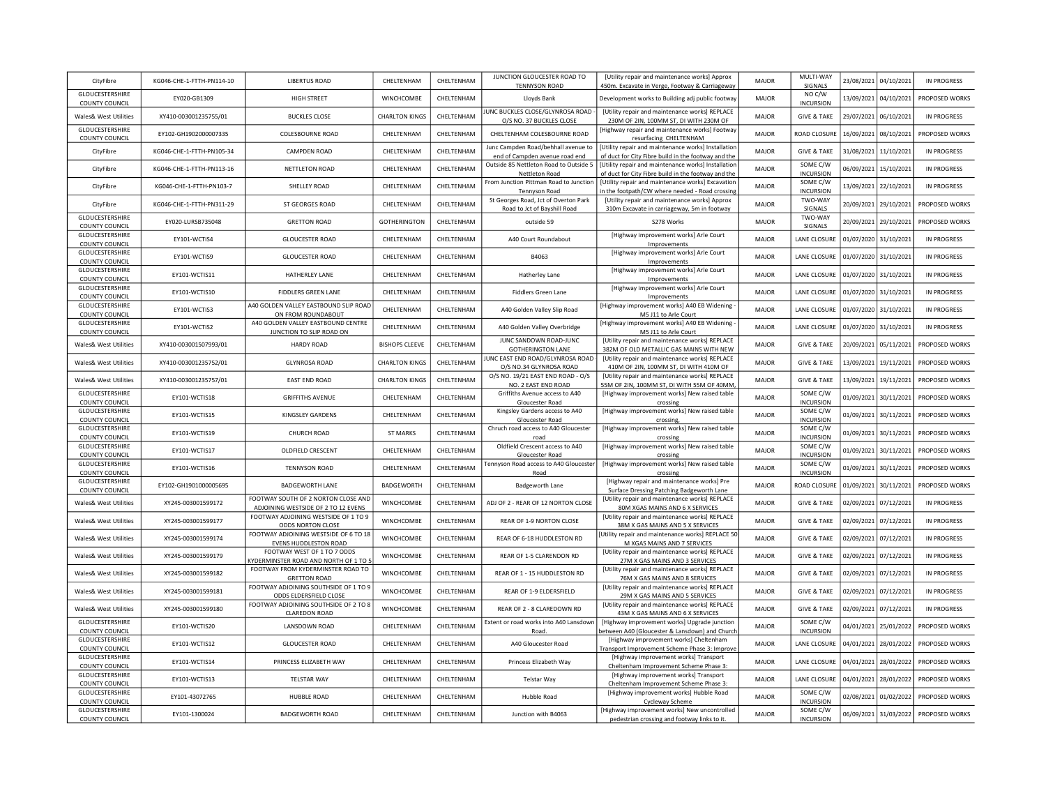| CityFibre                                       | KG046-CHE-1-FTTH-PN114-10 | <b>LIBERTUS ROAD</b>                                                       | CHELTENHAM            | CHELTENHAM | JUNCTION GLOUCESTER ROAD TO<br><b>TENNYSON ROAD</b>                   | [Utility repair and maintenance works] Approx<br>450m. Excavate in Verge, Footway & Carriageway                    | MAJOR        | MULTI-WAY<br>SIGNALS         |            | 23/08/2021 04/10/2021 | <b>IN PROGRESS</b> |
|-------------------------------------------------|---------------------------|----------------------------------------------------------------------------|-----------------------|------------|-----------------------------------------------------------------------|--------------------------------------------------------------------------------------------------------------------|--------------|------------------------------|------------|-----------------------|--------------------|
| GLOUCESTERSHIRE<br><b>COUNTY COUNCIL</b>        | EY020-GB1309              | <b>HIGH STREET</b>                                                         | <b>WINCHCOMBE</b>     | CHELTENHAM | Lloyds Bank                                                           | Development works to Building adj public footway                                                                   | MAIOR        | NO C/W<br><b>INCURSION</b>   | 13/09/2021 | 04/10/2021            | PROPOSED WORKS     |
| Wales& West Utilities                           | XY410-003001235755/01     | <b>BUCKLES CLOSE</b>                                                       | <b>CHARLTON KINGS</b> | CHELTENHAM | UNC BUCKLES CLOSE/GLYNROSA ROAD                                       | [Utility repair and maintenance works] REPLACE                                                                     | MAJOR        | <b>GIVE &amp; TAKE</b>       | 29/07/2021 | 06/10/2021            | IN PROGRESS        |
| <b>GLOUCESTERSHIRE</b><br>COUNTY COUNCIL        | EY102-GH1902000007335     | COLESBOURNE ROAD                                                           | CHELTENHAM            | CHELTENHAM | O/S NO. 37 BUCKLES CLOSE<br>CHELTENHAM COLESBOURNE ROAD               | 230M OF 2IN, 100MM ST, DI WITH 230M OF<br>[Highway repair and maintenance works] Footway<br>resurfacing CHELTENHAM | <b>MAJOR</b> | ROAD CLOSURE                 | 16/09/2021 | 08/10/2021            | PROPOSED WORKS     |
| CityFibre                                       | KG046-CHE-1-FTTH-PN105-34 | CAMPDEN ROAD                                                               | CHELTENHAM            | CHELTENHAM | Junc Campden Road/behhall avenue to<br>end of Campden avenue road end | [Utility repair and maintenance works] Installation<br>of duct for City Fibre build in the footway and the         | <b>MAJOR</b> | <b>GIVE &amp; TAKE</b>       | 31/08/2021 | 11/10/2021            | <b>IN PROGRESS</b> |
| CityFibre                                       | KG046-CHE-1-FTTH-PN113-16 | NETTLETON ROAD                                                             | CHELTENHAM            | CHELTENHAM | Outside 85 Nettleton Road to Outside 5<br>Nettleton Road              | [Utility repair and maintenance works] Installation<br>of duct for City Fibre build in the footway and the         | <b>MAJOR</b> | SOME C/W<br><b>INCURSION</b> | 06/09/2021 | 15/10/2021            | <b>IN PROGRESS</b> |
| CityFibre                                       | KG046-CHE-1-FTTH-PN103-7  | SHELLEY ROAD                                                               | CHELTENHAM            | CHELTENHAM | From Junction Pittman Road to Junction<br><b>Tennyson Road</b>        | [Utility repair and maintenance works] Excavatior<br>in the footpath/CW where needed - Road crossing               | <b>MAJOR</b> | SOME C/W<br><b>INCURSION</b> | 13/09/2021 | 22/10/2021            | <b>IN PROGRESS</b> |
| CityFibre                                       | KG046-CHE-1-FTTH-PN311-29 | ST GEORGES ROAD                                                            | CHELTENHAM            | CHELTENHAM | St Georges Road, Jct of Overton Park<br>Road to Jct of Bayshill Road  | [Utility repair and maintenance works] Approx<br>310m Excavate in carriageway, 5m in footway                       | <b>MAJOR</b> | TWO-WAY<br>SIGNALS           | 20/09/2021 | 29/10/2021            | PROPOSED WORKS     |
| GLOUCESTERSHIRE<br>COUNTY COUNCIL               | EY020-LURSB735048         | <b>GRETTON ROAD</b>                                                        | <b>GOTHERINGTON</b>   | CHELTENHAM | outside 59                                                            | S278 Works                                                                                                         | <b>MAJOR</b> | TWO-WAY<br>SIGNALS           | 20/09/2021 | 29/10/2021            | PROPOSED WORKS     |
| GLOUCESTERSHIRE<br>COUNTY COUNCIL               | EY101-WCTIS4              | <b>GLOUCESTER ROAD</b>                                                     | CHELTENHAM            | CHELTENHAM | A40 Court Roundabout                                                  | [Highway improvement works] Arle Court<br>Improvements                                                             | MAJOR        | <b>LANE CLOSURE</b>          | 01/07/2020 | 31/10/2021            | <b>IN PROGRESS</b> |
| GLOUCESTERSHIRE<br><b>COUNTY COUNCIL</b>        | EY101-WCTIS9              | <b>GLOUCESTER ROAD</b>                                                     | CHELTENHAM            | CHELTENHAM | B4063                                                                 | [Highway improvement works] Arle Court<br>Improvements                                                             | MAJOR        | <b>LANE CLOSURE</b>          | 01/07/2020 | 31/10/2021            | <b>IN PROGRESS</b> |
| GLOUCESTERSHIRE<br>COUNTY COUNCIL               | EY101-WCTIS11             | HATHERLEY LANE                                                             | CHELTENHAM            | CHELTENHAM | Hatherley Lane                                                        | [Highway improvement works] Arle Court<br>Improvements                                                             | MAJOR        | <b>LANE CLOSURE</b>          | 01/07/2020 | 31/10/2021            | <b>IN PROGRESS</b> |
| GLOUCESTERSHIRE<br>COUNTY COUNCIL               | EY101-WCTIS10             | <b>FIDDLERS GREEN LANE</b>                                                 | CHELTENHAM            | CHELTENHAM | <b>Fiddlers Green Lane</b>                                            | [Highway improvement works] Arle Court<br>Improvements                                                             | <b>MAJOR</b> | <b>LANE CLOSURE</b>          | 01/07/2020 | 31/10/2021            | <b>IN PROGRESS</b> |
| GLOUCESTERSHIRE<br><b>COUNTY COUNCIL</b>        | EY101-WCTIS3              | A40 GOLDEN VALLEY EASTBOUND SLIP ROAD<br>ON FROM ROUNDABOUT                | CHELTENHAM            | CHELTENHAM | A40 Golden Valley Slip Road                                           | [Highway improvement works] A40 EB Widening<br>M5 J11 to Arle Court                                                | <b>MAJOR</b> | <b>LANE CLOSURE</b>          | 01/07/2020 | 31/10/2021            | <b>IN PROGRESS</b> |
| GLOUCESTERSHIRE<br><b>COUNTY COUNCIL</b>        | EY101-WCTIS2              | A40 GOLDEN VALLEY EASTBOUND CENTRE<br>JUNCTION TO SLIP ROAD ON             | CHELTENHAM            | CHELTENHAM | A40 Golden Valley Overbridge                                          | [Highway improvement works] A40 EB Widening<br>M5 J11 to Arle Court                                                | <b>MAJOR</b> | <b>LANE CLOSURE</b>          | 01/07/2020 | 31/10/2021            | IN PROGRESS        |
| Wales& West Utilities                           | XY410-003001507993/01     | <b>HARDY ROAD</b>                                                          | <b>BISHOPS CLEEVE</b> | CHELTENHAM | JUNC SANDOWN ROAD-JUNC<br><b>GOTHERINGTON LANE</b>                    | [Utility repair and maintenance works] REPLACE<br>382M OF OLD METALLIC GAS MAINS WITH NEW                          | MAJOR        | <b>GIVE &amp; TAKE</b>       | 20/09/2021 | 05/11/2021            | PROPOSED WORKS     |
| <b>Wales&amp; West Utilities</b>                | XY410-003001235752/01     | <b>GLYNROSA ROAD</b>                                                       | <b>CHARLTON KINGS</b> | CHELTENHAM | JUNC EAST END ROAD/GLYNROSA ROAD<br>O/S NO.34 GLYNROSA ROAD           | [Utility repair and maintenance works] REPLACE<br>410M OF 2IN, 100MM ST, DI WITH 410M OF                           | <b>MAJOR</b> | <b>GIVE &amp; TAKE</b>       | 13/09/2021 | 19/11/2021            | PROPOSED WORKS     |
| <b>Wales&amp; West Utilities</b>                | XY410-003001235757/01     | <b>FAST FND ROAD</b>                                                       | <b>CHARLTON KINGS</b> | CHELTENHAM | O/S NO. 19/21 EAST END ROAD - O/S<br>NO. 2 EAST END ROAD              | [Utility repair and maintenance works] REPLACE<br>55M OF 2IN, 100MM ST, DI WITH 55M OF 40MM                        | <b>MAJOR</b> | <b>GIVE &amp; TAKE</b>       | 13/09/2021 | 19/11/2021            | PROPOSED WORKS     |
| <b>GLOUCESTERSHIRE</b><br><b>COUNTY COUNCIL</b> | EY101-WCTIS18             | <b>GRIFFITHS AVENUE</b>                                                    | CHELTENHAM            | CHELTENHAM | Griffiths Avenue access to A40<br>Gloucester Road                     | [Highway improvement works] New raised table<br>crossing                                                           | <b>MAJOR</b> | SOME C/W<br><b>INCURSION</b> | 01/09/2021 | 30/11/2021            | PROPOSED WORKS     |
| GLOUCESTERSHIRE<br><b>COUNTY COUNCIL</b>        | EY101-WCTIS15             | KINGSLEY GARDENS                                                           | CHELTENHAM            | CHELTENHAM | Kingsley Gardens access to A40<br>Gloucester Road                     | [Highway improvement works] New raised table<br>crossing                                                           | MAJOR        | SOME C/W<br><b>INCURSION</b> | 01/09/2021 | 30/11/2021            | PROPOSED WORKS     |
| GLOUCESTERSHIRE<br><b>COUNTY COUNCIL</b>        | EY101-WCTIS19             | CHURCH ROAD                                                                | <b>ST MARKS</b>       | CHELTENHAM | Chruch road access to A40 Gloucester<br>road                          | [Highway improvement works] New raised table<br>crossing                                                           | <b>MAJOR</b> | SOME C/W<br><b>INCURSION</b> | 01/09/2021 | 30/11/2021            | PROPOSED WORKS     |
| GLOUCESTERSHIRE<br>COUNTY COUNCIL               | EY101-WCTIS17             | OLDFIELD CRESCENT                                                          | CHELTENHAM            | CHELTENHAM | Oldfield Crescent access to A40<br>Gloucester Road                    | [Highway improvement works] New raised table<br>crossing                                                           | <b>MAJOR</b> | SOME C/W<br><b>INCURSION</b> | 01/09/2021 | 30/11/2021            | PROPOSED WORKS     |
| GLOUCESTERSHIRE<br>COUNTY COUNCIL               | EY101-WCTIS16             | <b>TENNYSON ROAD</b>                                                       | CHELTENHAM            | CHELTENHAM | Tennyson Road access to A40 Gloucester<br>Road                        | [Highway improvement works] New raised table<br>crossing                                                           | <b>MAJOR</b> | SOME C/W<br><b>INCURSION</b> | 01/09/2021 | 30/11/2021            | PROPOSED WORKS     |
| GLOUCESTERSHIRE<br><b>COUNTY COUNCIL</b>        | EY102-GH1901000005695     | <b>BADGEWORTH LANE</b>                                                     | BADGEWORTH            | CHELTENHAM | Badgeworth Lane                                                       | [Highway repair and maintenance works] Pre<br>Surface Dressing Patching Badgeworth Lane                            | <b>MAJOR</b> | ROAD CLOSURE                 | 01/09/2021 | 30/11/2021            | PROPOSED WORKS     |
| Wales& West Utilities                           | XY245-003001599172        | FOOTWAY SOUTH OF 2 NORTON CLOSE AND<br>ADJOINING WESTSIDE OF 2 TO 12 EVENS | WINCHCOMBE            | CHELTENHAM | ADJ OF 2 - REAR OF 12 NORTON CLOSE                                    | [Utility repair and maintenance works] REPLACE<br>80M XGAS MAINS AND 6 X SERVICES                                  | MAJOR        | <b>GIVE &amp; TAKE</b>       |            | 02/09/2021 07/12/2021 | <b>IN PROGRESS</b> |
| Wales& West Utilities                           | XY245-003001599177        | FOOTWAY ADJOINING WESTSIDE OF 1 TO 9<br>ODDS NORTON CLOSE                  | WINCHCOMBE            | CHELTENHAM | REAR OF 1-9 NORTON CLOSE                                              | [Utility repair and maintenance works] REPLACE<br>38M X GAS MAINS AND 5 X SERVICES                                 | MAJOR        | <b>GIVE &amp; TAKE</b>       |            | 02/09/2021 07/12/2021 | <b>IN PROGRESS</b> |
| Wales& West Utilities                           | XY245-003001599174        | FOOTWAY ADJOINING WESTSIDE OF 6 TO 18<br>EVENS HUDDLESTON ROAD             | WINCHCOMBE            | CHELTENHAM | REAR OF 6-18 HUDDLESTON RD                                            | [Utility repair and maintenance works] REPLACE 50<br>M XGAS MAINS AND 7 SERVICES                                   | <b>MAJOR</b> | <b>GIVE &amp; TAKE</b>       |            | 02/09/2021 07/12/2021 | <b>IN PROGRESS</b> |
| Wales& West Utilities                           | XY245-003001599179        | FOOTWAY WEST OF 1 TO 7 ODDS<br>KYDERMINSTER ROAD AND NORTH OF 1 TO 5       | WINCHCOMBE            | CHELTENHAM | REAR OF 1-5 CLARENDON RD                                              | [Utility repair and maintenance works] REPLACE<br>27M X GAS MAINS AND 3 SERVICES                                   | <b>MAJOR</b> | <b>GIVE &amp; TAKE</b>       |            | 02/09/2021 07/12/2021 | <b>IN PROGRESS</b> |
| Wales& West Utilities                           | XY245-003001599182        | FOOTWAY FROM KYDERMINSTER ROAD TO<br><b>GRETTON ROAD</b>                   | WINCHCOMBE            | CHELTENHAM | REAR OF 1 - 15 HUDDLESTON RD                                          | [Utility repair and maintenance works] REPLACE<br>76M X GAS MAINS AND 8 SERVICES                                   | MAJOR        | <b>GIVE &amp; TAKE</b>       |            | 02/09/2021 07/12/2021 | IN PROGRESS        |
| Wales& West Utilities                           | XY245-003001599181        | FOOTWAY ADJOINING SOUTHSIDE OF 1 TO 9<br>ODDS ELDERSFIELD CLOSE            | WINCHCOMBE            | CHELTENHAM | REAR OF 1-9 ELDERSFIELD                                               | [Utility repair and maintenance works] REPLACE<br>29M X GAS MAINS AND 5 SERVICES                                   | <b>MAJOR</b> | <b>GIVE &amp; TAKE</b>       |            | 02/09/2021 07/12/2021 | <b>IN PROGRESS</b> |
| Wales& West Utilities                           | XY245-003001599180        | FOOTWAY ADJOINING SOUTHSIDE OF 2 TO 8<br><b>CLAREDON ROAD</b>              | WINCHCOMBE            | CHELTENHAM | REAR OF 2 - 8 CLAREDOWN RD                                            | [Utility repair and maintenance works] REPLACE<br>43M X GAS MAINS AND 6 X SERVICES                                 | <b>MAJOR</b> | <b>GIVE &amp; TAKE</b>       |            | 02/09/2021 07/12/2021 | <b>IN PROGRESS</b> |
| GLOUCESTERSHIRE<br><b>COUNTY COUNCIL</b>        | EY101-WCTIS20             | <b>LANSDOWN ROAD</b>                                                       | CHELTENHAM            | CHELTENHAM | Extent or road works into A40 Lansdowr<br>Road.                       | [Highway improvement works] Upgrade junction<br>petween A40 (Gloucester & Lansdown) and Churcl                     | MAJOR        | SOME C/W<br><b>INCURSION</b> |            | 04/01/2021 25/01/2022 | PROPOSED WORKS     |
| GLOUCESTERSHIRE<br><b>COUNTY COUNCIL</b>        | EY101-WCTIS12             | <b>GLOUCESTER ROAD</b>                                                     | CHELTENHAM            | CHELTENHAM | A40 Gloucester Road                                                   | [Highway improvement works] Cheltenham<br>Transport Improvement Scheme Phase 3: Improve                            | <b>MAJOR</b> | LANE CLOSURE                 | 04/01/2021 | 28/01/2022            | PROPOSED WORKS     |
| GLOUCESTERSHIRE<br><b>COUNTY COUNCIL</b>        | EY101-WCTIS14             | PRINCESS ELIZABETH WAY                                                     | CHELTENHAM            | CHELTENHAM | Princess Elizabeth Way                                                | [Highway improvement works] Transport<br>Cheltenham Improvement Scheme Phase 3:                                    | <b>MAJOR</b> | LANE CLOSURE                 | 04/01/2021 | 28/01/2022            | PROPOSED WORKS     |
| GLOUCESTERSHIRE<br><b>COUNTY COUNCIL</b>        | EY101-WCTIS13             | <b>TELSTAR WAY</b>                                                         | CHELTENHAM            | CHELTENHAM | <b>Telstar Way</b>                                                    | [Highway improvement works] Transport<br>Cheltenham Improvement Scheme Phase 3:                                    | <b>MAJOR</b> | LANE CLOSURE                 | 04/01/2021 | 28/01/2022            | PROPOSED WORKS     |
| GLOUCESTERSHIRE<br><b>COUNTY COUNCIL</b>        | EY101-43072765            | HUBBLE ROAD                                                                | CHELTENHAM            | CHELTENHAM | Hubble Road                                                           | [Highway improvement works] Hubble Road<br>Cycleway Scheme                                                         | MAJOR        | SOME C/W<br><b>INCURSION</b> |            | 02/08/2021 01/02/2022 | PROPOSED WORKS     |
| GLOUCESTERSHIRE<br><b>COUNTY COUNCIL</b>        | EY101-1300024             | <b>BADGEWORTH ROAD</b>                                                     | CHELTENHAM            | CHELTENHAM | Junction with B4063                                                   | [Highway improvement works] New uncontrolled<br>pedestrian crossing and footway links to it.                       | MAJOR        | SOME C/W<br><b>INCURSION</b> | 06/09/2021 | 31/03/2022            | PROPOSED WORKS     |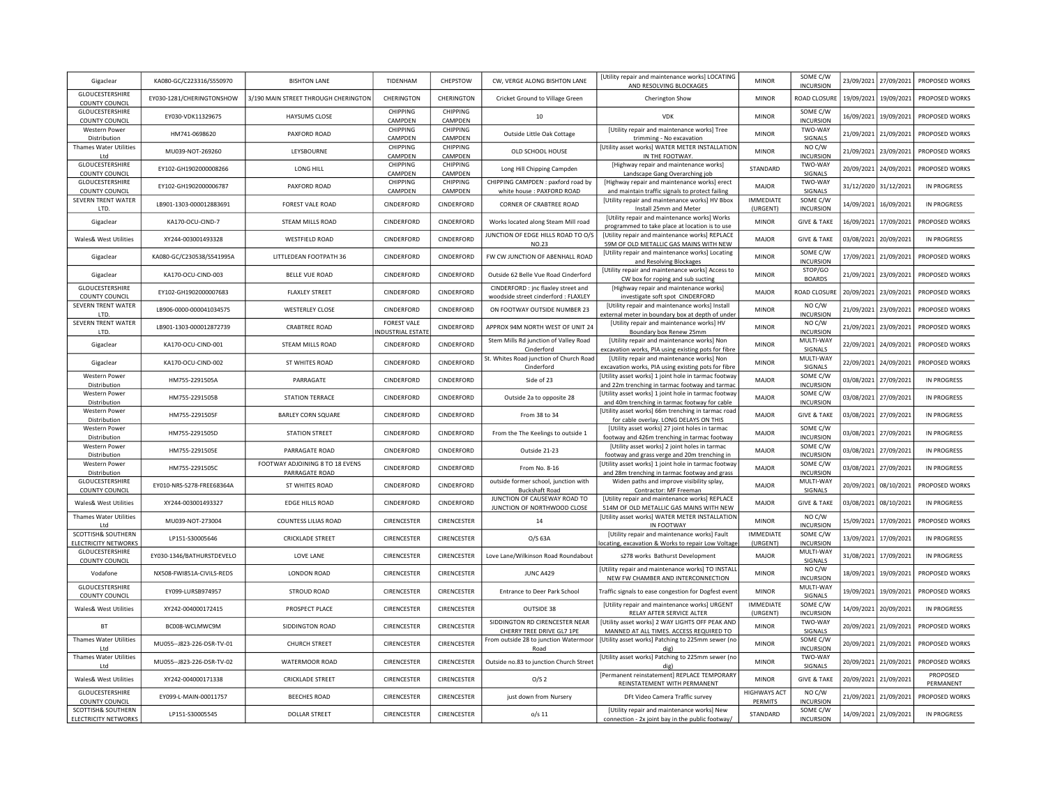| Gigaclear                                         | KA080-GC/C223316/S550970  | <b>BISHTON LANE</b>                               | TIDENHAM                                      | CHEPSTOW                   | CW, VERGE ALONG BISHTON LANE                                                | [Utility repair and maintenance works] LOCATING<br>AND RESOLVING BLOCKAGES                                  | <b>MINOR</b>                          | SOME C/W<br><b>INCURSION</b>       |            | 23/09/2021 27/09/2021 | PROPOSED WORKS        |
|---------------------------------------------------|---------------------------|---------------------------------------------------|-----------------------------------------------|----------------------------|-----------------------------------------------------------------------------|-------------------------------------------------------------------------------------------------------------|---------------------------------------|------------------------------------|------------|-----------------------|-----------------------|
| GLOUCESTERSHIRE<br>COUNTY COUNCIL                 | EY030-1281/CHERINGTONSHOW | 3/190 MAIN STREET THROUGH CHERINGTON              | CHERINGTON                                    | CHERINGTON                 | Cricket Ground to Village Green                                             | Cherington Show                                                                                             | <b>MINOR</b>                          | <b>ROAD CLOSURE</b>                |            | 19/09/2021 19/09/2021 | PROPOSED WORKS        |
| GLOUCESTERSHIRE<br>COUNTY COUNCIL                 | EY030-VDK11329675         | <b>HAYSUMS CLOSE</b>                              | CHIPPING<br>CAMPDEN                           | CHIPPING<br>CAMPDEN        | 10                                                                          | <b>VDK</b>                                                                                                  | <b>MINOR</b>                          | SOME C/W<br><b>INCURSION</b>       |            | 16/09/2021 19/09/2021 | PROPOSED WORKS        |
| Western Power<br>Distribution                     | HM741-0698620             | PAXFORD ROAD                                      | CHIPPING<br>CAMPDEN                           | CHIPPING<br>CAMPDEN        | Outside Little Oak Cottage                                                  | [Utility repair and maintenance works] Tree<br>trimming - No excavation                                     | <b>MINOR</b>                          | TWO-WAY<br><b>SIGNALS</b>          |            | 21/09/2021 21/09/2021 | PROPOSED WORKS        |
| <b>Thames Water Utilities</b><br>Ltd              | MU039-NOT-269260          | LEYSBOURNE                                        | CHIPPING<br>CAMPDEN                           | CHIPPING                   | OLD SCHOOL HOUSE                                                            | [Utility asset works] WATER METER INSTALLATION<br>IN THE FOOTWAY                                            | <b>MINOR</b>                          | NO C/W<br><b>INCURSION</b>         |            | 21/09/2021 23/09/2021 | PROPOSED WORKS        |
| GLOUCESTERSHIRE                                   | EY102-GH1902000008266     | LONG HILL                                         | CHIPPING                                      | CAMPDEN<br>CHIPPING        | Long Hill Chipping Campden                                                  | [Highway repair and maintenance works]                                                                      | STANDARD                              | TWO-WAY                            |            | 20/09/2021 24/09/2021 | PROPOSED WORKS        |
| <b>COUNTY COUNCIL</b><br>GLOUCESTERSHIRE          | EY102-GH1902000006787     | PAXFORD ROAD                                      | CAMPDEN<br>CHIPPING                           | CAMPDEN<br><b>CHIPPING</b> | CHIPPING CAMPDEN : paxford road by                                          | Landscape Gang Overarching job<br>[Highway repair and maintenance works] erect                              | MAJOR                                 | SIGNALS<br>TWO-WAY                 |            | 31/12/2020 31/12/2021 | IN PROGRESS           |
| <b>COUNTY COUNCIL</b>                             |                           |                                                   | CAMPDEN                                       | CAMPDEN                    | white house : PAXFORD ROAD                                                  | and maintain traffic signals to protect failing                                                             | <b>IMMEDIATE</b>                      | SIGNALS<br>SOME C/W                |            |                       |                       |
| SEVERN TRENT WATER<br>LTD.                        | LB901-1303-000012883691   | FOREST VALE ROAD                                  | CINDERFORD                                    | CINDERFORD                 | <b>CORNER OF CRABTREE ROAD</b>                                              | [Utility repair and maintenance works] HV Bbox<br>Install 25mm and Meter                                    | (URGENT)                              | <b>INCURSION</b>                   |            | 14/09/2021 16/09/2021 | <b>IN PROGRESS</b>    |
| Gigaclear                                         | KA170-OCU-CIND-7          | STEAM MILLS ROAD                                  | CINDERFORD                                    | CINDERFORD                 | Works located along Steam Mill road                                         | [Utility repair and maintenance works] Works<br>programmed to take place at location is to use              | <b>MINOR</b>                          | <b>GIVE &amp; TAKE</b>             |            | 16/09/2021 17/09/2021 | PROPOSED WORKS        |
| Wales& West Utilities                             | XY244-003001493328        | <b>WESTFIELD ROAD</b>                             | CINDERFORD                                    | CINDERFORD                 | JUNCTION OF EDGE HILLS ROAD TO O/S<br><b>NO.23</b>                          | [Utility repair and maintenance works] REPLACE<br>59M OF OLD METALLIC GAS MAINS WITH NEW                    | <b>MAJOR</b>                          | <b>GIVE &amp; TAKE</b>             |            | 03/08/2021 20/09/2021 | IN PROGRESS           |
| Gigaclear                                         | KA080-GC/C230538/S541995A | LITTLEDEAN FOOTPATH 36                            | CINDERFORD                                    | CINDERFORD                 | FW CW JUNCTION OF ABENHALL ROAD                                             | [Utility repair and maintenance works] Locating<br>and Resolving Blockages                                  | <b>MINOR</b>                          | SOME C/W<br><b>INCURSION</b>       |            | 17/09/2021 21/09/2021 | PROPOSED WORKS        |
| Gigaclear                                         | KA170-OCU-CIND-003        | <b>BELLE VUE ROAD</b>                             | CINDERFORD                                    | CINDERFORD                 | Outside 62 Belle Vue Road Cinderford                                        | [Utility repair and maintenance works] Access to<br>CW box for roping and sub sucting                       | <b>MINOR</b>                          | STOP/GO<br><b>BOARDS</b>           | 21/09/2021 | 23/09/2021            | PROPOSED WORKS        |
| GLOUCESTERSHIRE<br><b>COUNTY COUNCIL</b>          | EY102-GH1902000007683     | <b>FLAXLEY STREET</b>                             | CINDERFORD                                    | CINDERFORD                 | CINDERFORD : jnc flaxley street and<br>woodside street cinderford : FLAXLEY | [Highway repair and maintenance works]<br>investigate soft spot CINDERFORD                                  | MAJOR                                 | <b>ROAD CLOSUR</b>                 |            | 20/09/2021 23/09/2021 | PROPOSED WORKS        |
| SEVERN TRENT WATER<br>LTD.                        | LB906-0000-000041034575   | <b>WESTERLEY CLOSE</b>                            | CINDERFORD                                    | CINDERFORD                 | ON FOOTWAY OUTSIDE NUMBER 23                                                | [Utility repair and maintenance works] Install<br>external meter in boundary box at depth of under          | <b>MINOR</b>                          | NO C/W<br><b>INCURSION</b>         | 21/09/2021 | 23/09/2021            | PROPOSED WORKS        |
| SEVERN TRENT WATER<br>LTD.                        | LB901-1303-000012872739   | <b>CRABTREE ROAD</b>                              | <b>FOREST VALE</b><br><b>IDUSTRIAL ESTATE</b> | CINDERFORD                 | APPROX 94M NORTH WEST OF UNIT 24                                            | [Utility repair and maintenance works] HV<br>Boundary box Renew 25mm                                        | <b>MINOR</b>                          | NO C/W<br><b>INCURSION</b>         |            | 21/09/2021 23/09/2021 | PROPOSED WORKS        |
| Gigaclear                                         | KA170-OCU-CIND-001        | STEAM MILLS ROAD                                  | CINDERFORD                                    | CINDERFORD                 | Stem Mills Rd junction of Valley Road                                       | [Utility repair and maintenance works] Non                                                                  | <b>MINOR</b>                          | MULTI-WAY                          |            | 22/09/2021 24/09/2021 | PROPOSED WORKS        |
| Gigaclear                                         | KA170-OCU-CIND-002        | ST WHITES ROAD                                    | CINDERFORD                                    | CINDERFORD                 | Cinderford<br>St. Whites Road junction of Church Road                       | excavation works, PIA using existing pots for fibre<br>[Utility repair and maintenance works] Non           | <b>MINOR</b>                          | SIGNALS<br>MULTI-WAY               |            | 22/09/2021 24/09/2021 | PROPOSED WORKS        |
| Western Power                                     | HM755-2291505A            | PARRAGATE                                         | CINDERFORD                                    | CINDERFORD                 | Cinderford<br>Side of 23                                                    | excavation works, PIA using existing pots for fibre<br>[Utility asset works] 1 joint hole in tarmac footway | MAJOR                                 | SIGNALS<br>SOME C/W                |            | 03/08/2021 27/09/2021 | <b>IN PROGRESS</b>    |
| Distribution<br>Western Power                     | HM755-2291505B            | <b>STATION TERRACE</b>                            | CINDERFORD                                    | CINDERFORD                 | Outside 2a to opposite 28                                                   | and 22m trenching in tarmac footway and tarmac<br>[Utility asset works] 1 joint hole in tarmac footway      | MAJOR                                 | <b>INCURSION</b><br>SOME C/W       |            | 03/08/2021 27/09/2021 | <b>IN PROGRESS</b>    |
| Distribution<br>Western Power                     |                           |                                                   |                                               |                            |                                                                             | and 40m trenching in tarmac footway for cable<br>[Utility asset works] 66m trenching in tarmac road         |                                       | <b>INCURSION</b>                   |            |                       |                       |
| Distribution<br>Western Power                     | HM755-2291505F            | <b>BARLEY CORN SQUARE</b>                         | CINDERFORD                                    | CINDERFORD                 | From 38 to 34                                                               | for cable overlay. LONG DELAYS ON THIS<br>[Utility asset works] 27 joint holes in tarmac                    | MAJOR                                 | <b>GIVE &amp; TAKE</b><br>SOME C/W |            | 03/08/2021 27/09/2021 | IN PROGRESS           |
| Distribution                                      | HM755-2291505D            | <b>STATION STREET</b>                             | CINDERFORD                                    | CINDERFORD                 | From the The Keelings to outside 1                                          | footway and 426m trenching in tarmac footway                                                                | <b>MAJOR</b>                          | <b>INCURSION</b><br>SOME C/W       |            | 03/08/2021 27/09/2021 | <b>IN PROGRESS</b>    |
| Western Power<br>Distribution                     | HM755-2291505E            | PARRAGATE ROAD                                    | CINDERFORD                                    | CINDERFORD                 | Outside 21-23                                                               | [Utility asset works] 2 joint holes in tarmac<br>footway and grass verge and 20m trenching in               | <b>MAJOR</b>                          | <b>INCURSION</b>                   |            | 03/08/2021 27/09/2021 | <b>IN PROGRESS</b>    |
| Western Power<br>Distribution                     | HM755-2291505C            | FOOTWAY ADJOINING 8 TO 18 EVENS<br>PARRAGATE ROAD | CINDERFORD                                    | CINDERFORD                 | From No. 8-16                                                               | [Utility asset works] 1 joint hole in tarmac footway<br>and 28m trenching in tarmac footway and grass       | MAJOR                                 | SOME C/W<br><b>INCURSION</b>       |            | 03/08/2021 27/09/2021 | <b>IN PROGRESS</b>    |
| GLOUCESTERSHIRE<br><b>COUNTY COUNCIL</b>          | EY010-NRS-S278-FREE68364A | ST WHITES ROAD                                    | CINDERFORD                                    | CINDERFORD                 | outside former school, junction with<br><b>Buckshaft Road</b>               | Widen paths and improve visibility splay,<br>Contractor: MF Freeman                                         | <b>MAJOR</b>                          | MULTI-WAY<br>SIGNALS               |            | 20/09/2021 08/10/2021 | PROPOSED WORKS        |
| Wales& West Utilities                             | XY244-003001493327        | <b>EDGE HILLS ROAD</b>                            | CINDERFORD                                    | CINDERFORD                 | JUNCTION OF CAUSEWAY ROAD TO<br>JUNCTION OF NORTHWOOD CLOSE                 | [Utility repair and maintenance works] REPLACE<br>514M OF OLD METALLIC GAS MAINS WITH NEW                   | MAJOR                                 | <b>GIVE &amp; TAKE</b>             |            | 03/08/2021 08/10/2021 | <b>IN PROGRESS</b>    |
| <b>Thames Water Utilities</b><br>Ltd              | MU039-NOT-273004          | COUNTESS LILIAS ROAD                              | CIRENCESTER                                   | CIRENCESTER                | 14                                                                          | [Utility asset works] WATER METER INSTALLATION<br>IN FOOTWAY                                                | <b>MINOR</b>                          | NO C/W<br><b>INCURSION</b>         |            | 15/09/2021 17/09/2021 | PROPOSED WORKS        |
| SCOTTISH& SOUTHERN                                | LP151-S30005646           | <b>CRICKLADE STREET</b>                           | CIRENCESTER                                   | CIRENCESTER                | $O/S$ 63A                                                                   | [Utility repair and maintenance works] Fault                                                                | <b>IMMEDIATE</b>                      | SOME C/W                           |            | 13/09/2021 17/09/2021 | <b>IN PROGRESS</b>    |
| ELECTRICITY NETWORKS<br>GLOUCESTERSHIRE           | EY030-1346/BATHURSTDEVELO | LOVE LANE                                         | CIRENCESTER                                   | CIRENCESTER                | Love Lane/Wilkinson Road Roundabout                                         | ocating, excavation & Works to repair Low Voltage<br>s278 works Bathurst Development                        | (URGENT)<br>MAJOR                     | <b>INCURSION</b><br>MULTI-WAY      |            | 31/08/2021 17/09/2021 | <b>IN PROGRESS</b>    |
| <b>COUNTY COUNCIL</b><br>Vodafone                 | NX508-FWI851A-CIVILS-REDS | <b>LONDON ROAD</b>                                | CIRENCESTER                                   | CIRENCESTER                | JUNC A429                                                                   | <b>IUtility repair and maintenance worksl TO INSTAL</b>                                                     | <b>MINOR</b>                          | SIGNALS<br>NO C/W                  |            | 18/09/2021 19/09/2021 | PROPOSED WORKS        |
| GLOUCESTERSHIRE                                   | EY099-LURSB974957         | STROUD ROAD                                       | CIRENCESTER                                   | CIRENCESTER                | Entrance to Deer Park School                                                | NEW FW CHAMBER AND INTERCONNECTION<br>Traffic signals to ease congestion for Dogfest even                   | <b>MINOR</b>                          | <b>INCURSION</b><br>MULTI-WAY      |            | 19/09/2021 19/09/2021 | PROPOSED WORKS        |
| COUNTY COUNCIL<br>Wales& West Utilities           | XY242-004000172415        | PROSPECT PLACE                                    | CIRENCESTER                                   | CIRENCESTER                | OUTSIDE 38                                                                  | [Utility repair and maintenance works] URGENT                                                               | <b>IMMEDIATE</b>                      | SIGNALS<br>SOME C/W                |            | 14/09/2021 20/09/2021 | IN PROGRESS           |
| <b>BT</b>                                         | BC008-WCLMWC9M            | SIDDINGTON ROAD                                   | CIRENCESTER                                   | CIRENCESTER                | SIDDINGTON RD CIRENCESTER NEAR                                              | RELAY AFTER SERVICE ALTER<br>[Utility asset works] 2 WAY LIGHTS OFF PEAK AND                                | (URGENT)<br><b>MINOR</b>              | <b>INCURSION</b><br>TWO-WAY        |            |                       | PROPOSED WORKS        |
| <b>Thames Water Utilities</b>                     |                           |                                                   |                                               |                            | CHERRY TREE DRIVE GL7 1PE<br>From outside 28 to junction Watermoor          | MANNED AT ALL TIMES. ACCESS REQUIRED TO<br>[Utility asset works] Patching to 225mm sewer (no                |                                       | SIGNALS<br>SOME C/W                |            | 20/09/2021 21/09/2021 |                       |
| Ltd<br><b>Thames Water Utilities</b>              | MU055--J823-226-DSR-TV-01 | <b>CHURCH STREET</b>                              | CIRENCESTER                                   | CIRENCESTER                | Road                                                                        | dig)<br>[Utility asset works] Patching to 225mm sewer (no                                                   | <b>MINOR</b>                          | <b>INCURSION</b><br>TWO-WAY        |            | 20/09/2021 21/09/2021 | PROPOSED WORKS        |
| Ltd                                               | MU055--J823-226-DSR-TV-02 | WATERMOOR ROAD                                    | CIRENCESTER                                   | CIRENCESTER                | Outside no.83 to junction Church Street                                     | dig                                                                                                         | <b>MINOR</b>                          | SIGNALS                            |            | 20/09/2021 21/09/2021 | PROPOSED WORKS        |
| Wales& West Utilities                             | XY242-004000171338        | <b>CRICKLADE STREET</b>                           | CIRENCESTER                                   | CIRENCESTER                | O/S <sub>2</sub>                                                            | [Permanent reinstatement] REPLACE TEMPORARY<br>REINSTATEMENT WITH PERMANENT                                 | <b>MINOR</b>                          | <b>GIVE &amp; TAKE</b>             |            | 20/09/2021 21/09/2021 | PROPOSED<br>PERMANENT |
| GLOUCESTERSHIRE<br><b>COUNTY COUNCIL</b>          | EY099-L-MAIN-00011757     | <b>BEECHES ROAD</b>                               | CIRENCESTER                                   | CIRENCESTER                | just down from Nursery                                                      | DFt Video Camera Traffic survey                                                                             | <b>HIGHWAYS ACT</b><br><b>PERMITS</b> | NO C/W<br><b>INCURSION</b>         |            | 21/09/2021 21/09/2021 | PROPOSED WORKS        |
| SCOTTISH& SOUTHERN<br><b>ELECTRICITY NETWORKS</b> | LP151-S30005545           | <b>DOLLAR STREET</b>                              | CIRENCESTER                                   | CIRENCESTER                | $o/s$ 11                                                                    | [Utility repair and maintenance works] New<br>connection - 2x joint bay in the public footway/              | STANDARD                              | SOME C/W<br><b>INCURSION</b>       |            | 14/09/2021 21/09/2021 | <b>IN PROGRESS</b>    |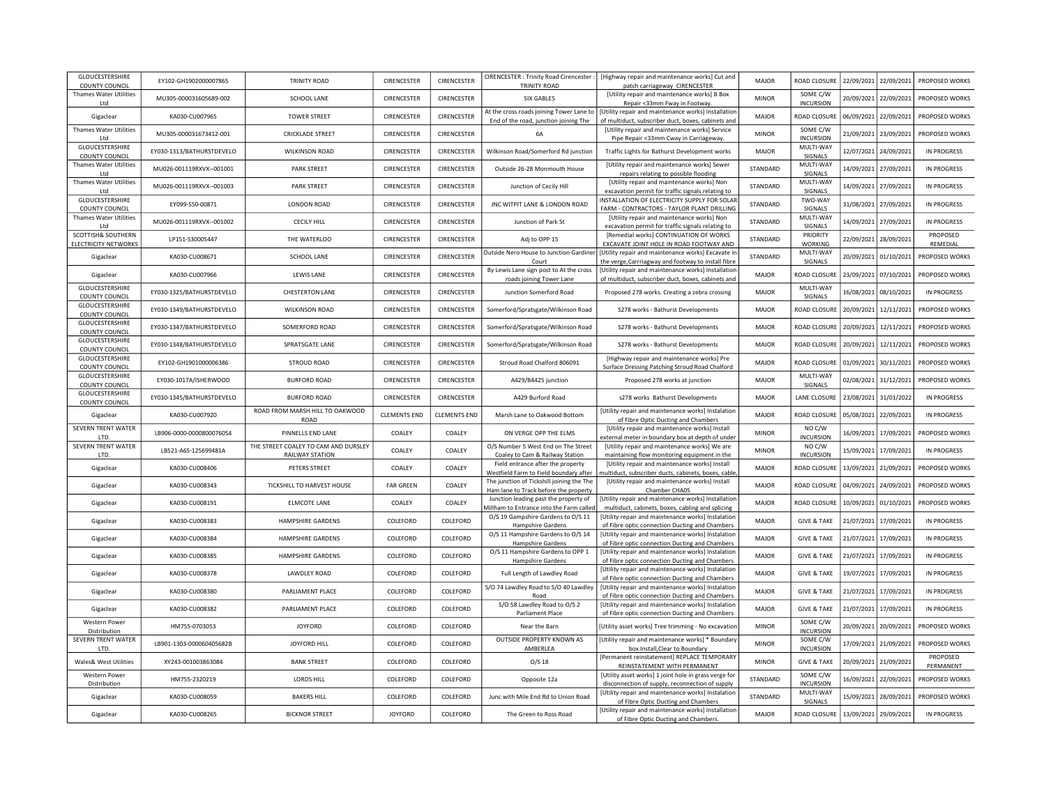| <b>GLOUCESTERSHIRE</b><br>CIRENCESTER : Trinity Road Cirencester<br>[Highway repair and maintenance works] Cut and<br>EY102-GH1902000007865<br><b>TRINITY ROAD</b><br>CIRENCESTER<br>CIRENCESTER<br>MAJOR<br>ROAD CLOSURE<br>22/09/2021<br>22/09/2021<br>PROPOSED WORKS<br>TRINITY ROAD<br><b>COUNTY COUNCIL</b><br>patch carriageway CIRENCESTER<br>SOME C/W<br><b>Thames Water Utilities</b><br>[Utility repair and maintenance works] B Box<br>SCHOOL LANE<br>CIRENCESTER<br>CIRENCESTER<br>SIX GABLES<br><b>MINOR</b><br>20/09/2021<br>22/09/2021<br>PROPOSED WORKS<br>MU305-000031605689-002<br><b>INCURSION</b><br>Repair <33mm Fway in Footway.<br>Ltd<br>At the cross roads joining Tower Lane to   [Utility repair and maintenance works] Installation<br>KA030-CU007965<br><b>TOWER STREET</b><br>CIRENCESTER<br>CIRENCESTER<br>MAJOR<br>ROAD CLOSURE<br>06/09/2021<br>22/09/2021<br>PROPOSED WORKS<br>Gigaclear<br>End of the road, junction joining The<br>of multiduct, subscriber duct, boxes, cabinets and<br>SOME C/W<br>Thames Water Utilities<br>[Utility repair and maintenance works] Service<br><b>CRICKLADE STREET</b><br>CIRENCESTER<br>CIRENCESTER<br><b>MINOR</b><br>21/09/2021<br>23/09/2021<br>PROPOSED WORKS<br>MU305-000031673412-001<br><b>6A</b><br><b>INCURSION</b><br>Pipe Repair <33mm Cway in Carriageway.<br>Ltd<br>GLOUCESTERSHIRE<br>MULTI-WAY<br>CIRENCESTER<br>12/07/2021<br>EY030-1313/BATHURSTDEVELO<br><b>WILKINSON ROAD</b><br>CIRENCESTER<br>Wilkinson Road/Somerford Rd junction<br>MAJOR<br>24/09/2021<br><b>IN PROGRESS</b><br>Traffic Lights for Bathurst Development works<br><b>COUNTY COUNCIL</b><br>SIGNALS<br>MULTI-WAY<br>Thames Water Utilities<br>[Utility repair and maintenance works] Sewer<br>MU026-001119RXVX -- 001001<br><b>PARK STREET</b><br>CIRENCESTER<br>CIRENCESTER<br>STANDARD<br>14/09/2021<br>27/09/2021<br>IN PROGRESS<br>Outside 26-28 Monmouth House<br>SIGNALS<br>Ltd<br>repairs relating to possible flooding<br><b>Thames Water Utilities</b><br>[Utility repair and maintenance works] Non<br>MULTI-WAY<br>14/09/2021<br>MU026-001119RXVX--001003<br><b>PARK STREET</b><br>CIRENCESTER<br>CIRENCESTER<br>STANDARD<br>27/09/2021<br>IN PROGRESS<br>Junction of Cecily Hill<br>excavation permit for traffic signals relating to<br>SIGNALS<br>Ltd<br>GLOUCESTERSHIRE<br>INSTALLATION OF ELECTRICITY SUPPLY FOR SOLAF<br>TWO-WAY<br>CIRENCESTER<br>31/08/2021<br>27/09/2021<br>EY099-S50-00871<br>LONDON ROAD<br>CIRENCESTER<br>JNC WITPIT LANE & LONDON ROAD<br>STANDARD<br>IN PROGRESS<br>SIGNALS<br><b>COUNTY COUNCIL</b><br>FARM - CONTRACTORS - TAYLOR PLANT DRILLING<br>MULTI-WAY<br><b>Thames Water Utilities</b><br><b>IUtility repair and maintenance worksl Non</b><br>MU026-001119RXVX--001002<br><b>CECILY HILL</b><br>CIRENCESTER<br>CIRENCESTER<br>STANDARD<br>14/09/2021<br>27/09/2021<br>Junction of Park St<br><b>IN PROGRESS</b><br>excavation permit for traffic signals relating to<br>SIGNALS<br>Ltd<br>SCOTTISH& SOUTHERN<br>[Remedial works] CONTINUATION OF WORKS<br>PRIORITY<br>PROPOSED<br>LP151-S30005447<br>THE WATERLOO<br>CIRENCESTER<br>CIRENCESTER<br>Adj to OPP 15<br>STANDARD<br>22/09/2021<br>28/09/2021<br><b>ELECTRICITY NETWORKS</b><br>EXCAVATE JOINT HOLE IN ROAD FOOTWAY AND<br><b>WORKING</b><br>REMEDIAL<br>Outside Nero House to Junction Gardine<br>[Utility repair and maintenance works] Excavate in<br>MULTI-WAY<br>CIRENCESTER<br>CIRENCESTER<br>20/09/2021<br>01/10/2021<br>Gigaclear<br>KA030-CU008671<br>SCHOOL LANE<br><b>STANDARD</b><br>PROPOSED WORKS<br>the verge, Carrriagway and footway to install fibre<br>SIGNALS<br>Court<br>By Lewis Lane sign post to At the cross<br>[Utility repair and maintenance works] Installation<br>LEWIS LANE<br>CIRENCESTER<br>CIRENCESTER<br>ROAD CLOSURI<br>23/09/2021<br>07/10/2021<br>PROPOSED WORKS<br>Gigaclear<br>KA030-CU007966<br><b>MAJOR</b><br>roads joining Tower Lane<br>of multiduct, subscriber duct, boxes, cabinets and<br>GLOUCESTERSHIRE<br>MULTI-WAY<br>EY030-1325/BATHURSTDEVELO<br>CHESTERTON LANE<br>CIRENCESTER<br>CIRENCESTER<br>Junction Somerford Road<br>Proposed 278 works. Creating a zebra crossing<br><b>MAJOR</b><br>16/08/2021<br>08/10/2021<br>IN PROGRESS<br>COUNTY COUNCIL<br>SIGNALS<br>GLOUCESTERSHIRE<br>EY030-1349/BATHURSTDEVELO<br><b>WILKINSON ROAD</b><br>CIRENCESTER<br>CIRENCESTER<br>Somerford/Spratsgate/Wilkinson Road<br>S278 works - Bathurst Developments<br>MAJOR<br>ROAD CLOSURE<br>20/09/2021<br>12/11/2021<br>PROPOSED WORKS<br><b>COUNTY COUNCIL</b><br>GLOUCESTERSHIRE<br>EY030-1347/BATHURSTDEVELO<br>SOMERFORD ROAD<br>CIRENCESTER<br>CIRENCESTER<br>MAJOR<br>ROAD CLOSURE<br>20/09/2021<br>12/11/2021<br>PROPOSED WORKS<br>Somerford/Spratsgate/Wilkinson Road<br>S278 works - Bathurst Developments<br><b>COUNTY COUNCIL</b><br>GLOUCESTERSHIRE<br>EY030-1348/BATHURSTDEVELO<br>SPRATSGATE LANE<br>CIRENCESTER<br>CIRENCESTER<br>MAJOR<br>ROAD CLOSURE<br>20/09/2021<br>12/11/2021<br>PROPOSED WORKS<br>Somerford/Spratsgate/Wilkinson Road<br>S278 works - Bathurst Developments<br><b>COUNTY COUNCIL</b><br>GLOUCESTERSHIRE<br>[Highway repair and maintenance works] Pre<br>30/11/2021<br>EY102-GH1901000006386<br>STROUD ROAD<br>CIRENCESTER<br>CIRENCESTER<br>Stroud Road Chalford 806091<br><b>MAJOR</b><br>ROAD CLOSURE<br>01/09/2021<br>PROPOSED WORKS<br><b>COUNTY COUNCIL</b><br>Surface Dressing Patching Stroud Road Chalford<br><b>GLOUCESTERSHIRE</b><br>MULTI-WAY<br>02/08/2021<br>31/12/2021<br>EY030-1017A/ISHERWOOD<br><b>BURFORD ROAD</b><br>CIRENCESTER<br>CIRENCESTER<br>A429/B4425 junction<br>Proposed 278 works at junction<br>MAJOR<br>PROPOSED WORKS<br><b>COUNTY COUNCIL</b><br>SIGNALS<br>GLOUCESTERSHIRE<br>EY030-1345/BATHURSTDEVELO<br>CIRENCESTER<br>23/08/2021<br><b>BURFORD ROAD</b><br>CIRENCESTER<br>A429 Burford Road<br><b>MAJOR</b><br><b>LANE CLOSURE</b><br>31/01/2022<br><b>IN PROGRESS</b><br>s278 works Bathurst Developments<br><b>COUNTY COUNCIL</b><br>ROAD FROM MARSH HILL TO OAKWOOD<br>[Utility repair and maintenance works] Instalation<br><b>CLEMENTS END</b><br><b>CLEMENTS END</b><br>ROAD CLOSURE<br>05/08/2021<br>22/09/2021<br>KA030-CU007920<br>Marsh Lane to Oakwood Bottom<br>MAIOR<br>IN PROGRESS<br>Gigaclear<br>ROAD<br>of Fibre Optic Ducting and Chambers<br>SEVERN TRENT WATER<br>[Utility repair and maintenance works] Install<br>NO C/W<br>PINNELLS END LANE<br>ON VERGE OPP THE ELMS<br>LB906-0000-0000800076054<br>COALEY<br>COALEY<br><b>MINOR</b><br>16/09/2021<br>17/09/2021<br>PROPOSED WORKS<br>LTD.<br>external meter in boundary box at depth of under<br><b>INCURSION</b><br>SEVERN TRENT WATER<br>THE STREET COALEY TO CAM AND DURSLEY<br>O/S Number 5 West End on The Street<br>[Utility repair and maintenance works] We are<br>NO C/W<br>LB521-A6S-125699481A<br>17/09/2021<br>COALEY<br>COALEY<br><b>MINOR</b><br>15/09/2021<br>IN PROGRESS<br><b>RAILWAY STATION</b><br><b>INCURSION</b><br>LTD.<br>Coaley to Cam & Railway Station<br>maintaining flow monitoring equipment in the<br>Field entrance after the property<br>[Utility repair and maintenance works] Install<br>Gigaclear<br>KA030-CU008406<br>PETERS STREET<br>COALEY<br>COALEY<br>MAJOR<br>ROAD CLOSURE<br>13/09/2021 21/09/2021<br>PROPOSED WORKS<br>Westfield Farm to Field boundary after<br>multiduct, subscriber ducts, cabinets, boxes, cable<br>The junction of Tickshill joining the The<br>[Utility repair and maintenance works] Install<br>Gigaclear<br>KA030-CU008343<br>TICKSHILL TO HARVEST HOUSE<br><b>FAR GREEN</b><br>COALEY<br><b>MAJOR</b><br>ROAD CLOSURE<br>04/09/2021<br>24/09/2021<br>PROPOSED WORKS<br>Ham lane to Track before the property<br>Chamber CHA05<br>Junction leading past the property of<br>[Utility repair and maintenance works] Installation<br>KA030-CU008191<br>ELMCOTE LANE<br>COALEY<br>COALEY<br>MAJOR<br>ROAD CLOSURE<br>10/09/2021<br>01/10/2021<br>PROPOSED WORKS<br>Gigaclear<br>Millham to Entrance into the Farm called<br>multiduct, cabinets, boxes, cabling and splicing<br>O/S 19 Gampshire Gardens to O/S 11<br>[Utility repair and maintenance works] Instalation<br>KA030-CU008383<br>HAMPSHIRE GARDENS<br>COLEFORD<br>COLEFORD<br>MAJOR<br><b>GIVE &amp; TAKE</b><br>21/07/2021 17/09/2021<br><b>IN PROGRESS</b><br>Gigaclear<br>Hampshire Gardens<br>of Fibre optic connection Ducting and Chambers<br>O/S 11 Hampshire Gardens to O/S 14<br>[Utility repair and maintenance works] Instalation<br>Gigaclear<br>KA030-CU008384<br>HAMPSHIRE GARDENS<br>COLEFORD<br>COLEFORD<br><b>MAJOR</b><br><b>GIVE &amp; TAKE</b><br>21/07/2021 17/09/2021<br>IN PROGRESS<br>Hampshire Gardens<br>of Fibre optic connection Ducting and Chambers<br>O/S 11 Hampshire Gardens to OPP 1<br>[Utility repair and maintenance works] Instalation<br>21/07/2021 17/09/2021<br>Gigaclear<br>KA030-CU008385<br>HAMPSHIRE GARDENS<br>COLEFORD<br>COLEFORD<br>MAJOR<br><b>GIVE &amp; TAKE</b><br>IN PROGRESS<br>Hampshire Gardens<br>of Fibre optic connection Ducting and Chambers<br>[Utility repair and maintenance works] Instalation<br><b>LAWDLEY ROAD</b><br>COLEFORD<br>COLEFORD<br><b>MAJOR</b><br><b>GIVE &amp; TAKE</b><br>19/07/2021 17/09/2021<br><b>IN PROGRESS</b><br>Gigaclear<br>KA030-CU008378<br>Full Length of Lawdley Road<br>of Fibre optic connection Ducting and Chambers<br>S/O 74 Lawdley Road to S/O 40 Lawdley<br>[Utility repair and maintenance works] Instalation<br>KA030-CU008380<br>PARLIAMENT PLACE<br>COLEFORD<br>COLEFORD<br><b>MAJOR</b><br><b>GIVE &amp; TAKE</b><br>21/07/2021 17/09/2021<br>IN PROGRESS<br>Gigaclear<br>Road<br>of Fibre optic connection Ducting and Chambers<br>S/O 58 Lawdley Road to O/S 2<br>[Utility repair and maintenance works] Instalation<br>PARLIAMENT PLACE<br>COLEFORD<br>COLEFORD<br>MAJOR<br><b>GIVE &amp; TAKE</b><br>21/07/2021 17/09/2021<br>IN PROGRESS<br>KA030-CU008382<br>Gigaclear<br>of Fibre optic connection Ducting and Chambers<br>Parliament Place<br>SOME C/W<br><b>Western Power</b><br>COLEFORD<br>COLEFORD<br><b>MINOR</b><br>20/09/2021<br>20/09/2021<br>PROPOSED WORKS<br>HM755-0703053<br><b>IOYFORD</b><br>[Utility asset works] Tree trimming - No excavatior<br>Near the Barn<br><b>INCURSION</b><br>Distribution<br>SEVERN TRENT WATER<br>OUTSIDE PROPERTY KNOWN AS<br>SOME C/W<br>[Utility repair and maintenance works] * Boundary<br>COLEFORD<br>COLEFORD<br>17/09/2021<br>21/09/2021<br>LB901-1303-000060405682B<br>JOYFORD HILL<br><b>MINOR</b><br>PROPOSED WORKS<br>AMBERLEA<br><b>INCURSION</b><br>LTD.<br>box Install, Clear to Boundary<br>[Permanent reinstatement] REPLACE TEMPORARY<br>PROPOSED<br>COLEFORD<br><b>BANK STREET</b><br>COLEFORD<br>$O/S$ 18<br><b>MINOR</b><br><b>GIVE &amp; TAKE</b><br>20/09/2021 21/09/2021<br>Wales& West Utilities<br>XY243-001003863084<br>REINSTATEMENT WITH PERMANENT<br>PERMANENT<br>SOME C/W<br>Western Power<br>[Utility asset works] 1 joint hole in grass verge for<br>COLEFORD<br>16/09/2021<br>22/09/2021<br>HM755-2320219<br>LORDS HILL<br>COLEFORD<br>Opposite 12a<br>STANDARD<br>PROPOSED WORKS<br>Distribution<br>disconnection of supply, reconnection of supply<br><b>INCURSION</b><br>[Utility repair and maintenance works] Instalation<br>MULTI-WAY<br>Gigaclear<br>KA030-CU008059<br><b>BAKERS HILL</b><br>COLEFORD<br>COLEFORD<br>Junc with Mile End Rd to Union Road<br>STANDARD<br>15/09/2021<br>28/09/2021<br>PROPOSED WORKS<br>SIGNALS<br>of Fibre Optic Ducting and Chambers<br>[Utility repair and maintenance works] Installation<br>13/09/2021<br>Gigaclear<br>KA030-CU008265<br><b>BICKNOR STREET</b><br><b>JOYFORD</b><br>COLEFORD<br>The Green to Ross Road<br>MAJOR<br>ROAD CLOSURE<br>29/09/2021<br><b>IN PROGRESS</b><br>of Fibre Optic Ducting and Chambers. |  |  |  |  |  |  |
|------------------------------------------------------------------------------------------------------------------------------------------------------------------------------------------------------------------------------------------------------------------------------------------------------------------------------------------------------------------------------------------------------------------------------------------------------------------------------------------------------------------------------------------------------------------------------------------------------------------------------------------------------------------------------------------------------------------------------------------------------------------------------------------------------------------------------------------------------------------------------------------------------------------------------------------------------------------------------------------------------------------------------------------------------------------------------------------------------------------------------------------------------------------------------------------------------------------------------------------------------------------------------------------------------------------------------------------------------------------------------------------------------------------------------------------------------------------------------------------------------------------------------------------------------------------------------------------------------------------------------------------------------------------------------------------------------------------------------------------------------------------------------------------------------------------------------------------------------------------------------------------------------------------------------------------------------------------------------------------------------------------------------------------------------------------------------------------------------------------------------------------------------------------------------------------------------------------------------------------------------------------------------------------------------------------------------------------------------------------------------------------------------------------------------------------------------------------------------------------------------------------------------------------------------------------------------------------------------------------------------------------------------------------------------------------------------------------------------------------------------------------------------------------------------------------------------------------------------------------------------------------------------------------------------------------------------------------------------------------------------------------------------------------------------------------------------------------------------------------------------------------------------------------------------------------------------------------------------------------------------------------------------------------------------------------------------------------------------------------------------------------------------------------------------------------------------------------------------------------------------------------------------------------------------------------------------------------------------------------------------------------------------------------------------------------------------------------------------------------------------------------------------------------------------------------------------------------------------------------------------------------------------------------------------------------------------------------------------------------------------------------------------------------------------------------------------------------------------------------------------------------------------------------------------------------------------------------------------------------------------------------------------------------------------------------------------------------------------------------------------------------------------------------------------------------------------------------------------------------------------------------------------------------------------------------------------------------------------------------------------------------------------------------------------------------------------------------------------------------------------------------------------------------------------------------------------------------------------------------------------------------------------------------------------------------------------------------------------------------------------------------------------------------------------------------------------------------------------------------------------------------------------------------------------------------------------------------------------------------------------------------------------------------------------------------------------------------------------------------------------------------------------------------------------------------------------------------------------------------------------------------------------------------------------------------------------------------------------------------------------------------------------------------------------------------------------------------------------------------------------------------------------------------------------------------------------------------------------------------------------------------------------------------------------------------------------------------------------------------------------------------------------------------------------------------------------------------------------------------------------------------------------------------------------------------------------------------------------------------------------------------------------------------------------------------------------------------------------------------------------------------------------------------------------------------------------------------------------------------------------------------------------------------------------------------------------------------------------------------------------------------------------------------------------------------------------------------------------------------------------------------------------------------------------------------------------------------------------------------------------------------------------------------------------------------------------------------------------------------------------------------------------------------------------------------------------------------------------------------------------------------------------------------------------------------------------------------------------------------------------------------------------------------------------------------------------------------------------------------------------------------------------------------------------------------------------------------------------------------------------------------------------------------------------------------------------------------------------------------------------------------------------------------------------------------------------------------------------------------------------------------------------------------------------------------------------------------------------------------------------------------------------------------------------------------------------------------------------------------------------------------------------------------------------------------------------------------------------------------------------------------------------------------------------------------------------------------------------------------------------------------------------------------------------------------------------------------------------------------------------------------------------------------------------------------------------------------------------------------------------------------------------------------------------------------------------------------------------------------------------------------------------------------------------------------------------------------------------------------------------------------------------------------------------------------------------------------------------------------------------------------------------------------------------------------------------------------------------------------------------------------------------------------------------------------------------------------------------------------------------------------------------------------------------------------------------------------------------------------------------------------------------------------------------------------------------------------------------------------------------------------------------------------------------------------------------------------------------------------------------------------------------------------------------------------------------------------------------------------------------------------------------------------------------------------------------------------------------------------------------------------------------------------------------------------------------------------------------------------------------------------------------------------------------------------------------------------------------------------------------------------------------------------------------------------------------------------------------------------------------------------------------------------------------------------------------------------------------------------------------------------------------------------------------------------------------------------------------------------------------------------------------------------------------------------------------------------------------------------------------------------------------------------------------------------------------------------------------------------------------------------------------------------------------------------------------------------------------------------------------------------------------------------------------------------------------------------------------------------------------------------------------------------------------------------------------------------------------------------------------------------------------------------------------------------------------------------------------------------------------------------------------------------------------------------------------------------------------------------------------------------------------------------------------------------------------------------------------------------------------------------------------------------------------------------------------------------------------------------------------------------------------------------------------------------------------------------------------------------------------------------------------------------------------------------------------------------------------------------------------------------------------------------------------------------------------------------------------------------------------------------|--|--|--|--|--|--|
|                                                                                                                                                                                                                                                                                                                                                                                                                                                                                                                                                                                                                                                                                                                                                                                                                                                                                                                                                                                                                                                                                                                                                                                                                                                                                                                                                                                                                                                                                                                                                                                                                                                                                                                                                                                                                                                                                                                                                                                                                                                                                                                                                                                                                                                                                                                                                                                                                                                                                                                                                                                                                                                                                                                                                                                                                                                                                                                                                                                                                                                                                                                                                                                                                                                                                                                                                                                                                                                                                                                                                                                                                                                                                                                                                                                                                                                                                                                                                                                                                                                                                                                                                                                                                                                                                                                                                                                                                                                                                                                                                                                                                                                                                                                                                                                                                                                                                                                                                                                                                                                                                                                                                                                                                                                                                                                                                                                                                                                                                                                                                                                                                                                                                                                                                                                                                                                                                                                                                                                                                                                                                                                                                                                                                                                                                                                                                                                                                                                                                                                                                                                                                                                                                                                                                                                                                                                                                                                                                                                                                                                                                                                                                                                                                                                                                                                                                                                                                                                                                                                                                                                                                                                                                                                                                                                                                                                                                                                                                                                                                                                                                                                                                                                                                                                                                                                                                                                                                                                                                                                                                                                                                                                                                                                                                                                                                                                                                                                                                                                                                                                                                                                                                                                                                                                                                                                                                                                                                                                                                                                                                                                                                                                                                                                                                                                                                                                                                                                                                                                                                                                                                                                                                                                                                                                                                                                                                                                                                                                                                                                                                                                                                                                                                                                                                                                                                                                                                                                                                                                                                                                                                                                                                                                                                                                                                                                                                                                                                                                                                                                                                                                                                                                                                                                                                                                                                                                                                          |  |  |  |  |  |  |
|                                                                                                                                                                                                                                                                                                                                                                                                                                                                                                                                                                                                                                                                                                                                                                                                                                                                                                                                                                                                                                                                                                                                                                                                                                                                                                                                                                                                                                                                                                                                                                                                                                                                                                                                                                                                                                                                                                                                                                                                                                                                                                                                                                                                                                                                                                                                                                                                                                                                                                                                                                                                                                                                                                                                                                                                                                                                                                                                                                                                                                                                                                                                                                                                                                                                                                                                                                                                                                                                                                                                                                                                                                                                                                                                                                                                                                                                                                                                                                                                                                                                                                                                                                                                                                                                                                                                                                                                                                                                                                                                                                                                                                                                                                                                                                                                                                                                                                                                                                                                                                                                                                                                                                                                                                                                                                                                                                                                                                                                                                                                                                                                                                                                                                                                                                                                                                                                                                                                                                                                                                                                                                                                                                                                                                                                                                                                                                                                                                                                                                                                                                                                                                                                                                                                                                                                                                                                                                                                                                                                                                                                                                                                                                                                                                                                                                                                                                                                                                                                                                                                                                                                                                                                                                                                                                                                                                                                                                                                                                                                                                                                                                                                                                                                                                                                                                                                                                                                                                                                                                                                                                                                                                                                                                                                                                                                                                                                                                                                                                                                                                                                                                                                                                                                                                                                                                                                                                                                                                                                                                                                                                                                                                                                                                                                                                                                                                                                                                                                                                                                                                                                                                                                                                                                                                                                                                                                                                                                                                                                                                                                                                                                                                                                                                                                                                                                                                                                                                                                                                                                                                                                                                                                                                                                                                                                                                                                                                                                                                                                                                                                                                                                                                                                                                                                                                                                                                                                                          |  |  |  |  |  |  |
|                                                                                                                                                                                                                                                                                                                                                                                                                                                                                                                                                                                                                                                                                                                                                                                                                                                                                                                                                                                                                                                                                                                                                                                                                                                                                                                                                                                                                                                                                                                                                                                                                                                                                                                                                                                                                                                                                                                                                                                                                                                                                                                                                                                                                                                                                                                                                                                                                                                                                                                                                                                                                                                                                                                                                                                                                                                                                                                                                                                                                                                                                                                                                                                                                                                                                                                                                                                                                                                                                                                                                                                                                                                                                                                                                                                                                                                                                                                                                                                                                                                                                                                                                                                                                                                                                                                                                                                                                                                                                                                                                                                                                                                                                                                                                                                                                                                                                                                                                                                                                                                                                                                                                                                                                                                                                                                                                                                                                                                                                                                                                                                                                                                                                                                                                                                                                                                                                                                                                                                                                                                                                                                                                                                                                                                                                                                                                                                                                                                                                                                                                                                                                                                                                                                                                                                                                                                                                                                                                                                                                                                                                                                                                                                                                                                                                                                                                                                                                                                                                                                                                                                                                                                                                                                                                                                                                                                                                                                                                                                                                                                                                                                                                                                                                                                                                                                                                                                                                                                                                                                                                                                                                                                                                                                                                                                                                                                                                                                                                                                                                                                                                                                                                                                                                                                                                                                                                                                                                                                                                                                                                                                                                                                                                                                                                                                                                                                                                                                                                                                                                                                                                                                                                                                                                                                                                                                                                                                                                                                                                                                                                                                                                                                                                                                                                                                                                                                                                                                                                                                                                                                                                                                                                                                                                                                                                                                                                                                                                                                                                                                                                                                                                                                                                                                                                                                                                                                                                          |  |  |  |  |  |  |
|                                                                                                                                                                                                                                                                                                                                                                                                                                                                                                                                                                                                                                                                                                                                                                                                                                                                                                                                                                                                                                                                                                                                                                                                                                                                                                                                                                                                                                                                                                                                                                                                                                                                                                                                                                                                                                                                                                                                                                                                                                                                                                                                                                                                                                                                                                                                                                                                                                                                                                                                                                                                                                                                                                                                                                                                                                                                                                                                                                                                                                                                                                                                                                                                                                                                                                                                                                                                                                                                                                                                                                                                                                                                                                                                                                                                                                                                                                                                                                                                                                                                                                                                                                                                                                                                                                                                                                                                                                                                                                                                                                                                                                                                                                                                                                                                                                                                                                                                                                                                                                                                                                                                                                                                                                                                                                                                                                                                                                                                                                                                                                                                                                                                                                                                                                                                                                                                                                                                                                                                                                                                                                                                                                                                                                                                                                                                                                                                                                                                                                                                                                                                                                                                                                                                                                                                                                                                                                                                                                                                                                                                                                                                                                                                                                                                                                                                                                                                                                                                                                                                                                                                                                                                                                                                                                                                                                                                                                                                                                                                                                                                                                                                                                                                                                                                                                                                                                                                                                                                                                                                                                                                                                                                                                                                                                                                                                                                                                                                                                                                                                                                                                                                                                                                                                                                                                                                                                                                                                                                                                                                                                                                                                                                                                                                                                                                                                                                                                                                                                                                                                                                                                                                                                                                                                                                                                                                                                                                                                                                                                                                                                                                                                                                                                                                                                                                                                                                                                                                                                                                                                                                                                                                                                                                                                                                                                                                                                                                                                                                                                                                                                                                                                                                                                                                                                                                                                                                                          |  |  |  |  |  |  |
|                                                                                                                                                                                                                                                                                                                                                                                                                                                                                                                                                                                                                                                                                                                                                                                                                                                                                                                                                                                                                                                                                                                                                                                                                                                                                                                                                                                                                                                                                                                                                                                                                                                                                                                                                                                                                                                                                                                                                                                                                                                                                                                                                                                                                                                                                                                                                                                                                                                                                                                                                                                                                                                                                                                                                                                                                                                                                                                                                                                                                                                                                                                                                                                                                                                                                                                                                                                                                                                                                                                                                                                                                                                                                                                                                                                                                                                                                                                                                                                                                                                                                                                                                                                                                                                                                                                                                                                                                                                                                                                                                                                                                                                                                                                                                                                                                                                                                                                                                                                                                                                                                                                                                                                                                                                                                                                                                                                                                                                                                                                                                                                                                                                                                                                                                                                                                                                                                                                                                                                                                                                                                                                                                                                                                                                                                                                                                                                                                                                                                                                                                                                                                                                                                                                                                                                                                                                                                                                                                                                                                                                                                                                                                                                                                                                                                                                                                                                                                                                                                                                                                                                                                                                                                                                                                                                                                                                                                                                                                                                                                                                                                                                                                                                                                                                                                                                                                                                                                                                                                                                                                                                                                                                                                                                                                                                                                                                                                                                                                                                                                                                                                                                                                                                                                                                                                                                                                                                                                                                                                                                                                                                                                                                                                                                                                                                                                                                                                                                                                                                                                                                                                                                                                                                                                                                                                                                                                                                                                                                                                                                                                                                                                                                                                                                                                                                                                                                                                                                                                                                                                                                                                                                                                                                                                                                                                                                                                                                                                                                                                                                                                                                                                                                                                                                                                                                                                                                                                          |  |  |  |  |  |  |
|                                                                                                                                                                                                                                                                                                                                                                                                                                                                                                                                                                                                                                                                                                                                                                                                                                                                                                                                                                                                                                                                                                                                                                                                                                                                                                                                                                                                                                                                                                                                                                                                                                                                                                                                                                                                                                                                                                                                                                                                                                                                                                                                                                                                                                                                                                                                                                                                                                                                                                                                                                                                                                                                                                                                                                                                                                                                                                                                                                                                                                                                                                                                                                                                                                                                                                                                                                                                                                                                                                                                                                                                                                                                                                                                                                                                                                                                                                                                                                                                                                                                                                                                                                                                                                                                                                                                                                                                                                                                                                                                                                                                                                                                                                                                                                                                                                                                                                                                                                                                                                                                                                                                                                                                                                                                                                                                                                                                                                                                                                                                                                                                                                                                                                                                                                                                                                                                                                                                                                                                                                                                                                                                                                                                                                                                                                                                                                                                                                                                                                                                                                                                                                                                                                                                                                                                                                                                                                                                                                                                                                                                                                                                                                                                                                                                                                                                                                                                                                                                                                                                                                                                                                                                                                                                                                                                                                                                                                                                                                                                                                                                                                                                                                                                                                                                                                                                                                                                                                                                                                                                                                                                                                                                                                                                                                                                                                                                                                                                                                                                                                                                                                                                                                                                                                                                                                                                                                                                                                                                                                                                                                                                                                                                                                                                                                                                                                                                                                                                                                                                                                                                                                                                                                                                                                                                                                                                                                                                                                                                                                                                                                                                                                                                                                                                                                                                                                                                                                                                                                                                                                                                                                                                                                                                                                                                                                                                                                                                                                                                                                                                                                                                                                                                                                                                                                                                                                                                                          |  |  |  |  |  |  |
|                                                                                                                                                                                                                                                                                                                                                                                                                                                                                                                                                                                                                                                                                                                                                                                                                                                                                                                                                                                                                                                                                                                                                                                                                                                                                                                                                                                                                                                                                                                                                                                                                                                                                                                                                                                                                                                                                                                                                                                                                                                                                                                                                                                                                                                                                                                                                                                                                                                                                                                                                                                                                                                                                                                                                                                                                                                                                                                                                                                                                                                                                                                                                                                                                                                                                                                                                                                                                                                                                                                                                                                                                                                                                                                                                                                                                                                                                                                                                                                                                                                                                                                                                                                                                                                                                                                                                                                                                                                                                                                                                                                                                                                                                                                                                                                                                                                                                                                                                                                                                                                                                                                                                                                                                                                                                                                                                                                                                                                                                                                                                                                                                                                                                                                                                                                                                                                                                                                                                                                                                                                                                                                                                                                                                                                                                                                                                                                                                                                                                                                                                                                                                                                                                                                                                                                                                                                                                                                                                                                                                                                                                                                                                                                                                                                                                                                                                                                                                                                                                                                                                                                                                                                                                                                                                                                                                                                                                                                                                                                                                                                                                                                                                                                                                                                                                                                                                                                                                                                                                                                                                                                                                                                                                                                                                                                                                                                                                                                                                                                                                                                                                                                                                                                                                                                                                                                                                                                                                                                                                                                                                                                                                                                                                                                                                                                                                                                                                                                                                                                                                                                                                                                                                                                                                                                                                                                                                                                                                                                                                                                                                                                                                                                                                                                                                                                                                                                                                                                                                                                                                                                                                                                                                                                                                                                                                                                                                                                                                                                                                                                                                                                                                                                                                                                                                                                                                                                                                          |  |  |  |  |  |  |
|                                                                                                                                                                                                                                                                                                                                                                                                                                                                                                                                                                                                                                                                                                                                                                                                                                                                                                                                                                                                                                                                                                                                                                                                                                                                                                                                                                                                                                                                                                                                                                                                                                                                                                                                                                                                                                                                                                                                                                                                                                                                                                                                                                                                                                                                                                                                                                                                                                                                                                                                                                                                                                                                                                                                                                                                                                                                                                                                                                                                                                                                                                                                                                                                                                                                                                                                                                                                                                                                                                                                                                                                                                                                                                                                                                                                                                                                                                                                                                                                                                                                                                                                                                                                                                                                                                                                                                                                                                                                                                                                                                                                                                                                                                                                                                                                                                                                                                                                                                                                                                                                                                                                                                                                                                                                                                                                                                                                                                                                                                                                                                                                                                                                                                                                                                                                                                                                                                                                                                                                                                                                                                                                                                                                                                                                                                                                                                                                                                                                                                                                                                                                                                                                                                                                                                                                                                                                                                                                                                                                                                                                                                                                                                                                                                                                                                                                                                                                                                                                                                                                                                                                                                                                                                                                                                                                                                                                                                                                                                                                                                                                                                                                                                                                                                                                                                                                                                                                                                                                                                                                                                                                                                                                                                                                                                                                                                                                                                                                                                                                                                                                                                                                                                                                                                                                                                                                                                                                                                                                                                                                                                                                                                                                                                                                                                                                                                                                                                                                                                                                                                                                                                                                                                                                                                                                                                                                                                                                                                                                                                                                                                                                                                                                                                                                                                                                                                                                                                                                                                                                                                                                                                                                                                                                                                                                                                                                                                                                                                                                                                                                                                                                                                                                                                                                                                                                                                                                                          |  |  |  |  |  |  |
|                                                                                                                                                                                                                                                                                                                                                                                                                                                                                                                                                                                                                                                                                                                                                                                                                                                                                                                                                                                                                                                                                                                                                                                                                                                                                                                                                                                                                                                                                                                                                                                                                                                                                                                                                                                                                                                                                                                                                                                                                                                                                                                                                                                                                                                                                                                                                                                                                                                                                                                                                                                                                                                                                                                                                                                                                                                                                                                                                                                                                                                                                                                                                                                                                                                                                                                                                                                                                                                                                                                                                                                                                                                                                                                                                                                                                                                                                                                                                                                                                                                                                                                                                                                                                                                                                                                                                                                                                                                                                                                                                                                                                                                                                                                                                                                                                                                                                                                                                                                                                                                                                                                                                                                                                                                                                                                                                                                                                                                                                                                                                                                                                                                                                                                                                                                                                                                                                                                                                                                                                                                                                                                                                                                                                                                                                                                                                                                                                                                                                                                                                                                                                                                                                                                                                                                                                                                                                                                                                                                                                                                                                                                                                                                                                                                                                                                                                                                                                                                                                                                                                                                                                                                                                                                                                                                                                                                                                                                                                                                                                                                                                                                                                                                                                                                                                                                                                                                                                                                                                                                                                                                                                                                                                                                                                                                                                                                                                                                                                                                                                                                                                                                                                                                                                                                                                                                                                                                                                                                                                                                                                                                                                                                                                                                                                                                                                                                                                                                                                                                                                                                                                                                                                                                                                                                                                                                                                                                                                                                                                                                                                                                                                                                                                                                                                                                                                                                                                                                                                                                                                                                                                                                                                                                                                                                                                                                                                                                                                                                                                                                                                                                                                                                                                                                                                                                                                                                                                          |  |  |  |  |  |  |
|                                                                                                                                                                                                                                                                                                                                                                                                                                                                                                                                                                                                                                                                                                                                                                                                                                                                                                                                                                                                                                                                                                                                                                                                                                                                                                                                                                                                                                                                                                                                                                                                                                                                                                                                                                                                                                                                                                                                                                                                                                                                                                                                                                                                                                                                                                                                                                                                                                                                                                                                                                                                                                                                                                                                                                                                                                                                                                                                                                                                                                                                                                                                                                                                                                                                                                                                                                                                                                                                                                                                                                                                                                                                                                                                                                                                                                                                                                                                                                                                                                                                                                                                                                                                                                                                                                                                                                                                                                                                                                                                                                                                                                                                                                                                                                                                                                                                                                                                                                                                                                                                                                                                                                                                                                                                                                                                                                                                                                                                                                                                                                                                                                                                                                                                                                                                                                                                                                                                                                                                                                                                                                                                                                                                                                                                                                                                                                                                                                                                                                                                                                                                                                                                                                                                                                                                                                                                                                                                                                                                                                                                                                                                                                                                                                                                                                                                                                                                                                                                                                                                                                                                                                                                                                                                                                                                                                                                                                                                                                                                                                                                                                                                                                                                                                                                                                                                                                                                                                                                                                                                                                                                                                                                                                                                                                                                                                                                                                                                                                                                                                                                                                                                                                                                                                                                                                                                                                                                                                                                                                                                                                                                                                                                                                                                                                                                                                                                                                                                                                                                                                                                                                                                                                                                                                                                                                                                                                                                                                                                                                                                                                                                                                                                                                                                                                                                                                                                                                                                                                                                                                                                                                                                                                                                                                                                                                                                                                                                                                                                                                                                                                                                                                                                                                                                                                                                                                                                                          |  |  |  |  |  |  |
|                                                                                                                                                                                                                                                                                                                                                                                                                                                                                                                                                                                                                                                                                                                                                                                                                                                                                                                                                                                                                                                                                                                                                                                                                                                                                                                                                                                                                                                                                                                                                                                                                                                                                                                                                                                                                                                                                                                                                                                                                                                                                                                                                                                                                                                                                                                                                                                                                                                                                                                                                                                                                                                                                                                                                                                                                                                                                                                                                                                                                                                                                                                                                                                                                                                                                                                                                                                                                                                                                                                                                                                                                                                                                                                                                                                                                                                                                                                                                                                                                                                                                                                                                                                                                                                                                                                                                                                                                                                                                                                                                                                                                                                                                                                                                                                                                                                                                                                                                                                                                                                                                                                                                                                                                                                                                                                                                                                                                                                                                                                                                                                                                                                                                                                                                                                                                                                                                                                                                                                                                                                                                                                                                                                                                                                                                                                                                                                                                                                                                                                                                                                                                                                                                                                                                                                                                                                                                                                                                                                                                                                                                                                                                                                                                                                                                                                                                                                                                                                                                                                                                                                                                                                                                                                                                                                                                                                                                                                                                                                                                                                                                                                                                                                                                                                                                                                                                                                                                                                                                                                                                                                                                                                                                                                                                                                                                                                                                                                                                                                                                                                                                                                                                                                                                                                                                                                                                                                                                                                                                                                                                                                                                                                                                                                                                                                                                                                                                                                                                                                                                                                                                                                                                                                                                                                                                                                                                                                                                                                                                                                                                                                                                                                                                                                                                                                                                                                                                                                                                                                                                                                                                                                                                                                                                                                                                                                                                                                                                                                                                                                                                                                                                                                                                                                                                                                                                                                                                          |  |  |  |  |  |  |
|                                                                                                                                                                                                                                                                                                                                                                                                                                                                                                                                                                                                                                                                                                                                                                                                                                                                                                                                                                                                                                                                                                                                                                                                                                                                                                                                                                                                                                                                                                                                                                                                                                                                                                                                                                                                                                                                                                                                                                                                                                                                                                                                                                                                                                                                                                                                                                                                                                                                                                                                                                                                                                                                                                                                                                                                                                                                                                                                                                                                                                                                                                                                                                                                                                                                                                                                                                                                                                                                                                                                                                                                                                                                                                                                                                                                                                                                                                                                                                                                                                                                                                                                                                                                                                                                                                                                                                                                                                                                                                                                                                                                                                                                                                                                                                                                                                                                                                                                                                                                                                                                                                                                                                                                                                                                                                                                                                                                                                                                                                                                                                                                                                                                                                                                                                                                                                                                                                                                                                                                                                                                                                                                                                                                                                                                                                                                                                                                                                                                                                                                                                                                                                                                                                                                                                                                                                                                                                                                                                                                                                                                                                                                                                                                                                                                                                                                                                                                                                                                                                                                                                                                                                                                                                                                                                                                                                                                                                                                                                                                                                                                                                                                                                                                                                                                                                                                                                                                                                                                                                                                                                                                                                                                                                                                                                                                                                                                                                                                                                                                                                                                                                                                                                                                                                                                                                                                                                                                                                                                                                                                                                                                                                                                                                                                                                                                                                                                                                                                                                                                                                                                                                                                                                                                                                                                                                                                                                                                                                                                                                                                                                                                                                                                                                                                                                                                                                                                                                                                                                                                                                                                                                                                                                                                                                                                                                                                                                                                                                                                                                                                                                                                                                                                                                                                                                                                                                                                                          |  |  |  |  |  |  |
|                                                                                                                                                                                                                                                                                                                                                                                                                                                                                                                                                                                                                                                                                                                                                                                                                                                                                                                                                                                                                                                                                                                                                                                                                                                                                                                                                                                                                                                                                                                                                                                                                                                                                                                                                                                                                                                                                                                                                                                                                                                                                                                                                                                                                                                                                                                                                                                                                                                                                                                                                                                                                                                                                                                                                                                                                                                                                                                                                                                                                                                                                                                                                                                                                                                                                                                                                                                                                                                                                                                                                                                                                                                                                                                                                                                                                                                                                                                                                                                                                                                                                                                                                                                                                                                                                                                                                                                                                                                                                                                                                                                                                                                                                                                                                                                                                                                                                                                                                                                                                                                                                                                                                                                                                                                                                                                                                                                                                                                                                                                                                                                                                                                                                                                                                                                                                                                                                                                                                                                                                                                                                                                                                                                                                                                                                                                                                                                                                                                                                                                                                                                                                                                                                                                                                                                                                                                                                                                                                                                                                                                                                                                                                                                                                                                                                                                                                                                                                                                                                                                                                                                                                                                                                                                                                                                                                                                                                                                                                                                                                                                                                                                                                                                                                                                                                                                                                                                                                                                                                                                                                                                                                                                                                                                                                                                                                                                                                                                                                                                                                                                                                                                                                                                                                                                                                                                                                                                                                                                                                                                                                                                                                                                                                                                                                                                                                                                                                                                                                                                                                                                                                                                                                                                                                                                                                                                                                                                                                                                                                                                                                                                                                                                                                                                                                                                                                                                                                                                                                                                                                                                                                                                                                                                                                                                                                                                                                                                                                                                                                                                                                                                                                                                                                                                                                                                                                                                                                          |  |  |  |  |  |  |
|                                                                                                                                                                                                                                                                                                                                                                                                                                                                                                                                                                                                                                                                                                                                                                                                                                                                                                                                                                                                                                                                                                                                                                                                                                                                                                                                                                                                                                                                                                                                                                                                                                                                                                                                                                                                                                                                                                                                                                                                                                                                                                                                                                                                                                                                                                                                                                                                                                                                                                                                                                                                                                                                                                                                                                                                                                                                                                                                                                                                                                                                                                                                                                                                                                                                                                                                                                                                                                                                                                                                                                                                                                                                                                                                                                                                                                                                                                                                                                                                                                                                                                                                                                                                                                                                                                                                                                                                                                                                                                                                                                                                                                                                                                                                                                                                                                                                                                                                                                                                                                                                                                                                                                                                                                                                                                                                                                                                                                                                                                                                                                                                                                                                                                                                                                                                                                                                                                                                                                                                                                                                                                                                                                                                                                                                                                                                                                                                                                                                                                                                                                                                                                                                                                                                                                                                                                                                                                                                                                                                                                                                                                                                                                                                                                                                                                                                                                                                                                                                                                                                                                                                                                                                                                                                                                                                                                                                                                                                                                                                                                                                                                                                                                                                                                                                                                                                                                                                                                                                                                                                                                                                                                                                                                                                                                                                                                                                                                                                                                                                                                                                                                                                                                                                                                                                                                                                                                                                                                                                                                                                                                                                                                                                                                                                                                                                                                                                                                                                                                                                                                                                                                                                                                                                                                                                                                                                                                                                                                                                                                                                                                                                                                                                                                                                                                                                                                                                                                                                                                                                                                                                                                                                                                                                                                                                                                                                                                                                                                                                                                                                                                                                                                                                                                                                                                                                                                                                                          |  |  |  |  |  |  |
|                                                                                                                                                                                                                                                                                                                                                                                                                                                                                                                                                                                                                                                                                                                                                                                                                                                                                                                                                                                                                                                                                                                                                                                                                                                                                                                                                                                                                                                                                                                                                                                                                                                                                                                                                                                                                                                                                                                                                                                                                                                                                                                                                                                                                                                                                                                                                                                                                                                                                                                                                                                                                                                                                                                                                                                                                                                                                                                                                                                                                                                                                                                                                                                                                                                                                                                                                                                                                                                                                                                                                                                                                                                                                                                                                                                                                                                                                                                                                                                                                                                                                                                                                                                                                                                                                                                                                                                                                                                                                                                                                                                                                                                                                                                                                                                                                                                                                                                                                                                                                                                                                                                                                                                                                                                                                                                                                                                                                                                                                                                                                                                                                                                                                                                                                                                                                                                                                                                                                                                                                                                                                                                                                                                                                                                                                                                                                                                                                                                                                                                                                                                                                                                                                                                                                                                                                                                                                                                                                                                                                                                                                                                                                                                                                                                                                                                                                                                                                                                                                                                                                                                                                                                                                                                                                                                                                                                                                                                                                                                                                                                                                                                                                                                                                                                                                                                                                                                                                                                                                                                                                                                                                                                                                                                                                                                                                                                                                                                                                                                                                                                                                                                                                                                                                                                                                                                                                                                                                                                                                                                                                                                                                                                                                                                                                                                                                                                                                                                                                                                                                                                                                                                                                                                                                                                                                                                                                                                                                                                                                                                                                                                                                                                                                                                                                                                                                                                                                                                                                                                                                                                                                                                                                                                                                                                                                                                                                                                                                                                                                                                                                                                                                                                                                                                                                                                                                                                                                          |  |  |  |  |  |  |
|                                                                                                                                                                                                                                                                                                                                                                                                                                                                                                                                                                                                                                                                                                                                                                                                                                                                                                                                                                                                                                                                                                                                                                                                                                                                                                                                                                                                                                                                                                                                                                                                                                                                                                                                                                                                                                                                                                                                                                                                                                                                                                                                                                                                                                                                                                                                                                                                                                                                                                                                                                                                                                                                                                                                                                                                                                                                                                                                                                                                                                                                                                                                                                                                                                                                                                                                                                                                                                                                                                                                                                                                                                                                                                                                                                                                                                                                                                                                                                                                                                                                                                                                                                                                                                                                                                                                                                                                                                                                                                                                                                                                                                                                                                                                                                                                                                                                                                                                                                                                                                                                                                                                                                                                                                                                                                                                                                                                                                                                                                                                                                                                                                                                                                                                                                                                                                                                                                                                                                                                                                                                                                                                                                                                                                                                                                                                                                                                                                                                                                                                                                                                                                                                                                                                                                                                                                                                                                                                                                                                                                                                                                                                                                                                                                                                                                                                                                                                                                                                                                                                                                                                                                                                                                                                                                                                                                                                                                                                                                                                                                                                                                                                                                                                                                                                                                                                                                                                                                                                                                                                                                                                                                                                                                                                                                                                                                                                                                                                                                                                                                                                                                                                                                                                                                                                                                                                                                                                                                                                                                                                                                                                                                                                                                                                                                                                                                                                                                                                                                                                                                                                                                                                                                                                                                                                                                                                                                                                                                                                                                                                                                                                                                                                                                                                                                                                                                                                                                                                                                                                                                                                                                                                                                                                                                                                                                                                                                                                                                                                                                                                                                                                                                                                                                                                                                                                                                                                                          |  |  |  |  |  |  |
|                                                                                                                                                                                                                                                                                                                                                                                                                                                                                                                                                                                                                                                                                                                                                                                                                                                                                                                                                                                                                                                                                                                                                                                                                                                                                                                                                                                                                                                                                                                                                                                                                                                                                                                                                                                                                                                                                                                                                                                                                                                                                                                                                                                                                                                                                                                                                                                                                                                                                                                                                                                                                                                                                                                                                                                                                                                                                                                                                                                                                                                                                                                                                                                                                                                                                                                                                                                                                                                                                                                                                                                                                                                                                                                                                                                                                                                                                                                                                                                                                                                                                                                                                                                                                                                                                                                                                                                                                                                                                                                                                                                                                                                                                                                                                                                                                                                                                                                                                                                                                                                                                                                                                                                                                                                                                                                                                                                                                                                                                                                                                                                                                                                                                                                                                                                                                                                                                                                                                                                                                                                                                                                                                                                                                                                                                                                                                                                                                                                                                                                                                                                                                                                                                                                                                                                                                                                                                                                                                                                                                                                                                                                                                                                                                                                                                                                                                                                                                                                                                                                                                                                                                                                                                                                                                                                                                                                                                                                                                                                                                                                                                                                                                                                                                                                                                                                                                                                                                                                                                                                                                                                                                                                                                                                                                                                                                                                                                                                                                                                                                                                                                                                                                                                                                                                                                                                                                                                                                                                                                                                                                                                                                                                                                                                                                                                                                                                                                                                                                                                                                                                                                                                                                                                                                                                                                                                                                                                                                                                                                                                                                                                                                                                                                                                                                                                                                                                                                                                                                                                                                                                                                                                                                                                                                                                                                                                                                                                                                                                                                                                                                                                                                                                                                                                                                                                                                                                                                          |  |  |  |  |  |  |
|                                                                                                                                                                                                                                                                                                                                                                                                                                                                                                                                                                                                                                                                                                                                                                                                                                                                                                                                                                                                                                                                                                                                                                                                                                                                                                                                                                                                                                                                                                                                                                                                                                                                                                                                                                                                                                                                                                                                                                                                                                                                                                                                                                                                                                                                                                                                                                                                                                                                                                                                                                                                                                                                                                                                                                                                                                                                                                                                                                                                                                                                                                                                                                                                                                                                                                                                                                                                                                                                                                                                                                                                                                                                                                                                                                                                                                                                                                                                                                                                                                                                                                                                                                                                                                                                                                                                                                                                                                                                                                                                                                                                                                                                                                                                                                                                                                                                                                                                                                                                                                                                                                                                                                                                                                                                                                                                                                                                                                                                                                                                                                                                                                                                                                                                                                                                                                                                                                                                                                                                                                                                                                                                                                                                                                                                                                                                                                                                                                                                                                                                                                                                                                                                                                                                                                                                                                                                                                                                                                                                                                                                                                                                                                                                                                                                                                                                                                                                                                                                                                                                                                                                                                                                                                                                                                                                                                                                                                                                                                                                                                                                                                                                                                                                                                                                                                                                                                                                                                                                                                                                                                                                                                                                                                                                                                                                                                                                                                                                                                                                                                                                                                                                                                                                                                                                                                                                                                                                                                                                                                                                                                                                                                                                                                                                                                                                                                                                                                                                                                                                                                                                                                                                                                                                                                                                                                                                                                                                                                                                                                                                                                                                                                                                                                                                                                                                                                                                                                                                                                                                                                                                                                                                                                                                                                                                                                                                                                                                                                                                                                                                                                                                                                                                                                                                                                                                                                                                                          |  |  |  |  |  |  |
|                                                                                                                                                                                                                                                                                                                                                                                                                                                                                                                                                                                                                                                                                                                                                                                                                                                                                                                                                                                                                                                                                                                                                                                                                                                                                                                                                                                                                                                                                                                                                                                                                                                                                                                                                                                                                                                                                                                                                                                                                                                                                                                                                                                                                                                                                                                                                                                                                                                                                                                                                                                                                                                                                                                                                                                                                                                                                                                                                                                                                                                                                                                                                                                                                                                                                                                                                                                                                                                                                                                                                                                                                                                                                                                                                                                                                                                                                                                                                                                                                                                                                                                                                                                                                                                                                                                                                                                                                                                                                                                                                                                                                                                                                                                                                                                                                                                                                                                                                                                                                                                                                                                                                                                                                                                                                                                                                                                                                                                                                                                                                                                                                                                                                                                                                                                                                                                                                                                                                                                                                                                                                                                                                                                                                                                                                                                                                                                                                                                                                                                                                                                                                                                                                                                                                                                                                                                                                                                                                                                                                                                                                                                                                                                                                                                                                                                                                                                                                                                                                                                                                                                                                                                                                                                                                                                                                                                                                                                                                                                                                                                                                                                                                                                                                                                                                                                                                                                                                                                                                                                                                                                                                                                                                                                                                                                                                                                                                                                                                                                                                                                                                                                                                                                                                                                                                                                                                                                                                                                                                                                                                                                                                                                                                                                                                                                                                                                                                                                                                                                                                                                                                                                                                                                                                                                                                                                                                                                                                                                                                                                                                                                                                                                                                                                                                                                                                                                                                                                                                                                                                                                                                                                                                                                                                                                                                                                                                                                                                                                                                                                                                                                                                                                                                                                                                                                                                                                                                          |  |  |  |  |  |  |
|                                                                                                                                                                                                                                                                                                                                                                                                                                                                                                                                                                                                                                                                                                                                                                                                                                                                                                                                                                                                                                                                                                                                                                                                                                                                                                                                                                                                                                                                                                                                                                                                                                                                                                                                                                                                                                                                                                                                                                                                                                                                                                                                                                                                                                                                                                                                                                                                                                                                                                                                                                                                                                                                                                                                                                                                                                                                                                                                                                                                                                                                                                                                                                                                                                                                                                                                                                                                                                                                                                                                                                                                                                                                                                                                                                                                                                                                                                                                                                                                                                                                                                                                                                                                                                                                                                                                                                                                                                                                                                                                                                                                                                                                                                                                                                                                                                                                                                                                                                                                                                                                                                                                                                                                                                                                                                                                                                                                                                                                                                                                                                                                                                                                                                                                                                                                                                                                                                                                                                                                                                                                                                                                                                                                                                                                                                                                                                                                                                                                                                                                                                                                                                                                                                                                                                                                                                                                                                                                                                                                                                                                                                                                                                                                                                                                                                                                                                                                                                                                                                                                                                                                                                                                                                                                                                                                                                                                                                                                                                                                                                                                                                                                                                                                                                                                                                                                                                                                                                                                                                                                                                                                                                                                                                                                                                                                                                                                                                                                                                                                                                                                                                                                                                                                                                                                                                                                                                                                                                                                                                                                                                                                                                                                                                                                                                                                                                                                                                                                                                                                                                                                                                                                                                                                                                                                                                                                                                                                                                                                                                                                                                                                                                                                                                                                                                                                                                                                                                                                                                                                                                                                                                                                                                                                                                                                                                                                                                                                                                                                                                                                                                                                                                                                                                                                                                                                                                                                                          |  |  |  |  |  |  |
|                                                                                                                                                                                                                                                                                                                                                                                                                                                                                                                                                                                                                                                                                                                                                                                                                                                                                                                                                                                                                                                                                                                                                                                                                                                                                                                                                                                                                                                                                                                                                                                                                                                                                                                                                                                                                                                                                                                                                                                                                                                                                                                                                                                                                                                                                                                                                                                                                                                                                                                                                                                                                                                                                                                                                                                                                                                                                                                                                                                                                                                                                                                                                                                                                                                                                                                                                                                                                                                                                                                                                                                                                                                                                                                                                                                                                                                                                                                                                                                                                                                                                                                                                                                                                                                                                                                                                                                                                                                                                                                                                                                                                                                                                                                                                                                                                                                                                                                                                                                                                                                                                                                                                                                                                                                                                                                                                                                                                                                                                                                                                                                                                                                                                                                                                                                                                                                                                                                                                                                                                                                                                                                                                                                                                                                                                                                                                                                                                                                                                                                                                                                                                                                                                                                                                                                                                                                                                                                                                                                                                                                                                                                                                                                                                                                                                                                                                                                                                                                                                                                                                                                                                                                                                                                                                                                                                                                                                                                                                                                                                                                                                                                                                                                                                                                                                                                                                                                                                                                                                                                                                                                                                                                                                                                                                                                                                                                                                                                                                                                                                                                                                                                                                                                                                                                                                                                                                                                                                                                                                                                                                                                                                                                                                                                                                                                                                                                                                                                                                                                                                                                                                                                                                                                                                                                                                                                                                                                                                                                                                                                                                                                                                                                                                                                                                                                                                                                                                                                                                                                                                                                                                                                                                                                                                                                                                                                                                                                                                                                                                                                                                                                                                                                                                                                                                                                                                                                                                          |  |  |  |  |  |  |
|                                                                                                                                                                                                                                                                                                                                                                                                                                                                                                                                                                                                                                                                                                                                                                                                                                                                                                                                                                                                                                                                                                                                                                                                                                                                                                                                                                                                                                                                                                                                                                                                                                                                                                                                                                                                                                                                                                                                                                                                                                                                                                                                                                                                                                                                                                                                                                                                                                                                                                                                                                                                                                                                                                                                                                                                                                                                                                                                                                                                                                                                                                                                                                                                                                                                                                                                                                                                                                                                                                                                                                                                                                                                                                                                                                                                                                                                                                                                                                                                                                                                                                                                                                                                                                                                                                                                                                                                                                                                                                                                                                                                                                                                                                                                                                                                                                                                                                                                                                                                                                                                                                                                                                                                                                                                                                                                                                                                                                                                                                                                                                                                                                                                                                                                                                                                                                                                                                                                                                                                                                                                                                                                                                                                                                                                                                                                                                                                                                                                                                                                                                                                                                                                                                                                                                                                                                                                                                                                                                                                                                                                                                                                                                                                                                                                                                                                                                                                                                                                                                                                                                                                                                                                                                                                                                                                                                                                                                                                                                                                                                                                                                                                                                                                                                                                                                                                                                                                                                                                                                                                                                                                                                                                                                                                                                                                                                                                                                                                                                                                                                                                                                                                                                                                                                                                                                                                                                                                                                                                                                                                                                                                                                                                                                                                                                                                                                                                                                                                                                                                                                                                                                                                                                                                                                                                                                                                                                                                                                                                                                                                                                                                                                                                                                                                                                                                                                                                                                                                                                                                                                                                                                                                                                                                                                                                                                                                                                                                                                                                                                                                                                                                                                                                                                                                                                                                                                                                                          |  |  |  |  |  |  |
|                                                                                                                                                                                                                                                                                                                                                                                                                                                                                                                                                                                                                                                                                                                                                                                                                                                                                                                                                                                                                                                                                                                                                                                                                                                                                                                                                                                                                                                                                                                                                                                                                                                                                                                                                                                                                                                                                                                                                                                                                                                                                                                                                                                                                                                                                                                                                                                                                                                                                                                                                                                                                                                                                                                                                                                                                                                                                                                                                                                                                                                                                                                                                                                                                                                                                                                                                                                                                                                                                                                                                                                                                                                                                                                                                                                                                                                                                                                                                                                                                                                                                                                                                                                                                                                                                                                                                                                                                                                                                                                                                                                                                                                                                                                                                                                                                                                                                                                                                                                                                                                                                                                                                                                                                                                                                                                                                                                                                                                                                                                                                                                                                                                                                                                                                                                                                                                                                                                                                                                                                                                                                                                                                                                                                                                                                                                                                                                                                                                                                                                                                                                                                                                                                                                                                                                                                                                                                                                                                                                                                                                                                                                                                                                                                                                                                                                                                                                                                                                                                                                                                                                                                                                                                                                                                                                                                                                                                                                                                                                                                                                                                                                                                                                                                                                                                                                                                                                                                                                                                                                                                                                                                                                                                                                                                                                                                                                                                                                                                                                                                                                                                                                                                                                                                                                                                                                                                                                                                                                                                                                                                                                                                                                                                                                                                                                                                                                                                                                                                                                                                                                                                                                                                                                                                                                                                                                                                                                                                                                                                                                                                                                                                                                                                                                                                                                                                                                                                                                                                                                                                                                                                                                                                                                                                                                                                                                                                                                                                                                                                                                                                                                                                                                                                                                                                                                                                                                                                          |  |  |  |  |  |  |
|                                                                                                                                                                                                                                                                                                                                                                                                                                                                                                                                                                                                                                                                                                                                                                                                                                                                                                                                                                                                                                                                                                                                                                                                                                                                                                                                                                                                                                                                                                                                                                                                                                                                                                                                                                                                                                                                                                                                                                                                                                                                                                                                                                                                                                                                                                                                                                                                                                                                                                                                                                                                                                                                                                                                                                                                                                                                                                                                                                                                                                                                                                                                                                                                                                                                                                                                                                                                                                                                                                                                                                                                                                                                                                                                                                                                                                                                                                                                                                                                                                                                                                                                                                                                                                                                                                                                                                                                                                                                                                                                                                                                                                                                                                                                                                                                                                                                                                                                                                                                                                                                                                                                                                                                                                                                                                                                                                                                                                                                                                                                                                                                                                                                                                                                                                                                                                                                                                                                                                                                                                                                                                                                                                                                                                                                                                                                                                                                                                                                                                                                                                                                                                                                                                                                                                                                                                                                                                                                                                                                                                                                                                                                                                                                                                                                                                                                                                                                                                                                                                                                                                                                                                                                                                                                                                                                                                                                                                                                                                                                                                                                                                                                                                                                                                                                                                                                                                                                                                                                                                                                                                                                                                                                                                                                                                                                                                                                                                                                                                                                                                                                                                                                                                                                                                                                                                                                                                                                                                                                                                                                                                                                                                                                                                                                                                                                                                                                                                                                                                                                                                                                                                                                                                                                                                                                                                                                                                                                                                                                                                                                                                                                                                                                                                                                                                                                                                                                                                                                                                                                                                                                                                                                                                                                                                                                                                                                                                                                                                                                                                                                                                                                                                                                                                                                                                                                                                                                                          |  |  |  |  |  |  |
|                                                                                                                                                                                                                                                                                                                                                                                                                                                                                                                                                                                                                                                                                                                                                                                                                                                                                                                                                                                                                                                                                                                                                                                                                                                                                                                                                                                                                                                                                                                                                                                                                                                                                                                                                                                                                                                                                                                                                                                                                                                                                                                                                                                                                                                                                                                                                                                                                                                                                                                                                                                                                                                                                                                                                                                                                                                                                                                                                                                                                                                                                                                                                                                                                                                                                                                                                                                                                                                                                                                                                                                                                                                                                                                                                                                                                                                                                                                                                                                                                                                                                                                                                                                                                                                                                                                                                                                                                                                                                                                                                                                                                                                                                                                                                                                                                                                                                                                                                                                                                                                                                                                                                                                                                                                                                                                                                                                                                                                                                                                                                                                                                                                                                                                                                                                                                                                                                                                                                                                                                                                                                                                                                                                                                                                                                                                                                                                                                                                                                                                                                                                                                                                                                                                                                                                                                                                                                                                                                                                                                                                                                                                                                                                                                                                                                                                                                                                                                                                                                                                                                                                                                                                                                                                                                                                                                                                                                                                                                                                                                                                                                                                                                                                                                                                                                                                                                                                                                                                                                                                                                                                                                                                                                                                                                                                                                                                                                                                                                                                                                                                                                                                                                                                                                                                                                                                                                                                                                                                                                                                                                                                                                                                                                                                                                                                                                                                                                                                                                                                                                                                                                                                                                                                                                                                                                                                                                                                                                                                                                                                                                                                                                                                                                                                                                                                                                                                                                                                                                                                                                                                                                                                                                                                                                                                                                                                                                                                                                                                                                                                                                                                                                                                                                                                                                                                                                                                                                          |  |  |  |  |  |  |
|                                                                                                                                                                                                                                                                                                                                                                                                                                                                                                                                                                                                                                                                                                                                                                                                                                                                                                                                                                                                                                                                                                                                                                                                                                                                                                                                                                                                                                                                                                                                                                                                                                                                                                                                                                                                                                                                                                                                                                                                                                                                                                                                                                                                                                                                                                                                                                                                                                                                                                                                                                                                                                                                                                                                                                                                                                                                                                                                                                                                                                                                                                                                                                                                                                                                                                                                                                                                                                                                                                                                                                                                                                                                                                                                                                                                                                                                                                                                                                                                                                                                                                                                                                                                                                                                                                                                                                                                                                                                                                                                                                                                                                                                                                                                                                                                                                                                                                                                                                                                                                                                                                                                                                                                                                                                                                                                                                                                                                                                                                                                                                                                                                                                                                                                                                                                                                                                                                                                                                                                                                                                                                                                                                                                                                                                                                                                                                                                                                                                                                                                                                                                                                                                                                                                                                                                                                                                                                                                                                                                                                                                                                                                                                                                                                                                                                                                                                                                                                                                                                                                                                                                                                                                                                                                                                                                                                                                                                                                                                                                                                                                                                                                                                                                                                                                                                                                                                                                                                                                                                                                                                                                                                                                                                                                                                                                                                                                                                                                                                                                                                                                                                                                                                                                                                                                                                                                                                                                                                                                                                                                                                                                                                                                                                                                                                                                                                                                                                                                                                                                                                                                                                                                                                                                                                                                                                                                                                                                                                                                                                                                                                                                                                                                                                                                                                                                                                                                                                                                                                                                                                                                                                                                                                                                                                                                                                                                                                                                                                                                                                                                                                                                                                                                                                                                                                                                                                                                                          |  |  |  |  |  |  |
|                                                                                                                                                                                                                                                                                                                                                                                                                                                                                                                                                                                                                                                                                                                                                                                                                                                                                                                                                                                                                                                                                                                                                                                                                                                                                                                                                                                                                                                                                                                                                                                                                                                                                                                                                                                                                                                                                                                                                                                                                                                                                                                                                                                                                                                                                                                                                                                                                                                                                                                                                                                                                                                                                                                                                                                                                                                                                                                                                                                                                                                                                                                                                                                                                                                                                                                                                                                                                                                                                                                                                                                                                                                                                                                                                                                                                                                                                                                                                                                                                                                                                                                                                                                                                                                                                                                                                                                                                                                                                                                                                                                                                                                                                                                                                                                                                                                                                                                                                                                                                                                                                                                                                                                                                                                                                                                                                                                                                                                                                                                                                                                                                                                                                                                                                                                                                                                                                                                                                                                                                                                                                                                                                                                                                                                                                                                                                                                                                                                                                                                                                                                                                                                                                                                                                                                                                                                                                                                                                                                                                                                                                                                                                                                                                                                                                                                                                                                                                                                                                                                                                                                                                                                                                                                                                                                                                                                                                                                                                                                                                                                                                                                                                                                                                                                                                                                                                                                                                                                                                                                                                                                                                                                                                                                                                                                                                                                                                                                                                                                                                                                                                                                                                                                                                                                                                                                                                                                                                                                                                                                                                                                                                                                                                                                                                                                                                                                                                                                                                                                                                                                                                                                                                                                                                                                                                                                                                                                                                                                                                                                                                                                                                                                                                                                                                                                                                                                                                                                                                                                                                                                                                                                                                                                                                                                                                                                                                                                                                                                                                                                                                                                                                                                                                                                                                                                                                                                                                          |  |  |  |  |  |  |
|                                                                                                                                                                                                                                                                                                                                                                                                                                                                                                                                                                                                                                                                                                                                                                                                                                                                                                                                                                                                                                                                                                                                                                                                                                                                                                                                                                                                                                                                                                                                                                                                                                                                                                                                                                                                                                                                                                                                                                                                                                                                                                                                                                                                                                                                                                                                                                                                                                                                                                                                                                                                                                                                                                                                                                                                                                                                                                                                                                                                                                                                                                                                                                                                                                                                                                                                                                                                                                                                                                                                                                                                                                                                                                                                                                                                                                                                                                                                                                                                                                                                                                                                                                                                                                                                                                                                                                                                                                                                                                                                                                                                                                                                                                                                                                                                                                                                                                                                                                                                                                                                                                                                                                                                                                                                                                                                                                                                                                                                                                                                                                                                                                                                                                                                                                                                                                                                                                                                                                                                                                                                                                                                                                                                                                                                                                                                                                                                                                                                                                                                                                                                                                                                                                                                                                                                                                                                                                                                                                                                                                                                                                                                                                                                                                                                                                                                                                                                                                                                                                                                                                                                                                                                                                                                                                                                                                                                                                                                                                                                                                                                                                                                                                                                                                                                                                                                                                                                                                                                                                                                                                                                                                                                                                                                                                                                                                                                                                                                                                                                                                                                                                                                                                                                                                                                                                                                                                                                                                                                                                                                                                                                                                                                                                                                                                                                                                                                                                                                                                                                                                                                                                                                                                                                                                                                                                                                                                                                                                                                                                                                                                                                                                                                                                                                                                                                                                                                                                                                                                                                                                                                                                                                                                                                                                                                                                                                                                                                                                                                                                                                                                                                                                                                                                                                                                                                                                                                                          |  |  |  |  |  |  |
|                                                                                                                                                                                                                                                                                                                                                                                                                                                                                                                                                                                                                                                                                                                                                                                                                                                                                                                                                                                                                                                                                                                                                                                                                                                                                                                                                                                                                                                                                                                                                                                                                                                                                                                                                                                                                                                                                                                                                                                                                                                                                                                                                                                                                                                                                                                                                                                                                                                                                                                                                                                                                                                                                                                                                                                                                                                                                                                                                                                                                                                                                                                                                                                                                                                                                                                                                                                                                                                                                                                                                                                                                                                                                                                                                                                                                                                                                                                                                                                                                                                                                                                                                                                                                                                                                                                                                                                                                                                                                                                                                                                                                                                                                                                                                                                                                                                                                                                                                                                                                                                                                                                                                                                                                                                                                                                                                                                                                                                                                                                                                                                                                                                                                                                                                                                                                                                                                                                                                                                                                                                                                                                                                                                                                                                                                                                                                                                                                                                                                                                                                                                                                                                                                                                                                                                                                                                                                                                                                                                                                                                                                                                                                                                                                                                                                                                                                                                                                                                                                                                                                                                                                                                                                                                                                                                                                                                                                                                                                                                                                                                                                                                                                                                                                                                                                                                                                                                                                                                                                                                                                                                                                                                                                                                                                                                                                                                                                                                                                                                                                                                                                                                                                                                                                                                                                                                                                                                                                                                                                                                                                                                                                                                                                                                                                                                                                                                                                                                                                                                                                                                                                                                                                                                                                                                                                                                                                                                                                                                                                                                                                                                                                                                                                                                                                                                                                                                                                                                                                                                                                                                                                                                                                                                                                                                                                                                                                                                                                                                                                                                                                                                                                                                                                                                                                                                                                                                                                          |  |  |  |  |  |  |
|                                                                                                                                                                                                                                                                                                                                                                                                                                                                                                                                                                                                                                                                                                                                                                                                                                                                                                                                                                                                                                                                                                                                                                                                                                                                                                                                                                                                                                                                                                                                                                                                                                                                                                                                                                                                                                                                                                                                                                                                                                                                                                                                                                                                                                                                                                                                                                                                                                                                                                                                                                                                                                                                                                                                                                                                                                                                                                                                                                                                                                                                                                                                                                                                                                                                                                                                                                                                                                                                                                                                                                                                                                                                                                                                                                                                                                                                                                                                                                                                                                                                                                                                                                                                                                                                                                                                                                                                                                                                                                                                                                                                                                                                                                                                                                                                                                                                                                                                                                                                                                                                                                                                                                                                                                                                                                                                                                                                                                                                                                                                                                                                                                                                                                                                                                                                                                                                                                                                                                                                                                                                                                                                                                                                                                                                                                                                                                                                                                                                                                                                                                                                                                                                                                                                                                                                                                                                                                                                                                                                                                                                                                                                                                                                                                                                                                                                                                                                                                                                                                                                                                                                                                                                                                                                                                                                                                                                                                                                                                                                                                                                                                                                                                                                                                                                                                                                                                                                                                                                                                                                                                                                                                                                                                                                                                                                                                                                                                                                                                                                                                                                                                                                                                                                                                                                                                                                                                                                                                                                                                                                                                                                                                                                                                                                                                                                                                                                                                                                                                                                                                                                                                                                                                                                                                                                                                                                                                                                                                                                                                                                                                                                                                                                                                                                                                                                                                                                                                                                                                                                                                                                                                                                                                                                                                                                                                                                                                                                                                                                                                                                                                                                                                                                                                                                                                                                                                                                                          |  |  |  |  |  |  |
|                                                                                                                                                                                                                                                                                                                                                                                                                                                                                                                                                                                                                                                                                                                                                                                                                                                                                                                                                                                                                                                                                                                                                                                                                                                                                                                                                                                                                                                                                                                                                                                                                                                                                                                                                                                                                                                                                                                                                                                                                                                                                                                                                                                                                                                                                                                                                                                                                                                                                                                                                                                                                                                                                                                                                                                                                                                                                                                                                                                                                                                                                                                                                                                                                                                                                                                                                                                                                                                                                                                                                                                                                                                                                                                                                                                                                                                                                                                                                                                                                                                                                                                                                                                                                                                                                                                                                                                                                                                                                                                                                                                                                                                                                                                                                                                                                                                                                                                                                                                                                                                                                                                                                                                                                                                                                                                                                                                                                                                                                                                                                                                                                                                                                                                                                                                                                                                                                                                                                                                                                                                                                                                                                                                                                                                                                                                                                                                                                                                                                                                                                                                                                                                                                                                                                                                                                                                                                                                                                                                                                                                                                                                                                                                                                                                                                                                                                                                                                                                                                                                                                                                                                                                                                                                                                                                                                                                                                                                                                                                                                                                                                                                                                                                                                                                                                                                                                                                                                                                                                                                                                                                                                                                                                                                                                                                                                                                                                                                                                                                                                                                                                                                                                                                                                                                                                                                                                                                                                                                                                                                                                                                                                                                                                                                                                                                                                                                                                                                                                                                                                                                                                                                                                                                                                                                                                                                                                                                                                                                                                                                                                                                                                                                                                                                                                                                                                                                                                                                                                                                                                                                                                                                                                                                                                                                                                                                                                                                                                                                                                                                                                                                                                                                                                                                                                                                                                                                                                          |  |  |  |  |  |  |
|                                                                                                                                                                                                                                                                                                                                                                                                                                                                                                                                                                                                                                                                                                                                                                                                                                                                                                                                                                                                                                                                                                                                                                                                                                                                                                                                                                                                                                                                                                                                                                                                                                                                                                                                                                                                                                                                                                                                                                                                                                                                                                                                                                                                                                                                                                                                                                                                                                                                                                                                                                                                                                                                                                                                                                                                                                                                                                                                                                                                                                                                                                                                                                                                                                                                                                                                                                                                                                                                                                                                                                                                                                                                                                                                                                                                                                                                                                                                                                                                                                                                                                                                                                                                                                                                                                                                                                                                                                                                                                                                                                                                                                                                                                                                                                                                                                                                                                                                                                                                                                                                                                                                                                                                                                                                                                                                                                                                                                                                                                                                                                                                                                                                                                                                                                                                                                                                                                                                                                                                                                                                                                                                                                                                                                                                                                                                                                                                                                                                                                                                                                                                                                                                                                                                                                                                                                                                                                                                                                                                                                                                                                                                                                                                                                                                                                                                                                                                                                                                                                                                                                                                                                                                                                                                                                                                                                                                                                                                                                                                                                                                                                                                                                                                                                                                                                                                                                                                                                                                                                                                                                                                                                                                                                                                                                                                                                                                                                                                                                                                                                                                                                                                                                                                                                                                                                                                                                                                                                                                                                                                                                                                                                                                                                                                                                                                                                                                                                                                                                                                                                                                                                                                                                                                                                                                                                                                                                                                                                                                                                                                                                                                                                                                                                                                                                                                                                                                                                                                                                                                                                                                                                                                                                                                                                                                                                                                                                                                                                                                                                                                                                                                                                                                                                                                                                                                                                                                                          |  |  |  |  |  |  |
|                                                                                                                                                                                                                                                                                                                                                                                                                                                                                                                                                                                                                                                                                                                                                                                                                                                                                                                                                                                                                                                                                                                                                                                                                                                                                                                                                                                                                                                                                                                                                                                                                                                                                                                                                                                                                                                                                                                                                                                                                                                                                                                                                                                                                                                                                                                                                                                                                                                                                                                                                                                                                                                                                                                                                                                                                                                                                                                                                                                                                                                                                                                                                                                                                                                                                                                                                                                                                                                                                                                                                                                                                                                                                                                                                                                                                                                                                                                                                                                                                                                                                                                                                                                                                                                                                                                                                                                                                                                                                                                                                                                                                                                                                                                                                                                                                                                                                                                                                                                                                                                                                                                                                                                                                                                                                                                                                                                                                                                                                                                                                                                                                                                                                                                                                                                                                                                                                                                                                                                                                                                                                                                                                                                                                                                                                                                                                                                                                                                                                                                                                                                                                                                                                                                                                                                                                                                                                                                                                                                                                                                                                                                                                                                                                                                                                                                                                                                                                                                                                                                                                                                                                                                                                                                                                                                                                                                                                                                                                                                                                                                                                                                                                                                                                                                                                                                                                                                                                                                                                                                                                                                                                                                                                                                                                                                                                                                                                                                                                                                                                                                                                                                                                                                                                                                                                                                                                                                                                                                                                                                                                                                                                                                                                                                                                                                                                                                                                                                                                                                                                                                                                                                                                                                                                                                                                                                                                                                                                                                                                                                                                                                                                                                                                                                                                                                                                                                                                                                                                                                                                                                                                                                                                                                                                                                                                                                                                                                                                                                                                                                                                                                                                                                                                                                                                                                                                                                                                          |  |  |  |  |  |  |
|                                                                                                                                                                                                                                                                                                                                                                                                                                                                                                                                                                                                                                                                                                                                                                                                                                                                                                                                                                                                                                                                                                                                                                                                                                                                                                                                                                                                                                                                                                                                                                                                                                                                                                                                                                                                                                                                                                                                                                                                                                                                                                                                                                                                                                                                                                                                                                                                                                                                                                                                                                                                                                                                                                                                                                                                                                                                                                                                                                                                                                                                                                                                                                                                                                                                                                                                                                                                                                                                                                                                                                                                                                                                                                                                                                                                                                                                                                                                                                                                                                                                                                                                                                                                                                                                                                                                                                                                                                                                                                                                                                                                                                                                                                                                                                                                                                                                                                                                                                                                                                                                                                                                                                                                                                                                                                                                                                                                                                                                                                                                                                                                                                                                                                                                                                                                                                                                                                                                                                                                                                                                                                                                                                                                                                                                                                                                                                                                                                                                                                                                                                                                                                                                                                                                                                                                                                                                                                                                                                                                                                                                                                                                                                                                                                                                                                                                                                                                                                                                                                                                                                                                                                                                                                                                                                                                                                                                                                                                                                                                                                                                                                                                                                                                                                                                                                                                                                                                                                                                                                                                                                                                                                                                                                                                                                                                                                                                                                                                                                                                                                                                                                                                                                                                                                                                                                                                                                                                                                                                                                                                                                                                                                                                                                                                                                                                                                                                                                                                                                                                                                                                                                                                                                                                                                                                                                                                                                                                                                                                                                                                                                                                                                                                                                                                                                                                                                                                                                                                                                                                                                                                                                                                                                                                                                                                                                                                                                                                                                                                                                                                                                                                                                                                                                                                                                                                                                                                                          |  |  |  |  |  |  |
|                                                                                                                                                                                                                                                                                                                                                                                                                                                                                                                                                                                                                                                                                                                                                                                                                                                                                                                                                                                                                                                                                                                                                                                                                                                                                                                                                                                                                                                                                                                                                                                                                                                                                                                                                                                                                                                                                                                                                                                                                                                                                                                                                                                                                                                                                                                                                                                                                                                                                                                                                                                                                                                                                                                                                                                                                                                                                                                                                                                                                                                                                                                                                                                                                                                                                                                                                                                                                                                                                                                                                                                                                                                                                                                                                                                                                                                                                                                                                                                                                                                                                                                                                                                                                                                                                                                                                                                                                                                                                                                                                                                                                                                                                                                                                                                                                                                                                                                                                                                                                                                                                                                                                                                                                                                                                                                                                                                                                                                                                                                                                                                                                                                                                                                                                                                                                                                                                                                                                                                                                                                                                                                                                                                                                                                                                                                                                                                                                                                                                                                                                                                                                                                                                                                                                                                                                                                                                                                                                                                                                                                                                                                                                                                                                                                                                                                                                                                                                                                                                                                                                                                                                                                                                                                                                                                                                                                                                                                                                                                                                                                                                                                                                                                                                                                                                                                                                                                                                                                                                                                                                                                                                                                                                                                                                                                                                                                                                                                                                                                                                                                                                                                                                                                                                                                                                                                                                                                                                                                                                                                                                                                                                                                                                                                                                                                                                                                                                                                                                                                                                                                                                                                                                                                                                                                                                                                                                                                                                                                                                                                                                                                                                                                                                                                                                                                                                                                                                                                                                                                                                                                                                                                                                                                                                                                                                                                                                                                                                                                                                                                                                                                                                                                                                                                                                                                                                                                                                          |  |  |  |  |  |  |
|                                                                                                                                                                                                                                                                                                                                                                                                                                                                                                                                                                                                                                                                                                                                                                                                                                                                                                                                                                                                                                                                                                                                                                                                                                                                                                                                                                                                                                                                                                                                                                                                                                                                                                                                                                                                                                                                                                                                                                                                                                                                                                                                                                                                                                                                                                                                                                                                                                                                                                                                                                                                                                                                                                                                                                                                                                                                                                                                                                                                                                                                                                                                                                                                                                                                                                                                                                                                                                                                                                                                                                                                                                                                                                                                                                                                                                                                                                                                                                                                                                                                                                                                                                                                                                                                                                                                                                                                                                                                                                                                                                                                                                                                                                                                                                                                                                                                                                                                                                                                                                                                                                                                                                                                                                                                                                                                                                                                                                                                                                                                                                                                                                                                                                                                                                                                                                                                                                                                                                                                                                                                                                                                                                                                                                                                                                                                                                                                                                                                                                                                                                                                                                                                                                                                                                                                                                                                                                                                                                                                                                                                                                                                                                                                                                                                                                                                                                                                                                                                                                                                                                                                                                                                                                                                                                                                                                                                                                                                                                                                                                                                                                                                                                                                                                                                                                                                                                                                                                                                                                                                                                                                                                                                                                                                                                                                                                                                                                                                                                                                                                                                                                                                                                                                                                                                                                                                                                                                                                                                                                                                                                                                                                                                                                                                                                                                                                                                                                                                                                                                                                                                                                                                                                                                                                                                                                                                                                                                                                                                                                                                                                                                                                                                                                                                                                                                                                                                                                                                                                                                                                                                                                                                                                                                                                                                                                                                                                                                                                                                                                                                                                                                                                                                                                                                                                                                                                                                                          |  |  |  |  |  |  |
|                                                                                                                                                                                                                                                                                                                                                                                                                                                                                                                                                                                                                                                                                                                                                                                                                                                                                                                                                                                                                                                                                                                                                                                                                                                                                                                                                                                                                                                                                                                                                                                                                                                                                                                                                                                                                                                                                                                                                                                                                                                                                                                                                                                                                                                                                                                                                                                                                                                                                                                                                                                                                                                                                                                                                                                                                                                                                                                                                                                                                                                                                                                                                                                                                                                                                                                                                                                                                                                                                                                                                                                                                                                                                                                                                                                                                                                                                                                                                                                                                                                                                                                                                                                                                                                                                                                                                                                                                                                                                                                                                                                                                                                                                                                                                                                                                                                                                                                                                                                                                                                                                                                                                                                                                                                                                                                                                                                                                                                                                                                                                                                                                                                                                                                                                                                                                                                                                                                                                                                                                                                                                                                                                                                                                                                                                                                                                                                                                                                                                                                                                                                                                                                                                                                                                                                                                                                                                                                                                                                                                                                                                                                                                                                                                                                                                                                                                                                                                                                                                                                                                                                                                                                                                                                                                                                                                                                                                                                                                                                                                                                                                                                                                                                                                                                                                                                                                                                                                                                                                                                                                                                                                                                                                                                                                                                                                                                                                                                                                                                                                                                                                                                                                                                                                                                                                                                                                                                                                                                                                                                                                                                                                                                                                                                                                                                                                                                                                                                                                                                                                                                                                                                                                                                                                                                                                                                                                                                                                                                                                                                                                                                                                                                                                                                                                                                                                                                                                                                                                                                                                                                                                                                                                                                                                                                                                                                                                                                                                                                                                                                                                                                                                                                                                                                                                                                                                                                                                          |  |  |  |  |  |  |
|                                                                                                                                                                                                                                                                                                                                                                                                                                                                                                                                                                                                                                                                                                                                                                                                                                                                                                                                                                                                                                                                                                                                                                                                                                                                                                                                                                                                                                                                                                                                                                                                                                                                                                                                                                                                                                                                                                                                                                                                                                                                                                                                                                                                                                                                                                                                                                                                                                                                                                                                                                                                                                                                                                                                                                                                                                                                                                                                                                                                                                                                                                                                                                                                                                                                                                                                                                                                                                                                                                                                                                                                                                                                                                                                                                                                                                                                                                                                                                                                                                                                                                                                                                                                                                                                                                                                                                                                                                                                                                                                                                                                                                                                                                                                                                                                                                                                                                                                                                                                                                                                                                                                                                                                                                                                                                                                                                                                                                                                                                                                                                                                                                                                                                                                                                                                                                                                                                                                                                                                                                                                                                                                                                                                                                                                                                                                                                                                                                                                                                                                                                                                                                                                                                                                                                                                                                                                                                                                                                                                                                                                                                                                                                                                                                                                                                                                                                                                                                                                                                                                                                                                                                                                                                                                                                                                                                                                                                                                                                                                                                                                                                                                                                                                                                                                                                                                                                                                                                                                                                                                                                                                                                                                                                                                                                                                                                                                                                                                                                                                                                                                                                                                                                                                                                                                                                                                                                                                                                                                                                                                                                                                                                                                                                                                                                                                                                                                                                                                                                                                                                                                                                                                                                                                                                                                                                                                                                                                                                                                                                                                                                                                                                                                                                                                                                                                                                                                                                                                                                                                                                                                                                                                                                                                                                                                                                                                                                                                                                                                                                                                                                                                                                                                                                                                                                                                                                                                                          |  |  |  |  |  |  |
|                                                                                                                                                                                                                                                                                                                                                                                                                                                                                                                                                                                                                                                                                                                                                                                                                                                                                                                                                                                                                                                                                                                                                                                                                                                                                                                                                                                                                                                                                                                                                                                                                                                                                                                                                                                                                                                                                                                                                                                                                                                                                                                                                                                                                                                                                                                                                                                                                                                                                                                                                                                                                                                                                                                                                                                                                                                                                                                                                                                                                                                                                                                                                                                                                                                                                                                                                                                                                                                                                                                                                                                                                                                                                                                                                                                                                                                                                                                                                                                                                                                                                                                                                                                                                                                                                                                                                                                                                                                                                                                                                                                                                                                                                                                                                                                                                                                                                                                                                                                                                                                                                                                                                                                                                                                                                                                                                                                                                                                                                                                                                                                                                                                                                                                                                                                                                                                                                                                                                                                                                                                                                                                                                                                                                                                                                                                                                                                                                                                                                                                                                                                                                                                                                                                                                                                                                                                                                                                                                                                                                                                                                                                                                                                                                                                                                                                                                                                                                                                                                                                                                                                                                                                                                                                                                                                                                                                                                                                                                                                                                                                                                                                                                                                                                                                                                                                                                                                                                                                                                                                                                                                                                                                                                                                                                                                                                                                                                                                                                                                                                                                                                                                                                                                                                                                                                                                                                                                                                                                                                                                                                                                                                                                                                                                                                                                                                                                                                                                                                                                                                                                                                                                                                                                                                                                                                                                                                                                                                                                                                                                                                                                                                                                                                                                                                                                                                                                                                                                                                                                                                                                                                                                                                                                                                                                                                                                                                                                                                                                                                                                                                                                                                                                                                                                                                                                                                                                                                          |  |  |  |  |  |  |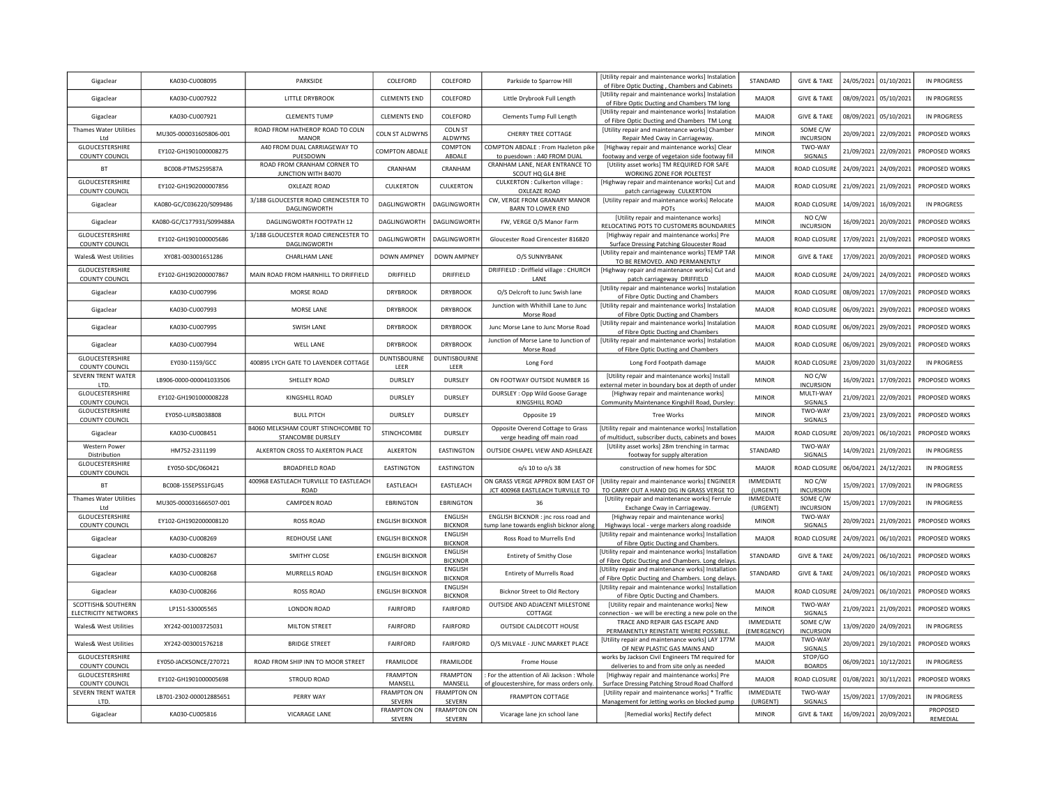| Gigaclear                                     | KA030-CU008095            | PARKSIDE                                                         | COLEFORD                      | COLEFORD                          | Parkside to Sparrow Hill                                                      | [Utility repair and maintenance works] Instalation<br>of Fibre Optic Ducting, Chambers and Cabinets     | STANDARD                  | <b>GIVE &amp; TAKE</b>       |            | 24/05/2021 01/10/2021 | <b>IN PROGRESS</b>    |
|-----------------------------------------------|---------------------------|------------------------------------------------------------------|-------------------------------|-----------------------------------|-------------------------------------------------------------------------------|---------------------------------------------------------------------------------------------------------|---------------------------|------------------------------|------------|-----------------------|-----------------------|
| Gigaclear                                     | KA030-CU007922            | LITTLE DRYBROOK                                                  | <b>CLEMENTS END</b>           | COLEFORD                          | Little Drybrook Full Length                                                   | [Utility repair and maintenance works] Instalation<br>of Fibre Optic Ducting and Chambers TM long       | MAIOR                     | <b>GIVE &amp; TAKE</b>       |            | 08/09/2021 05/10/2021 | IN PROGRESS           |
| Gigaclear                                     | KA030-CU007921            | <b>CLEMENTS TUMP</b>                                             | <b>CLEMENTS END</b>           | COLEFORD                          | Clements Tump Full Length                                                     | [Utility repair and maintenance works] Instalatior<br>of Fibre Optic Ducting and Chambers TM Long       | MAIOR                     | <b>GIVE &amp; TAKE</b>       | 08/09/2021 | 05/10/2021            | IN PROGRESS           |
| <b>Thames Water Utilities</b><br>Ltd          | MU305-000031605806-001    | ROAD FROM HATHEROP ROAD TO COLN<br><b>MANOR</b>                  | <b>COLN ST ALDWYNS</b>        | <b>COLN ST</b><br>ALDWYNS         | CHERRY TREE COTTAGE                                                           | [Utility repair and maintenance works] Chamber                                                          | <b>MINOR</b>              | SOME C/W<br><b>INCURSION</b> | 20/09/2021 | 22/09/2021            | PROPOSED WORKS        |
| GLOUCESTERSHIRE                               | EY102-GH1901000008275     | A40 FROM DUAL CARRIAGEWAY TO                                     | <b>COMPTON ABDALE</b>         | COMPTON                           | COMPTON ABDALE : From Hazleton pike                                           | Repair Med Cway in Carriageway<br>[Highway repair and maintenance works] Clear                          | <b>MINOR</b>              | TWO-WAY                      | 21/09/2021 | 22/09/2021            | PROPOSED WORKS        |
| COUNTY COUNCIL<br>BT                          | BC008-PTMS259587A         | PUESDOWN<br>ROAD FROM CRANHAM CORNER TO                          | CRANHAM                       | ABDALE<br>CRANHAM                 | to puesdown: A40 FROM DUAL<br>CRANHAM LANE, NEAR ENTRANCE TO                  | footway and verge of vegetaion side footway fill<br>[Utility asset works] TM REQUIRED FOR SAFE          | <b>MAJOR</b>              | SIGNALS<br>ROAD CLOSURE      | 24/09/2021 | 24/09/2021            | <b>PROPOSED WORKS</b> |
| GLOUCESTERSHIRE                               | EY102-GH1902000007856     | JUNCTION WITH B4070<br>OXLEAZE ROAD                              | CULKERTON                     | CULKERTON                         | SCOUT HQ GL4 8HE<br>CULKERTON : Culkerton village :                           | WORKING ZONE FOR POLETEST<br>[Highway repair and maintenance works] Cut and                             | MAJOR                     | ROAD CLOSURE                 | 21/09/2021 | 21/09/2021            | <b>PROPOSED WORKS</b> |
| <b>COUNTY COUNCIL</b>                         | KA080-GC/C036220/S099486  | 3/188 GLOUCESTER ROAD CIRENCESTER TO                             | DAGLINGWORTH                  | <b>DAGLINGWORT</b>                | OXLEAZE ROAD<br>CW, VERGE FROM GRANARY MANOR                                  | patch carriageway CULKERTON<br>[Utility repair and maintenance works] Relocate                          | <b>MAJOR</b>              | ROAD CLOSURI                 | 14/09/2021 | 16/09/2021            | <b>IN PROGRESS</b>    |
| Gigaclear                                     |                           | DAGLINGWORTH                                                     |                               |                                   | BARN TO LOWER END                                                             | POTS<br>[Utility repair and maintenance works]                                                          |                           | NO C/W                       |            |                       |                       |
| Gigaclear<br>GLOUCESTERSHIRE                  | KA080-GC/C177931/S099488A | DAGLINGWORTH FOOTPATH 12<br>3/188 GLOUCESTER ROAD CIRENCESTER TO | DAGLINGWORTH                  | <b>DAGLINGWORT</b>                | FW, VERGE O/S Manor Farm                                                      | RELOCATING POTS TO CUSTOMERS BOUNDARIES<br>[Highway repair and maintenance works] Pre                   | <b>MINOR</b>              | <b>INCURSION</b>             | 16/09/2021 | 20/09/2021            | PROPOSED WORKS        |
| COUNTY COUNCIL                                | EY102-GH1901000005686     | DAGLINGWORTH                                                     | DAGLINGWORTH                  | <b>DAGLINGWORT</b>                | Gloucester Road Cirencester 816820                                            | Surface Dressing Patching Gloucester Road<br>[Utility repair and maintenance works] TEMP TAR            | MAJOR                     | ROAD CLOSURI                 | 17/09/2021 | 21/09/2021            | PROPOSED WORKS        |
| Wales& West Utilities                         | XY081-003001651286        | <b>CHARLHAM LANE</b>                                             | DOWN AMPNEY                   | DOWN AMPNEY                       | O/S SUNNYBANK                                                                 | TO BE REMOVED. AND PERMANENTLY                                                                          | <b>MINOR</b>              | <b>GIVE &amp; TAKE</b>       | 17/09/2021 | 20/09/2021            | PROPOSED WORKS        |
| <b>GLOUCESTERSHIRE</b><br>COUNTY COUNCIL      | EY102-GH1902000007867     | MAIN ROAD FROM HARNHILL TO DRIFFIELD                             | DRIFFIELD                     | DRIFFIELD                         | DRIFFIELD : Driffield village : CHURCH<br>LANE                                | [Highway repair and maintenance works] Cut and<br>patch carriageway DRIFFIELD                           | MAJOR                     | ROAD CLOSURI                 | 24/09/2021 | 24/09/2021            | PROPOSED WORKS        |
| Gigaclear                                     | KA030-CU007996            | MORSE ROAD                                                       | <b>DRYBROOK</b>               | <b>DRYBROOK</b>                   | O/S Delcroft to Junc Swish lane                                               | [Utility repair and maintenance works] Instalation<br>of Fibre Optic Ducting and Chambers               | MAJOR                     | ROAD CLOSURE                 | 08/09/2021 | 17/09/2021            | PROPOSED WORKS        |
| Gigaclear                                     | KA030-CU007993            | MORSE LANE                                                       | <b>DRYBROOK</b>               | <b>DRYBROOK</b>                   | Junction with Whithill Lane to Junc<br>Morse Road                             | [Utility repair and maintenance works] Instalation<br>of Fibre Optic Ducting and Chambers               | MAJOR                     | ROAD CLOSURE                 | 06/09/2021 | 29/09/2021            | PROPOSED WORKS        |
| Gigaclear                                     | KA030-CU007995            | SWISH LANE                                                       | <b>DRYBROOK</b>               | <b>DRYBROOK</b>                   | Junc Morse Lane to Junc Morse Road                                            | [Utility repair and maintenance works] Instalation<br>of Fibre Optic Ducting and Chambers               | MAJOR                     | ROAD CLOSURE                 | 06/09/2021 | 29/09/2021            | PROPOSED WORKS        |
| Gigaclear                                     | KA030-CU007994            | WELL LANE                                                        | <b>DRYBROOK</b>               | <b>DRYBROOK</b>                   | Junction of Morse Lane to Junction of<br>Morse Road                           | [Utility repair and maintenance works] Instalation<br>of Fibre Optic Ducting and Chambers               | MAJOR                     | ROAD CLOSURI                 | 06/09/2021 | 29/09/2021            | PROPOSED WORKS        |
| GLOUCESTERSHIRE<br>COUNTY COUNCIL             | EY030-1159/GCC            | 400895 LYCH GATE TO LAVENDER COTTAGE                             | DUNTISBOURNE<br>LEER          | <b>DUNTISBOURNE</b><br>LEER       | Long Ford                                                                     | Long Ford Footpath damage                                                                               | MAJOR                     | ROAD CLOSURI                 | 23/09/2020 | 31/03/2022            | <b>IN PROGRESS</b>    |
| SEVERN TRENT WATER<br>LTD.                    | LB906-0000-000041033506   | SHELLEY ROAD                                                     | DURSLEY                       | <b>DURSLEY</b>                    | ON FOOTWAY OUTSIDE NUMBER 16                                                  | [Utility repair and maintenance works] Install<br>external meter in boundary box at depth of unde       | <b>MINOR</b>              | NO C/W<br><b>INCURSION</b>   | 16/09/2021 | 17/09/2021            | PROPOSED WORKS        |
| GLOUCESTERSHIRE                               | EY102-GH1901000008228     | KINGSHILL ROAD                                                   | <b>DURSLEY</b>                | DURSLEY                           | DURSLEY: Opp Wild Goose Garage                                                | [Highway repair and maintenance works]                                                                  | <b>MINOR</b>              | MULTI-WAY                    | 21/09/2021 | 22/09/2021            | PROPOSED WORKS        |
| <b>COUNTY COUNCIL</b><br>GLOUCESTERSHIRE      | EY050-LURSB038808         | <b>BULL PITCH</b>                                                | DURSLEY                       | DURSLEY                           | KINGSHILL ROAD<br>Opposite 19                                                 | Community Maintenance Kingshill Road, Dursley:<br><b>Tree Works</b>                                     | <b>MINOR</b>              | SIGNALS<br>TWO-WAY           | 23/09/2021 | 23/09/2021            | PROPOSED WORKS        |
| <b>COUNTY COUNCIL</b><br>Gigaclear            | KA030-CU008451            | B4060 MELKSHAM COURT STINCHCOMBE TO                              | STINCHCOMBE                   | DURSLEY                           | Opposite Overend Cottage to Grass                                             | [Utility repair and maintenance works] Installatior                                                     | MAJOR                     | SIGNALS<br>ROAD CLOSURI      | 20/09/2021 | 06/10/2021            | PROPOSED WORKS        |
| Western Power                                 | HM752-2311199             | STANCOMBE DURSLEY<br>ALKERTON CROSS TO ALKERTON PLACE            | <b>ALKERTON</b>               | EASTINGTON                        | verge heading off main road<br>OUTSIDE CHAPEL VIEW AND ASHLEAZE               | of multiduct, subscriber ducts, cabinets and boxes<br>[Utility asset works] 28m trenching in tarmac     | STANDARD                  | TWO-WAY                      | 14/09/2021 | 21/09/2021            | <b>IN PROGRESS</b>    |
| Distribution<br>GLOUCESTERSHIRE               | EY050-SDC/060421          | <b>BROADFIELD ROAD</b>                                           | <b>EASTINGTON</b>             | EASTINGTON                        | o/s 10 to o/s 38                                                              | footway for supply alteration<br>construction of new homes for SDC                                      | MAJOR                     | SIGNALS<br>ROAD CLOSURI      | 06/04/2021 | 24/12/2021            | <b>IN PROGRESS</b>    |
| COUNTY COUNCIL                                |                           | 400968 EASTLEACH TURVILLE TO EASTLEACH                           |                               |                                   |                                                                               | ON GRASS VERGE APPROX 80M EAST OF   [Utility repair and maintenance works] ENGINEER                     | IMMEDIATE                 | NO C/W                       |            |                       |                       |
| BT                                            | BC008-15SEPSS1FGJ45       | ROAD                                                             | EASTLEACH                     | EASTLEACH                         | JCT 400968 EASTLEACH TURVILLE TO                                              | TO CARRY OUT A HAND DIG IN GRASS VERGE TO                                                               | (URGENT)                  | <b>INCURSION</b>             | 15/09/2021 | 17/09/2021            | <b>IN PROGRESS</b>    |
| Thames Water Utilities<br>I td                | MU305-000031666507-001    | CAMPDEN ROAD                                                     | EBRINGTON                     | EBRINGTON                         | 36                                                                            | [Utility repair and maintenance works] Ferrule<br>Exchange Cway in Carriageway                          | IMMEDIATE<br>(URGENT)     | SOME C/W<br><b>INCURSION</b> | 15/09/2021 | 17/09/2021            | <b>IN PROGRESS</b>    |
| GLOUCESTERSHIRE<br>COUNTY COUNCIL             | EY102-GH1902000008120     | <b>ROSS ROAD</b>                                                 | <b>ENGLISH BICKNOR</b>        | ENGLISH<br><b>BICKNOR</b>         | ENGLISH BICKNOR : jnc ross road and<br>ump lane towards english bicknor along | [Highway repair and maintenance works]<br>Highways local - verge markers along roadside                 | <b>MINOR</b>              | TWO-WAY<br>SIGNALS           | 20/09/2021 | 21/09/2021            | PROPOSED WORKS        |
| Gigaclear                                     | KA030-CU008269            | REDHOUSE LANE                                                    | <b>ENGLISH BICKNOR</b>        | ENGLISH<br><b>BICKNOR</b>         | Ross Road to Murrells End                                                     | [Utility repair and maintenance works] Installatior<br>of Fibre Optic Ducting and Chambers.             | <b>MAJOR</b>              | ROAD CLOSURE                 |            | 24/09/2021 06/10/2021 | PROPOSED WORKS        |
| Gigaclear                                     | KA030-CU008267            | SMITHY CLOSE                                                     | <b>ENGLISH BICKNOR</b>        | ENGLISH<br><b>BICKNOR</b>         | <b>Entirety of Smithy Close</b>                                               | [Utility repair and maintenance works] Installatior<br>of Fibre Optic Ducting and Chambers. Long delays | STANDARD                  | <b>GIVE &amp; TAKE</b>       |            | 24/09/2021 06/10/2021 | PROPOSED WORKS        |
| Gigaclear                                     | KA030-CU008268            | MURRELLS ROAD                                                    | <b>ENGLISH BICKNOR</b>        | ENGLISH<br><b>BICKNOR</b>         | <b>Entirety of Murrells Road</b>                                              | [Utility repair and maintenance works] Installation<br>of Fibre Optic Ducting and Chambers. Long delays | STANDARD                  | <b>GIVE &amp; TAKE</b>       |            | 24/09/2021 06/10/2021 | PROPOSED WORKS        |
| Gigaclear                                     | KA030-CU008266            | <b>ROSS ROAD</b>                                                 | <b>ENGLISH BICKNOR</b>        | ENGLISH                           | Bicknor Street to Old Rectory                                                 | [Utility repair and maintenance works] Installatior                                                     | MAJOR                     | ROAD CLOSURE                 |            | 24/09/2021 06/10/2021 | PROPOSED WORKS        |
| SCOTTISH& SOUTHERN                            | LP151-S30005565           | <b>LONDON ROAD</b>                                               | <b>FAIRFORD</b>               | <b>BICKNOR</b><br><b>FAIRFORD</b> | OUTSIDE AND ADJACENT MILESTONE                                                | of Fibre Optic Ducting and Chambers.<br>[Utility repair and maintenance works] New                      | <b>MINOR</b>              | TWO-WAY                      | 21/09/2021 | 21/09/2021            | PROPOSED WORKS        |
| ELECTRICITY NETWORKS<br>Wales& West Utilities | XY242-001003725031        | <b>MILTON STREET</b>                                             | <b>FAIRFORD</b>               | <b>FAIRFORD</b>                   | COTTAGE<br>OUTSIDE CALDECOTT HOUSE                                            | connection - we will be erecting a new pole on the<br>TRACE AND REPAIR GAS ESCAPE AND                   | <b>IMMEDIATE</b>          | SIGNALS<br>SOME C/W          |            | 13/09/2020 24/09/2021 | <b>IN PROGRESS</b>    |
|                                               | XY242-003001576218        | <b>BRIDGE STREET</b>                                             | <b>FAIRFORD</b>               | FAIRFORD                          | O/S MILVALE - JUNC MARKET PLACE                                               | PERMANENTLY REINSTATE WHERE POSSIBLE.<br>[Utility repair and maintenance works] LAY 177M                | (EMERGENCY)               | <b>INCURSION</b><br>TWO-WAY  | 20/09/2021 | 29/10/2021            | PROPOSED WORKS        |
| Wales& West Utilities<br>GLOUCESTERSHIRE      | EY050-JACKSONCE/270721    | ROAD FROM SHIP INN TO MOOR STREET                                | FRAMILODE                     | FRAMILODE                         |                                                                               | OF NEW PLASTIC GAS MAINS AND<br>works by Jackson Civil Engineers TM required for                        | MAJOR<br>MAJOR            | SIGNALS<br>STOP/GO           | 06/09/2021 | 10/12/2021            | IN PROGRESS           |
| <b>COUNTY COUNCIL</b><br>GLOUCESTERSHIRE      |                           |                                                                  | <b>FRAMPTON</b>               | <b>FRAMPTON</b>                   | Frome House<br>For the attention of Ali Jackson: Whole                        | deliveries to and from site only as needed<br>[Highway repair and maintenance works] Pre                |                           | <b>BOARDS</b>                |            |                       |                       |
| <b>COUNTY COUNCIL</b><br>SEVERN TRENT WATER   | EY102-GH1901000005698     | <b>STROUD ROAD</b>                                               | MANSELL<br><b>FRAMPTON ON</b> | MANSELL<br><b>FRAMPTON ON</b>     | of gloucestershire, for mass orders only.                                     | Surface Dressing Patching Stroud Road Chalford<br>[Utility repair and maintenance works] * Traffic      | MAJOR<br><b>IMMEDIATE</b> | ROAD CLOSUR<br>TWO-WAY       | 01/08/2021 | 30/11/2021            | PROPOSED WORKS        |
| LTD.                                          | LB701-2302-000012885651   | PERRY WAY                                                        | SEVERN                        | <b>SEVERN</b>                     | <b>FRAMPTON COTTAGE</b>                                                       | Management for Jetting works on blocked pump                                                            | (URGENT)                  | SIGNALS                      | 15/09/2021 | 17/09/2021            | <b>IN PROGRESS</b>    |
| Gigaclear                                     | KA030-CU005816            | <b>VICARAGE LANE</b>                                             | <b>FRAMPTON ON</b><br>SEVERN  | <b>FRAMPTON ON</b><br>SEVERN      | Vicarage lane jcn school lane                                                 | [Remedial works] Rectify defect                                                                         | <b>MINOR</b>              | <b>GIVE &amp; TAKE</b>       |            | 16/09/2021 20/09/2021 | PROPOSED<br>REMEDIAL  |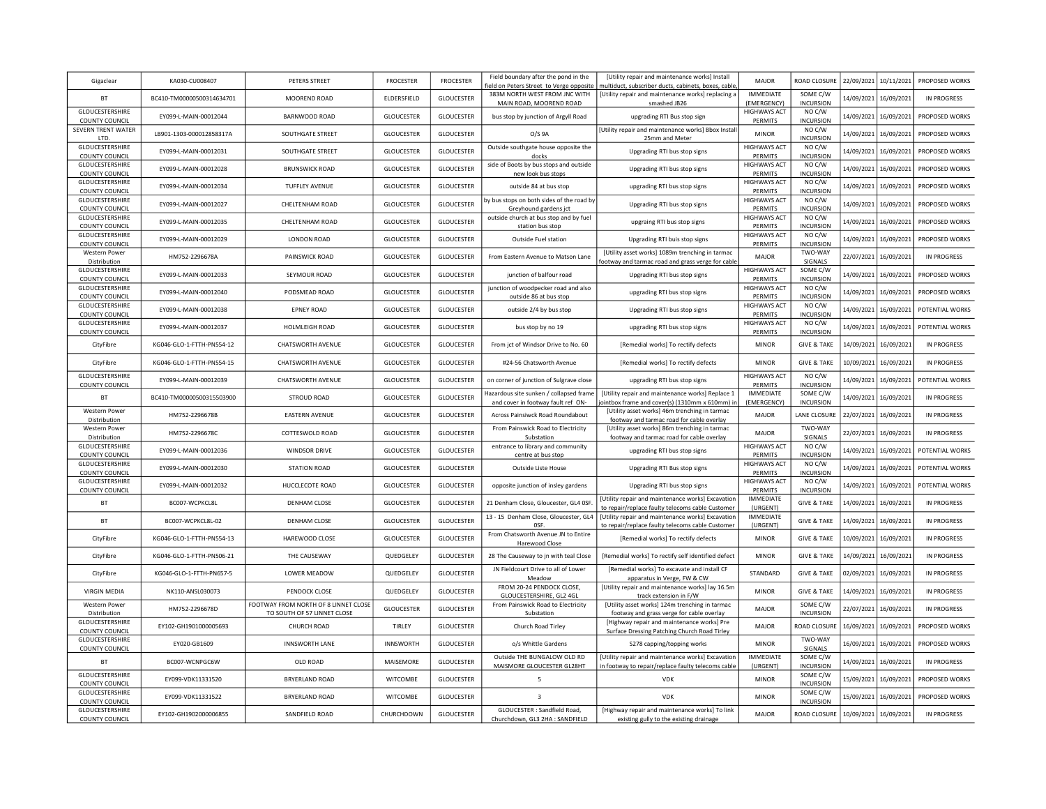| Gigaclear                                                  | KA030-CU008407            | PETERS STREET                                                       | <b>FROCESTER</b>  | FROCESTER         | Field boundary after the pond in the                                   | [Utility repair and maintenance works] Install<br>field on Peters Street to Verge opposite   multiduct, subscriber ducts, cabinets, boxes, cable | <b>MAJOR</b>                          | <b>ROAD CLOSURE</b>                            |            | 22/09/2021 10/11/2021 | PROPOSED WORKS     |
|------------------------------------------------------------|---------------------------|---------------------------------------------------------------------|-------------------|-------------------|------------------------------------------------------------------------|--------------------------------------------------------------------------------------------------------------------------------------------------|---------------------------------------|------------------------------------------------|------------|-----------------------|--------------------|
| BT                                                         | BC410-TM00000500314634701 | MOOREND ROAD                                                        | ELDERSFIELD       | <b>GLOUCESTER</b> | 383M NORTH WEST FROM JNC WITH                                          | [Utility repair and maintenance works] replacing a                                                                                               | <b>IMMEDIATE</b>                      | SOME C/W<br><b>INCURSION</b>                   | 14/09/2021 | 16/09/2021            | <b>IN PROGRESS</b> |
| GLOUCESTERSHIRE                                            | EY099-L-MAIN-00012044     | BARNWOOD ROAD                                                       | <b>GLOUCESTER</b> | <b>GLOUCESTER</b> | MAIN ROAD, MOOREND ROAD<br>bus stop by junction of Argyll Road         | smashed JB26<br>upgrading RTI Bus stop sign                                                                                                      | (EMERGENCY)<br><b>HIGHWAYS ACT</b>    | NO C/W                                         | 14/09/2021 | 16/09/2021            | PROPOSED WORKS     |
| <b>COUNTY COUNCIL</b><br>SEVERN TRENT WATER<br>LTD.        | LB901-1303-000012858317A  | <b>SOUTHGATE STREET</b>                                             | <b>GLOUCESTER</b> | <b>GLOUCESTER</b> | O/S 9A                                                                 | [Utility repair and maintenance works] Bbox Instal<br>25mm and Meter                                                                             | PERMITS<br><b>MINOR</b>               | <b>INCURSION</b><br>NO C/W<br><b>INCURSION</b> | 14/09/2021 | 16/09/2021            | PROPOSED WORKS     |
| GLOUCESTERSHIRE                                            | EY099-L-MAIN-00012031     | SOUTHGATE STREET                                                    | <b>GLOUCESTER</b> | <b>GLOUCESTER</b> | Outside southgate house opposite the<br>docks                          | Upgrading RTI bus stop signs                                                                                                                     | <b>HIGHWAYS ACT</b><br>PERMITS        | NO C/W<br><b>INCURSION</b>                     | 14/09/2021 | 16/09/2021            | PROPOSED WORKS     |
| <b>COUNTY COUNCIL</b><br>GLOUCESTERSHIRE<br>COUNTY COUNCIL | EY099-L-MAIN-00012028     | <b>BRUNSWICK ROAD</b>                                               | <b>GLOUCESTER</b> | GLOUCESTER        | side of Boots by bus stops and outside<br>new look bus stops           | Upgrading RTI bus stop signs                                                                                                                     | <b>HIGHWAYS ACT</b><br>PERMITS        | NO C/W<br><b>INCURSION</b>                     | 14/09/2021 | 16/09/2021            | PROPOSED WORKS     |
| GLOUCESTERSHIRE<br><b>COUNTY COUNCIL</b>                   | EY099-L-MAIN-00012034     | <b>TUFFLEY AVENUE</b>                                               | <b>GLOUCESTER</b> | <b>GLOUCESTER</b> | outside 84 at bus stop                                                 | upgrading RTI bus stop signs                                                                                                                     | <b>HIGHWAYS ACT</b><br>PERMITS        | NO C/W<br><b>INCURSION</b>                     | 14/09/2021 | 16/09/2021            | PROPOSED WORKS     |
| GLOUCESTERSHIRE<br><b>COUNTY COUNCIL</b>                   | FY099-L-MAIN-00012027     | CHEITENHAM ROAD                                                     | <b>GLOUCESTER</b> | <b>GLOUCESTER</b> | by bus stops on both sides of the road by<br>Greyhound gardens jct     | Upgrading RTI bus stop signs                                                                                                                     | <b>HIGHWAYS ACT</b><br>PERMITS        | NO C/W<br><b>INCURSION</b>                     | 14/09/2021 | 16/09/2021            | PROPOSED WORKS     |
| GLOUCESTERSHIRE<br><b>COUNTY COUNCIL</b>                   | FY099-L-MAIN-00012035     | CHELTENHAM ROAD                                                     | <b>GLOUCESTER</b> | <b>GLOUCESTER</b> | outside church at bus stop and by fuel<br>station bus stop             | upgraing RTI bus stop signs                                                                                                                      | <b>HIGHWAYS ACT</b><br>PERMITS        | NO C/W<br><b>INCURSION</b>                     | 14/09/2021 | 16/09/2021            | PROPOSED WORKS     |
| GLOUCESTERSHIRE<br><b>COUNTY COUNCIL</b>                   | EY099-L-MAIN-00012029     | <b>LONDON ROAD</b>                                                  | <b>GLOUCESTER</b> | GLOUCESTER        | Outside Fuel station                                                   | Upgrading RTI buis stop signs                                                                                                                    | <b>HIGHWAYS ACT</b><br>PERMITS        | NO C/W<br><b>INCURSION</b>                     | 14/09/2021 | 16/09/2021            | PROPOSED WORKS     |
| Western Power<br>Distribution                              | HM752-2296678A            | PAINSWICK ROAD                                                      | <b>GLOUCESTER</b> | <b>GLOUCESTER</b> | From Eastern Avenue to Matson Lane                                     | [Utility asset works] 1089m trenching in tarmac<br>ootway and tarmac road and grass verge for cable                                              | <b>MAJOR</b>                          | TWO-WAY<br>SIGNALS                             | 22/07/2021 | 16/09/2021            | IN PROGRESS        |
| GLOUCESTERSHIRE<br><b>COUNTY COUNCIL</b>                   | EY099-L-MAIN-00012033     | SEYMOUR ROAD                                                        | <b>GLOUCESTER</b> | <b>GLOUCESTER</b> | junction of balfour road                                               | Upgrading RTI bus stop signs                                                                                                                     | <b>HIGHWAYS ACT</b><br>PERMITS        | SOME C/W<br><b>INCURSION</b>                   | 14/09/2021 | 16/09/2021            | PROPOSED WORKS     |
| GLOUCESTERSHIRE<br>COUNTY COUNCIL                          | EY099-L-MAIN-00012040     | PODSMEAD ROAD                                                       | <b>GLOUCESTER</b> | <b>GLOUCESTER</b> | junction of woodpecker road and also<br>outside 86 at bus stop         | upgrading RTI bus stop signs                                                                                                                     | <b>HIGHWAYS ACT</b><br>PERMITS        | NO C/W<br><b>INCURSION</b>                     | 14/09/2021 | 16/09/2021            | PROPOSED WORKS     |
| GLOUCESTERSHIRE                                            | EY099-L-MAIN-00012038     | <b>EPNEY ROAD</b>                                                   | <b>GLOUCESTER</b> | <b>GLOUCESTER</b> | outside 2/4 by bus stop                                                | Upgrading RTI bus stop signs                                                                                                                     | <b>HIGHWAYS ACT</b><br><b>PERMITS</b> | NO C/W<br><b>INCURSION</b>                     | 14/09/2021 | 16/09/2021            | POTENTIAL WORKS    |
| COUNTY COUNCIL<br>GLOUCESTERSHIRE                          | EY099-L-MAIN-00012037     | HOLMLEIGH ROAD                                                      | <b>GLOUCESTER</b> | GLOUCESTER        | bus stop by no 19                                                      | upgrading RTI bus stop signs                                                                                                                     | <b>HIGHWAYS ACT</b>                   | NO C/W                                         | 14/09/2021 | 16/09/2021            | POTENTIAL WORKS    |
| COUNTY COUNCIL<br>CityFibre                                | KG046-GLO-1-FTTH-PN554-12 | CHATSWORTH AVENUE                                                   | <b>GLOUCESTER</b> | <b>GLOUCESTER</b> | From jct of Windsor Drive to No. 60                                    | [Remedial works] To rectify defects                                                                                                              | <b>PERMITS</b><br><b>MINOR</b>        | <b>INCURSION</b><br><b>GIVE &amp; TAKE</b>     | 14/09/2021 | 16/09/2021            | <b>IN PROGRESS</b> |
| CityFibre                                                  | KG046-GLO-1-FTTH-PN554-15 | CHATSWORTH AVENUE                                                   | <b>GLOUCESTER</b> | <b>GLOUCESTER</b> | #24-56 Chatsworth Avenue                                               | [Remedial works] To rectify defects                                                                                                              | <b>MINOR</b>                          | <b>GIVE &amp; TAKE</b>                         | 10/09/2021 | 16/09/2021            | <b>IN PROGRESS</b> |
| GLOUCESTERSHIRE                                            | EY099-L-MAIN-00012039     | CHATSWORTH AVENUE                                                   | <b>GLOUCESTER</b> | GLOUCESTER        | on corner of junction of Sulgrave close                                | upgrading RTI bus stop signs                                                                                                                     | <b>HIGHWAYS ACT</b>                   | NO C/W                                         | 14/09/2021 | 16/09/2021            | POTENTIAL WORKS    |
| <b>COUNTY COUNCIL</b><br><b>BT</b>                         | BC410-TM00000500315503900 | STROUD ROAD                                                         | <b>GLOUCESTER</b> | <b>GLOUCESTER</b> | Hazardous site sunken / collapsed frame                                | [Utility repair and maintenance works] Replace 1                                                                                                 | PERMITS<br><b>IMMEDIATE</b>           | <b>INCURSION</b><br>SOME C/W                   | 14/09/2021 | 16/09/2021            | <b>IN PROGRESS</b> |
| Western Power                                              | HM752-2296678B            | <b>EASTERN AVENUE</b>                                               | <b>GLOUCESTER</b> | <b>GLOUCESTER</b> | and cover in footway fault ref ON-<br>Across Painsiwck Road Roundabout | ointbox frame and cover(s) (1310mm x 610mm) ir<br>[Utility asset works] 46m trenching in tarmac                                                  | (EMERGENCY)<br>MAIOR                  | <b>INCURSION</b><br><b>LANE CLOSURE</b>        | 22/07/2021 | 16/09/2021            | <b>IN PROGRESS</b> |
| Distribution<br>Western Power                              | HM752-2296678C            | COTTESWOLD ROAD                                                     | <b>GLOUCESTER</b> | <b>GLOUCESTER</b> | From Painswick Road to Electricity                                     | footway and tarmac road for cable overlay<br>[Utility asset works] 86m trenching in tarmac                                                       | MAJOR                                 | TWO-WAY                                        | 22/07/2021 | 16/09/2021            | IN PROGRESS        |
| Distribution<br>GLOUCESTERSHIRE                            | EY099-L-MAIN-00012036     | <b>WINDSOR DRIVE</b>                                                |                   |                   | Substation<br>entrance to library and community                        | footway and tarmac road for cable overlay                                                                                                        | <b>HIGHWAYS ACT</b>                   | SIGNALS<br>NO C/W                              |            |                       | POTENTIAL WORKS    |
| <b>COUNTY COUNCIL</b><br>GLOUCESTERSHIRE                   |                           |                                                                     | <b>GLOUCESTER</b> | <b>GLOUCESTER</b> | centre at bus stop                                                     | upgrading RTI bus stop signs                                                                                                                     | PERMITS<br><b>HIGHWAYS ACT</b>        | INCURSION<br>NO C/W                            | 14/09/2021 | 16/09/2021            |                    |
| <b>COUNTY COUNCIL</b><br>GLOUCESTERSHIRE                   | EY099-L-MAIN-00012030     | <b>STATION ROAD</b>                                                 | <b>GLOUCESTER</b> | GLOUCESTER        | Outside Liste House                                                    | Upgrading RTI Bus stop signs                                                                                                                     | PERMITS<br><b>HIGHWAYS ACT</b>        | <b>INCURSION</b><br>NO C/W                     | 14/09/2021 | 16/09/2021            | POTENTIAL WORKS    |
| COUNTY COUNCIL                                             | EY099-L-MAIN-00012032     | HUCCLECOTE ROAD                                                     | GLOUCESTER        | GLOUCESTER        | opposite junction of insley gardens                                    | Upgrading RTI bus stop signs                                                                                                                     | PERMITS                               | <b>INCURSION</b>                               | 14/09/2021 | 16/09/2021            | POTENTIAL WORKS    |
| <b>BT</b>                                                  | BC007-WCPKCL8L            | <b>DENHAM CLOSE</b>                                                 | <b>GLOUCESTER</b> | <b>GLOUCESTER</b> | 21 Denham Close, Gloucester, GL4 0SF.                                  | [Utility repair and maintenance works] Excavatior<br>to repair/replace faulty telecoms cable Customer                                            | <b>IMMEDIATE</b><br>(URGENT)          | <b>GIVE &amp; TAKE</b>                         | 14/09/2021 | 16/09/2021            | <b>IN PROGRESS</b> |
| BT                                                         | BC007-WCPKCL8L-02         | <b>DENHAM CLOSE</b>                                                 | <b>GLOUCESTER</b> | <b>GLOUCESTER</b> | 13 - 15 Denham Close, Gloucester, GL4<br>0SF                           | [Utility repair and maintenance works] Excavation<br>to repair/replace faulty telecoms cable Customer                                            | <b>IMMEDIATE</b><br>(URGENT)          | <b>GIVE &amp; TAKE</b>                         | 14/09/2021 | 16/09/2021            | <b>IN PROGRESS</b> |
| CityFibre                                                  | KG046-GLO-1-FTTH-PN554-13 | HAREWOOD CLOSE                                                      | <b>GLOUCESTER</b> | <b>GLOUCESTER</b> | From Chatsworth Avenue JN to Entire<br>Harewood Close                  | [Remedial works] To rectify defects                                                                                                              | <b>MINOR</b>                          | <b>GIVE &amp; TAKE</b>                         | 10/09/2021 | 16/09/2021            | <b>IN PROGRESS</b> |
| CityFibre                                                  | KG046-GLO-1-FTTH-PN506-21 | THE CAUSEWAY                                                        | QUEDGELEY         | GLOUCESTER        | 28 The Causeway to jn with teal Close                                  | [Remedial works] To rectify self identified defect                                                                                               | <b>MINOR</b>                          | <b>GIVE &amp; TAKE</b>                         | 14/09/2021 | 16/09/2021            | <b>IN PROGRESS</b> |
| CityFibre                                                  | KG046-GLO-1-FTTH-PN657-5  | LOWER MEADOW                                                        | QUEDGELEY         | <b>GLOUCESTER</b> | JN Fieldcourt Drive to all of Lower<br>Meadow                          | [Remedial works] To excavate and install CF<br>apparatus in Verge, FW & CW                                                                       | STANDARD                              | <b>GIVE &amp; TAKE</b>                         | 02/09/2021 | 16/09/2021            | <b>IN PROGRESS</b> |
| <b>VIRGIN MEDIA</b>                                        | NK110-ANSL030073          | PENDOCK CLOSE                                                       | QUEDGELEY         | <b>GLOUCESTER</b> | FROM 20-24 PENDOCK CLOSE,<br>GLOUCESTERSHIRE, GL2 4GL                  | [Utility repair and maintenance works] lay 16.5m<br>track extension in F/W                                                                       | <b>MINOR</b>                          | <b>GIVE &amp; TAKE</b>                         | 14/09/2021 | 16/09/2021            | <b>IN PROGRESS</b> |
| Western Power<br>Distribution                              | HM752-2296678D            | FOOTWAY FROM NORTH OF 8 LINNET CLOSE<br>TO SOUTH OF 57 LINNET CLOSE | <b>GLOUCESTER</b> | <b>GLOUCESTER</b> | From Painswick Road to Electricity<br>Substation                       | [Utility asset works] 124m trenching in tarmac<br>footway and grass verge for cable overlay                                                      | <b>MAJOR</b>                          | SOME C/W<br><b>INCURSION</b>                   | 22/07/2021 | 16/09/2021            | IN PROGRESS        |
| GLOUCESTERSHIRE<br><b>COUNTY COUNCIL</b>                   | EY102-GH1901000005693     | CHURCH ROAD                                                         | TIRLEY            | <b>GLOUCESTER</b> | Church Road Tirley                                                     | [Highway repair and maintenance works] Pre<br>Surface Dressing Patching Church Road Tirley                                                       | <b>MAJOR</b>                          | ROAD CLOSURE                                   | 16/09/2021 | 16/09/2021            | PROPOSED WORKS     |
| GLOUCESTERSHIRE<br>COUNTY COUNCIL                          | EY020-GB1609              | <b>INNSWORTH LANE</b>                                               | <b>INNSWORTH</b>  | GLOUCESTER        | o/s Whittle Gardens                                                    | S278 capping/topping works                                                                                                                       | <b>MINOR</b>                          | TWO-WAY<br>SIGNALS                             | 16/09/2021 | 16/09/2021            | PROPOSED WORKS     |
| BT                                                         | BC007-WCNPGC6W            | OLD ROAD                                                            | MAISEMORE         | <b>GLOUCESTER</b> | Outside THE BUNGALOW OLD RD<br>MAISMORE GLOUCESTER GL28HT              | [Utility repair and maintenance works] Excavation<br>in footway to repair/replace faulty telecoms cable                                          | <b>IMMEDIATE</b><br>(URGENT)          | SOME C/W<br><b>INCURSION</b>                   | 14/09/2021 | 16/09/2021            | IN PROGRESS        |
| GLOUCESTERSHIRE<br><b>COUNTY COUNCIL</b>                   | EY099-VDK11331520         | BRYERLAND ROAD                                                      | WITCOMBE          | GLOUCESTER        | 5                                                                      | <b>VDK</b>                                                                                                                                       | <b>MINOR</b>                          | SOME C/W<br><b>INCURSION</b>                   | 15/09/2021 | 16/09/2021            | PROPOSED WORKS     |
| GLOUCESTERSHIRE<br><b>COUNTY COUNCIL</b>                   | EY099-VDK11331522         | <b>BRYERLAND ROAD</b>                                               | <b>WITCOMBE</b>   | <b>GLOUCESTER</b> | 3                                                                      | <b>VDK</b>                                                                                                                                       | <b>MINOR</b>                          | SOME C/W<br><b>INCURSION</b>                   | 15/09/2021 | 16/09/2021            | PROPOSED WORKS     |
| GLOUCESTERSHIRE<br><b>COUNTY COUNCIL</b>                   | EY102-GH1902000006855     | SANDFIELD ROAD                                                      | CHURCHDOWN        | <b>GLOUCESTER</b> | GLOUCESTER : Sandfield Road,<br>Churchdown, GL3 2HA : SANDFIELD        | [Highway repair and maintenance works] To link<br>existing gully to the existing drainage                                                        | MAIOR                                 | ROAD CLOSURE                                   | 10/09/2021 | 16/09/2021            | <b>IN PROGRESS</b> |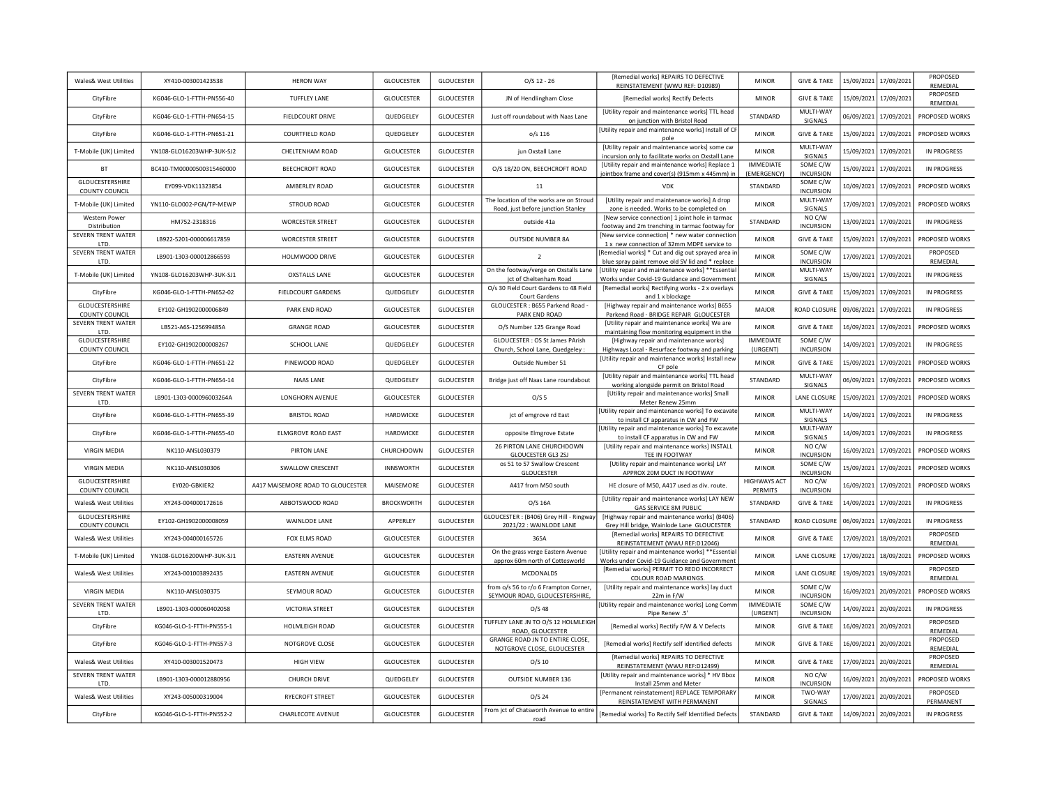| Wales& West Utilities                    | XY410-003001423538        | <b>HERON WAY</b>                  | GLOUCESTER        | GLOUCESTER        | $O/S$ 12 - 26                                                                 | [Remedial works] REPAIRS TO DEFECTIVE<br>REINSTATEMENT (WWU REF: D10989)                               | <b>MINOR</b>                    | <b>GIVE &amp; TAKE</b>       |                       | 15/09/2021 17/09/2021 | PROPOSED<br>REMEDIAL        |
|------------------------------------------|---------------------------|-----------------------------------|-------------------|-------------------|-------------------------------------------------------------------------------|--------------------------------------------------------------------------------------------------------|---------------------------------|------------------------------|-----------------------|-----------------------|-----------------------------|
| CityFibre                                | KG046-GLO-1-FTTH-PN556-40 | <b>TUFFLEY LANE</b>               | <b>GLOUCESTER</b> | <b>GLOUCESTER</b> | JN of Hendlingham Close                                                       | [Remedial works] Rectify Defects                                                                       | <b>MINOR</b>                    | <b>GIVE &amp; TAKE</b>       | 15/09/2021            | 17/09/2021            | PROPOSED<br>REMEDIAL        |
| CityFibre                                | KG046-GLO-1-FTTH-PN654-15 | FIELDCOURT DRIVE                  | QUEDGELEY         | <b>GLOUCESTER</b> | Just off roundabout with Naas Lane                                            | [Utility repair and maintenance works] TTL head<br>on junction with Bristol Road                       | STANDARD                        | MULTI-WAY<br>SIGNALS         |                       | 06/09/2021 17/09/2021 | PROPOSED WORKS              |
| CityFibre                                | KG046-GLO-1-FTTH-PN651-21 | COURTFIELD ROAD                   | QUEDGELEY         | <b>GLOUCESTER</b> | $o/s$ 116                                                                     | [Utility repair and maintenance works] Install of CF<br>pole                                           | <b>MINOR</b>                    | <b>GIVE &amp; TAKE</b>       |                       | 15/09/2021 17/09/2021 | PROPOSED WORKS              |
| T-Mobile (UK) Limited                    | YN108-GLO16203WHP-3UK-SJ2 | CHELTENHAM ROAD                   | <b>GLOUCESTER</b> | GLOUCESTER        | jun Oxstall Lane                                                              | [Utility repair and maintenance works] some cw<br>incursion only to facilitate works on Oxstall Lane   | <b>MINOR</b>                    | MULTI-WAY<br><b>SIGNALS</b>  |                       | 15/09/2021 17/09/2021 | <b>IN PROGRESS</b>          |
| <b>BT</b>                                | BC410-TM00000500315460000 | <b>BEECHCROFT ROAD</b>            | <b>GLOUCESTER</b> | <b>GLOUCESTER</b> | O/S 18/20 ON, BEECHCROFT ROAD                                                 | [Utility repair and maintenance works] Replace 1<br>jointbox frame and cover(s) (915mm x 445mm) in     | <b>IMMEDIATE</b><br>(EMERGENCY) | SOME C/W<br><b>INCURSION</b> |                       | 15/09/2021 17/09/2021 | <b>IN PROGRESS</b>          |
| GLOUCESTERSHIRE<br><b>COUNTY COUNCIL</b> | EY099-VDK11323854         | AMBERLEY ROAD                     | <b>GLOUCESTER</b> | <b>GLOUCESTER</b> | 11                                                                            | VDK                                                                                                    | STANDARD                        | SOME C/W<br><b>INCURSION</b> |                       | 10/09/2021 17/09/2021 | PROPOSED WORKS              |
| T-Mobile (UK) Limited                    | YN110-GLO002-PGN/TP-MEWP  | STROUD ROAD                       | <b>GLOUCESTER</b> | GLOUCESTER        | The location of the works are on Stroud<br>Road, just before junction Stanley | [Utility repair and maintenance works] A drop<br>zone is needed. Works to be completed on              | <b>MINOR</b>                    | MULTI-WAY<br>SIGNALS         |                       | 17/09/2021 17/09/2021 | PROPOSED WORKS              |
| <b>Western Power</b><br>Distribution     | HM752-2318316             | <b>WORCESTER STREET</b>           | <b>GLOUCESTER</b> | <b>GLOUCESTER</b> | outside 41a                                                                   | [New service connection] 1 joint hole in tarmac<br>footway and 2m trenching in tarmac footway for      | STANDARD                        | NO C/W<br><b>INCURSION</b>   |                       | 13/09/2021 17/09/2021 | <b>IN PROGRESS</b>          |
| SEVERN TRENT WATER<br>LTD                | LB922-5201-000006617859   | <b>WORCESTER STREET</b>           | <b>GLOUCESTER</b> | GLOUCESTER        | <b>OUTSIDE NUMBER 8A</b>                                                      | [New service connection] * new water connectior<br>1 x new connection of 32mm MDPE service to          | <b>MINOR</b>                    | <b>GIVE &amp; TAKE</b>       | 15/09/2021            | 17/09/2021            | PROPOSED WORKS              |
| SEVERN TRENT WATER<br>LTD.               | LB901-1303-000012866593   | HOLMWOOD DRIVE                    | <b>GLOUCESTER</b> | GLOUCESTER        | $\overline{2}$                                                                | [Remedial works] * Cut and dig out sprayed area ir<br>blue spray paint remove old SV lid and * replace | <b>MINOR</b>                    | SOME C/W<br><b>INCURSION</b> | 17/09/2021            | 17/09/2021            | <b>PROPOSED</b><br>REMEDIAL |
| T-Mobile (UK) Limited                    | YN108-GLO16203WHP-3UK-SJ1 | <b>OXSTALLS LANE</b>              | <b>GLOUCESTER</b> | GLOUCESTER        | On the footway/verge on Oxstalls Lane<br>jct of Cheltenham Road               | [Utility repair and maintenance works] **Essentia<br>Works under Covid-19 Guidance and Government      | <b>MINOR</b>                    | MULTI-WAY<br>SIGNALS         | 15/09/2021            | 17/09/2021            | <b>IN PROGRESS</b>          |
| CityFibre                                | KG046-GLO-1-FTTH-PN652-02 | FIELDCOURT GARDENS                | QUEDGELEY         | GLOUCESTER        | O/s 30 Field Court Gardens to 48 Field<br>Court Gardens                       | [Remedial works] Rectifying works - 2 x overlays<br>and 1 x blockage                                   | <b>MINOR</b>                    | <b>GIVE &amp; TAKE</b>       | 15/09/2021            | 17/09/2021            | <b>IN PROGRESS</b>          |
| GLOUCESTERSHIRE<br>COUNTY COUNCIL        | EY102-GH1902000006849     | PARK END ROAD                     | <b>GLOUCESTER</b> | <b>GLOUCESTER</b> | GLOUCESTER: B655 Parkend Road -<br>PARK END ROAD                              | [Highway repair and maintenance works] B655<br>Parkend Road - BRIDGE REPAIR GLOUCESTER                 | MAJOR                           | ROAD CLOSURI                 | 09/08/2021            | 17/09/2021            | <b>IN PROGRESS</b>          |
| SEVERN TRENT WATER<br>LTD.               | LB521-A6S-125699485A      | <b>GRANGE ROAD</b>                | <b>GLOUCESTER</b> | <b>GLOUCESTER</b> | O/S Number 125 Grange Road                                                    | [Utility repair and maintenance works] We are<br>maintaining flow monitoring equipment in the          | <b>MINOR</b>                    | <b>GIVE &amp; TAKE</b>       | 16/09/2021            | 17/09/2021            | PROPOSED WORKS              |
| GLOUCESTERSHIRE<br><b>COUNTY COUNCIL</b> | EY102-GH1902000008267     | SCHOOL LANE                       | QUEDGELEY         | <b>GLOUCESTER</b> | GLOUCESTER : OS St James PArish<br>Church, School Lane, Quedgeley :           | [Highway repair and maintenance works]<br>Highways Local - Resurface footway and parking               | <b>IMMEDIATE</b><br>(URGENT)    | SOME C/W<br><b>INCURSION</b> | 14/09/2021            | 17/09/2021            | <b>IN PROGRESS</b>          |
| CityFibre                                | KG046-GLO-1-FTTH-PN651-22 | PINEWOOD ROAD                     | QUEDGELEY         | <b>GLOUCESTER</b> | Outside Number 51                                                             | [Utility repair and maintenance works] Install new<br>CF pole                                          | <b>MINOR</b>                    | <b>GIVE &amp; TAKE</b>       | 15/09/2021            | 17/09/2021            | PROPOSED WORKS              |
| CityFibre                                | KG046-GLO-1-FTTH-PN654-14 | NAAS LANE                         | QUEDGELEY         | <b>GLOUCESTER</b> | Bridge just off Naas Lane roundabout                                          | [Utility repair and maintenance works] TTL head<br>working alongside permit on Bristol Road            | STANDARD                        | MULTI-WAY<br>SIGNALS         | 06/09/2021            | 17/09/2021            | PROPOSED WORKS              |
| SEVERN TRENT WATER<br>LTD.               | LB901-1303-000096003264A  | LONGHORN AVENUE                   | <b>GLOUCESTER</b> | <b>GLOUCESTER</b> | O/S <sub>5</sub>                                                              | [Utility repair and maintenance works] Small<br>Meter Renew 25mm                                       | <b>MINOR</b>                    | LANE CLOSURE                 | 15/09/2021            | 17/09/2021            | PROPOSED WORKS              |
| CityFibre                                | KG046-GLO-1-FTTH-PN655-39 | <b>BRISTOL ROAD</b>               | <b>HARDWICKE</b>  | <b>GLOUCESTER</b> | jct of emgrove rd East                                                        | [Utility repair and maintenance works] To excavate<br>to install CF apparatus in CW and FW             | <b>MINOR</b>                    | MULTI-WAY<br>SIGNALS         | 14/09/2021            | 17/09/2021            | IN PROGRESS                 |
| CityFibre                                | KG046-GLO-1-FTTH-PN655-40 | ELMGROVE ROAD EAST                | <b>HARDWICKE</b>  | <b>GLOUCESTER</b> | opposite Elmgrove Estate                                                      | [Utility repair and maintenance works] To excavate<br>to install CF apparatus in CW and FW             | <b>MINOR</b>                    | MULTI-WAY<br>SIGNALS         | 14/09/2021            | 17/09/2021            | <b>IN PROGRESS</b>          |
| <b>VIRGIN MEDIA</b>                      | NK110-ANSL030379          | PIRTON LANE                       | CHURCHDOWN        | <b>GLOUCESTER</b> | 26 PIRTON LANE CHURCHDOWN<br><b>GLOUCESTER GL3 2SJ</b>                        | [Utility repair and maintenance works] INSTALL<br>TEE IN FOOTWAY                                       | <b>MINOR</b>                    | NO C/W<br>INCURSION          | 16/09/2021            | 17/09/2021            | PROPOSED WORKS              |
| <b>VIRGIN MEDIA</b>                      | NK110-ANSL030306          | SWALLOW CRESCENT                  | <b>INNSWORTH</b>  | <b>GLOUCESTER</b> | os 51 to 57 Swallow Crescent<br><b>GLOUCESTER</b>                             | [Utility repair and maintenance works] LAY<br>APPROX 20M DUCT IN FOOTWAY                               | <b>MINOR</b>                    | SOME C/W<br><b>INCURSION</b> | 15/09/2021            | 17/09/2021            | PROPOSED WORKS              |
| GLOUCESTERSHIRE<br>COUNTY COUNCIL        | EY020-GBKIER2             | A417 MAISEMORE ROAD TO GLOUCESTER | MAISEMORE         | GLOUCESTER        | A417 from M50 south                                                           | HE closure of M50, A417 used as div. route.                                                            | <b>HIGHWAYS ACT</b><br>PERMITS  | NO C/W<br><b>INCURSION</b>   |                       | 16/09/2021 17/09/2021 | PROPOSED WORKS              |
| <b>Wales&amp; West Utilities</b>         | XY243-004000172616        | ABBOTSWOOD ROAD                   | <b>BROCKWORTH</b> | <b>GLOUCESTER</b> | O/S 16A                                                                       | [Utility repair and maintenance works] LAY NEW<br><b>GAS SERVICE 8M PUBLIC</b>                         | STANDARD                        | <b>GIVE &amp; TAKE</b>       |                       | 14/09/2021 17/09/2021 | <b>IN PROGRESS</b>          |
| GLOUCESTERSHIRE<br><b>COUNTY COUNCIL</b> | EY102-GH1902000008059     | WAINLODE LANE                     | APPERLEY          | <b>GLOUCESTER</b> | GLOUCESTER : (B406) Grey Hill - Ringway<br>2021/22 : WAINLODE LANE            | [Highway repair and maintenance works] (B406)<br>Grey Hill bridge, Wainlode Lane GLOUCESTER            | STANDARD                        | ROAD CLOSURE                 |                       | 06/09/2021 17/09/2021 | IN PROGRESS                 |
| Wales& West Utilities                    | XY243-004000165726        | FOX ELMS ROAD                     | <b>GLOUCESTER</b> | GLOUCESTER        | 365A                                                                          | [Remedial works] REPAIRS TO DEFECTIVE<br>REINSTATEMENT (WWU REF:D12046)                                | <b>MINOR</b>                    | <b>GIVE &amp; TAKE</b>       |                       | 17/09/2021 18/09/2021 | PROPOSED<br>REMEDIAL        |
| T-Mobile (UK) Limited                    | YN108-GLO16200WHP-3UK-SJ1 | EASTERN AVENUE                    | <b>GLOUCESTER</b> | GLOUCESTER        | On the grass verge Eastern Avenue<br>approx 60m north of Cottesworld          | [Utility repair and maintenance works] **Essentia<br>Works under Covid-19 Guidance and Government      | <b>MINOR</b>                    | LANE CLOSURE                 |                       | 17/09/2021 18/09/2021 | PROPOSED WORKS              |
| Wales& West Utilities                    | XY243-001003892435        | <b>EASTERN AVENUE</b>             | <b>GLOUCESTER</b> | <b>GLOUCESTER</b> | <b>MCDONALDS</b>                                                              | [Remedial works] PERMIT TO REDO INCORRECT<br>COLOUR ROAD MARKINGS.                                     | <b>MINOR</b>                    | LANE CLOSURE                 |                       | 19/09/2021 19/09/2021 | PROPOSED<br>REMEDIAL        |
| <b>VIRGIN MEDIA</b>                      | NK110-ANSL030375          | SEYMOUR ROAD                      | <b>GLOUCESTER</b> | <b>GLOUCESTER</b> | from o/s 56 to r/o 6 Frampton Corner<br>SEYMOUR ROAD, GLOUCESTERSHIRE         | [Utility repair and maintenance works] lay duct<br>22m in F/W                                          | <b>MINOR</b>                    | SOME C/W<br><b>INCURSION</b> |                       | 16/09/2021 20/09/2021 | PROPOSED WORKS              |
| SEVERN TRENT WATER<br>LTD.               | LB901-1303-000060402058   | VICTORIA STREET                   | <b>GLOUCESTER</b> | <b>GLOUCESTER</b> | $O/S$ 48                                                                      | [Utility repair and maintenance works] Long Comm<br>Pipe Renew .5'                                     | <b>IMMEDIATE</b><br>(URGENT)    | SOME C/W<br><b>INCURSION</b> |                       | 14/09/2021 20/09/2021 | <b>IN PROGRESS</b>          |
| CityFibre                                | KG046-GLO-1-FTTH-PN555-1  | HOLMLEIGH ROAD                    | <b>GLOUCESTER</b> | <b>GLOUCESTER</b> | TUFFLEY LANE JN TO O/S 12 HOLMLEIGH<br>ROAD, GLOUCESTER                       | [Remedial works] Rectify F/W & V Defects                                                               | <b>MINOR</b>                    | <b>GIVE &amp; TAKE</b>       |                       | 16/09/2021 20/09/2021 | PROPOSED<br>REMEDIAL        |
| CityFibre                                | KG046-GLO-1-FTTH-PN557-3  | NOTGROVE CLOSE                    | GLOUCESTER        | GLOUCESTER        | GRANGE ROAD JN TO ENTIRE CLOSE,<br>NOTGROVE CLOSE, GLOUCESTER                 | [Remedial works] Rectify self identified defects                                                       | <b>MINOR</b>                    | <b>GIVE &amp; TAKE</b>       |                       | 16/09/2021 20/09/2021 | PROPOSED<br>REMEDIAL        |
| Wales& West Utilities                    | XY410-003001520473        | <b>HIGH VIEW</b>                  | <b>GLOUCESTER</b> | GLOUCESTER        | $O/S$ 10                                                                      | [Remedial works] REPAIRS TO DEFECTIVE<br>REINSTATEMENT (WWU REF:D12499)                                | <b>MINOR</b>                    | <b>GIVE &amp; TAKE</b>       |                       | 17/09/2021 20/09/2021 | PROPOSED<br>REMEDIAL        |
| SEVERN TRENT WATER<br>LTD.               | LB901-1303-000012880956   | CHURCH DRIVE                      | QUEDGELEY         | GLOUCESTER        | OUTSIDE NUMBER 136                                                            | [Utility repair and maintenance works] * HV Bbo><br>Install 25mm and Meter                             | <b>MINOR</b>                    | NO C/W<br><b>INCURSION</b>   |                       | 16/09/2021 20/09/2021 | PROPOSED WORKS              |
| Wales& West Utilities                    | XY243-005000319004        | <b>RYECROFT STREET</b>            | <b>GLOUCESTER</b> | <b>GLOUCESTER</b> | $O/S$ 24                                                                      | [Permanent reinstatement] REPLACE TEMPORARY<br>REINSTATEMENT WITH PERMANENT                            | <b>MINOR</b>                    | TWO-WAY<br>SIGNALS           |                       | 17/09/2021 20/09/2021 | PROPOSED<br>PERMANENT       |
| CityFibre                                | KG046-GLO-1-FTTH-PN552-2  | CHARLECOTE AVENUE                 | <b>GLOUCESTER</b> | <b>GLOUCESTER</b> | From jct of Chatsworth Avenue to entire<br>road                               | [Remedial works] To Rectify Self Identified Defects                                                    | STANDARD                        | <b>GIVE &amp; TAKE</b>       | 14/09/2021 20/09/2021 |                       | IN PROGRESS                 |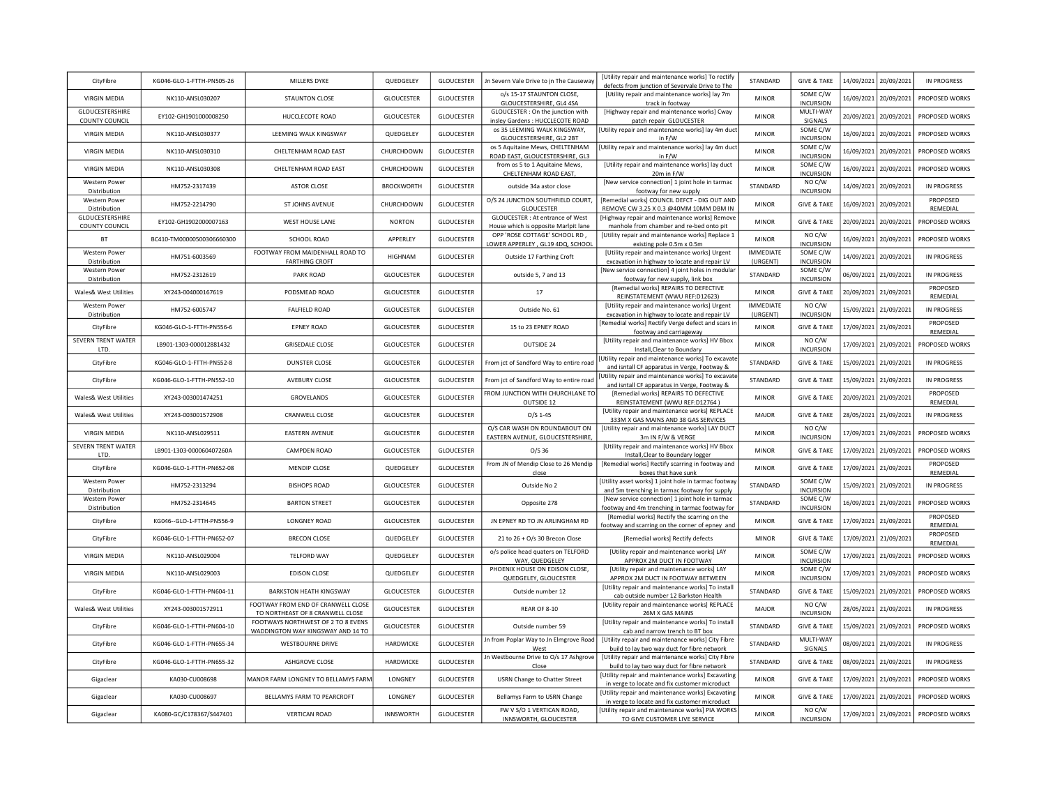| CityFibre                                | KG046-GLO-1-FTTH-PN505-26   | MILLERS DYKE                                                            | QUEDGELEY         | GLOUCESTER        | Jn Severn Vale Drive to jn The Causeway                                  | <b>IUtility repair and maintenance works) To rectify</b><br>defects from junction of Severvale Drive to The | STANDARD                     | <b>GIVE &amp; TAKE</b>       | 14/09/2021 20/09/2021 | IN PROGRESS                 |
|------------------------------------------|-----------------------------|-------------------------------------------------------------------------|-------------------|-------------------|--------------------------------------------------------------------------|-------------------------------------------------------------------------------------------------------------|------------------------------|------------------------------|-----------------------|-----------------------------|
| <b>VIRGIN MEDIA</b>                      | NK110-ANSL030207            | STAUNTON CLOSE                                                          | <b>GLOUCESTER</b> | <b>GLOUCESTER</b> | o/s 15-17 STAUNTON CLOSE,<br>GLOUCESTERSHIRE, GL4 4SA                    | [Utility repair and maintenance works] lay 7m<br>track in footway                                           | <b>MINOR</b>                 | SOME C/W<br><b>INCURSION</b> | 16/09/2021 20/09/2021 | PROPOSED WORKS              |
| GLOUCESTERSHIRE<br>COUNTY COUNCIL        | EY102-GH1901000008250       | HUCCLECOTE ROAD                                                         | <b>GLOUCESTER</b> | <b>GLOUCESTER</b> | GLOUCESTER : On the junction with<br>insley Gardens : HUCCLECOTE ROAD    | [Highway repair and maintenance works] Cway<br>patch repair GLOUCESTER                                      | <b>MINOR</b>                 | MULTI-WAY<br>SIGNALS         | 20/09/2021 20/09/2021 | PROPOSED WORKS              |
| <b>VIRGIN MEDIA</b>                      | NK110-ANSL030377            | LEEMING WALK KINGSWAY                                                   | QUEDGELEY         | GLOUCESTER        | os 35 LEEMING WALK KINGSWAY,<br>GLOUCESTERSHIRE, GL2 2BT                 | [Utility repair and maintenance works] lay 4m duct<br>in F/W                                                | <b>MINOR</b>                 | SOME C/W<br><b>INCURSION</b> | 16/09/2021 20/09/2021 | PROPOSED WORKS              |
| <b>VIRGIN MEDIA</b>                      | NK110-ANSL030310            | CHELTENHAM ROAD EAST                                                    | CHURCHDOWN        | GLOUCESTER        | os 5 Aquitaine Mews, CHELTENHAM<br>ROAD EAST, GLOUCESTERSHIRE, GL3       | [Utility repair and maintenance works] lay 4m duct<br>in F/W                                                | <b>MINOR</b>                 | SOME C/W<br><b>INCURSION</b> | 16/09/2021 20/09/2021 | PROPOSED WORKS              |
| <b>VIRGIN MEDIA</b>                      | NK110-ANSL030308            | CHELTENHAM ROAD EAST                                                    | CHURCHDOWN        | GLOUCESTER        | from os 5 to 1 Aquitaine Mews<br>CHELTENHAM ROAD EAST,                   | [Utility repair and maintenance works] lay duct<br>20m in F/W                                               | <b>MINOR</b>                 | SOME C/W<br>INCURSION        | 16/09/2021 20/09/2021 | PROPOSED WORKS              |
| Western Power<br>Distribution            | HM752-2317439               | <b>ASTOR CLOSE</b>                                                      | <b>BROCKWORTH</b> | <b>GLOUCESTER</b> | outside 34a astor close                                                  | [New service connection] 1 joint hole in tarmac<br>footway for new supply                                   | STANDARD                     | NO C/W<br><b>INCURSION</b>   | 14/09/2021 20/09/2021 | <b>IN PROGRESS</b>          |
| <b>Western Power</b><br>Distribution     | HM752-2214790               | ST JOHNS AVENUE                                                         | CHURCHDOWN        | GLOUCESTER        | O/S 24 JUNCTION SOUTHFIELD COURT<br><b>GLOUCESTER</b>                    | [Remedial works] COUNCIL DEFCT - DIG OUT AND<br>REMOVE CW 3.25 X 0.3 @40MM 10MM DBM IN                      | <b>MINOR</b>                 | <b>GIVE &amp; TAKE</b>       | 16/09/2021 20/09/2021 | <b>PROPOSED</b><br>REMEDIAL |
| GLOUCESTERSHIRE<br><b>COUNTY COUNCIL</b> | EY102-GH1902000007163       | WEST HOUSE LANE                                                         | <b>NORTON</b>     | GLOUCESTER        | GLOUCESTER : At entrance of West<br>House which is opposite Marlpit lane | [Highway repair and maintenance works] Remove<br>manhole from chamber and re-bed onto pit                   | <b>MINOR</b>                 | <b>GIVE &amp; TAKE</b>       | 20/09/2021 20/09/2021 | PROPOSED WORKS              |
| BT                                       | BC410-TM00000500306660300   | SCHOOL ROAD                                                             | APPERLEY          | GLOUCESTER        | OPP 'ROSE COTTAGE' SCHOOL RD,<br>LOWER APPERLEY, GL19 4DQ, SCHOOL        | [Utility repair and maintenance works] Replace 1<br>existing pole 0.5m x 0.5m                               | <b>MINOR</b>                 | NO C/W<br><b>INCURSION</b>   | 16/09/2021 20/09/2021 | PROPOSED WORKS              |
| <b>Western Power</b><br>Distribution     | HM751-6003569               | FOOTWAY FROM MAIDENHALL ROAD TO<br><b>FARTHING CROFT</b>                | <b>HIGHNAM</b>    | <b>GLOUCESTER</b> | Outside 17 Farthing Croft                                                | [Utility repair and maintenance works] Urgent<br>excavation in highway to locate and repair LV              | <b>IMMEDIATE</b><br>(URGENT) | SOME C/W<br><b>INCURSION</b> | 14/09/2021 20/09/2021 | <b>IN PROGRESS</b>          |
| <b>Western Power</b><br>Distribution     | HM752-2312619               | PARK ROAD                                                               | <b>GLOUCESTER</b> | <b>GLOUCESTER</b> | outside 5, 7 and 13                                                      | [New service connection] 4 joint holes in modular<br>footway for new supply, link box                       | STANDARD                     | SOME C/W<br><b>INCURSION</b> | 06/09/2021 21/09/2021 | <b>IN PROGRESS</b>          |
| Wales& West Utilities                    | XY243-004000167619          | PODSMEAD ROAD                                                           | <b>GLOUCESTER</b> | GLOUCESTER        | $17\,$                                                                   | [Remedial works] REPAIRS TO DEFECTIVE<br>REINSTATEMENT (WWU REF:D12623)                                     | <b>MINOR</b>                 | <b>GIVE &amp; TAKE</b>       | 20/09/2021 21/09/2021 | PROPOSED<br>REMEDIAL        |
| Western Power<br>Distribution            | HM752-6005747               | <b>FALFIELD ROAD</b>                                                    | <b>GLOUCESTER</b> | GLOUCESTER        | Outside No. 61                                                           | [Utility repair and maintenance works] Urgent<br>excavation in highway to locate and repair LV              | <b>IMMEDIATE</b><br>(URGENT) | NO C/W<br><b>INCURSION</b>   | 15/09/2021 21/09/2021 | IN PROGRESS                 |
| CityFibre                                | KG046-GLO-1-FTTH-PN556-6    | <b>EPNEY ROAD</b>                                                       | GLOUCESTER        | <b>GLOUCESTER</b> | 15 to 23 EPNEY ROAD                                                      | [Remedial works] Rectify Verge defect and scars in<br>footway and carriageway                               | <b>MINOR</b>                 | <b>GIVE &amp; TAKE</b>       | 17/09/2021 21/09/2021 | PROPOSED<br>REMEDIAL        |
| <b>SEVERN TRENT WATER</b><br>LTD.        | LB901-1303-000012881432     | <b>GRISEDALE CLOSE</b>                                                  | GLOUCESTER        | GLOUCESTER        | OUTSIDE 24                                                               | [Utility repair and maintenance works] HV Bbox<br>Install, Clear to Boundary                                | <b>MINOR</b>                 | NO C/W<br><b>INCURSION</b>   | 17/09/2021 21/09/2021 | PROPOSED WORKS              |
| CityFibre                                | KG046-GLO-1-FTTH-PN552-8    | <b>DUNSTER CLOSE</b>                                                    | <b>GLOUCESTER</b> | GLOUCESTER        | From jct of Sandford Way to entire road                                  | Utility repair and maintenance works] To excavate<br>and isntall CF apparatus in Verge, Footway &           | STANDARD                     | <b>GIVE &amp; TAKE</b>       | 15/09/2021 21/09/2021 | <b>IN PROGRESS</b>          |
| CityFibre                                | KG046-GLO-1-FTTH-PN552-10   | AVEBURY CLOSE                                                           | <b>GLOUCESTER</b> | GLOUCESTER        | From jct of Sandford Way to entire road                                  | Utility repair and maintenance works] To excavate<br>and isntall CF apparatus in Verge, Footway &           | STANDARD                     | <b>GIVE &amp; TAKE</b>       | 15/09/2021 21/09/2021 | IN PROGRESS                 |
| <b>Wales&amp; West Utilities</b>         | XY243-003001474251          | GROVELANDS                                                              | GLOUCESTER        | GLOUCESTER        | FROM JUNCTION WITH CHURCHLANE TO<br>OUTSIDE 12                           | [Remedial works] REPAIRS TO DEFECTIVE<br>REINSTATEMENT (WWU REF:D12764)                                     | <b>MINOR</b>                 | <b>GIVE &amp; TAKE</b>       | 20/09/2021 21/09/2021 | PROPOSED<br>REMEDIAL        |
| Wales& West Utilities                    | XY243-003001572908          | <b>CRANWELL CLOSE</b>                                                   | GLOUCESTER        | <b>GLOUCESTER</b> | $O/S$ 1-45                                                               | [Utility repair and maintenance works] REPLACE<br>333M X GAS MAINS AND 38 GAS SERVICES                      | MAJOR                        | <b>GIVE &amp; TAKE</b>       | 28/05/2021 21/09/2021 | <b>IN PROGRESS</b>          |
| <b>VIRGIN MEDIA</b>                      | NK110-ANSL029511            | <b>EASTERN AVENUE</b>                                                   | GLOUCESTER        | GLOUCESTER        | O/S CAR WASH ON ROUNDABOUT ON<br>EASTERN AVENUE, GLOUCESTERSHIRE,        | [Utility repair and maintenance works] LAY DUCT<br>3m IN F/W & VERGE                                        | <b>MINOR</b>                 | NO C/W<br><b>INCURSION</b>   | 17/09/2021 21/09/2021 | PROPOSED WORKS              |
| SEVERN TRENT WATER<br>LTD.               | LB901-1303-000060407260A    | CAMPDEN ROAD                                                            | GLOUCESTER        | GLOUCESTER        | $O/S$ 36                                                                 | [Utility repair and maintenance works] HV Bbox<br>Install, Clear to Boundary logger                         | <b>MINOR</b>                 | <b>GIVE &amp; TAKE</b>       | 17/09/2021 21/09/2021 | PROPOSED WORKS              |
| CityFibre                                | KG046-GLO-1-FTTH-PN652-08   | MENDIP CLOSE                                                            | QUEDGELEY         | GLOUCESTER        | From JN of Mendip Close to 26 Mendip<br>close                            | [Remedial works] Rectify scarring in footway and<br>boxes that have sunk                                    | <b>MINOR</b>                 | <b>GIVE &amp; TAKE</b>       | 17/09/2021 21/09/2021 | PROPOSED<br>REMEDIAL        |
| Western Power<br>Distribution            | HM752-2313294               | <b>BISHOPS ROAD</b>                                                     | <b>GLOUCESTER</b> | GLOUCESTER        | Outside No 2                                                             | [Utility asset works] 1 joint hole in tarmac footway<br>and 5m trenching in tarmac footway for supply       | STANDARD                     | SOME C/W<br><b>INCURSION</b> | 15/09/2021 21/09/2021 | <b>IN PROGRESS</b>          |
| Western Power<br>Distribution            | HM752-2314645               | <b>BARTON STREET</b>                                                    | GLOUCESTER        | GLOUCESTER        | Opposite 278                                                             | [New service connection] 1 joint hole in tarmac<br>footway and 4m trenching in tarmac footway for           | STANDARD                     | SOME C/W<br><b>INCURSION</b> | 16/09/2021 21/09/2021 | PROPOSED WORKS              |
| CityFibre                                | KG046 -- GLO-1-FTTH-PN556-9 | <b>LONGNEY ROAD</b>                                                     | <b>GLOUCESTER</b> | <b>GLOUCESTER</b> | JN EPNEY RD TO JN ARLINGHAM RD                                           | [Remedial works] Rectify the scarring on the<br>footway and scarring on the corner of epney and             | <b>MINOR</b>                 | <b>GIVE &amp; TAKE</b>       | 17/09/2021 21/09/2021 | PROPOSED<br>REMEDIAL        |
| CityFibre                                | KG046-GLO-1-FTTH-PN652-07   | <b>BRECON CLOSE</b>                                                     | QUEDGELEY         | <b>GLOUCESTER</b> | 21 to 26 + O/s 30 Brecon Close                                           | [Remedial works] Rectify defects                                                                            | <b>MINOR</b>                 | <b>GIVE &amp; TAKE</b>       | 17/09/2021 21/09/2021 | PROPOSED<br>REMEDIAL        |
| <b>VIRGIN MEDIA</b>                      | NK110-ANSL029004            | <b>TELFORD WAY</b>                                                      | QUEDGELEY         | GLOUCESTER        | o/s police head quaters on TELFORD<br>WAY, QUEDGELEY                     | [Utility repair and maintenance works] LAY<br>APPROX 2M DUCT IN FOOTWAY                                     | <b>MINOR</b>                 | SOME C/W<br><b>INCURSION</b> | 17/09/2021 21/09/2021 | PROPOSED WORKS              |
| <b>VIRGIN MEDIA</b>                      | NK110-ANSL029003            | <b>EDISON CLOSE</b>                                                     | QUEDGELEY         | GLOUCESTER        | PHOENIX HOUSE ON EDISON CLOSE,<br>QUEDGELEY, GLOUCESTER                  | [Utility repair and maintenance works] LAY<br>APPROX 2M DUCT IN FOOTWAY BETWEEN                             | <b>MINOR</b>                 | SOME C/W<br><b>INCURSION</b> | 17/09/2021 21/09/2021 | PROPOSED WORKS              |
| CityFibre                                | KG046-GLO-1-FTTH-PN604-11   | <b>BARKSTON HEATH KINGSWAY</b>                                          | <b>GLOUCESTER</b> | GLOUCESTER        | Outside number 12                                                        | [Utility repair and maintenance works] To install<br>cab outside number 12 Barkston Health                  | STANDARD                     | <b>GIVE &amp; TAKE</b>       | 15/09/2021 21/09/2021 | PROPOSED WORKS              |
| <b>Wales&amp; West Utilities</b>         | XY243-003001572911          | FOOTWAY FROM END OF CRANWELL CLOSE<br>TO NORTHEAST OF 8 CRANWELL CLOSE  | <b>GLOUCESTER</b> | <b>GLOUCESTER</b> | REAR OF 8-10                                                             | [Utility repair and maintenance works] REPLACE<br>26M X GAS MAINS                                           | MAJOR                        | NO C/W<br><b>INCURSION</b>   | 28/05/2021 21/09/2021 | IN PROGRESS                 |
| CityFibre                                | KG046-GLO-1-FTTH-PN604-10   | FOOTWAYS NORTHWEST OF 2 TO 8 EVENS<br>WADDINGTON WAY KINGSWAY AND 14 TO | <b>GLOUCESTER</b> | <b>GLOUCESTER</b> | Outside number 59                                                        | [Utility repair and maintenance works] To install<br>cab and narrow trench to BT box                        | STANDARD                     | <b>GIVE &amp; TAKE</b>       | 15/09/2021 21/09/2021 | PROPOSED WORKS              |
| CityFibre                                | KG046-GLO-1-FTTH-PN655-34   | <b>WESTBOURNE DRIVE</b>                                                 | HARDWICKE         | GLOUCESTER        | Jn from Poplar Way to Jn Elmgrove Road<br>West                           | [Utility repair and maintenance works] City Fibre<br>build to lay two way duct for fibre network            | STANDARD                     | MULTI-WAY<br>SIGNALS         | 08/09/2021 21/09/2021 | IN PROGRESS                 |
| CityFibre                                | KG046-GLO-1-FTTH-PN655-32   | ASHGROVE CLOSE                                                          | HARDWICKE         | GLOUCESTER        | Jn Westbourne Drive to O/s 17 Ashgrove<br>Close                          | [Utility repair and maintenance works] City Fibre<br>build to lay two way duct for fibre network            | STANDARD                     | <b>GIVE &amp; TAKE</b>       | 08/09/2021 21/09/2021 | IN PROGRESS                 |
| Gigaclear                                | KA030-CU008698              | MANOR FARM LONGNEY TO BELLAMYS FARM                                     | LONGNEY           | GLOUCESTER        | USRN Change to Chatter Street                                            | [Utility repair and maintenance works] Excavating<br>in verge to locate and fix customer microduct          | <b>MINOR</b>                 | <b>GIVE &amp; TAKE</b>       | 17/09/2021 21/09/2021 | PROPOSED WORKS              |
| Gigaclear                                | KA030-CU008697              | BELLAMYS FARM TO PEARCROFT                                              | LONGNEY           | <b>GLOUCESTER</b> | Bellamys Farm to USRN Change                                             | [Utility repair and maintenance works] Excavating<br>in verge to locate and fix customer microduct          | <b>MINOR</b>                 | <b>GIVE &amp; TAKE</b>       | 17/09/2021 21/09/2021 | PROPOSED WORKS              |
| Gigaclear                                | KA080-GC/C178367/S447401    | <b>VERTICAN ROAD</b>                                                    | <b>INNSWORTH</b>  | GLOUCESTER        | FW V S/O 1 VERTICAN ROAD,<br>INNSWORTH, GLOUCESTER                       | [Utility repair and maintenance works] PIA WORKS<br>TO GIVE CUSTOMER LIVE SERVICE                           | <b>MINOR</b>                 | NO C/W<br><b>INCURSION</b>   | 17/09/2021 21/09/2021 | PROPOSED WORKS              |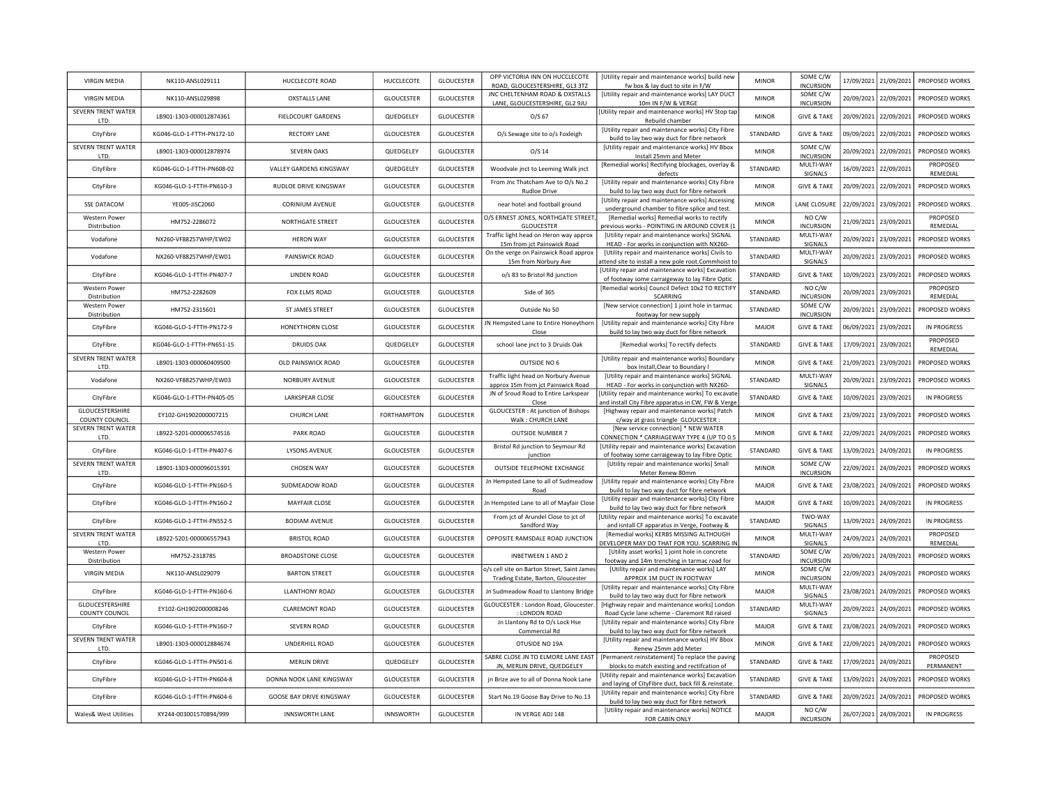| <b>VIRGIN MEDIA</b>                      | NK110-ANSL029111          | HUCCLECOTE ROAD                 | HUCCLECOTE         | <b>GLOUCESTER</b> | OPP VICTORIA INN ON HUCCLECOTE<br>ROAD, GLOUCESTERSHIRE, GL3 3TZ                  | [Utility repair and maintenance works] build new<br>fw box & lay duct to site in F/W                                       | <b>MINOR</b> | SOME C/W<br><b>INCURSION</b> |            | 17/09/2021 21/09/2021 | PROPOSED WORKS        |
|------------------------------------------|---------------------------|---------------------------------|--------------------|-------------------|-----------------------------------------------------------------------------------|----------------------------------------------------------------------------------------------------------------------------|--------------|------------------------------|------------|-----------------------|-----------------------|
| <b>VIRGIN MEDIA</b>                      | NK110-ANSL029898          | <b>OXSTALLS LANE</b>            | <b>GLOUCESTER</b>  | <b>GLOUCESTER</b> | JNC CHELTENHAM ROAD & OXSTALLS<br>LANE, GLOUCESTERSHIRE, GL2 9JU                  | [Utility repair and maintenance works] LAY DUCT<br>10m IN F/W & VERGE                                                      | <b>MINOR</b> | SOME C/W<br><b>INCURSION</b> |            | 20/09/2021 22/09/2021 | PROPOSED WORKS        |
| SEVERN TRENT WATER<br>LTD.               | LB901-1303-000012874361   | FIELDCOURT GARDENS              | QUEDGELEY          | <b>GLOUCESTER</b> | $O/S$ 67                                                                          | [Utility repair and maintenance works] HV Stop tap<br>Rebuild chamber                                                      | <b>MINOR</b> | <b>GIVE &amp; TAKE</b>       |            | 20/09/2021 22/09/2021 | PROPOSED WORKS        |
| CityFibre                                | KG046-GLO-1-FTTH-PN172-10 | <b>RECTORY LANE</b>             | <b>GLOUCESTER</b>  | GLOUCESTER        | O/s Sewage site to o/s Foxleigh                                                   | [Utility repair and maintenance works] City Fibre<br>build to lay two way duct for fibre network                           | STANDARD     | <b>GIVE &amp; TAKE</b>       |            | 09/09/2021 22/09/2021 | <b>PROPOSED WORKS</b> |
| <b>SEVERN TRENT WATER</b><br>LTD.        | LB901-1303-000012878974   | <b>SEVERN OAKS</b>              | QUEDGELEY          | <b>GLOUCESTER</b> | O/S 14                                                                            | [Utility repair and maintenance works] HV Bbox<br>Install 25mm and Meter                                                   | <b>MINOR</b> | SOME C/W<br><b>INCURSION</b> |            | 20/09/2021 22/09/2021 | PROPOSED WORKS        |
| CityFibre                                | KG046-GLO-1-FTTH-PN608-02 | VALLEY GARDENS KINGSWAY         | QUEDGELEY          | GLOUCESTER        | Woodvale jnct to Leeming Walk jnct                                                | [Remedial works] Rectifying blockages, overlay &<br>defects                                                                | STANDARD     | MULTI-WAY<br>SIGNALS         |            | 16/09/2021 22/09/2021 | PROPOSED<br>REMEDIAL  |
| CityFibre                                | KG046-GLO-1-FTTH-PN610-3  | RUDLOE DRIVE KINGSWAY           | GLOUCESTER         | <b>GLOUCESTER</b> | From Jnc Thatcham Ave to O/s No.2<br><b>Rudloe Drive</b>                          | [Utility repair and maintenance works] City Fibre<br>build to lay two way duct for fibre network                           | <b>MINOR</b> | <b>GIVE &amp; TAKE</b>       |            | 20/09/2021 22/09/2021 | PROPOSED WORKS        |
| <b>SSE DATACOM</b>                       | YE005-JISC2060            | <b>CORINIUM AVENUE</b>          | <b>GLOUCESTER</b>  | GLOUCESTER        | near hotel and football ground                                                    | [Utility repair and maintenance works] Accessing<br>underground chamber to fibre splice and test.                          | <b>MINOR</b> | LANE CLOSUR                  |            | 22/09/2021 23/09/2021 | PROPOSED WORKS        |
| Western Power<br>Distribution            | HM752-2286072             | NORTHGATE STREET                | <b>GLOUCESTER</b>  | GLOUCESTER        | O/S ERNEST JONES, NORTHGATE STREET<br><b>GLOUCESTER</b>                           | [Remedial works] Remedial works to rectify<br>previous works - POINTING IN AROUND COVER (1                                 | <b>MINOR</b> | NO C/W<br><b>INCURSION</b>   |            | 21/09/2021 23/09/2021 | PROPOSED<br>REMEDIAL  |
| Vodafone                                 | NX260-VF88257WHP/EW02     | <b>HERON WAY</b>                | <b>GLOUCESTER</b>  | GLOUCESTER        | Traffic light head on Heron way approx<br>15m from jct Painswick Road             | [Utility repair and maintenance works] SIGNAL<br>HEAD - For works in conjunction with NX260-                               | STANDARD     | MULTI-WAY<br>SIGNALS         |            | 20/09/2021 23/09/2021 | PROPOSED WORKS        |
| Vodafone                                 | NX260-VF88257WHP/EW01     | PAINSWICK ROAD                  | <b>GLOUCESTER</b>  | <b>GLOUCESTER</b> | On the verge on Painswick Road approx<br>15m from Norbury Ave                     | [Utility repair and maintenance works] Civils to<br>ttend site to install a new pole root.Commhoist t                      | STANDARD     | MULTI-WAY<br>SIGNALS         | 20/09/2021 | 23/09/2021            | PROPOSED WORKS        |
| CityFibre                                | KG046-GLO-1-FTTH-PN407-7  | <b>LINDEN ROAD</b>              | <b>GLOUCESTER</b>  | <b>GLOUCESTER</b> | o/s 83 to Bristol Rd junction                                                     | [Utility repair and maintenance works] Excavation<br>of footway some carraigeway to lay Fibre Optic                        | STANDARD     | <b>GIVE &amp; TAKE</b>       |            | 10/09/2021 23/09/2021 | PROPOSED WORKS        |
| <b>Western Power</b><br>Distribution     | HM752-2282609             | FOX ELMS ROAD                   | <b>GLOUCESTER</b>  | <b>GLOUCESTER</b> | Side of 365                                                                       | [Remedial works] Council Defect 10x2 TO RECTIFY<br>SCARRING                                                                | STANDARD     | NO C/W<br><b>INCURSION</b>   |            | 20/09/2021 23/09/2021 | PROPOSED<br>REMEDIAL  |
| <b>Western Power</b><br>Distribution     | HM752-2315601             | ST JAMES STREET                 | GLOUCESTER         | <b>GLOUCESTER</b> | Outside No 50                                                                     | [New service connection] 1 joint hole in tarmac                                                                            | STANDARD     | SOME C/W<br><b>INCURSION</b> |            | 20/09/2021 23/09/2021 | PROPOSED WORKS        |
| CityFibre                                | KG046-GLO-1-FTTH-PN172-9  | HONEYTHORN CLOSE                | GLOUCESTER         | GLOUCESTER        | JN Hempsted Lane to Entire Honeythorn<br>Close                                    | footway for new supply<br>[Utility repair and maintenance works] City Fibre<br>build to lay two way duct for fibre network | MAJOR        | <b>GIVE &amp; TAKE</b>       |            | 06/09/2021 23/09/2021 | IN PROGRESS           |
| CityFibre                                | KG046-GLO-1-FTTH-PN651-15 | <b>DRUIDS OAK</b>               | QUEDGELEY          | <b>GLOUCESTER</b> | school lane jnct to 3 Druids Oak                                                  | [Remedial works] To rectify defects                                                                                        | STANDARD     | <b>GIVE &amp; TAKE</b>       |            | 17/09/2021 23/09/2021 | PROPOSED<br>REMEDIAL  |
| SEVERN TRENT WATER<br>LTD.               | LB901-1303-000060409500   | OLD PAINSWICK ROAD              | GLOUCESTER         | <b>GLOUCESTER</b> | OUTSIDE NO 6                                                                      | [Utility repair and maintenance works] Boundary<br>box Install, Clear to Boundary I                                        | <b>MINOR</b> | <b>GIVE &amp; TAKE</b>       |            | 21/09/2021 23/09/2021 | PROPOSED WORKS        |
| Vodafone                                 | NX260-VF88257WHP/EW03     | NORBURY AVENUE                  | <b>GLOUCESTER</b>  | GLOUCESTER        | Traffic light head on Norbury Avenue<br>approx 15m from jct Painswick Road        | [Utility repair and maintenance works] SIGNAL<br>HEAD - For works in conjunction with NX260-                               | STANDARD     | MULTI-WAY<br>SIGNALS         |            | 20/09/2021 23/09/2021 | PROPOSED WORKS        |
| CityFibre                                | KG046-GLO-1-FTTH-PN405-05 | LARKSPEAR CLOSE                 | GLOUCESTER         | GLOUCESTER        | JN of Sroud Road to Entire Larkspear<br>Close                                     | Utility repair and maintenance works] To excavate<br>and install City Fibre apparatus in CW, FW & Verge                    | STANDARD     | <b>GIVE &amp; TAKE</b>       |            | 10/09/2021 23/09/2021 | <b>IN PROGRESS</b>    |
| GLOUCESTERSHIRE<br><b>COUNTY COUNCIL</b> | EY102-GH1902000007215     | CHURCH LANE                     | <b>FORTHAMPTON</b> | GLOUCESTER        | <b>GLOUCESTER : At junction of Bishops</b><br>Walk: CHURCH LANE                   | [Highway repair and maintenance works] Patch<br>c/way at grass triangle GLOUCESTER :                                       | <b>MINOR</b> | <b>GIVE &amp; TAKE</b>       |            | 23/09/2021 23/09/2021 | PROPOSED WORKS        |
| SEVERN TRENT WATER<br>LTD.               | LB922-5201-000006574516   | PARK ROAD                       | <b>GLOUCESTER</b>  | <b>GLOUCESTER</b> | <b>OUTSIDE NUMBER 7</b>                                                           | [New service connection] * NEW WATER<br>CONNECTION * CARRIAGEWAY TYPE 4 (UP TO 0.5                                         | <b>MINOR</b> | <b>GIVE &amp; TAKE</b>       |            | 22/09/2021 24/09/2021 | PROPOSED WORKS        |
| CityFibre                                | KG046-GLO-1-FTTH-PN407-6  | <b>LYSONS AVENUE</b>            | <b>GLOUCESTER</b>  | <b>GLOUCESTER</b> | Bristol Rd junction to Seymour Rd<br>junction                                     | [Utility repair and maintenance works] Excavation<br>of footway some carraigeway to lay Fibre Optic                        | STANDARD     | <b>GIVE &amp; TAKE</b>       |            | 13/09/2021 24/09/2021 | IN PROGRESS           |
| SEVERN TRENT WATER<br>LTD.               | LB901-1303-000096015391   | <b>CHOSEN WAY</b>               | GLOUCESTER         | GLOUCESTER        | OUTSIDE TELEPHONE EXCHANGE                                                        | [Utility repair and maintenance works] Small<br>Meter Renew 80mm                                                           | MINOR        | SOME C/W<br><b>INCURSION</b> |            | 22/09/2021 24/09/2021 | PROPOSED WORKS        |
| CityFibre                                | KG046-GLO-1-FTTH-PN160-5  | SUDMEADOW ROAD                  | GLOUCESTER         | GLOUCESTER        | Jn Hempsted Lane to all of Sudmeadow<br>Road                                      | [Utility repair and maintenance works] City Fibre<br>build to lay two way duct for fibre network                           | MAJOR        | <b>GIVE &amp; TAKE</b>       |            | 23/08/2021 24/09/2021 | PROPOSED WORKS        |
| CityFibre                                | KG046-GLO-1-FTTH-PN160-2  | <b>MAYFAIR CLOSE</b>            | <b>GLOUCESTER</b>  | GLOUCESTER        | Jn Hempsted Lane to all of Mayfair Close                                          | [Utility repair and maintenance works] City Fibre<br>build to lay two way duct for fibre network                           | <b>MAJOR</b> | <b>GIVE &amp; TAKE</b>       |            | 10/09/2021 24/09/2021 | <b>IN PROGRESS</b>    |
| CityFibre                                | KG046-GLO-1-FTTH-PN552-5  | <b>BODIAM AVENUE</b>            | <b>GLOUCESTER</b>  | <b>GLOUCESTER</b> | From jct of Arundel Close to jct of<br>Sandford Way                               | Utility repair and maintenance works] To excavate<br>and isntall CF apparatus in Verge, Footway &                          | STANDARD     | TWO-WAY<br>SIGNALS           |            | 13/09/2021 24/09/2021 | <b>IN PROGRESS</b>    |
| SEVERN TRENT WATER<br>LTD.               | LB922-5201-000006557943   | <b>BRISTOL ROAD</b>             | <b>GLOUCESTER</b>  | GLOUCESTER        | OPPOSITE RAMSDALE ROAD JUNCTION                                                   | [Remedial works] KERBS MISSING ALTHOUGH<br>DEVELOPER MAY DO THAT FOR YOU. SCARRING II                                      | <b>MINOR</b> | MULTI-WAY<br>SIGNALS         |            | 24/09/2021 24/09/2021 | PROPOSED<br>REMEDIAL  |
| <b>Western Power</b><br>Distribution     | HM752-2318785             | <b>BROADSTONE CLOSE</b>         | <b>GLOUCESTER</b>  | GLOUCESTER        | <b>INBETWEEN 1 AND 2</b>                                                          | [Utility asset works] 1 joint hole in concrete<br>footway and 14m trenching in tarmac road for                             | STANDARD     | SOME C/W<br><b>INCURSION</b> |            | 20/09/2021 24/09/2021 | PROPOSED WORKS        |
| <b>VIRGIN MEDIA</b>                      | NK110-ANSL029079          | <b>BARTON STREET</b>            | GLOUCESTER         | GLOUCESTER        | o/s cell site on Barton Street, Saint James<br>Trading Estate, Barton, Gloucester | [Utility repair and maintenance works] LAY<br>APPROX 1M DUCT IN FOOTWAY                                                    | <b>MINOR</b> | SOME C/W<br><b>INCURSION</b> |            | 22/09/2021 24/09/2021 | PROPOSED WORKS        |
| CityFibre                                | KG046-GLO-1-FTTH-PN160-6  | <b>LLANTHONY ROAD</b>           | GLOUCESTER         | GLOUCESTER        | Jn Sudmeadow Road to Llantony Bridge                                              | [Utility repair and maintenance works] City Fibre<br>build to lay two way duct for fibre network                           | MAJOR        | MULTI-WAY<br>SIGNALS         |            | 23/08/2021 24/09/2021 | PROPOSED WORKS        |
| GLOUCESTERSHIRE<br>COUNTY COUNCIL        | EY102-GH1902000008246     | <b>CLAREMONT ROAD</b>           | GLOUCESTER         | GLOUCESTER        | GLOUCESTER : London Road, Gloucester<br>: LONDON ROAD                             | [Highway repair and maintenance works] Londor<br>Road Cycle lane scheme - Claremont Rd raised                              | STANDARD     | MULTI-WAY<br>SIGNALS         |            | 20/09/2021 24/09/2021 | PROPOSED WORKS        |
| CityFibre                                | KG046-GLO-1-FTTH-PN160-7  | <b>SEVERN ROAD</b>              | GLOUCESTER         | GLOUCESTER        | Jn Llantony Rd to O/s Lock Hse<br>Commercial Rd                                   | [Utility repair and maintenance works] City Fibre<br>build to lay two way duct for fibre network                           | <b>MAJOR</b> | <b>GIVE &amp; TAKE</b>       |            | 23/08/2021 24/09/2021 | PROPOSED WORKS        |
| SEVERN TRENT WATER<br>LTD.               | LB901-1303-000012884674   | UNDERHILL ROAD                  | <b>GLOUCESTER</b>  | GLOUCESTER        | OTUSIDE NO 19A                                                                    | [Utility repair and maintenance works] HV Bbox<br>Renew 25mm add Meter                                                     | <b>MINOR</b> | <b>GIVE &amp; TAKE</b>       |            | 22/09/2021 24/09/2021 | PROPOSED WORKS        |
| CityFibre                                | KG046-GLO-1-FTTH-PN501-6  | <b>MERLIN DRIVE</b>             | QUEDGELEY          | GLOUCESTER        | SABRE CLOSE JN TO ELMORE LANE EAST<br>JN, MERLIN DRIVE, QUEDGELEY                 | [Permanent reinstatement] To replace the paving<br>blocks to match existing and rectifcation of                            | STANDARD     | <b>GIVE &amp; TAKE</b>       |            | 17/09/2021 24/09/2021 | PROPOSED<br>PERMANENT |
| CityFibre                                | KG046-GLO-1-FTTH-PN604-8  | DONNA NOOK LANE KINGSWAY        | <b>GLOUCESTER</b>  | GLOUCESTER        | jn Brize ave to all of Donna Nook Lane                                            | [Utility repair and maintenance works] Excavatior<br>and laying of CityFibre duct, back fill & reinstate.                  | STANDARD     | <b>GIVE &amp; TAKE</b>       |            | 13/09/2021 24/09/2021 | PROPOSED WORKS        |
| CityFibre                                | KG046-GLO-1-FTTH-PN604-6  | <b>GOOSE BAY DRIVE KINGSWAY</b> | <b>GLOUCESTER</b>  | <b>GLOUCESTER</b> | Start No.19 Goose Bay Drive to No.13                                              | [Utility repair and maintenance works] City Fibre<br>build to lay two way duct for fibre network                           | STANDARD     | <b>GIVE &amp; TAKE</b>       |            | 20/09/2021 24/09/2021 | PROPOSED WORKS        |
| Wales& West Utilities                    | XY244-003001570894/999    | <b>INNSWORTH LANE</b>           | <b>INNSWORTH</b>   | GLOUCESTER        | IN VERGE ADJ 148                                                                  | [Utility repair and maintenance works] NOTICE<br>FOR CABIN ONLY                                                            | MAIOR        | NO C/W<br><b>INCURSION</b>   |            | 26/07/2021 24/09/2021 | <b>IN PROGRESS</b>    |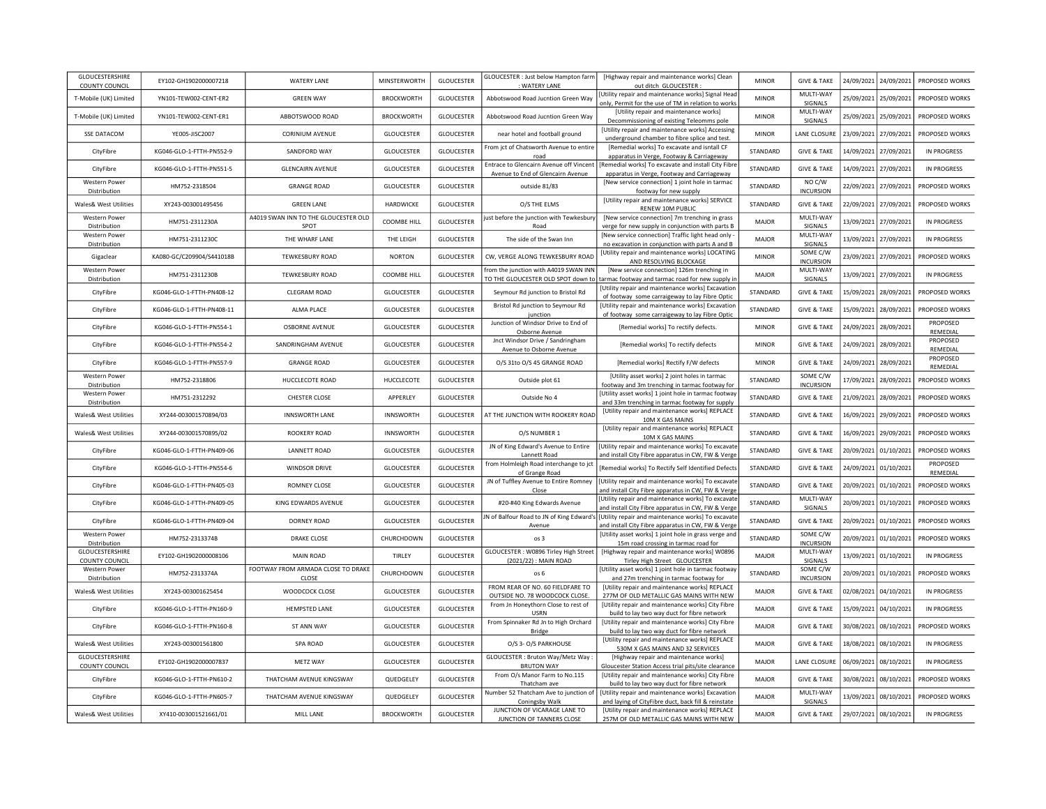| GLOUCESTERSHIRE<br><b>COUNTY COUNCIL</b> | EY102-GH1902000007218     | <b>WATERY LANE</b>                           | MINSTERWORTH      | <b>GLOUCESTER</b> | GLOUCESTER : Just below Hampton farm<br>WATERY LANE                          | [Highway repair and maintenance works] Clean<br>out ditch_GLOUCESTER :                                                                            | <b>MINOR</b> | <b>GIVE &amp; TAKE</b>                     |            | 24/09/2021 24/09/2021 | PROPOSED WORKS       |
|------------------------------------------|---------------------------|----------------------------------------------|-------------------|-------------------|------------------------------------------------------------------------------|---------------------------------------------------------------------------------------------------------------------------------------------------|--------------|--------------------------------------------|------------|-----------------------|----------------------|
| T-Mobile (UK) Limited                    | YN101-TFW002-CFNT-FR2     | <b>GREEN WAY</b>                             | <b>BROCKWORTH</b> | GLOUCESTER        | Abbotswood Road Jucntion Green Way                                           | [Utility repair and maintenance works] Signal Head<br>only, Permit for the use of TM in relation to works                                         | <b>MINOR</b> | MULTI-WAY<br><b>SIGNALS</b>                |            | 25/09/2021 25/09/2021 | PROPOSED WORKS       |
| T-Mobile (UK) Limited                    | YN101-TEW002-CENT-ER1     | ABBOTSWOOD ROAD                              | <b>BROCKWORTH</b> | GLOUCESTER        | Abbotswood Road Jucntion Green Way                                           | [Utility repair and maintenance works]<br>Decommissioning of existing Teleomms pole                                                               | <b>MINOR</b> | MULTI-WAY<br>SIGNALS                       |            | 25/09/2021 25/09/2021 | PROPOSED WORKS       |
| <b>SSE DATACOM</b>                       | YE005-JISC2007            | <b>CORINIUM AVENUE</b>                       | <b>GLOUCESTER</b> | GLOUCESTER        | near hotel and football ground                                               | [Utility repair and maintenance works] Accessing<br>underground chamber to fibre splice and test.                                                 | <b>MINOR</b> | LANE CLOSURE                               |            | 23/09/2021 27/09/2021 | PROPOSED WORKS       |
| CityFibre                                | KG046-GLO-1-FTTH-PN552-9  | SANDFORD WAY                                 | <b>GLOUCESTER</b> | GLOUCESTER        | From jct of Chatsworth Avenue to entire                                      | [Remedial works] To excavate and isntall CF<br>apparatus in Verge, Footway & Carriageway                                                          | STANDARD     | <b>GIVE &amp; TAKE</b>                     |            | 14/09/2021 27/09/2021 | <b>IN PROGRESS</b>   |
| CityFibre                                | KG046-GLO-1-FTTH-PN551-5  | <b>GLENCAIRN AVENUE</b>                      | <b>GLOUCESTER</b> | GLOUCESTER        | Entrace to Glencairn Avenue off Vincent<br>Avenue to End of Glencairn Avenue | [Remedial works] To excavate and install City Fibre<br>apparatus in Verge, Footway and Carriageway                                                | STANDARD     | <b>GIVE &amp; TAKE</b>                     | 14/09/2021 | 27/09/2021            | <b>IN PROGRESS</b>   |
| <b>Western Power</b><br>Distribution     | HM752-2318504             | <b>GRANGE ROAD</b>                           | <b>GLOUCESTER</b> | GLOUCESTER        | outside 81/83                                                                | [New service connection] 1 joint hole in tarmac<br>footway for new supply                                                                         | STANDARD     | NO C/W<br><b>INCURSION</b>                 | 22/09/2021 | 27/09/2021            | PROPOSED WORKS       |
| Wales& West Utilities                    | XY243-003001495456        | <b>GREEN LANE</b>                            | HARDWICKE         | <b>GLOUCESTER</b> | O/S THE ELMS                                                                 | [Utility repair and maintenance works] SERVICE<br>RENEW 10M PUBLIC                                                                                | STANDARD     | <b>GIVE &amp; TAKE</b>                     | 22/09/2021 | 27/09/2021            | PROPOSED WORKS       |
| <b>Western Power</b>                     | HM751-2311230A            | A4019 SWAN INN TO THE GLOUCESTER OLD<br>SPOT | COOMBE HILL       | <b>GLOUCESTER</b> | ust before the junction with Tewkesbur                                       | [New service connection] 7m trenching in grass                                                                                                    | <b>MAJOR</b> | MULTI-WAY<br>SIGNALS                       | 13/09/2021 | 27/09/2021            | <b>IN PROGRESS</b>   |
| Distribution<br><b>Western Power</b>     | HM751-2311230C            | THE WHARF LANE                               | THE LEIGH         | <b>GLOUCESTER</b> | Road<br>The side of the Swan Inn                                             | verge for new supply in conjunction with parts B<br>[New service connection] Traffic light head only -                                            | <b>MAJOR</b> | MULTI-WAY                                  | 13/09/2021 | 27/09/2021            | <b>IN PROGRESS</b>   |
| Distribution<br>Gigaclear                | KA080-GC/C209904/S441018B | <b>TEWKESBURY ROAD</b>                       | <b>NORTON</b>     | GLOUCESTER        | CW, VERGE ALONG TEWKESBURY ROAD                                              | no excavation in conjunction with parts A and B<br>[Utility repair and maintenance works] LOCATING                                                | <b>MINOR</b> | SIGNALS<br>SOME C/W                        | 23/09/2021 | 27/09/2021            | PROPOSED WORKS       |
| Western Power                            | HM751-2311230B            | <b>TEWKESBURY ROAD</b>                       | COOMBE HILL       | <b>GLOUCESTER</b> | from the junction with A4019 SWAN INN                                        | AND RESOLVING BLOCKAGE<br>[New service connection] 126m trenching in                                                                              | MAJOR        | <b>INCURSION</b><br>MULTI-WAY              | 13/09/2021 | 27/09/2021            | <b>IN PROGRESS</b>   |
| Distribution                             |                           |                                              |                   |                   | TO THE GLOUCESTER OLD SPOT down to                                           | tarmac footway and tarmac road for new supply in                                                                                                  |              | SIGNALS                                    |            |                       |                      |
| CityFibre                                | KG046-GLO-1-FTTH-PN408-12 | <b>CLEGRAM ROAD</b>                          | <b>GLOUCESTER</b> | <b>GLOUCESTER</b> | Seymour Rd junction to Bristol Rd                                            | [Utility repair and maintenance works] Excavation<br>of footway some carraigeway to lay Fibre Optic                                               | STANDARD     | <b>GIVE &amp; TAKE</b>                     | 15/09/2021 | 28/09/2021            | PROPOSED WORKS       |
| CityFibre                                | KG046-GLO-1-FTTH-PN408-11 | <b>ALMA PLACE</b>                            | <b>GLOUCESTER</b> | <b>GLOUCESTER</b> | Bristol Rd junction to Seymour Rd                                            | [Utility repair and maintenance works] Excavation                                                                                                 | STANDARD     | <b>GIVE &amp; TAKE</b>                     | 15/09/2021 | 28/09/2021            | PROPOSED WORKS       |
| CityFibre                                | KG046-GLO-1-FTTH-PN554-1  | <b>OSBORNE AVENUE</b>                        | <b>GLOUCESTER</b> | <b>GLOUCESTER</b> | junction<br>Junction of Windsor Drive to End of                              | of footway some carraigeway to lay Fibre Optic<br>[Remedial works] To rectify defects.                                                            | <b>MINOR</b> | <b>GIVE &amp; TAKE</b>                     |            | 24/09/2021 28/09/2021 | PROPOSED             |
|                                          |                           |                                              |                   |                   | Osborne Avenue                                                               |                                                                                                                                                   |              |                                            |            |                       | <b>REMEDIAL</b>      |
| CityFibre                                | KG046-GLO-1-FTTH-PN554-2  | SANDRINGHAM AVENUE                           | <b>GLOUCESTER</b> | GLOUCESTER        | Jnct Windsor Drive / Sandringham<br>Avenue to Osborne Avenue                 | [Remedial works] To rectify defects                                                                                                               | <b>MINOR</b> | <b>GIVE &amp; TAKE</b>                     |            | 24/09/2021 28/09/2021 | PROPOSED<br>REMEDIAL |
| CityFibre                                | KG046-GLO-1-FTTH-PN557-9  | <b>GRANGE ROAD</b>                           | <b>GLOUCESTER</b> | GLOUCESTER        | O/S 31to O/S 45 GRANGE ROAD                                                  | [Remedial works] Rectify F/W defects                                                                                                              | <b>MINOR</b> | <b>GIVE &amp; TAKE</b>                     |            | 24/09/2021 28/09/2021 | PROPOSED<br>REMEDIAL |
| Western Power<br>Distribution            | HM752-2318806             | HUCCLECOTE ROAD                              | HUCCLECOTE        | GLOUCESTER        | Outside plot 61                                                              | [Utility asset works] 2 joint holes in tarmac<br>footway and 3m trenching in tarmac footway for                                                   | STANDARD     | SOME C/W<br><b>INCURSION</b>               | 17/09/2021 | 28/09/2021            | PROPOSED WORKS       |
| Western Power<br>Distribution            | HM751-2312292             | CHESTER CLOSE                                | APPERLEY          | <b>GLOUCESTER</b> | Outside No 4                                                                 | [Utility asset works] 1 joint hole in tarmac footway<br>and 33m trenching in tarmac footway for supply                                            | STANDARD     | <b>GIVE &amp; TAKE</b>                     | 21/09/2021 | 28/09/2021            | PROPOSED WORKS       |
| Wales& West Utilities                    | XY244-003001570894/03     | <b>INNSWORTH LANE</b>                        | <b>INNSWORTH</b>  | GLOUCESTER        | AT THE JUNCTION WITH ROOKERY ROAD                                            | [Utility repair and maintenance works] REPLACE<br>10M X GAS MAINS                                                                                 | STANDARD     | <b>GIVE &amp; TAKE</b>                     | 16/09/2021 | 29/09/2021            | PROPOSED WORKS       |
| Wales& West Utilities                    | XY244-003001570895/02     | ROOKERY ROAD                                 | <b>INNSWORTH</b>  | <b>GLOUCESTER</b> | O/S NUMBER 1                                                                 | [Utility repair and maintenance works] REPLACE<br>10M X GAS MAINS                                                                                 | STANDARD     | <b>GIVE &amp; TAKE</b>                     | 16/09/2021 | 29/09/2021            | PROPOSED WORKS       |
| CityFibre                                | KG046-GLO-1-FTTH-PN409-06 | <b>LANNETT ROAD</b>                          | <b>GLOUCESTER</b> | GLOUCESTER        | JN of King Edward's Avenue to Entire<br>Lannett Road                         | [Utility repair and maintenance works] To excavate<br>and install City Fibre apparatus in CW, FW & Verge                                          | STANDARD     | <b>GIVE &amp; TAKE</b>                     |            | 20/09/2021 01/10/2021 | PROPOSED WORKS       |
| CityFibre                                | KG046-GLO-1-FTTH-PN554-6  | <b>WINDSOR DRIVE</b>                         | GLOUCESTER        | GLOUCESTER        | from Holmleigh Road interchange to jct<br>of Grange Road                     | [Remedial works] To Rectify Self Identified Defects                                                                                               | STANDARD     | <b>GIVE &amp; TAKE</b>                     |            | 24/09/2021 01/10/2021 | PROPOSED<br>REMEDIAL |
| CityFibre                                | KG046-GLO-1-FTTH-PN405-03 | <b>ROMNEY CLOSE</b>                          | <b>GLOUCESTER</b> | GLOUCESTER        | JN of Tuffley Avenue to Entire Romney<br>Close                               | [Utility repair and maintenance works] To excavate<br>and install City Fibre apparatus in CW, FW & Verge                                          | STANDARD     | <b>GIVE &amp; TAKE</b>                     |            | 20/09/2021 01/10/2021 | PROPOSED WORKS       |
| CityFibre                                | KG046-GLO-1-FTTH-PN409-05 | KING EDWARDS AVENUE                          | <b>GLOUCESTER</b> | <b>GLOUCESTER</b> | #20-#40 King Edwards Avenue                                                  | [Utility repair and maintenance works] To excavate<br>and install City Fibre apparatus in CW, FW & Verge                                          | STANDARD     | MULTI-WAY<br>SIGNALS                       |            | 20/09/2021 01/10/2021 | PROPOSED WORKS       |
| CityFibre                                | KG046-GLO-1-FTTH-PN409-04 | DORNEY ROAD                                  | <b>GLOUCESTER</b> | GLOUCESTER        | Avenue                                                                       | JN of Balfour Road to JN of King Edward's Utility repair and maintenance works] To excavate<br>and install City Fibre apparatus in CW, FW & Verge | STANDARD     | <b>GIVE &amp; TAKE</b>                     |            | 20/09/2021 01/10/2021 | PROPOSED WORKS       |
| <b>Western Power</b><br>Distribution     | HM752-2313374B            | <b>DRAKE CLOSE</b>                           | CHURCHDOWN        | <b>GLOUCESTER</b> | os <sub>3</sub>                                                              | [Utility asset works] 1 joint hole in grass verge and                                                                                             | STANDARD     | SOME C/W<br><b>INCURSION</b>               |            | 20/09/2021 01/10/2021 | PROPOSED WORKS       |
| GLOUCESTERSHIRE                          | EY102-GH1902000008106     | MAIN ROAD                                    | TIRLEY            | <b>GLOUCESTER</b> | GLOUCESTER : W0896 Tirley High Street                                        | 15m road crossing in tarmac road for<br>[Highway repair and maintenance works] W0896                                                              | <b>MAJOR</b> | MULTI-WAY<br><b>SIGNALS</b>                |            | 13/09/2021 01/10/2021 | <b>IN PROGRESS</b>   |
| <b>COUNTY COUNCIL</b><br>Western Power   | HM752-2313374A            | FOOTWAY FROM ARMADA CLOSE TO DRAKE           | CHURCHDOWN        | GLOUCESTER        | (2021/22) : MAIN ROAD<br>os 6                                                | Tirley High Street GLOUCESTER<br>[Utility asset works] 1 joint hole in tarmac footway                                                             | STANDARD     | SOME C/W                                   |            | 20/09/2021 01/10/2021 | PROPOSED WORKS       |
| Distribution<br>Wales& West Utilities    | XY243-003001625454        | CLOSE<br>WOODCOCK CLOSE                      | <b>GLOUCESTER</b> | <b>GLOUCESTER</b> | FROM REAR OF NO. 60 FIELDFARE TO                                             | and 27m trenching in tarmac footway for<br>[Utility repair and maintenance works] REPLACE                                                         | MAJOR        | <b>INCURSION</b><br><b>GIVE &amp; TAKE</b> |            | 02/08/2021 04/10/2021 | <b>IN PROGRESS</b>   |
|                                          |                           | <b>HEMPSTED LANE</b>                         |                   |                   | OUTSIDE NO. 78 WOODCOCK CLOSE<br>From Jn Honeythorn Close to rest of         | 277M OF OLD METALLIC GAS MAINS WITH NEW<br>[Utility repair and maintenance works] City Fibre                                                      | <b>MAJOR</b> | <b>GIVE &amp; TAKE</b>                     |            |                       | <b>IN PROGRESS</b>   |
| CityFibre                                | KG046-GLO-1-FTTH-PN160-9  |                                              | <b>GLOUCESTER</b> | GLOUCESTER        | <b>USRN</b><br>From Spinnaker Rd Jn to High Orchard                          | build to lay two way duct for fibre network<br>[Utility repair and maintenance works] City Fibre                                                  |              |                                            |            | 15/09/2021 04/10/2021 |                      |
| CityFibre                                | KG046-GLO-1-FTTH-PN160-8  | <b>ST ANN WAY</b>                            | <b>GLOUCESTER</b> | GLOUCESTER        | <b>Bridge</b>                                                                | build to lay two way duct for fibre network<br>[Utility repair and maintenance works] REPLACE                                                     | MAJOR        | <b>GIVE &amp; TAKE</b>                     |            | 30/08/2021 08/10/2021 | PROPOSED WORKS       |
| Wales& West Utilities                    | XY243-003001561800        | <b>SPA ROAD</b>                              | GLOUCESTER        | GLOUCESTER        | O/S 3- O/S PARKHOUSE<br>GLOUCESTER: Bruton Way/Metz Way:                     | 530M X GAS MAINS AND 32 SERVICES                                                                                                                  | MAJOR        | <b>GIVE &amp; TAKE</b>                     |            | 18/08/2021 08/10/2021 | IN PROGRESS          |
| GLOUCESTERSHIRE<br>COUNTY COUNCIL        | EY102-GH1902000007837     | METZ WAY                                     | <b>GLOUCESTER</b> | GLOUCESTER        | <b>BRUTON WAY</b>                                                            | [Highway repair and maintenance works]<br>Gloucester Station Access trial pits/site clearance                                                     | <b>MAJOR</b> | LANE CLOSURE                               |            | 06/09/2021 08/10/2021 | <b>IN PROGRESS</b>   |
| CityFibre                                | KG046-GLO-1-FTTH-PN610-2  | THATCHAM AVENUE KINGSWAY                     | QUEDGELEY         | <b>GLOUCESTER</b> | From O/s Manor Farm to No.115<br>Thatcham ave                                | [Utility repair and maintenance works] City Fibre<br>build to lay two way duct for fibre network                                                  | MAJOR        | <b>GIVE &amp; TAKE</b>                     |            | 30/08/2021 08/10/2021 | PROPOSED WORKS       |
| CityFibre                                | KG046-GLO-1-FTTH-PN605-7  | THATCHAM AVENUE KINGSWAY                     | QUEDGELEY         | <b>GLOUCESTER</b> | Number 52 Thatcham Ave to junction of<br>Coningsby Walk                      | [Utility repair and maintenance works] Excavatior<br>and laying of CityFibre duct, back fill & reinstate                                          | MAJOR        | MULTI-WAY<br>SIGNALS                       |            | 13/09/2021 08/10/2021 | PROPOSED WORKS       |
| Wales& West Utilities                    | XY410-003001521661/01     | MILL LANE                                    | <b>BROCKWORTH</b> | <b>GLOUCESTER</b> | JUNCTION OF VICARAGE LANE TO<br>JUNCTION OF TANNERS CLOSE                    | [Utility repair and maintenance works] REPLACE<br>257M OF OLD METALLIC GAS MAINS WITH NEW                                                         | MAJOR        | <b>GIVE &amp; TAKE</b>                     |            | 29/07/2021 08/10/2021 | <b>IN PROGRESS</b>   |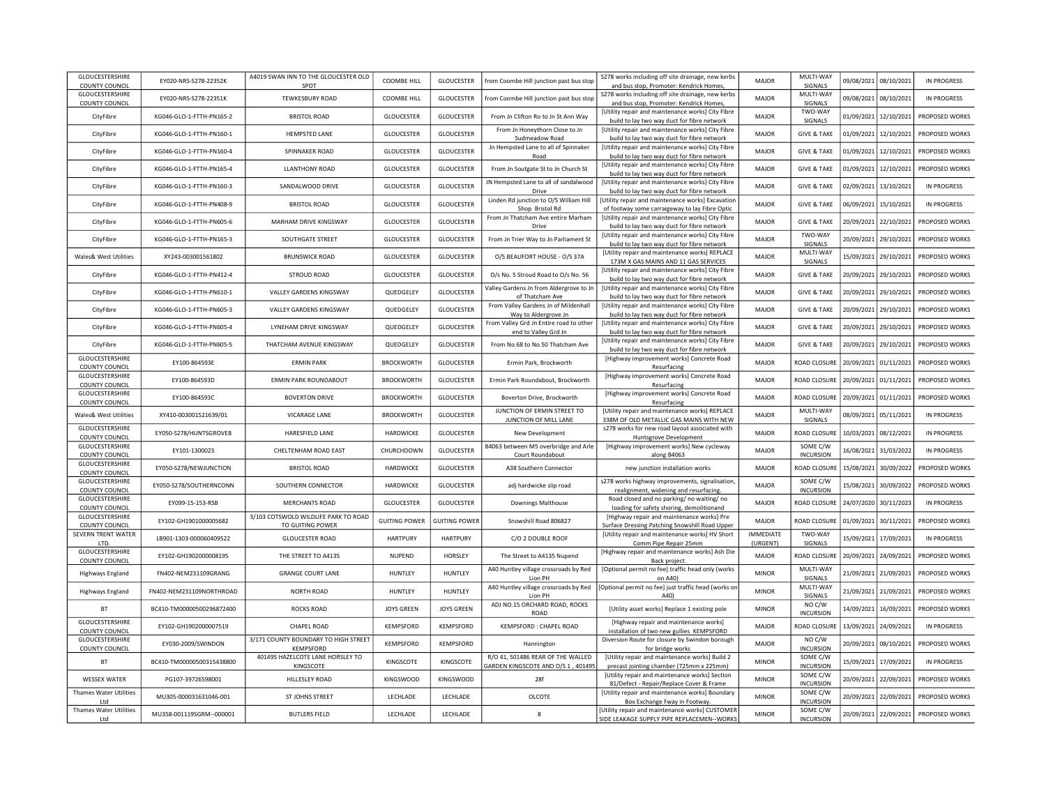| GLOUCESTERSHIRE<br>COUNTY COUNCIL        | EY020-NRS-S278-22352K     | A4019 SWAN INN TO THE GLOUCESTER OLD<br>SPOT  | COOMBE HILL          | GLOUCESTER           | from Coombe Hill junction past bus stop                                        | S278 works including off site drainage, new kerbs<br>and bus stop, Promoter: Kendrick Homes         | MAJOR                        | MULTI-WAY<br>SIGNALS              |            | 09/08/2021 08/10/2021 | <b>IN PROGRESS</b> |
|------------------------------------------|---------------------------|-----------------------------------------------|----------------------|----------------------|--------------------------------------------------------------------------------|-----------------------------------------------------------------------------------------------------|------------------------------|-----------------------------------|------------|-----------------------|--------------------|
| GLOUCESTERSHIRE                          | EY020-NRS-S278-22351K     | <b>TEWKESBURY ROAD</b>                        | COOMBE HILL          | <b>GLOUCESTER</b>    | from Coombe Hill junction past bus stop                                        | S278 works including off site drainage, new kerbs                                                   | MAIOR                        | MULTI-WAY                         |            | 09/08/2021 08/10/2021 | IN PROGRESS        |
| <b>COUNTY COUNCIL</b>                    |                           |                                               |                      |                      |                                                                                | and bus stop, Promoter: Kendrick Homes,<br>[Utility repair and maintenance works] City Fibre        |                              | SIGNALS<br>TWO-WAY                |            |                       |                    |
| CityFibre                                | KG046-GLO-1-FTTH-PN165-2  | <b>BRISTOL ROAD</b>                           | <b>GLOUCESTER</b>    | <b>GLOUCESTER</b>    | From Jn Clifton Ro to Jn St Ann Way                                            | build to lay two way duct for fibre network                                                         | MAJOR                        | SIGNALS                           | 01/09/2021 | 12/10/2021            | PROPOSED WORKS     |
| CityFibre                                | KG046-GLO-1-FTTH-PN160-1  | <b>HEMPSTED LANE</b>                          | <b>GLOUCESTER</b>    | GLOUCESTER           | From Jn Honeythorn Close to Jn<br>Sudmeadow Road                               | [Utility repair and maintenance works] City Fibre<br>build to lay two way duct for fibre network    | <b>MAJOR</b>                 | <b>GIVE &amp; TAKE</b>            | 01/09/2021 | 12/10/2021            | PROPOSED WORKS     |
| CityFibre                                | KG046-GLO-1-FTTH-PN160-4  | SPINNAKER ROAD                                | <b>GLOUCESTER</b>    | GLOUCESTER           | Jn Hempsted Lane to all of Spinnaker                                           | [Utility repair and maintenance works] City Fibre                                                   | <b>MAJOR</b>                 | <b>GIVE &amp; TAKE</b>            | 01/09/2021 | 12/10/2021            | PROPOSED WORKS     |
|                                          |                           |                                               |                      |                      | Road                                                                           | build to lay two way duct for fibre network<br>[Utility repair and maintenance works] City Fibre    |                              |                                   |            |                       |                    |
| CityFibre                                | KG046-GLO-1-FTTH-PN165-4  | <b>LLANTHONY ROAD</b>                         | GLOUCESTER           | GLOUCESTER           | From Jn Soutgate St to Jn Church St                                            | build to lay two way duct for fibre network                                                         | MAJOR                        | <b>GIVE &amp; TAKE</b>            | 01/09/2021 | 12/10/2021            | PROPOSED WORKS     |
| CityFibre                                | KG046-GLO-1-FTTH-PN160-3  | SANDALWOOD DRIVE                              | GLOUCESTER           | GLOUCESTER           | JN Hempsted Lane to all of sandalwood<br>Drive                                 | [Utility repair and maintenance works] City Fibre<br>build to lay two way duct for fibre network    | MAJOR                        | <b>GIVE &amp; TAKE</b>            | 02/09/2021 | 13/10/2021            | <b>IN PROGRESS</b> |
| CityFibre                                | KG046-GLO-1-FTTH-PN408-9  | <b>BRISTOL ROAD</b>                           | GLOUCESTER           | GLOUCESTER           | Linden Rd junction to O/S William Hill                                         | [Utility repair and maintenance works] Excavation                                                   | <b>MAJOR</b>                 | <b>GIVE &amp; TAKE</b>            | 06/09/2021 | 15/10/2021            | <b>IN PROGRESS</b> |
|                                          |                           |                                               |                      |                      | Shop Bristol Rd<br>From Jn Thatcham Ave entire Marham                          | of footway some carraigeway to lay Fibre Optic<br>[Utility repair and maintenance works] City Fibre |                              |                                   |            |                       |                    |
| CityFibre                                | KG046-GLO-1-FTTH-PN605-6  | MARHAM DRIVE KINGSWAY                         | GLOUCESTER           | GLOUCESTER           | Drive                                                                          | build to lay two way duct for fibre network                                                         | <b>MAJOR</b>                 | <b>GIVE &amp; TAKE</b>            | 20/09/202: | 22/10/2021            | PROPOSED WORKS     |
| CityFibre                                | KG046-GLO-1-FTTH-PN165-3  | SOUTHGATE STREET                              | <b>GLOUCESTER</b>    | GLOUCESTER           | From Jn Trier Way to Jn Parliament St                                          | [Utility repair and maintenance works] City Fibre<br>build to lay two way duct for fibre network    | MAJOR                        | TWO-WAY<br>SIGNALS                | 20/09/2021 | 29/10/2021            | PROPOSED WORKS     |
| Wales& West Utilities                    | XY243-003001561802        | <b>BRUNSWICK ROAD</b>                         | <b>GLOUCESTER</b>    | GLOUCESTER           | O/S BEAUFORT HOUSE - O/S 37A                                                   | [Utility repair and maintenance works] REPLACE                                                      | MAJOR                        | MULTI-WAY                         | 15/09/2021 | 29/10/2021            | PROPOSED WORKS     |
|                                          | KG046-GLO-1-FTTH-PN412-4  |                                               | GLOUCESTER           | GLOUCESTER           |                                                                                | 173M X GAS MAINS AND 11 GAS SERVICES<br>[Utility repair and maintenance works] City Fibre           |                              | SIGNALS<br><b>GIVE &amp; TAKE</b> | 20/09/2021 |                       |                    |
| CityFibre                                |                           | <b>STROUD ROAD</b>                            |                      |                      | O/s No. 5 Stroud Road to O/s No. 56<br>Valley Gardens Jn from Aldergrove to Jn | build to lay two way duct for fibre network<br>[Utility repair and maintenance works] City Fibre    | MAJOR                        |                                   |            | 29/10/2021            | PROPOSED WORKS     |
| CityFibre                                | KG046-GLO-1-FTTH-PN610-1  | VALLEY GARDENS KINGSWAY                       | QUEDGELEY            | GLOUCESTER           | of Thatcham Ave                                                                | build to lay two way duct for fibre network                                                         | MAJOR                        | <b>GIVE &amp; TAKE</b>            | 20/09/2021 | 29/10/2021            | PROPOSED WORKS     |
| CityFibre                                | KG046-GLO-1-FTTH-PN605-3  | VALLEY GARDENS KINGSWAY                       | QUEDGELEY            | GLOUCESTER           | From Valley Gardens Jn of Mildenhall<br>Way to Aldergrove Jn                   | [Utility repair and maintenance works] City Fibre<br>build to lay two way duct for fibre network    | MAJOR                        | <b>GIVE &amp; TAKE</b>            | 20/09/2021 | 29/10/2021            | PROPOSED WORKS     |
| CityFibre                                | KG046-GLO-1-FTTH-PN605-4  | <b>I YNFHAM DRIVE KINGSWAY</b>                | QUEDGELEY            | GLOUCESTER           | From Valley Grd Jn Entire road to other                                        | [Utility repair and maintenance works] City Fibre                                                   | <b>MAJOR</b>                 | <b>GIVE &amp; TAKE</b>            | 20/09/2021 | 29/10/2021            | PROPOSED WORKS     |
|                                          |                           |                                               |                      |                      | end to Valley Grd Jn                                                           | build to lay two way duct for fibre network<br>[Utility repair and maintenance works] City Fibre    |                              |                                   |            |                       |                    |
| CityFibre                                | KG046-GLO-1-FTTH-PN605-5  | THATCHAM AVENUE KINGSWAY                      | QUEDGELEY            | GLOUCESTER           | From No.68 to No.50 Thatcham Ave                                               | build to lay two way duct for fibre network                                                         | MAJOR                        | <b>GIVE &amp; TAKE</b>            | 20/09/2021 | 29/10/2021            | PROPOSED WORKS     |
| GLOUCESTERSHIRE<br><b>COUNTY COUNCIL</b> | EY100-864593E             | <b>ERMIN PARK</b>                             | <b>BROCKWORTH</b>    | GLOUCESTER           | Ermin Park, Brockworth                                                         | [Highway improvement works] Concrete Road<br>Resurfacing                                            | MAJOR                        | ROAD CLOSURI                      | 20/09/2021 | 01/11/2021            | PROPOSED WORKS     |
| GLOUCESTERSHIRE                          | EY100-864593D             | ERMIN PARK ROUNDABOUT                         | <b>BROCKWORTH</b>    | GLOUCESTER           | Ermin Park Roundabout, Brockworth                                              | [Highway improvement works] Concrete Road                                                           | <b>MAJOR</b>                 | ROAD CLOSURE                      | 20/09/2021 | 01/11/2021            | PROPOSED WORKS     |
| <b>COUNTY COUNCIL</b><br>GLOUCESTERSHIRE |                           |                                               |                      |                      |                                                                                | Resurfacing<br>[Highway improvement works] Concrete Road                                            |                              |                                   |            |                       |                    |
| <b>COUNTY COUNCIL</b>                    | EY100-864593C             | <b>BOVERTON DRIVE</b>                         | <b>BROCKWORTH</b>    | GLOUCESTER           | Boverton Drive, Brockworth                                                     | Resurfacing                                                                                         | MAJOR                        | ROAD CLOSURI                      | 20/09/2021 | 01/11/2021            | PROPOSED WORKS     |
| Wales& West Utilities                    | XY410-003001521639/01     | VICARAGE LANE                                 | <b>BROCKWORTH</b>    | GLOUCESTER           | JUNCTION OF ERMIN STREET TO<br>JUNCTION OF MILL LANE                           | [Utility repair and maintenance works] REPLACE<br>338M OF OLD METALLIC GAS MAINS WITH NEW           | MAJOR                        | MULTI-WAY<br>SIGNALS              | 08/09/2021 | 05/11/2021            | IN PROGRESS        |
| GLOUCESTERSHIRE<br><b>COUNTY COUNCIL</b> | EY050-S278/HUNTSGROVEB    | HARESFIELD LANE                               | HARDWICKE            | GLOUCESTER           | New Development                                                                | s278 works for new road layout associated with                                                      | <b>MAJOR</b>                 | ROAD CLOSURE                      | 10/03/2021 | 08/12/2021            | <b>IN PROGRESS</b> |
| GLOUCESTERSHIRE                          | EY101-1300023             | CHELTENHAM ROAD EAST                          | CHURCHDOWN           | GLOUCESTER           | B4063 between M5 overbridge and Arle                                           | Huntsgrove Development<br>[Highway improvement works] New cycleway                                  | MAJOR                        | SOME C/W                          | 16/08/2021 | 31/03/2022            | <b>IN PROGRESS</b> |
| COUNTY COUNCIL<br>GLOUCESTERSHIRE        |                           |                                               |                      |                      | Court Roundabout                                                               | along B4063                                                                                         |                              | <b>INCURSION</b>                  |            |                       |                    |
| COUNTY COUNCIL                           | EY050-S278/NEWJUNCTION    | <b>BRISTOL ROAD</b>                           | HARDWICKE            | GLOUCESTER           | A38 Southern Connector                                                         | new junction installation works                                                                     | <b>MAJOR</b>                 | ROAD CLOSURE                      |            | 15/08/2021 30/09/2022 | PROPOSED WORKS     |
| GLOUCESTERSHIRE<br><b>COUNTY COUNCIL</b> | EY050-S278/SOUTHERNCONN   | SOUTHERN CONNECTOR                            | <b>HARDWICKE</b>     | GLOUCESTER           | adj hardwicke slip road                                                        | s278 works highway improvements, signalisation<br>realignment, widening and resurfacing.            | MAJOR                        | SOME C/W<br><b>INCURSION</b>      | 15/08/2021 | 30/09/2022            | PROPOSED WORKS     |
| GLOUCESTERSHIRE                          | EY099-15-153-RSB          | <b>MERCHANTS ROAD</b>                         | GLOUCESTER           | GLOUCESTER           | <b>Downings Malthouse</b>                                                      | Road closed and no parking/ no waiting/ no                                                          | MAJOR                        | ROAD CLOSURE                      |            | 24/07/2020 30/11/2023 | <b>IN PROGRESS</b> |
| COUNTY COUNCIL<br>GLOUCESTERSHIRE        |                           | 3/103 COTSWOLD WILDLIFE PARK TO ROAD          |                      |                      |                                                                                | loading for safety shoring, demolitionand<br>[Highway repair and maintenance works] Pre             |                              |                                   |            |                       |                    |
| <b>COUNTY COUNCIL</b>                    | EY102-GH1901000005682     | TO GUITING POWER                              | <b>GUITING POWER</b> | <b>GUITING POWER</b> | Snowshill Road 806827                                                          | Surface Dressing Patching Snowshill Road Upper                                                      | MAJOR                        | ROAD CLOSURE                      |            | 01/09/2021 30/11/2021 | PROPOSED WORKS     |
| SEVERN TRENT WATER<br>LTD.               | LB901-1303-000060409522   | <b>GLOUCESTER ROAD</b>                        | <b>HARTPURY</b>      | <b>HARTPURY</b>      | C/O 2 DOUBLE ROOF                                                              | [Utility repair and maintenance works] HV Short<br>Comm Pipe Repair 25mm                            | <b>IMMEDIATE</b><br>(URGENT) | TWO-WAY<br>SIGNALS                |            | 15/09/2021 17/09/2021 | <b>IN PROGRESS</b> |
| GLOUCESTERSHIRE                          | EY102-GH1902000008195     | THE STREET TO A4135                           | NUPEND               | HORSLEY              | The Street to A4135 Nupend                                                     | [Highway repair and maintenance works] Ash Die                                                      | MAJOR                        | ROAD CLOSURE                      |            | 20/09/2021 24/09/2021 | PROPOSED WORKS     |
| <b>COUNTY COUNCIL</b>                    | FN402-NEM231109GRANG      | <b>GRANGE COURT LANE</b>                      | HUNTLEY              | HUNTLEY              | A40 Huntley village crossroads by Red                                          | Back project<br>[Optional permit no fee] traffic head only (works                                   | <b>MINOR</b>                 | MULTI-WAY                         |            | 21/09/2021 21/09/2021 | PROPOSED WORKS     |
| Highways England                         |                           |                                               |                      |                      | Lion PH                                                                        | on A40)                                                                                             |                              | <b>SIGNALS</b><br>MULTI-WAY       |            |                       |                    |
| <b>Highways England</b>                  | FN402-NEM231109NORTHROAD  | NORTH ROAD                                    | HUNTLEY              | HUNTLEY              | A40 Huntley village crossroads by Red<br>Lion PH                               | [Optional permit no fee] just traffic head (works or<br>A40)                                        | <b>MINOR</b>                 | SIGNALS                           |            | 21/09/2021 21/09/2021 | PROPOSED WORKS     |
| <b>BT</b>                                | BC410-TM00000500296872400 | <b>ROCKS ROAD</b>                             | <b>JOYS GREEN</b>    | <b>JOYS GREEN</b>    | ADJ NO.15 ORCHARD ROAD, ROCKS<br><b>ROAD</b>                                   | [Utility asset works] Replace 1 existing pole                                                       | <b>MINOR</b>                 | NO C/W<br><b>INCURSION</b>        | 14/09/2021 | 16/09/2021            | PROPOSED WORKS     |
| GLOUCESTERSHIRE                          | EY102-GH1902000007519     | CHAPEL ROAD                                   | KEMPSFORD            | KEMPSFORD            | KEMPSFORD : CHAPEL ROAD                                                        | [Highway repair and maintenance works]                                                              | <b>MAJOR</b>                 | ROAD CLOSURE                      |            | 13/09/2021 24/09/2021 | <b>IN PROGRESS</b> |
| <b>COUNTY COUNCIL</b><br>GLOUCESTERSHIRE |                           | 3/171 COUNTY BOUNDARY TO HIGH STREET          |                      |                      |                                                                                | installation of two new gullies KEMPSFORD<br>Diversion Route for closure by Swindon borough         |                              | NO C/W                            |            |                       |                    |
| COUNTY COUNCIL                           | EY030-2009/SWINDON        | KEMPSFORD                                     | KEMPSFORD            | KEMPSFORD            | Hannington                                                                     | for bridge works                                                                                    | MAJOR                        | <b>INCURSION</b>                  |            | 20/09/2021 08/10/2021 | PROPOSED WORKS     |
| <b>BT</b>                                | BC410-TM00000500315438800 | 401495 HAZELCOTE LANE HORSLEY TO<br>KINGSCOTE | KINGSCOTE            | KINGSCOTE            | R/O 41, 501486 REAR OF THE WALLED<br>GARDEN KINGSCOTE AND O/S 1, 401495        | [Utility repair and maintenance works] Build 2<br>precast jointing chamber (725mm x 225mm)          | <b>MINOR</b>                 | SOME C/W<br><b>INCURSION</b>      |            | 15/09/2021 17/09/2021 | <b>IN PROGRESS</b> |
| <b>WESSEX WATER</b>                      | PG107-39726598001         | HILLESLEY ROAD                                | <b>KINGSWOOD</b>     | <b>KINGSWOOD</b>     | 28f                                                                            | [Utility repair and maintenance works] Section                                                      | <b>MINOR</b>                 | SOME C/W                          | 20/09/2021 | 22/09/2021            | PROPOSED WORKS     |
| <b>Thames Water Utilities</b>            |                           |                                               |                      |                      |                                                                                | 81/Defect - Repair/Replace Cover & Frame<br>[Utility repair and maintenance works] Boundary         |                              | <b>INCURSION</b><br>SOME C/W      |            |                       |                    |
| Ltd                                      | MU305-000031631046-001    | ST JOHNS STREET                               | LECHLADE             | LECHLADE             | OLCOTE                                                                         | Box Exchange Fway in Footway.                                                                       | <b>MINOR</b>                 | <b>INCURSION</b>                  |            | 20/09/2021 22/09/2021 | PROPOSED WORKS     |
| <b>Thames Water Utilities</b><br>Ltd     | MU358-001119SGRM--000001  | <b>BUTLERS FIELD</b>                          | LECHLADE             | LECHLADE             | 8                                                                              | [Utility repair and maintenance works] CUSTOMER<br>SIDE LEAKAGE SUPPLY PIPE REPLACEMEN--WORKS       | <b>MINOR</b>                 | SOME C/W<br><b>INCURSION</b>      |            | 20/09/2021 22/09/2021 | PROPOSED WORKS     |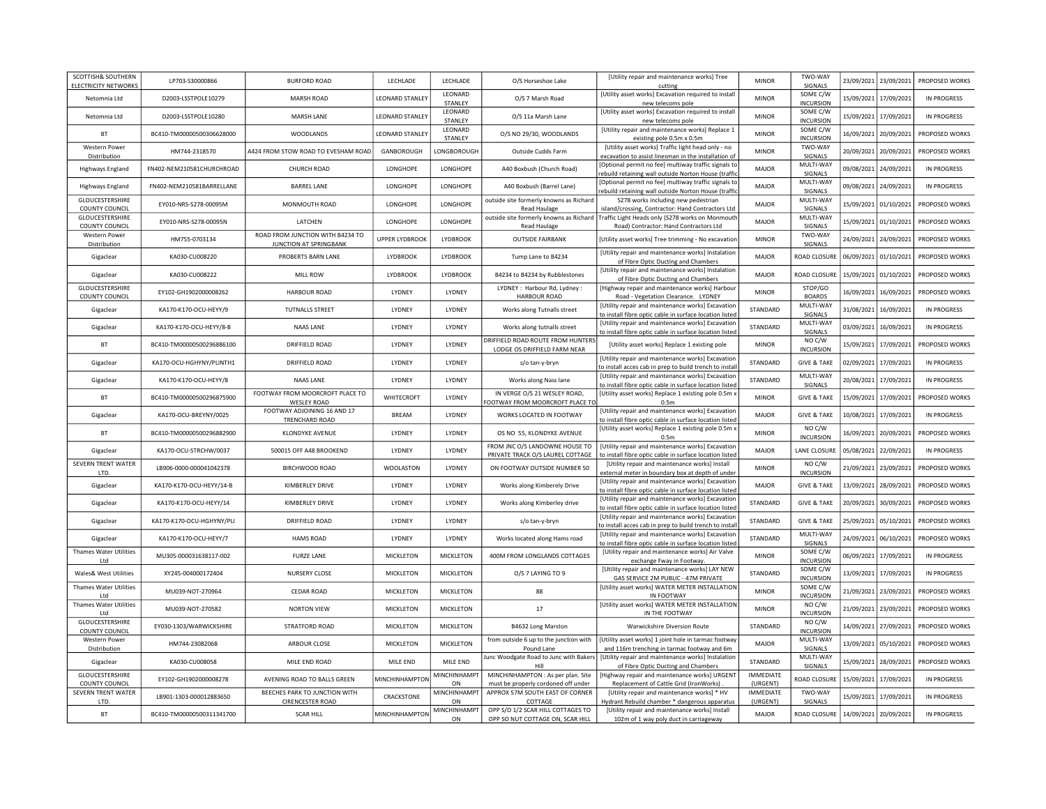| SCOTTISH& SOUTHERN<br><b>ELECTRICITY NETWORKS</b> | LP703-S30000866           | <b>BURFORD ROAD</b>                                   | LECHLADE               | LECHLADE                   | O/S Horseshoe Lake                                                     | [Utility repair and maintenance works] Tree<br>cutting                                                                                     | <b>MINOR</b>                 | TWO-WAY<br>SIGNALS            |            | 23/09/2021 23/09/2021 | PROPOSED WORKS     |
|---------------------------------------------------|---------------------------|-------------------------------------------------------|------------------------|----------------------------|------------------------------------------------------------------------|--------------------------------------------------------------------------------------------------------------------------------------------|------------------------------|-------------------------------|------------|-----------------------|--------------------|
| Netomnia Ltd                                      | D2003-LSSTPOLE10279       | <b>MARSH ROAD</b>                                     | <b>LEONARD STANLEY</b> | LEONARD<br><b>STANI FY</b> | O/S 7 Marsh Road                                                       | [Utility asset works] Excavation required to install<br>new telecoms pole                                                                  | <b>MINOR</b>                 | SOME C/W<br><b>INCURSION</b>  |            | 15/09/2021 17/09/2021 | IN PROGRESS        |
| Netomnia I td                                     | D2003-LSSTPOLE10280       | MARSH LANE                                            | <b>LEONARD STANLEY</b> | LEONARD<br>STANLEY         | O/S 11a Marsh Lane                                                     | [Utility asset works] Excavation required to install<br>new telecoms pole                                                                  | <b>MINOR</b>                 | SOME C/W<br><b>INCURSION</b>  | 15/09/2021 | 17/09/2021            | <b>IN PROGRESS</b> |
| <b>BT</b>                                         | BC410-TM00000500306628000 | WOODLANDS                                             | LEONARD STANLEY        | LEONARD<br>STANLEY         | O/S NO 29/30, WOODLANDS                                                | [Utility repair and maintenance works] Replace 1<br>existing pole 0.5m x 0.5m                                                              | <b>MINOR</b>                 | SOME C/W<br><b>INCURSION</b>  | 16/09/2021 | 20/09/2021            | PROPOSED WORKS     |
| <b>Western Power</b><br>Distribution              | HM744-2318570             | A424 FROM STOW ROAD TO EVESHAM ROAD                   | GANBOROUGH             | LONGBOROUGH                | Outside Cudds Farm                                                     | [Utility asset works] Traffic light head only - no<br>excavation to assist linesman in the installation of                                 | <b>MINOR</b>                 | TWO-WAY<br>SIGNALS            | 20/09/2021 | 20/09/2021            | PROPOSED WORKS     |
| Highways England                                  | FN402-NEM210581CHURCHROAD | CHURCH ROAD                                           | LONGHOPE               | LONGHOPE                   | A40 Boxbush (Church Road)                                              | [Optional permit no fee] multiway traffic signals to                                                                                       | MAJOR                        | MULTI-WAY<br>SIGNALS          | 09/08/2021 | 24/09/2021            | <b>IN PROGRESS</b> |
| Highways England                                  | FN402-NEM210581BARRELLANE | <b>BARREL LANE</b>                                    | LONGHOPE               | LONGHOPE                   | A40 Boxbush (Barrel Lane)                                              | rebuild retaining wall outside Norton House (traffic<br>[Optional permit no fee] multiway traffic signals to                               | MAJOR                        | MULTI-WAY                     | 09/08/2021 | 24/09/2021            | <b>IN PROGRESS</b> |
| GLOUCESTERSHIRE                                   | EY010-NRS-S278-00095M     | MONMOUTH ROAD                                         | LONGHOPE               | LONGHOPE                   | outside site formerly knowns as Richard                                | rebuild retaining wall outside Norton House (traffic<br>S278 works including new pedestrian                                                | <b>MAJOR</b>                 | SIGNALS<br>MULTI-WAY          | 15/09/2021 | 01/10/2021            | PROPOSED WORKS     |
| <b>COUNTY COUNCIL</b><br>GLOUCESTERSHIRE          | EY010-NRS-S278-00095N     | LATCHEN                                               | LONGHOPE               | LONGHOPE                   | Read Haulage<br>outside site formerly knowns as Richard                | island/crossing, Contractor: Hand Contractors Ltd<br>Traffic Light Heads only (S278 works on Monmouth                                      | <b>MAJOR</b>                 | SIGNALS<br>MULTI-WAY          | 15/09/2021 | 01/10/2021            | PROPOSED WORKS     |
| COUNTY COUNCIL<br><b>Western Power</b>            | HM755-0703134             | ROAD FROM JUNCTION WITH B4234 TO                      | <b>UPPER LYDBROOK</b>  | LYDBROOK                   | Read Haulage<br><b>OUTSIDE FAIRBANK</b>                                | Road) Contractor: Hand Contractors Ltd<br>[Utility asset works] Tree trimming - No excavation                                              | <b>MINOR</b>                 | SIGNALS<br>TWO-WAY            | 24/09/2021 | 24/09/2021            | PROPOSED WORKS     |
| Distribution<br>Gigaclear                         | KA030-CU008220            | JUNCTION AT SPRINGBANK<br>PROBERTS BARN LANE          | LYDBROOK               | LYDBROOK                   | Tump Lane to B4234                                                     | [Utility repair and maintenance works] Instalation                                                                                         | MAJOR                        | SIGNALS<br>ROAD CLOSURI       | 06/09/2021 | 01/10/2021            | PROPOSED WORKS     |
|                                                   |                           |                                                       |                        | LYDBROOK                   |                                                                        | of Fibre Optic Ducting and Chambers<br>[Utility repair and maintenance works] Instalation                                                  |                              | ROAD CLOSUR                   | 15/09/2021 |                       |                    |
| Gigaclear<br>GLOUCESTERSHIRE                      | KA030-CU008222            | MILL ROW                                              | <b>LYDBROOK</b>        |                            | B4234 to B4234 by Rubblestones<br>LYDNEY: Harbour Rd, Lydney:          | of Fibre Optic Ducting and Chambers<br>[Highway repair and maintenance works] Harbour                                                      | MAJOR                        | STOP/GO                       |            | 01/10/2021            | PROPOSED WORKS     |
| COUNTY COUNCIL                                    | EY102-GH1902000008262     | <b>HARBOUR ROAD</b>                                   | LYDNEY                 | LYDNEY                     | <b>HARBOUR ROAD</b>                                                    | Road - Vegetation Clearance. LYDNEY<br>[Utility repair and maintenance works] Excavation                                                   | <b>MINOR</b>                 | <b>BOARDS</b><br>MULTI-WAY    | 16/09/2021 | 16/09/2021            | PROPOSED WORKS     |
| Gigaclear                                         | KA170-K170-OCU-HEYY/9     | <b>TUTNALLS STREET</b>                                | LYDNEY                 | LYDNEY                     | Works along Tutnalls street                                            | to install fibre optic cable in surface location listed                                                                                    | STANDARD                     | SIGNALS                       | 31/08/2021 | 16/09/2021            | <b>IN PROGRESS</b> |
| Gigaclear                                         | KA170-K170-OCU-HEYY/8-B   | NAAS LANF                                             | LYDNEY                 | <b>I YDNEY</b>             | Works along tutnalls street                                            | [Utility repair and maintenance works] Excavation<br>to install fibre optic cable in surface location listed                               | STANDARD                     | MULTI-WAY<br>SIGNALS          | 03/09/2021 | 16/09/2021            | IN PROGRESS        |
| BT                                                | BC410-TM00000500296886100 | DRIFFIELD ROAD                                        | LYDNEY                 | LYDNEY                     | DRIFFIELD ROAD ROUTE FROM HUNTERS<br>LODGE OS DRIFFIELD FARM NEAR      | [Utility asset works] Replace 1 existing pole                                                                                              | <b>MINOR</b>                 | NO C/W<br><b>INCURSION</b>    | 15/09/2021 | 17/09/2021            | PROPOSED WORKS     |
| Gigaclear                                         | KA170-OCU-HGHYNY/PLINTH1  | DRIFFIELD ROAD                                        | LYDNEY                 | LYDNEY                     | s/o tan-y-bryn                                                         | [Utility repair and maintenance works] Excavation<br>to install acces cab in prep to build trench to instal                                | STANDARD                     | <b>GIVE &amp; TAKE</b>        | 02/09/2021 | 17/09/2021            | <b>IN PROGRESS</b> |
| Gigaclear                                         | KA170-K170-OCU-HEYY/8     | NAAS LANE                                             | LYDNEY                 | LYDNEY                     | Works along Nass lane                                                  | [Utility repair and maintenance works] Excavatior<br>to install fibre optic cable in surface location listed                               | STANDARD                     | MULTI-WAY<br>SIGNALS          | 20/08/2021 | 17/09/2021            | <b>IN PROGRESS</b> |
| BT                                                | BC410-TM00000500296875900 | FOOTWAY FROM MOORCROFT PLACE TO<br><b>WESLEY ROAD</b> | WHITECROFT             | LYDNEY                     | IN VERGE O/S 21 WESLEY ROAD,<br>OOTWAY FROM MOORCROFT PLACE T          | [Utility asset works] Replace 1 existing pole 0.5m x<br>0.5 <sub>m</sub>                                                                   | <b>MINOR</b>                 | <b>GIVE &amp; TAKE</b>        | 15/09/2021 | 17/09/2021            | PROPOSED WORKS     |
| Gigaclear                                         | KA170-OCU-BREYNY/0025     | FOOTWAY ADJOINING 16 AND 17<br>TRENCHARD ROAD         | <b>BREAM</b>           | LYDNEY                     | WORKS LOCATED IN FOOTWAY                                               | [Utility repair and maintenance works] Excavatior<br>to install fibre optic cable in surface location listed                               | MAJOR                        | <b>GIVE &amp; TAKE</b>        | 10/08/2021 | 17/09/2021            | IN PROGRESS        |
| <b>BT</b>                                         | BC410-TM00000500296882900 | KLONDYKE AVENUE                                       | LYDNEY                 | LYDNEY                     | OS NO 55, KLONDYKE AVENUE                                              | [Utility asset works] Replace 1 existing pole 0.5m x<br>0.5m                                                                               | <b>MINOR</b>                 | NO C/W<br><b>INCURSION</b>    | 16/09/2021 | 20/09/2021            | PROPOSED WORKS     |
| Gigaclear                                         | KA170-OCU-STRCHW/0037     | 500015 OFF A48 BROOKEND                               | LYDNEY                 | LYDNEY                     | FROM JNC O/S LANDOWNE HOUSE TO<br>PRIVATE TRACK O/S LAUREL COTTAGE     | [Utility repair and maintenance works] Excavatior<br>to install fibre optic cable in surface location listed                               | <b>MAJOR</b>                 | LANE CLOSURE                  |            | 05/08/2021 22/09/2021 | <b>IN PROGRESS</b> |
| SEVERN TRENT WATER<br>LTD.                        | LB906-0000-000041042378   | BIRCHWOOD ROAD                                        | WOOLASTON              | LYDNEY                     | ON FOOTWAY OUTSIDE NUMBER 50                                           | [Utility repair and maintenance works] Install<br>external meter in boundary box at depth of unde                                          | <b>MINOR</b>                 | NO C/W<br><b>INCURSION</b>    | 21/09/2021 | 23/09/2021            | PROPOSED WORKS     |
| Gigaclear                                         | KA170-K170-OCU-HEYY/14-B  | KIMBERLEY DRIVE                                       | LYDNEY                 | LYDNEY                     | Works along Kimberely Drive                                            | [Utility repair and maintenance works] Excavatior<br>to install fibre optic cable in surface location listed                               | MAJOR                        | <b>GIVE &amp; TAKE</b>        |            | 13/09/2021 28/09/2021 | PROPOSED WORKS     |
| Gigaclear                                         | KA170-K170-OCU-HEYY/14    | KIMBERLEY DRIVE                                       | LYDNEY                 | LYDNEY                     | Works along Kimberley drive                                            | [Utility repair and maintenance works] Excavatior<br>to install fibre optic cable in surface location listed                               | STANDARD                     | <b>GIVE &amp; TAKE</b>        |            | 20/09/2021 30/09/2021 | PROPOSED WORKS     |
| Gigaclear                                         | KA170-K170-OCU-HGHYNY/PLI | <b>DRIFFIELD ROAD</b>                                 | LYDNEY                 | LYDNEY                     | s/o tan-y-bryn                                                         | [Utility repair and maintenance works] Excavation<br>to install acces cab in prep to build trench to instal                                | STANDARD                     | <b>GIVE &amp; TAKE</b>        |            | 25/09/2021 05/10/2021 | PROPOSED WORKS     |
| Gigaclear                                         | KA170-K170-OCU-HEYY/7     | <b>HAMS ROAD</b>                                      | LYDNEY                 | LYDNEY                     | Works located along Hams road                                          | [Utility repair and maintenance works] Excavatior<br>to install fibre optic cable in surface location listed                               | STANDARD                     | MULTI-WAY<br>SIGNALS          |            | 24/09/2021 06/10/2021 | PROPOSED WORKS     |
| <b>Thames Water Utilities</b><br>I td             | MU305-000031638117-002    | <b>FURZE LANE</b>                                     | <b>MICKLETON</b>       | MICKLETON                  | 400M FROM LONGLANDS COTTAGES                                           | [Utility repair and maintenance works] Air Valve                                                                                           | <b>MINOR</b>                 | SOME C/W                      |            | 06/09/2021 17/09/2021 | <b>IN PROGRESS</b> |
| Wales& West Utilities                             | XY245-004000172404        | NURSERY CLOSE                                         | <b>MICKLETON</b>       | <b>MICKLETON</b>           | O/S 7 LAYING TO 9                                                      | exchange Fway in Footway<br>[Utility repair and maintenance works] LAY NEW                                                                 | STANDARD                     | <b>INCURSION</b><br>SOME C/W  |            | 13/09/2021 17/09/2021 | IN PROGRESS        |
| <b>Thames Water Utilities</b>                     | MU039-NOT-270964          | <b>CEDAR ROAD</b>                                     | MICKLETON              | MICKLETON                  | 88                                                                     | GAS SERVICE 2M PUBLIC - 47M PRIVATE<br>[Utility asset works] WATER METER INSTALLATION                                                      | <b>MINOR</b>                 | <b>INCURSION</b><br>SOME C/W  |            | 21/09/2021 23/09/2021 | PROPOSED WORKS     |
| Ltd<br><b>Thames Water Utilities</b>              | MU039-NOT-270582          | <b>NORTON VIEW</b>                                    | <b>MICKLETON</b>       | MICKLETON                  | 17                                                                     | IN FOOTWAY<br>[Utility asset works] WATER METER INSTALLATION                                                                               | <b>MINOR</b>                 | <b>INCURSION</b><br>NO C/W    |            | 21/09/2021 23/09/2021 | PROPOSED WORKS     |
| Ltd<br>GLOUCESTERSHIRE                            | EY030-1303/WARWICKSHIRE   | STRATFORD ROAD                                        | <b>MICKLETON</b>       | MICKLETON                  | B4632 Long Marston                                                     | IN THE FOOTWAY<br>Warwickshire Diversion Route                                                                                             | STANDARD                     | <b>INCURSION</b><br>NO C/W    |            | 14/09/2021 27/09/2021 | PROPOSED WORKS     |
| <b>COUNTY COUNCIL</b><br>Western Power            | HM744-2308206B            | ARBOUR CLOSE                                          | MICKLETON              | MICKLETON                  | from outside 6 up to the junction with                                 | [Utility asset works] 1 joint hole in tarmac footway                                                                                       | MAJOR                        | <b>INCURSION</b><br>MULTI-WAY |            | 13/09/2021 05/10/2021 | PROPOSED WORKS     |
| Distribution<br>Gigaclear                         | KA030-CU008058            | MILE END ROAD                                         | MILE END               | MILE END                   | Pound Lane                                                             | and 116m trenching in tarmac footway and 6m<br>Junc Woodgate Road to Junc with Bakers   [Utility repair and maintenance works] Instalatior | STANDARD                     | SIGNALS<br>MULTI-WAY          |            | 15/09/2021 28/09/2021 | PROPOSED WORKS     |
| GLOUCESTERSHIRE                                   | EY102-GH1902000008278     | AVENING ROAD TO BALLS GREEN                           | <b>MINCHINHAMPTON</b>  | <b>MINCHINHAMPT</b>        | Hill<br>MINCHINHAMPTON : As per plan. Site                             | of Fibre Optic Ducting and Chambers<br>[Highway repair and maintenance works] URGENT                                                       | <b>IMMEDIATE</b>             | SIGNALS<br>ROAD CLOSURI       |            | 15/09/2021 17/09/2021 | <b>IN PROGRESS</b> |
| <b>COUNTY COUNCIL</b><br>SEVERN TRENT WATER       |                           | BEECHES PARK TO JUNCTION WITH                         |                        | ON<br>MINCHINHAMPT         | must be properly cordoned off under<br>APPROX 57M SOUTH EAST OF CORNER | Replacement of Cattle Grid (IronWorks)<br>[Utility repair and maintenance works] * HV                                                      | (URGENT)<br><b>IMMEDIATE</b> | TWO-WAY                       |            |                       |                    |
| LTD.                                              | LB901-1303-000012883650   | <b>CIRENCESTER ROAD</b>                               | CRACKSTONE             | ON<br>MINCHINHAMPT         | COTTAGE<br>OPP S/O 1/2 SCAR HILL COTTAGES TO                           | lydrant Rebuild chamber * dangerous apparatus<br>[Utility repair and maintenance works] Install                                            | (URGENT)                     | SIGNALS                       | 15/09/2021 | 17/09/2021            | <b>IN PROGRESS</b> |
| <b>BT</b>                                         | BC410-TM00000500311341700 | <b>SCAR HILL</b>                                      | MINCHINHAMPTON         | ON                         | OPP SO NUT COTTAGE ON, SCAR HILL                                       | 102m of 1 way poly duct in carriageway                                                                                                     | MAJOR                        | ROAD CLOSURE                  |            | 14/09/2021 20/09/2021 | <b>IN PROGRESS</b> |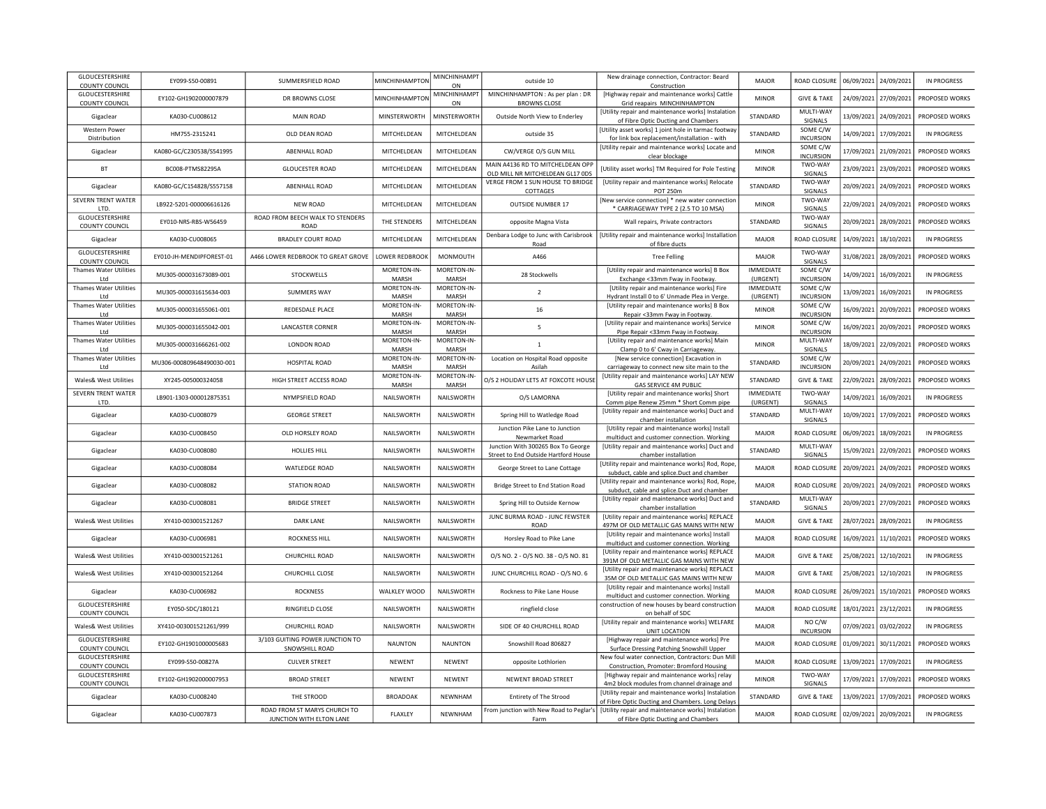| GLOUCESTERSHIRE<br>COUNTY COUNCIL        | EY099-S50-00891           | SUMMERSFIELD ROAD                                 | MINCHINHAMPTON       | MINCHINHAMPT<br>ON          | outside 10                                                            | New drainage connection, Contractor: Beard<br>Construction                                             | MAJOR                        | ROAD CLOSURE                      |            | 06/09/2021 24/09/2021 | <b>IN PROGRESS</b> |
|------------------------------------------|---------------------------|---------------------------------------------------|----------------------|-----------------------------|-----------------------------------------------------------------------|--------------------------------------------------------------------------------------------------------|------------------------------|-----------------------------------|------------|-----------------------|--------------------|
| GLOUCESTERSHIRE<br><b>COUNTY COUNCIL</b> | EY102-GH1902000007879     | DR BROWNS CLOSE                                   | MINCHINHAMPTON       | MINCHINHAMPT<br>ON          | MINCHINHAMPTON : As per plan : DR<br><b>BROWNS CLOSE</b>              | [Highway repair and maintenance works] Cattle<br>Grid reapairs MINCHINHAMPTON                          | <b>MINOR</b>                 | <b>GIVE &amp; TAKE</b>            |            | 24/09/2021 27/09/2021 | PROPOSED WORKS     |
| Gigaclear                                | KA030-CU008612            | <b>MAIN ROAD</b>                                  | MINSTERWORTH         | <b>MINSTERWORTH</b>         | Outside North View to Enderley                                        | [Utility repair and maintenance works] Instalation<br>of Fibre Optic Ducting and Chambers              | STANDARD                     | MULTI-WAY<br>SIGNALS              | 13/09/2021 | 24/09/2021            | PROPOSED WORKS     |
| <b>Western Power</b><br>Distribution     | HM755-2315241             | OLD DEAN ROAD                                     | MITCHELDEAN          | MITCHELDEAN                 | outside 35                                                            | [Utility asset works] 1 joint hole in tarmac footway<br>for link box replacement/installation - with   | STANDARD                     | SOME C/W<br><b>INCURSION</b>      | 14/09/2021 | 17/09/2021            | <b>IN PROGRESS</b> |
| Gigaclear                                | KA080-GC/C230538/S541995  | ABENHALL ROAD                                     | MITCHELDEAN          | MITCHELDEAN                 | CW/VERGE O/S GUN MILL                                                 | [Utility repair and maintenance works] Locate and<br>clear blockage                                    | <b>MINOR</b>                 | SOME C/W<br><b>INCURSION</b>      | 17/09/2021 | 21/09/2021            | PROPOSED WORKS     |
| <b>BT</b>                                | BC008-PTMS82295A          | <b>GLOUCESTER ROAD</b>                            | MITCHELDEAN          | MITCHELDEAN                 | MAIN A4136 RD TO MITCHELDEAN OPF<br>OLD MILL NR MITCHELDEAN GL17 ODS  | [Utility asset works] TM Required for Pole Testing                                                     | <b>MINOR</b>                 | TWO-WAY<br>SIGNALS                | 23/09/2021 | 23/09/2021            | PROPOSED WORKS     |
| Gigaclear                                | KA080-GC/C154828/S557158  | ABENHALL ROAD                                     | MITCHELDEAN          | MITCHELDEAN                 | VERGE FROM 1 SUN HOUSE TO BRIDGE<br>COTTAGES                          | [Utility repair and maintenance works] Relocate<br>POT 250m                                            | STANDARD                     | TWO-WAY<br>SIGNALS                | 20/09/2021 | 24/09/2021            | PROPOSED WORKS     |
| SEVERN TRENT WATER<br>LTD                | LB922-5201-000006616126   | <b>NEW ROAD</b>                                   | MITCHELDEAN          | MITCHELDEAN                 | OUTSIDE NUMBER 17                                                     | [New service connection] * new water connectior<br>* CARRIAGEWAY TYPE 2 (2.5 TO 10 MSA)                | <b>MINOR</b>                 | TWO-WAY<br>SIGNALS                | 22/09/2021 | 24/09/2021            | PROPOSED WORKS     |
| GLOUCESTERSHIRE<br>COUNTY COUNCIL        | EY010-NRS-RBS-W56459      | ROAD FROM BEECH WALK TO STENDERS<br>ROAD          | THE STENDERS         | MITCHELDEAN                 | opposite Magna Vista                                                  | Wall repairs, Private contractors                                                                      | STANDARD                     | TWO-WAY<br>SIGNALS                | 20/09/2021 | 28/09/2021            | PROPOSED WORKS     |
| Gigaclear                                | KA030-CU008065            | <b>BRADLEY COURT ROAD</b>                         | MITCHELDEAN          | MITCHELDEAN                 | Denbara Lodge to Junc with Carisbrook<br>Road                         | [Utility repair and maintenance works] Installation<br>of fibre ducts                                  | MAJOR                        | ROAD CLOSUR                       | 14/09/2021 | 18/10/2021            | <b>IN PROGRESS</b> |
| GLOUCESTERSHIRE<br><b>COUNTY COUNCIL</b> | EY010-JH-MENDIPFOREST-01  | A466 LOWER REDBROOK TO GREAT GROVE                | LOWER REDBROOK       | MONMOUTH                    | A466                                                                  | <b>Tree Felling</b>                                                                                    | MAJOR                        | TWO-WAY<br>SIGNALS                | 31/08/2021 | 28/09/2021            | PROPOSED WORKS     |
| <b>Thames Water Utilities</b><br>Ltd     | MU305-000031673089-001    | STOCKWELLS                                        | MORETON-IN-<br>MARSH | MORETON-IN-<br>MARSH        | 28 Stockwells                                                         | [Utility repair and maintenance works] B Box<br>Exchange <33mm Fway in Footway.                        | <b>IMMEDIATE</b><br>(URGENT) | SOME C/W<br><b>INCURSION</b>      | 14/09/2021 | 16/09/2021            | <b>IN PROGRESS</b> |
| <b>Thames Water Utilities</b>            |                           |                                                   | MORETON-IN-          | MORETON-IN-                 |                                                                       | [Utility repair and maintenance works] Fire                                                            | <b>IMMEDIATE</b>             | SOME C/W                          |            |                       |                    |
| I td                                     | MU305-000031615634-003    | <b>SUMMERS WAY</b>                                | MARSH                | MARSH                       | $\overline{2}$                                                        | Hydrant Install 0 to 6' Unmade Plea in Verge.                                                          | (URGENT)                     | <b>INCURSION</b>                  | 13/09/2021 | 16/09/2021            | IN PROGRESS        |
| <b>Thames Water Utilities</b>            |                           |                                                   | MORETON-IN-          | MORETON-IN-                 |                                                                       | [Utility repair and maintenance works] B Box                                                           |                              | SOME C/W                          |            |                       |                    |
| I td                                     | MU305-000031655061-001    | REDESDALE PLACE                                   | MARSH                | MARSH                       | 16                                                                    | Repair <33mm Fway in Footway.                                                                          | <b>MINOR</b>                 | <b>INCURSION</b>                  | 16/09/2021 | 20/09/2021            | PROPOSED WORKS     |
| <b>Thames Water Utilities</b><br>I td    | MU305-000031655042-001    | <b>LANCASTER CORNER</b>                           | MORETON-IN-<br>MARSH | MORETON-IN-<br><b>MARSH</b> | 5                                                                     | [Utility repair and maintenance works] Service<br>Pipe Repair <33mm Fway in Footway.                   | <b>MINOR</b>                 | SOME C/W<br><b>INCURSION</b>      | 16/09/2021 | 20/09/2021            | PROPOSED WORKS     |
| Thames Water Utilities                   |                           |                                                   | MORETON-IN-          | MORETON-IN-                 |                                                                       | [Utility repair and maintenance works] Main                                                            |                              | MULTI-WAY                         |            |                       |                    |
| I td                                     | MU305-000031666261-002    | LONDON ROAD                                       | MARSH                | <b>MARSH</b>                | $\mathbf{1}$                                                          | Clamp 0 to 6' Cway in Carriageway.                                                                     | <b>MINOR</b>                 | SIGNALS                           | 18/09/2021 | 22/09/2021            | PROPOSED WORKS     |
| <b>Thames Water Utilities</b><br>Ltd     | MU306-000809648490030-001 | HOSPITAL ROAD                                     | MORETON-IN-<br>MARSH | MORETON-IN-<br><b>MARSH</b> | Location on Hospital Road opposite<br>Asilah                          | [New service connection] Excavation in<br>carriageway to connect new site main to the                  | STANDARD                     | SOME C/W<br><b>INCURSION</b>      | 20/09/2021 | 24/09/2021            | PROPOSED WORKS     |
| Wales& West Utilities                    | XY245-005000324058        | HIGH STREET ACCESS ROAD                           | MORETON-IN-<br>MARSH | MORETON-IN-<br>MARSH        | O/S 2 HOLIDAY LETS AT FOXCOTE HOUSE                                   | [Utility repair and maintenance works] LAY NEW<br>GAS SERVICE 4M PUBLIC                                | STANDARD                     | <b>GIVE &amp; TAKE</b>            | 22/09/2021 | 28/09/2021            | PROPOSED WORKS     |
| SEVERN TRENT WATER<br>LTD.               | LB901-1303-000012875351   | NYMPSFIELD ROAD                                   | NAILSWORTH           | NAILSWORTH                  | O/S LAMORNA                                                           | [Utility repair and maintenance works] Short<br>Comm pipe Renew 25mm * Short Comm pipe                 | <b>IMMEDIATE</b><br>(URGENT) | TWO-WAY<br>SIGNALS                | 14/09/2021 | 16/09/2021            | <b>IN PROGRESS</b> |
| Gigaclear                                | KA030-CU008079            | <b>GEORGE STREET</b>                              | NAILSWORTH           | NAILSWORTH                  | Spring Hill to Watledge Road                                          | [Utility repair and maintenance works] Duct and<br>chamber installation                                | STANDARD                     | MULTI-WAY<br>SIGNALS              | 10/09/2021 | 17/09/2021            | PROPOSED WORKS     |
| Gigaclear                                | KA030-CU008450            | OLD HORSLEY ROAD                                  | NAILSWORTH           | NAILSWORTH                  | Junction Pike Lane to Junction<br>Newmarket Road                      | [Utility repair and maintenance works] Install                                                         | MAJOR                        | ROAD CLOSURE                      | 06/09/2021 | 18/09/2021            | <b>IN PROGRESS</b> |
| Gigaclear                                | KA030-CU008080            | <b>HOLLIES HILL</b>                               | NAILSWORTH           | NAILSWORTH                  | Junction With 300265 Box To George                                    | multiduct and customer connection. Working<br>[Utility repair and maintenance works] Duct and          | STANDARD                     | MULTI-WAY                         | 15/09/2021 | 22/09/2021            | PROPOSED WORKS     |
| Gigaclear                                | KA030-CU008084            | WATLEDGE ROAD                                     | NAILSWORTH           | NAILSWORTH                  | Street to End Outside Hartford House<br>George Street to Lane Cottage | chamber installation<br>[Utility repair and maintenance works] Rod, Rope                               | MAIOR                        | SIGNALS<br>ROAD CLOSURE           |            | 20/09/2021 24/09/2021 | PROPOSED WORKS     |
| Gigaclear                                | KA030-CU008082            | <b>STATION ROAD</b>                               | NAILSWORTH           | NAILSWORTH                  | Bridge Street to End Station Road                                     | subduct, cable and splice.Duct and chamber<br>[Utility repair and maintenance works] Rod, Rope         | MAJOR                        | ROAD CLOSURE                      |            | 20/09/2021 24/09/2021 | PROPOSED WORKS     |
| Gigaclear                                | KA030-CU008081            | <b>BRIDGE STREET</b>                              | NAILSWORTH           | NAILSWORTH                  | Spring Hill to Outside Kernow                                         | subduct, cable and splice.Duct and chamber<br>[Utility repair and maintenance works] Duct and          | STANDARD                     | MULTI-WAY                         | 20/09/2021 | 27/09/2021            | PROPOSED WORKS     |
| Wales& West Utilities                    | XY410-003001521267        | <b>DARK LANE</b>                                  | NAILSWORTH           | NAILSWORTH                  | JUNC BURMA ROAD - JUNC FEWSTER                                        | chamber installation<br>[Utility repair and maintenance works] REPLACE                                 | MAJOR                        | SIGNALS<br><b>GIVE &amp; TAKE</b> |            | 28/07/2021 28/09/2021 | <b>IN PROGRESS</b> |
|                                          |                           |                                                   |                      |                             | ROAD                                                                  | 497M OF OLD METALLIC GAS MAINS WITH NEW                                                                |                              |                                   |            |                       |                    |
| Gigaclear                                | KA030-CU006981            | <b>ROCKNESS HILL</b>                              | NAILSWORTH           | NAILSWORTH                  | Horsley Road to Pike Lane                                             | [Utility repair and maintenance works] Install<br>multiduct and customer connection. Working           | <b>MAJOR</b>                 | ROAD CLOSURE                      |            | 16/09/2021 11/10/2021 | PROPOSED WORKS     |
| Wales& West Utilities                    | XY410-003001521261        | CHURCHILL ROAD                                    | NAILSWORTH           | NAILSWORTH                  | 0/S NO. 2 - 0/S NO. 38 - 0/S NO. 81                                   | [Utility repair and maintenance works] REPLACE<br>391M OF OLD METALLIC GAS MAINS WITH NEW              | MAJOR                        | <b>GIVE &amp; TAKE</b>            |            | 25/08/2021 12/10/2021 | <b>IN PROGRESS</b> |
| Wales& West Utilities                    | XY410-003001521264        | CHURCHILL CLOSE                                   | NAILSWORTH           | NAILSWORTH                  | JUNC CHURCHILL ROAD - O/S NO. 6                                       | [Utility repair and maintenance works] REPLACE<br>35M OF OLD METALLIC GAS MAINS WITH NEW               | MAJOR                        | <b>GIVE &amp; TAKE</b>            | 25/08/2021 | 12/10/2021            | <b>IN PROGRESS</b> |
| Gigaclear                                | KA030-CU006982            | <b>ROCKNESS</b>                                   | WALKLEY WOOD         | NAILSWORTH                  | Rockness to Pike Lane House                                           | [Utility repair and maintenance works] Install<br>multiduct and customer connection. Working           | MAJOR                        | ROAD CLOSURE                      | 26/09/2021 | 15/10/2021            | PROPOSED WORKS     |
| GLOUCESTERSHIRE<br>COUNTY COUNCIL        | EY050-SDC/180121          | RINGFIELD CLOSE                                   | NAILSWORTH           | NAILSWORTH                  | ringfield close                                                       | construction of new houses by beard construction<br>on behalf of SDC                                   | MAJOR                        | ROAD CLOSURE                      |            | 18/01/2021 23/12/2021 | <b>IN PROGRESS</b> |
| Wales& West Utilities                    | XY410-003001521261/999    | CHURCHILL ROAD                                    | NAILSWORTH           | NAILSWORTH                  | SIDE OF 40 CHURCHILL ROAD                                             | [Utility repair and maintenance works] WELFARE<br>UNIT LOCATION                                        | MAJOR                        | NO C/W<br><b>INCURSION</b>        | 07/09/2021 | 03/02/2022            | <b>IN PROGRESS</b> |
| GLOUCESTERSHIRE<br><b>COUNTY COUNCIL</b> | EY102-GH1901000005683     | 3/103 GUITING POWER JUNCTION TO<br>SNOWSHILL ROAD | <b>NAUNTON</b>       | <b>NAUNTON</b>              | Snowshill Road 806827                                                 | [Highway repair and maintenance works] Pre<br>Surface Dressing Patching Snowshill Upper                | <b>MAJOR</b>                 | ROAD CLOSURE                      | 01/09/2021 | 30/11/2021            | PROPOSED WORKS     |
| GLOUCESTERSHIRE<br><b>COUNTY COUNCIL</b> | EY099-S50-00827A          | <b>CULVER STREET</b>                              | NEWENT               | NEWENT                      | opposite Lothlorien                                                   | New foul water connection, Contractors: Dun Mill<br>Construction, Promoter: Bromford Housing           | <b>MAJOR</b>                 | ROAD CLOSURE                      | 13/09/2021 | 17/09/2021            | IN PROGRESS        |
| GLOUCESTERSHIRE<br>COUNTY COUNCIL        | EY102-GH1902000007953     | <b>BROAD STREET</b>                               | NEWENT               | NEWENT                      | NEWENT BROAD STREET                                                   | [Highway repair and maintenance works] relay<br>4m2 block modules from channel drainage and            | <b>MINOR</b>                 | TWO-WAY<br>SIGNALS                | 17/09/2021 | 17/09/2021            | PROPOSED WORKS     |
| Gigaclear                                | KA030-CU008240            | THE STROOD                                        | <b>BROADOAK</b>      | NEWNHAM                     | Entirety of The Strood                                                | [Utility repair and maintenance works] Instalation<br>of Fibre Optic Ducting and Chambers. Long Delays | STANDARD                     | <b>GIVE &amp; TAKE</b>            | 13/09/2021 | 17/09/2021            | PROPOSED WORKS     |
|                                          |                           | ROAD FROM ST MARYS CHURCH TO                      |                      |                             |                                                                       | From junction with New Road to Peglar's   [Utility repair and maintenance works] Instalation           |                              |                                   |            |                       |                    |
| Gigaclear                                | KA030-CU007873            | JUNCTION WITH ELTON LANE                          | FLAXLEY              | NEWNHAM                     | Farm                                                                  | of Fibre Optic Ducting and Chambers                                                                    | MAIOR                        | ROAD CLOSURE                      | 02/09/2021 | 20/09/2021            | <b>IN PROGRESS</b> |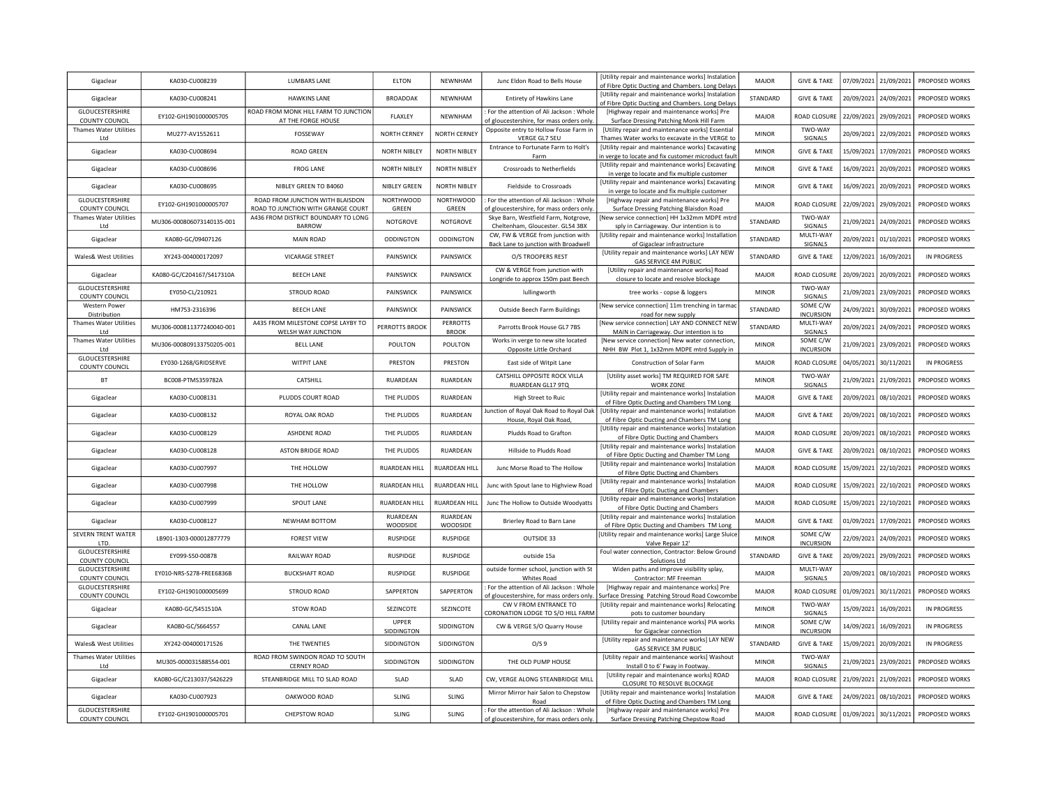| Gigaclear                                | KA030-CU008239            | <b>LUMBARS LANE</b>                                                    | <b>ELTON</b>              | NEWNHAM                   | Junc Eldon Road to Bells House                                                        | <b>IUtility repair and maintenance works] Instalation</b><br>of Fibre Optic Ducting and Chambers. Long Delays | MAJOR        | <b>GIVE &amp; TAKE</b>       |            | 07/09/2021 21/09/2021 | PROPOSED WORKS        |
|------------------------------------------|---------------------------|------------------------------------------------------------------------|---------------------------|---------------------------|---------------------------------------------------------------------------------------|---------------------------------------------------------------------------------------------------------------|--------------|------------------------------|------------|-----------------------|-----------------------|
| Gigaclear                                | KA030-CU008241            | <b>HAWKINS LANE</b>                                                    | <b>BROADOAK</b>           | NEWNHAM                   | Entirety of Hawkins Lane                                                              | [Utility repair and maintenance works] Instalation<br>of Fibre Optic Ducting and Chambers. Long Delays        | STANDARD     | <b>GIVE &amp; TAKE</b>       | 20/09/2021 | 24/09/2021            | PROPOSED WORKS        |
| GLOUCESTERSHIRE<br><b>COUNTY COUNCIL</b> | EY102-GH1901000005705     | ROAD FROM MONK HILL FARM TO JUNCTION<br>AT THE FORGE HOUSE             | FLAXLEY                   | NEWNHAM                   | For the attention of Ali Jackson : Whole<br>of gloucestershire, for mass orders only  | [Highway repair and maintenance works] Pre<br>Surface Dressing Patching Monk Hill Farm                        | <b>MAJOR</b> | ROAD CLOSURE                 | 22/09/2021 | 29/09/2021            | PROPOSED WORKS        |
| Thames Water Utilities<br>I td           | MU277-AV1552611           | FOSSEWAY                                                               | NORTH CERNEY              | NORTH CERNEY              | Opposite entry to Hollow Fosse Farm in<br>VERGE GL7 SEU                               | [Utility repair and maintenance works] Essential<br>Thames Water works to excavate in the VERGE to            | <b>MINOR</b> | TWO-WAY<br><b>SIGNALS</b>    | 20/09/2021 | 22/09/2021            | <b>PROPOSED WORKS</b> |
| Gigaclear                                | KA030-CU008694            | <b>ROAD GREEN</b>                                                      | <b>NORTH NIBLEY</b>       | <b>NORTH NIBLEY</b>       | Entrance to Fortunate Farm to Holt's<br>Farm                                          | [Utility repair and maintenance works] Excavating<br>in verge to locate and fix customer microduct fault      | <b>MINOR</b> | <b>GIVE &amp; TAKE</b>       | 15/09/2021 | 17/09/2021            | PROPOSED WORKS        |
| Gigaclear                                | KA030-CU008696            | <b>FROG LANE</b>                                                       | <b>NORTH NIBLEY</b>       | <b>NORTH NIBLEY</b>       | Crossroads to Netherfields                                                            | [Utility repair and maintenance works] Excavating<br>in verge to locate and fix multiple customer             | <b>MINOR</b> | <b>GIVE &amp; TAKE</b>       | 16/09/2021 | 20/09/2021            | PROPOSED WORKS        |
| Gigaclear                                | KA030-CU008695            | NIBLEY GREEN TO B4060                                                  | NIBLEY GREEN              | <b>NORTH NIBLEY</b>       | Fieldside to Crossroads                                                               | [Utility repair and maintenance works] Excavating<br>in verge to locate and fix multiple customer             | <b>MINOR</b> | <b>GIVE &amp; TAKE</b>       | 16/09/2021 | 20/09/2021            | PROPOSED WORKS        |
| <b>GLOUCESTERSHIRE</b><br>COUNTY COUNCIL | EY102-GH1901000005707     | ROAD FROM JUNCTION WITH BLAISDON<br>ROAD TO JUNCTION WITH GRANGE COURT | <b>NORTHWOOD</b><br>GREEN | <b>NORTHWOOD</b><br>GREEN | For the attention of Ali Jackson: Whole<br>of gloucestershire, for mass orders only   | [Highway repair and maintenance works] Pre<br>Surface Dressing Patching Blaisdon Road                         | MAJOR        | ROAD CLOSURI                 | 22/09/2021 | 29/09/2021            | PROPOSED WORKS        |
| Thames Water Utilities<br>Ltd            | MU306-000806073140135-001 | A436 FROM DISTRICT BOUNDARY TO LONG<br><b>BARROW</b>                   | NOTGROVE                  | NOTGROVE                  | Skye Barn, Westfield Farm, Notgrove,<br>Cheltenham, Gloucester. GL54 3BX              | [New service connection] HH 1x32mm MDPE mtrd<br>sply in Carriageway. Our intention is to                      | STANDARD     | TWO-WAY<br>SIGNALS           | 21/09/2021 | 24/09/2021            | <b>PROPOSED WORKS</b> |
| Gigaclear                                | KA080-GC/09407126         | <b>MAIN ROAD</b>                                                       | ODDINGTON                 | ODDINGTON                 | CW, FW & VERGE from junction with<br>Back Lane to junction with Broadwell             | [Utility repair and maintenance works] Installation<br>of Gigaclear infrastructure                            | STANDARD     | MULTI-WAY<br>SIGNALS         | 20/09/2021 | 01/10/2021            | PROPOSED WORKS        |
| Wales& West Utilities                    | XY243-004000172097        | <b>VICARAGE STREET</b>                                                 | PAINSWICK                 | PAINSWICK                 | O/S TROOPERS REST                                                                     | [Utility repair and maintenance works] LAY NEW<br><b>GAS SERVICE 4M PUBLIC</b>                                | STANDARD     | <b>GIVE &amp; TAKE</b>       | 12/09/2021 | 16/09/2021            | <b>IN PROGRESS</b>    |
| Gigaclear                                | KA080-GC/C204167/S417310A | <b>BEECH LANE</b>                                                      | PAINSWICK                 | PAINSWICK                 | CW & VERGE from junction with<br>Longride to approx 150m past Beech                   | [Utility repair and maintenance works] Road<br>closure to locate and resolve blockage                         | <b>MAJOR</b> | ROAD CLOSUR                  | 20/09/2021 | 20/09/2021            | PROPOSED WORKS        |
| GLOUCESTERSHIRE<br>COUNTY COUNCIL        | EY050-CL/210921           | STROUD ROAD                                                            | PAINSWICK                 | PAINSWICK                 | lullingworth                                                                          | tree works - copse & loggers                                                                                  | <b>MINOR</b> | TWO-WAY<br>SIGNALS           | 21/09/2021 | 23/09/2021            | PROPOSED WORKS        |
| <b>Western Power</b><br>Distribution     | HM753-2316396             | <b>BEECH LANE</b>                                                      | PAINSWICK                 | PAINSWICK                 | Outside Beech Farm Buildings                                                          | [New service connection] 11m trenching in tarma<br>road for new supply                                        | STANDARD     | SOME C/W<br><b>INCURSION</b> | 24/09/2021 | 30/09/2021            | PROPOSED WORKS        |
| Thames Water Utilities<br>Ltd            | MU306-000811377240040-001 | A435 FROM MILESTONE COPSE LAYBY TO<br>WELSH WAY JUNCTION               | PERROTTS BROOK            | PERROTTS<br><b>BROOK</b>  | Parrotts Brook House GL7 7BS                                                          | [New service connection] LAY AND CONNECT NEW<br>MAIN in Carriageway. Our intention is to                      | STANDARD     | MULTI-WAY<br>SIGNALS         | 20/09/2021 | 24/09/2021            | PROPOSED WORKS        |
| Thames Water Utilities<br>I td           | MU306-000809133750205-001 | <b>BELL LANE</b>                                                       | POULTON                   | POULTON                   | Works in verge to new site located<br>Opposite Little Orchard                         | [New service connection] New water connection,<br>NHH BW Plot 1, 1x32mm MDPE mtrd Supply in                   | <b>MINOR</b> | SOME C/W<br><b>INCURSION</b> | 21/09/2021 | 23/09/2021            | PROPOSED WORKS        |
| GLOUCESTERSHIRE<br><b>COUNTY COUNCIL</b> | EY030-1268/GRIDSERVE      | <b>WITPIT LANE</b>                                                     | PRESTON                   | PRESTON                   | East side of Witpit Lane                                                              | Construction of Solar Farm                                                                                    | MAJOR        | ROAD CLOSURI                 | 04/05/2021 | 30/11/2021            | <b>IN PROGRESS</b>    |
| BT                                       | BC008-PTMS359782A         | CATSHILL                                                               | RUARDEAN                  | RUARDEAN                  | CATSHILL OPPOSITE ROCK VILLA<br>RUARDEAN GL17 9TQ                                     | [Utility asset works] TM REQUIRED FOR SAFE<br><b>WORK ZONE</b>                                                | <b>MINOR</b> | TWO-WAY<br>SIGNALS           | 21/09/2021 | 21/09/2021            | PROPOSED WORKS        |
| Gigaclear                                | KA030-CU008131            | PLUDDS COURT ROAD                                                      | THE PLUDDS                | RUARDEAN                  | High Street to Ruic                                                                   | [Utility repair and maintenance works] Instalatior<br>of Fibre Optic Ducting and Chambers TM Long             | <b>MAIOR</b> | <b>GIVE &amp; TAKE</b>       | 20/09/2021 | 08/10/2021            | PROPOSED WORKS        |
| Gigaclear                                | KA030-CU008132            | ROYAL OAK ROAD                                                         | THE PLUDDS                | RUARDEAN                  | Junction of Royal Oak Road to Royal Oak<br>House, Royal Oak Road,                     | [Utility repair and maintenance works] Instalation<br>of Fibre Optic Ducting and Chambers TM Long             | <b>MAIOR</b> | <b>GIVE &amp; TAKE</b>       | 20/09/2021 | 08/10/2021            | PROPOSED WORKS        |
| Gigaclear                                | KA030-CU008129            | ASHDENE ROAD                                                           | THE PLUDDS                | RUARDEAN                  | Pludds Road to Grafton                                                                | [Utility repair and maintenance works] Instalation<br>of Fibre Optic Ducting and Chambers                     | <b>MAJOR</b> | ROAD CLOSURI                 | 20/09/2021 | 08/10/2021            | PROPOSED WORKS        |
| Gigaclear                                | KA030-CU008128            | ASTON BRIDGE ROAD                                                      | THE PLUDDS                | RUARDEAN                  | Hillside to Pludds Road                                                               | [Utility repair and maintenance works] Instalatior<br>of Fibre Optic Ducting and Chamber TM Long              | <b>MAJOR</b> | <b>GIVE &amp; TAKE</b>       | 20/09/2021 | 08/10/2021            | PROPOSED WORKS        |
| Gigaclear                                | KA030-CU007997            | THE HOLLOW                                                             | RUARDEAN HILL             | RUARDEAN HILL             | Junc Morse Road to The Hollow                                                         | [Utility repair and maintenance works] Instalatior<br>of Fibre Optic Ducting and Chambers                     | <b>MAJOR</b> | ROAD CLOSURE                 | 15/09/2021 | 22/10/2021            | PROPOSED WORKS        |
| Gigaclear                                | KA030-CU007998            | THE HOLLOW                                                             | RUARDEAN HILL             | RUARDEAN HILL             | Junc with Spout lane to Highview Road                                                 | [Utility repair and maintenance works] Instalation<br>of Fibre Optic Ducting and Chambers                     | <b>MAJOR</b> | ROAD CLOSURE                 | 15/09/2021 | 22/10/2021            | PROPOSED WORKS        |
| Gigaclear                                | KA030-CU007999            | SPOUT LANE                                                             | RUARDEAN HILL             | RUARDEAN HILL             | Junc The Hollow to Outside Woodyatts                                                  | [Utility repair and maintenance works] Instalatior<br>of Fibre Optic Ducting and Chambers                     | <b>MAJOR</b> | ROAD CLOSURE                 | 15/09/2021 | 22/10/2021            | PROPOSED WORKS        |
| Gigaclear                                | KA030-CU008127            | NEWHAM BOTTOM                                                          | RUARDEAN<br>WOODSIDE      | RUARDEAN<br>WOODSIDE      | Brierley Road to Barn Lane                                                            | [Utility repair and maintenance works] Instalatior<br>of Fibre Optic Ducting and Chambers TM Long             | <b>MAJOR</b> | <b>GIVE &amp; TAKE</b>       | 01/09/2021 | 17/09/2021            | PROPOSED WORKS        |
| SEVERN TRENT WATER<br>LTD.               | LB901-1303-000012877779   | <b>FOREST VIEW</b>                                                     | <b>RUSPIDGE</b>           | <b>RUSPIDGE</b>           | OUTSIDE 33                                                                            | [Utility repair and maintenance works] Large Sluic<br>Valve Repair 12'                                        | <b>MINOR</b> | SOME C/W<br><b>INCURSION</b> | 22/09/2021 | 24/09/2021            | PROPOSED WORKS        |
| GLOUCESTERSHIRE<br><b>COUNTY COUNCIL</b> | EY099-S50-00878           | RAILWAY ROAD                                                           | <b>RUSPIDGE</b>           | <b>RUSPIDGE</b>           | outside 15a                                                                           | Foul water connection, Contractor: Below Ground<br>Solutions Ltd                                              | STANDARD     | <b>GIVE &amp; TAKE</b>       | 20/09/2021 | 29/09/2021            | PROPOSED WORKS        |
| GLOUCESTERSHIRE<br>COUNTY COUNCIL        | EY010-NRS-S278-FREE6836B  | <b>BUCKSHAFT ROAD</b>                                                  | <b>RUSPIDGE</b>           | <b>RUSPIDGE</b>           | outside former school, junction with St<br>Whites Road                                | Widen paths and improve visibility splay,<br>Contractor: MF Freeman                                           | MAJOR        | MULTI-WAY<br>SIGNALS         | 20/09/2021 | 08/10/2021            | PROPOSED WORKS        |
| GLOUCESTERSHIRE<br>COUNTY COUNCIL        | EY102-GH1901000005699     | STROUD ROAD                                                            | SAPPERTON                 | SAPPERTON                 | For the attention of Ali Jackson: Whole<br>of gloucestershire, for mass orders only   | [Highway repair and maintenance works] Pre<br>Surface Dressing Patching Stroud Road Cowcomb                   | <b>MAJOR</b> | ROAD CLOSURI                 | 01/09/2021 | 30/11/2021            | PROPOSED WORKS        |
| Gigaclear                                | KA080-GC/S451510A         | <b>STOW ROAD</b>                                                       | SEZINCOTE                 | SEZINCOTE                 | CW V FROM ENTRANCE TO<br>CORONATION LODGE TO S/O HILL FARM                            | [Utility repair and maintenance works] Relocating<br>pots to customer boundary                                | <b>MINOR</b> | TWO-WAY<br><b>SIGNALS</b>    | 15/09/2021 | 16/09/2021            | <b>IN PROGRESS</b>    |
| Gigaclear                                | KA080-GC/S664557          | <b>CANAL LANE</b>                                                      | UPPER<br>SIDDINGTON       | SIDDINGTON                | CW & VERGE S/O Quarry House                                                           | [Utility repair and maintenance works] PIA works<br>for Gigaclear connection                                  | <b>MINOR</b> | SOME C/W<br><b>INCURSION</b> | 14/09/2021 | 16/09/2021            | <b>IN PROGRESS</b>    |
| Wales& West Utilities                    | XY242-004000171526        | THE TWENTIES                                                           | SIDDINGTON                | SIDDINGTON                | O/S <sub>9</sub>                                                                      | [Utility repair and maintenance works] LAY NEW<br>GAS SERVICE 3M PUBLIC                                       | STANDARD     | <b>GIVE &amp; TAKE</b>       |            | 15/09/2021 20/09/2021 | <b>IN PROGRESS</b>    |
| Thames Water Utilities<br>Ltd            | MU305-000031588554-001    | ROAD FROM SWINDON ROAD TO SOUTH<br><b>CERNEY ROAD</b>                  | SIDDINGTON                | SIDDINGTON                | THE OLD PUMP HOUSE                                                                    | [Utility repair and maintenance works] Washout<br>Install 0 to 6' Fway in Footway.                            | <b>MINOR</b> | TWO-WAY<br>SIGNALS           |            | 21/09/2021 23/09/2021 | PROPOSED WORKS        |
| Gigaclear                                | KA080-GC/C213037/S426229  | STEANBRIDGE MILL TO SLAD ROAD                                          | SLAD                      | SLAD                      | CW, VERGE ALONG STEANBRIDGE MILI                                                      | [Utility repair and maintenance works] ROAD<br>CLOSURE TO RESOLVE BLOCKAGE                                    | <b>MAJOR</b> | ROAD CLOSURE                 |            | 21/09/2021 21/09/2021 | PROPOSED WORKS        |
| Gigaclear                                | KA030-CU007923            | OAKWOOD ROAD                                                           | <b>SLING</b>              | SLING                     | Mirror Mirror hair Salon to Chepstow<br>Road                                          | [Utility repair and maintenance works] Instalation<br>of Fibre Optic Ducting and Chambers TM Long             | <b>MAJOR</b> | <b>GIVE &amp; TAKE</b>       | 24/09/2021 | 08/10/2021            | PROPOSED WORKS        |
| GLOUCESTERSHIRE<br><b>COUNTY COUNCIL</b> | EY102-GH1901000005701     | CHEPSTOW ROAD                                                          | SLING                     | SLING                     | For the attention of Ali Jackson : Whole<br>of gloucestershire, for mass orders only. | [Highway repair and maintenance works] Pre<br>Surface Dressing Patching Chepstow Road                         | MAJOR        | ROAD CLOSURE                 | 01/09/2021 | 30/11/2021            | PROPOSED WORKS        |
|                                          |                           |                                                                        |                           |                           |                                                                                       |                                                                                                               |              |                              |            |                       |                       |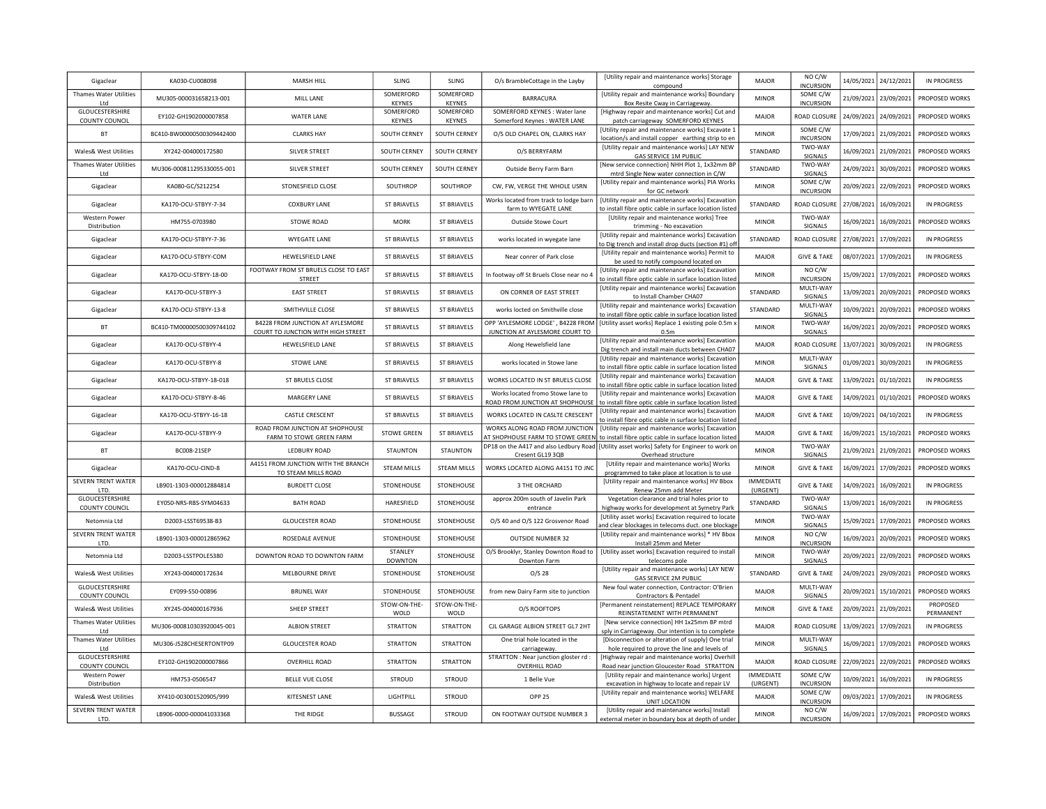| Gigaclear                                | KA030-CU008098            | MARSH HILL                                                             | <b>SLING</b>              | SLING                | O/s BrambleCottage in the Layby                                      | [Utility repair and maintenance works] Storage<br>compound                                                                                    | MAJOR                        | NO C/W<br><b>INCURSION</b>   |            | 14/05/2021 24/12/2021   | <b>IN PROGRESS</b>    |
|------------------------------------------|---------------------------|------------------------------------------------------------------------|---------------------------|----------------------|----------------------------------------------------------------------|-----------------------------------------------------------------------------------------------------------------------------------------------|------------------------------|------------------------------|------------|-------------------------|-----------------------|
| Thames Water Utilities<br>I td           | MU305-000031658213-001    | MILL LANE                                                              | SOMERFORD<br>KEYNES       | SOMERFORD<br>KEYNES  | <b>BARRACURA</b>                                                     | [Utility repair and maintenance works] Boundary<br>Box Resite Cway in Carriageway.                                                            | <b>MINOR</b>                 | SOME C/W<br><b>INCURSION</b> | 21/09/2021 | 23/09/2021              | PROPOSED WORKS        |
| GLOUCESTERSHIRE<br><b>COUNTY COUNCIL</b> | EY102-GH1902000007858     | <b>WATER LANE</b>                                                      | SOMERFORD<br>KEYNES       | SOMERFORD<br>KEYNES  | SOMERFORD KEYNES : Water lane<br>Somerford Keynes : WATER LANE       | [Highway repair and maintenance works] Cut and<br>patch carriageway SOMERFORD KEYNES                                                          | <b>MAJOR</b>                 | ROAD CLOSURE                 | 24/09/2021 | 24/09/2021              | PROPOSED WORKS        |
| BT                                       | BC410-BW00000500309442400 | <b>CLARKS HAY</b>                                                      | SOUTH CERNEY              | SOUTH CERNEY         | O/S OLD CHAPEL ON, CLARKS HAY                                        | [Utility repair and maintenance works] Excavate 1<br>location/s and install copper earthing strip to en                                       | <b>MINOR</b>                 | SOME C/W<br><b>INCURSION</b> | 17/09/2021 | 21/09/2021              | PROPOSED WORKS        |
| Wales& West Utilities                    | XY242-004000172580        | SILVER STREET                                                          | SOUTH CERNEY              | SOUTH CERNEY         | O/S BERRYFARM                                                        | [Utility repair and maintenance works] LAY NEW<br><b>GAS SERVICE 1M PUBLIC</b>                                                                | STANDARD                     | TWO-WAY<br>SIGNALS           | 16/09/2021 | 21/09/2021              | PROPOSED WORKS        |
| <b>Thames Water Utilities</b><br>Ltd     | MU306-000811295330055-001 | SILVER STREET                                                          | SOUTH CERNEY              | SOUTH CERNEY         | Outside Berry Farm Barn                                              | [New service connection] NHH Plot 1, 1x32mm BF<br>mtrd Single New water connection in C/W                                                     | STANDARD                     | TWO-WAY<br>SIGNALS           | 24/09/2021 | 30/09/2021              | PROPOSED WORKS        |
| Gigaclear                                | KA080-GC/S212254          | STONESFIELD CLOSE                                                      | SOUTHROP                  | SOUTHROP             | CW, FW, VERGE THE WHOLE USRN                                         | [Utility repair and maintenance works] PIA Works<br>for GC network                                                                            | <b>MINOR</b>                 | SOME C/W<br><b>INCURSION</b> | 20/09/2021 | 22/09/2021              | PROPOSED WORKS        |
| Gigaclear                                | KA170-OCU-STBYY-7-34      | <b>COXBURY LANE</b>                                                    | <b>ST BRIAVELS</b>        | <b>ST BRIAVELS</b>   | Works located from track to lodge barn<br>farm to WYEGATE LANE       | [Utility repair and maintenance works] Excavation<br>to install fibre optic cable in surface location listed                                  | STANDARD                     | ROAD CLOSURI                 | 27/08/2021 | 16/09/2021              | <b>IN PROGRESS</b>    |
| Western Power<br>Distribution            | HM755-0703980             | STOWE ROAD                                                             | <b>MORK</b>               | ST BRIAVELS          | Outside Stowe Court                                                  | [Utility repair and maintenance works] Tree<br>trimming - No excavation                                                                       | <b>MINOR</b>                 | TWO-WAY<br>SIGNALS           | 16/09/2021 | 16/09/2021              | PROPOSED WORKS        |
| Gigaclear                                | KA170-OCU-STBYY-7-36      | WYEGATE LANE                                                           | <b>ST BRIAVELS</b>        | <b>ST BRIAVELS</b>   | works located in wyegate lane                                        | [Utility repair and maintenance works] Excavatior<br>o Dig trench and install drop ducts (section #1) of                                      | STANDARD                     | ROAD CLOSURI                 | 27/08/2021 | 17/09/2021              | <b>IN PROGRESS</b>    |
| Gigaclear                                | KA170-OCU-STBYY-COM       | HEWELSFIELD LANE                                                       | <b>ST BRIAVELS</b>        | <b>ST BRIAVELS</b>   | Near conrer of Park close                                            | [Utility repair and maintenance works] Permit to<br>be used to notify compound located on                                                     | <b>MAJOR</b>                 | <b>GIVE &amp; TAKE</b>       | 08/07/2021 | 17/09/2021              | <b>IN PROGRESS</b>    |
| Gigaclear                                | KA170-OCU-STBYY-18-00     | FOOTWAY FROM ST BRUELS CLOSE TO EAST<br>STREET                         | <b>ST BRIAVELS</b>        | <b>ST BRIAVELS</b>   | In footway off St Bruels Close near no                               | [Utility repair and maintenance works] Excavatior<br>to install fibre optic cable in surface location listed                                  | <b>MINOR</b>                 | NO C/W<br><b>INCURSION</b>   | 15/09/2021 | 17/09/2021              | PROPOSED WORKS        |
| Gigaclear                                | KA170-OCU-STBYY-3         | <b>EAST STREET</b>                                                     | <b>ST BRIAVELS</b>        | <b>ST BRIAVELS</b>   | ON CORNER OF EAST STREET                                             | [Utility repair and maintenance works] Excavation<br>to Install Chamber CHA07                                                                 | <b>STANDARD</b>              | MULTI-WAY<br>SIGNALS         | 13/09/2021 | 20/09/2021              | PROPOSED WORKS        |
| Gigaclear                                | KA170-OCU-STBYY-13-8      | SMITHVILLE CLOSE                                                       | <b>ST BRIAVELS</b>        | <b>ST BRIAVELS</b>   | works locted on Smithville close                                     | [Utility repair and maintenance works] Excavation<br>o install fibre optic cable in surface location listed                                   | STANDARD                     | MULTI-WAY<br>SIGNALS         | 10/09/2021 | 20/09/2021              | PROPOSED WORKS        |
| BT                                       | BC410-TM00000500309744102 | B4228 FROM JUNCTION AT AYLESMORE<br>COURT TO JUNCTION WITH HIGH STREET | <b>ST BRIAVELS</b>        | <b>ST BRIAVELS</b>   | OPP 'AYLESMORE LODGE', B4228 FRON<br>JUNCTION AT AYLESMORE COURT TO  | [Utility asset works] Replace 1 existing pole 0.5m x<br>0.5m                                                                                  | <b>MINOR</b>                 | TWO-WAY<br>SIGNALS           | 16/09/2021 | 20/09/2021              | PROPOSED WORKS        |
| Gigaclear                                | KA170-OCU-STBYY-4         | HEWELSFIELD LANE                                                       | <b>ST BRIAVELS</b>        | <b>ST BRIAVELS</b>   | Along Hewelsfield lane                                               | [Utility repair and maintenance works] Excavation<br>Dig trench and install main ducts between CHA07                                          | <b>MAJOR</b>                 | ROAD CLOSURI                 | 13/07/2021 | 30/09/2021              | <b>IN PROGRESS</b>    |
| Gigaclear                                | KA170-OCU-STRYY-8         | <b>STOWE LANE</b>                                                      | <b>ST BRIAVELS</b>        | ST BRIAVELS          | works located in Stowe Jane                                          | [Utility repair and maintenance works] Excavatior<br>to install fibre optic cable in surface location listed                                  | <b>MINOR</b>                 | MULTI-WAY<br>SIGNALS         | 01/09/2021 | 30/09/2021              | <b>IN PROGRESS</b>    |
| Gigaclear                                | KA170-OCU-STBYY-18-018    | ST BRUELS CLOSE                                                        | <b>ST BRIAVELS</b>        | ST BRIAVELS          | WORKS LOCATED IN ST BRUELS CLOSE                                     | [Utility repair and maintenance works] Excavatior<br>to install fibre optic cable in surface location listed                                  | <b>MAJOR</b>                 | <b>GIVE &amp; TAKE</b>       | 13/09/2021 | 01/10/2021              | IN PROGRESS           |
| Gigaclear                                | KA170-OCU-STBYY-8-46      | MARGERY LANE                                                           | <b>ST BRIAVELS</b>        | <b>ST BRIAVELS</b>   | Works located fromo Stowe lane to<br>ROAD FROM JUNCTION AT SHOPHOUSE | [Utility repair and maintenance works] Excavatior<br>to install fibre optic cable in surface location listed                                  | <b>MAJOR</b>                 | <b>GIVE &amp; TAKE</b>       | 14/09/2021 | 01/10/2021              | PROPOSED WORKS        |
| Gigaclear                                | KA170-OCU-STBYY-16-18     | CASTLE CRESCENT                                                        | <b>ST BRIAVELS</b>        | <b>ST BRIAVELS</b>   | WORKS LOCATED IN CASLTE CRESCENT                                     | [Utility repair and maintenance works] Excavatior<br>to install fibre optic cable in surface location listed                                  | <b>MAJOR</b>                 | <b>GIVE &amp; TAKE</b>       | 10/09/2021 | 04/10/2021              | <b>IN PROGRESS</b>    |
| Gigaclear                                | KA170-OCU-STBYY-9         | ROAD FROM JUNCTION AT SHOPHOUSE<br>FARM TO STOWE GREEN FARM            | <b>STOWE GREEN</b>        | ST BRIAVELS          | WORKS ALONG ROAD FROM JUNCTION                                       | [Utility repair and maintenance works] Excavatior<br>AT SHOPHOUSE FARM TO STOWE GREEN to install fibre optic cable in surface location listed | MAJOR                        | <b>GIVE &amp; TAKE</b>       | 16/09/2021 | 15/10/2021              | PROPOSED WORKS        |
| BT                                       | BC008-21SEP               | LEDBURY ROAD                                                           | <b>STAUNTON</b>           | STAUNTON             | Cresent GL19 3QB                                                     | DP18 on the A417 and also Ledbury Road   [Utility asset works] Safety for Engineer to work or<br>Overhead structure                           | <b>MINOR</b>                 | TWO-WAY<br>SIGNALS           | 21/09/2021 | 21/09/2021              | PROPOSED WORKS        |
| Gigaclear                                | KA170-OCU-CIND-8          | A4151 FROM JUNCTION WITH THE BRANCH<br>TO STEAM MILLS ROAD             | <b>STEAM MILLS</b>        | STEAM MILLS          | WORKS LOCATED ALONG A4151 TO JNC                                     | [Utility repair and maintenance works] Works<br>programmed to take place at location is to use                                                | <b>MINOR</b>                 | <b>GIVE &amp; TAKE</b>       | 16/09/2021 | 17/09/2021              | PROPOSED WORKS        |
| SEVERN TRENT WATER<br><b>ITD</b>         | LB901-1303-000012884814   | <b>BURDETT CLOSE</b>                                                   | STONEHOUSE                | STONEHOUSE           | 3 THE ORCHARD                                                        | [Utility repair and maintenance works] HV Bbox<br>Renew 25mm add Meter                                                                        | <b>IMMEDIATE</b><br>(URGENT) | <b>GIVE &amp; TAKE</b>       | 14/09/2021 | 16/09/2021              | <b>IN PROGRESS</b>    |
| GLOUCESTERSHIRE<br>COUNTY COUNCIL        | EY050-NRS-RBS-SYM04633    | <b>BATH ROAD</b>                                                       | HARESFIELD                | STONEHOUSE           | approx 200m south of Javelin Park<br>entrance                        | Vegetation clearance and trial holes prior to<br>highway works for development at Symetry Park                                                | STANDARD                     | TWO-WAY<br>SIGNALS           | 13/09/2021 | 16/09/2021              | <b>IN PROGRESS</b>    |
| Netomnia Ltd                             | D2003-LSST69538-B3        | <b>GLOUCESTER ROAD</b>                                                 | STONEHOUSE                | STONEHOUSE           | O/S 40 and O/S 122 Grosvenor Road                                    | [Utility asset works] Excavation required to locate<br>and clear blockages in telecoms duct. one blockage                                     | <b>MINOR</b>                 | TWO-WAY<br>SIGNALS           | 15/09/2021 | 17/09/2021              | PROPOSED WORKS        |
| SEVERN TRENT WATER<br>LTD.               | LB901-1303-000012865962   | ROSEDALE AVENUE                                                        | STONEHOUSE                | STONEHOUSE           | <b>OUTSIDE NUMBER 32</b>                                             | [Utility repair and maintenance works] * HV Bbox<br>Install 25mm and Meter                                                                    | <b>MINOR</b>                 | NO C/W<br><b>INCURSION</b>   | 16/09/2021 | 20/09/2021              | PROPOSED WORKS        |
| Netomnia Ltd                             | D2003-LSSTPOLE5380        | DOWNTON ROAD TO DOWNTON FARM                                           | STANLEY<br><b>DOWNTON</b> | STONEHOUSE           | O/S Brooklyr, Stanley Downton Road to<br>Downton Farm                | [Utility asset works] Excavation required to install<br>telecoms pole                                                                         | <b>MINOR</b>                 | TWO-WAY<br>SIGNALS           | 20/09/2021 | 22/09/2021              | PROPOSED WORKS        |
| <b>Wales&amp; West Utilities</b>         | XY243-004000172634        | MELBOURNE DRIVE                                                        | STONEHOUSE                | STONEHOUSE           | $O/S$ 28                                                             | [Utility repair and maintenance works] LAY NEW<br><b>GAS SERVICE 2M PUBLIC</b>                                                                | STANDARD                     | <b>GIVE &amp; TAKE</b>       |            | 24/09/2021 29/09/2021   | PROPOSED WORKS        |
| GLOUCESTERSHIRE<br>COUNTY COUNCIL        | EY099-S50-00896           | <b>BRUNEL WAY</b>                                                      | STONEHOUSE                | STONEHOUSE           | from new Dairy Farm site to junction                                 | New foul water connection, Contractor: O'Brier<br>Contractors & Pentadel                                                                      | <b>MAJOR</b>                 | MULTI-WAY<br>SIGNALS         |            | 20/09/2021   15/10/2021 | PROPOSED WORKS        |
| <b>Wales&amp; West Utilities</b>         | XY245-004000167936        | SHEEP STREET                                                           | STOW-ON-THE-<br>WOLD      | STOW-ON-THE-<br>WOLD | O/S ROOFTOPS                                                         | [Permanent reinstatement] REPLACE TEMPORARY<br>REINSTATEMENT WITH PERMANENT                                                                   | <b>MINOR</b>                 | <b>GIVE &amp; TAKE</b>       |            | 20/09/2021 21/09/2021   | PROPOSED<br>PERMANENT |
| Thames Water Utilities<br>Ltd            | MU306-000810303920045-001 | <b>ALBION STREET</b>                                                   | <b>STRATTON</b>           | <b>STRATTON</b>      | CJL GARAGE ALBION STREET GL7 2HT                                     | [New service connection] HH 1x25mm BP mtrd<br>sply in Carriageway. Our intention is to complete                                               | <b>MAJOR</b>                 | ROAD CLOSURE                 |            | 13/09/2021 17/09/2021   | <b>IN PROGRESS</b>    |
| Thames Water Utilities<br>Ltd            | MU306-J528CHESERTONTP09   | <b>GLOUCESTER ROAD</b>                                                 | <b>STRATTON</b>           | <b>STRATTON</b>      | One trial hole located in the<br>carriageway                         | [Disconnection or alteration of supply] One trial<br>hole required to prove the line and levels of                                            | <b>MINOR</b>                 | MULTI-WAY<br>SIGNALS         | 16/09/2021 | 17/09/2021              | PROPOSED WORKS        |
| GLOUCESTERSHIRE<br><b>COUNTY COUNCIL</b> | EY102-GH1902000007866     | <b>OVERHILL ROAD</b>                                                   | <b>STRATTON</b>           | <b>STRATTON</b>      | STRATTON : Near junction gloster rd :<br><b>OVERHILL ROAD</b>        | [Highway repair and maintenance works] Overhil<br>Road near junction Gloucester Road STRATTON                                                 | MAJOR                        | ROAD CLOSURE                 |            | 22/09/2021 22/09/2021   | PROPOSED WORKS        |
| Western Power<br>Distribution            | HM753-0506547             | <b>BELLE VUE CLOSE</b>                                                 | <b>STROUD</b>             | <b>STROUD</b>        | 1 Belle Vue                                                          | [Utility repair and maintenance works] Urgent<br>excavation in highway to locate and repair LV                                                | <b>IMMEDIATE</b><br>(URGENT) | SOME C/W<br><b>INCURSION</b> | 10/09/2021 | 16/09/2021              | <b>IN PROGRESS</b>    |
| Wales& West Utilities                    | XY410-003001520905/999    | KITESNEST LANE                                                         | LIGHTPILL                 | <b>STROUD</b>        | OPP <sub>25</sub>                                                    | [Utility repair and maintenance works] WELFARE<br>UNIT LOCATION                                                                               | MAJOR                        | SOME C/W<br><b>INCURSION</b> | 09/03/2021 | 17/09/2021              | <b>IN PROGRESS</b>    |
| SEVERN TRENT WATER<br>LTD.               | LB906-0000-000041033368   | THE RIDGE                                                              | <b>BUSSAGE</b>            | STROUD               | ON FOOTWAY OUTSIDE NUMBER 3                                          | [Utility repair and maintenance works] Install<br>external meter in boundary box at depth of under                                            | <b>MINOR</b>                 | NO C/W<br><b>INCURSION</b>   | 16/09/2021 | 17/09/2021              | PROPOSED WORKS        |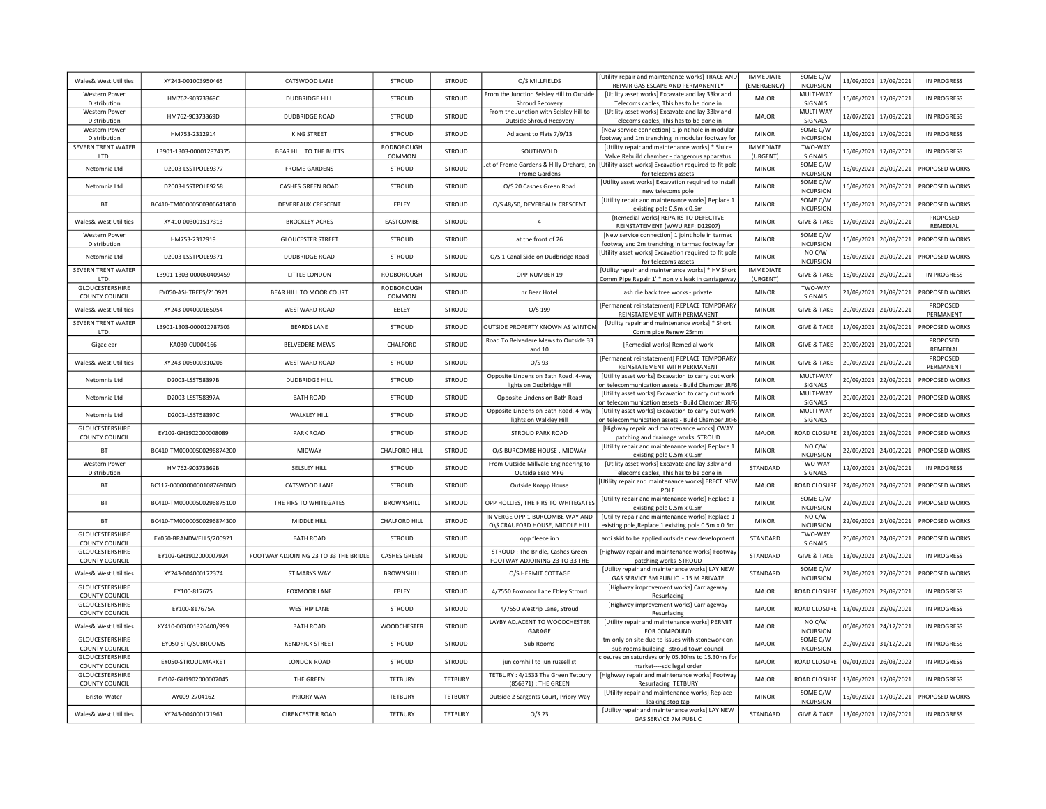| Wales& West Utilities                    | XY243-001003950465        | CATSWOOD LANE                         | STROUD               | <b>STROUD</b>  | O/S MILLFIELDS                                                     | [Utility repair and maintenance works] TRACE AND<br>REPAIR GAS ESCAPE AND PERMANENTLY                                   | <b>IMMFDIATE</b><br>(EMERGENCY) | SOME C/W<br><b>INCURSION</b> |            | 13/09/2021 17/09/2021 | <b>IN PROGRESS</b>    |
|------------------------------------------|---------------------------|---------------------------------------|----------------------|----------------|--------------------------------------------------------------------|-------------------------------------------------------------------------------------------------------------------------|---------------------------------|------------------------------|------------|-----------------------|-----------------------|
| <b>Western Power</b><br>Distribution     | HM762-90373369C           | <b>DUDBRIDGE HILL</b>                 | <b>STROUD</b>        | STROUD         | From the Junction Selsley Hill to Outside<br>Shroud Recovery       | [Utility asset works] Excavate and lay 33kv and<br>Telecoms cables, This has to be done in                              | MAJOR                           | MULTI-WAY<br>SIGNALS         |            | 16/08/2021 17/09/2021 | <b>IN PROGRESS</b>    |
| <b>Western Power</b><br>Distribution     | HM762-90373369D           | <b>DUDBRIDGE ROAD</b>                 | STROUD               | STROUD         | From the Junction with Selsley Hill to<br>Outside Shroud Recovery  | [Utility asset works] Excavate and lay 33kv and<br>Telecoms cables, This has to be done in                              | <b>MAJOR</b>                    | MULTI-WAY<br>SIGNALS         |            | 12/07/2021 17/09/2021 | <b>IN PROGRESS</b>    |
| Western Power<br>Distribution            | HM753-2312914             | KING STREET                           | STROUD               | STROUD         | Adjacent to Flats 7/9/13                                           | [New service connection] 1 joint hole in modular<br>footway and 1m trenching in modular footway for                     | <b>MINOR</b>                    | SOME C/W<br><b>INCURSION</b> |            | 13/09/2021 17/09/2021 | <b>IN PROGRESS</b>    |
| SEVERN TRENT WATER<br>LTD.               | LB901-1303-000012874375   | BEAR HILL TO THE BUTTS                | RODBOROUGH<br>COMMON | STROUD         | SOUTHWOLD                                                          | [Utility repair and maintenance works] * Sluice<br>Valve Rebuild chamber - dangerous apparatus                          | <b>IMMEDIATE</b><br>(URGENT)    | TWO-WAY<br>SIGNALS           |            | 15/09/2021 17/09/2021 | <b>IN PROGRESS</b>    |
| Netomnia Ltd                             | D2003-LSSTPOLE9377        | <b>FROME GARDENS</b>                  | STROUD               | <b>STROUD</b>  | Frome Gardens                                                      | Jct of Frome Gardens & Hilly Orchard, on   [Utility asset works] Excavation required to fit pole<br>for telecoms assets | <b>MINOR</b>                    | SOME C/W<br><b>INCURSION</b> |            | 16/09/2021 20/09/2021 | PROPOSED WORKS        |
| Netomnia Ltd                             | D2003-LSSTPOLE9258        | <b>CASHES GREEN ROAD</b>              | <b>STROUD</b>        | STROUD         | O/S 20 Cashes Green Road                                           | [Utility asset works] Excavation required to install<br>new telecoms pole                                               | <b>MINOR</b>                    | SOME C/W<br><b>INCURSION</b> |            | 16/09/2021 20/09/2021 | PROPOSED WORKS        |
| <b>BT</b>                                | BC410-TM00000500306641800 | DEVEREAUX CRESCENT                    | EBLEY                | <b>STROUD</b>  | O/S 48/50, DEVEREAUX CRESCENT                                      | [Utility repair and maintenance works] Replace 1<br>existing pole 0.5m x 0.5m                                           | <b>MINOR</b>                    | SOME C/W<br><b>INCURSION</b> |            | 16/09/2021 20/09/2021 | PROPOSED WORKS        |
| Wales& West Utilities                    | XY410-003001517313        | <b>BROCKLEY ACRES</b>                 | EASTCOMBE            | <b>STROUD</b>  | $\overline{4}$                                                     | [Remedial works] REPAIRS TO DEFECTIVE<br>REINSTATEMENT (WWU REF: D12907)                                                | <b>MINOR</b>                    | <b>GIVE &amp; TAKE</b>       |            | 17/09/2021 20/09/2021 | PROPOSED<br>REMEDIAL  |
| <b>Western Power</b><br>Distribution     | HM753-2312919             | <b>GLOUCESTER STREET</b>              | STROUD               | STROUD         | at the front of 26                                                 | [New service connection] 1 joint hole in tarmac<br>footway and 2m trenching in tarmac footway for                       | <b>MINOR</b>                    | SOME C/W<br><b>INCURSION</b> |            | 16/09/2021 20/09/2021 | PROPOSED WORKS        |
| Netomnia Ltd                             | D2003-LSSTPOLE9371        | <b>DUDBRIDGE ROAD</b>                 | <b>STROUD</b>        | STROUD         | O/S 1 Canal Side on Dudbridge Road                                 | Utility asset works] Excavation required to fit pole<br>for telecoms assets                                             | <b>MINOR</b>                    | NO C/W<br><b>INCURSION</b>   | 16/09/2021 | 20/09/2021            | PROPOSED WORKS        |
| <b>SEVERN TRENT WATER</b><br>LTD.        | LB901-1303-000060409459   | LITTLE LONDON                         | RODBOROUGH           | <b>STROUD</b>  | OPP NUMBER 19                                                      | [Utility repair and maintenance works] * HV Short<br>Comm Pipe Repair 1' * non vis leak in carriageway                  | <b>IMMEDIATE</b><br>(URGENT)    | <b>GIVE &amp; TAKE</b>       | 16/09/2021 | 20/09/2021            | <b>IN PROGRESS</b>    |
| GLOUCESTERSHIRE<br><b>COUNTY COUNCIL</b> | EY050-ASHTREES/210921     | BEAR HILL TO MOOR COURT               | RODBOROUGH<br>COMMON | STROUD         | nr Bear Hotel                                                      | ash die back tree works - private                                                                                       | <b>MINOR</b>                    | TWO-WAY<br>SIGNALS           |            | 21/09/2021 21/09/2021 | PROPOSED WORKS        |
| Wales& West Utilities                    | XY243-004000165054        | WESTWARD ROAD                         | EBLEY                | <b>STROUD</b>  | O/S 199                                                            | [Permanent reinstatement] REPLACE TEMPORARY<br>REINSTATEMENT WITH PERMANENT                                             | <b>MINOR</b>                    | <b>GIVE &amp; TAKE</b>       |            | 20/09/2021 21/09/2021 | PROPOSED<br>PERMANENT |
| SEVERN TRENT WATER<br>LTD.               | LB901-1303-000012787303   | <b>BEARDS LANE</b>                    | <b>STROUD</b>        | STROUD         | OUTSIDE PROPERTY KNOWN AS WINTON                                   | [Utility repair and maintenance works] * Short<br>Comm pipe Renew 25mm                                                  | <b>MINOR</b>                    | <b>GIVE &amp; TAKE</b>       |            | 17/09/2021 21/09/2021 | PROPOSED WORKS        |
| Gigaclear                                | KA030-CU004166            | <b>BELVEDERE MEWS</b>                 | CHALFORD             | <b>STROUD</b>  | Road To Belvedere Mews to Outside 33<br>and 10                     | [Remedial works] Remedial work                                                                                          | <b>MINOR</b>                    | <b>GIVE &amp; TAKE</b>       |            | 20/09/2021 21/09/2021 | PROPOSED<br>REMEDIAL  |
| Wales& West Utilities                    | XY243-005000310206        | <b>WESTWARD ROAD</b>                  | <b>STROUD</b>        | <b>STROUD</b>  | $O/S$ 93                                                           | [Permanent reinstatement] REPLACE TEMPORARY<br>REINSTATEMENT WITH PERMANENT                                             | <b>MINOR</b>                    | <b>GIVE &amp; TAKE</b>       |            | 20/09/2021 21/09/2021 | PROPOSED<br>PERMANENT |
| Netomnia I td                            | D2003-LSST58397B          | <b>DUDBRIDGE HILL</b>                 | <b>STROUD</b>        | <b>STROUD</b>  | Opposite Lindens on Bath Road. 4-way<br>lights on Dudbridge Hill   | [Utility asset works] Excavation to carry out work<br>on telecommunication assets - Build Chamber JRF6                  | <b>MINOR</b>                    | MULTI-WAY<br>SIGNALS         |            | 20/09/2021 22/09/2021 | PROPOSED WORKS        |
| Netomnia Ltd                             | D2003-LSST58397A          | <b>BATH ROAD</b>                      | STROUD               | <b>STROUD</b>  | Opposite Lindens on Bath Road                                      | [Utility asset works] Excavation to carry out work<br>on telecommunication assets - Build Chamber JRF6                  | <b>MINOR</b>                    | MULTI-WAY<br>SIGNALS         |            | 20/09/2021 22/09/2021 | PROPOSED WORKS        |
| Netomnia Ltd                             | D2003-LSST58397C          | WALKLEY HILL                          | <b>STROUD</b>        | STROUD         | Opposite Lindens on Bath Road. 4-way<br>lights on Walkley Hill     | [Utility asset works] Excavation to carry out work<br>n telecommunication assets - Build Chamber JRF6                   | <b>MINOR</b>                    | MULTI-WAY<br>SIGNALS         |            | 20/09/2021 22/09/2021 | PROPOSED WORKS        |
| GLOUCESTERSHIRE<br>COUNTY COUNCIL        | EY102-GH1902000008089     | PARK ROAD                             | <b>STROUD</b>        | <b>STROUD</b>  | <b>STROUD PARK ROAD</b>                                            | [Highway repair and maintenance works] CWAY<br>patching and drainage works STROUD                                       | MAJOR                           | <b>ROAD CLOSURE</b>          |            | 23/09/2021 23/09/2021 | PROPOSED WORKS        |
| <b>BT</b>                                | BC410-TM00000500296874200 | MIDWAY                                | CHALFORD HILL        | STROUD         | O/S BURCOMBE HOUSE, MIDWAY                                         | [Utility repair and maintenance works] Replace 1<br>existing pole 0.5m x 0.5m                                           | <b>MINOR</b>                    | NO C/W<br><b>INCURSION</b>   |            | 22/09/2021 24/09/2021 | PROPOSED WORKS        |
| Western Power<br>Distribution            | HM762-90373369B           | SELSLEY HILL                          | STROUD               | STROUD         | From Outside Millvale Engineering to<br>Outside Esso MFG           | [Utility asset works] Excavate and lay 33kv and<br>Telecoms cables, This has to be done in                              | STANDARD                        | TWO-WAY<br>SIGNALS           |            | 12/07/2021 24/09/2021 | <b>IN PROGRESS</b>    |
| BT                                       | BC117-0000000000108769DNO | CATSWOOD LANE                         | STROUD               | STROUD         | Outside Knapp House                                                | [Utility repair and maintenance works] ERECT NEW<br>POLE                                                                | MAJOR                           | ROAD CLOSURE                 |            | 24/09/2021 24/09/2021 | PROPOSED WORKS        |
| <b>BT</b>                                | BC410-TM00000500296875100 | THE FIRS TO WHITEGATES                | <b>BROWNSHILL</b>    | <b>STROUD</b>  | OPP HOLLIES, THE FIRS TO WHITEGATES                                | [Utility repair and maintenance works] Replace 1<br>existing pole 0.5m x 0.5m                                           | <b>MINOR</b>                    | SOME C/W<br><b>INCURSION</b> |            | 22/09/2021 24/09/2021 | PROPOSED WORKS        |
| <b>BT</b>                                | BC410-TM00000500296874300 | MIDDLE HILL                           | CHALFORD HILL        | STROUD         | IN VERGE OPP 1 BURCOMBE WAY AND<br>O\S CRAUFORD HOUSE, MIDDLE HILL | [Utility repair and maintenance works] Replace 1<br>existing pole, Replace 1 existing pole 0.5m x 0.5m                  | <b>MINOR</b>                    | NO C/W<br><b>INCURSION</b>   |            | 22/09/2021 24/09/2021 | PROPOSED WORKS        |
| GLOUCESTERSHIRE<br><b>COUNTY COUNCIL</b> | EY050-BRANDWELLS/200921   | <b>BATH ROAD</b>                      | <b>STROUD</b>        | <b>STROUD</b>  | opp fleece inn                                                     | anti skid to be applied outside new development                                                                         | STANDARD                        | TWO-WAY<br>SIGNALS           |            | 20/09/2021 24/09/2021 | PROPOSED WORKS        |
| GLOUCESTERSHIRE<br><b>COUNTY COUNCIL</b> | EY102-GH1902000007924     | FOOTWAY ADJOINING 23 TO 33 THE BRIDLE | CASHES GREEN         | STROUD         | STROUD: The Bridle, Cashes Green<br>FOOTWAY ADJOINING 23 TO 33 THE | [Highway repair and maintenance works] Footway<br>patching works STROUD                                                 | STANDARD                        | <b>GIVE &amp; TAKE</b>       |            | 13/09/2021 24/09/2021 | <b>IN PROGRESS</b>    |
| Wales& West Utilities                    | XY243-004000172374        | ST MARYS WAY                          | BROWNSHILL           | STROUD         | O/S HERMIT COTTAGE                                                 | [Utility repair and maintenance works] LAY NEW<br>GAS SERVICE 3M PUBLIC - 15 M PRIVATE                                  | STANDARD                        | SOME C/W<br><b>INCURSION</b> |            | 21/09/2021 27/09/2021 | PROPOSED WORKS        |
| GLOUCESTERSHIRE<br><b>COUNTY COUNCIL</b> | EY100-817675              | <b>FOXMOOR LANE</b>                   | EBLEY                | STROUD         | 4/7550 Foxmoor Lane Ebley Stroud                                   | [Highway improvement works] Carriageway<br>Resurfacing                                                                  | <b>MAJOR</b>                    | ROAD CLOSURE                 |            | 13/09/2021 29/09/2021 | <b>IN PROGRESS</b>    |
| GLOUCESTERSHIRE<br><b>COUNTY COUNCIL</b> | EY100-817675A             | <b>WESTRIP LANE</b>                   | <b>STROUD</b>        | <b>STROUD</b>  | 4/7550 Westrip Lane, Stroud                                        | [Highway improvement works] Carriageway<br>Resurfacing                                                                  | MAIOR                           | <b>ROAD CLOSURE</b>          |            | 13/09/2021 29/09/2021 | IN PROGRESS           |
| Wales& West Utilities                    | XY410-003001326400/999    | <b>BATH ROAD</b>                      | WOODCHESTER          | <b>STROUD</b>  | LAYBY ADJACENT TO WOODCHESTER<br>GARAGE                            | [Utility repair and maintenance works] PERMIT<br>FOR COMPOUND                                                           | <b>MAJOR</b>                    | NO C/W<br><b>INCURSION</b>   |            | 06/08/2021 24/12/2021 | IN PROGRESS           |
| GLOUCESTERSHIRE<br><b>COUNTY COUNCIL</b> | EY050-STC/SUBROOMS        | <b>KENDRICK STREET</b>                | <b>STROUD</b>        | STROUD         | Sub Rooms                                                          | tm only on site due to issues with stonework on<br>sub rooms building - stroud town council                             | MAJOR                           | SOME C/W<br><b>INCURSION</b> |            | 20/07/2021 31/12/2021 | <b>IN PROGRESS</b>    |
| GLOUCESTERSHIRE<br><b>COUNTY COUNCIL</b> | EY050-STROUDMARKET        | <b>LONDON ROAD</b>                    | STROUD               | STROUD         | jun cornhill to jun russell st                                     | closures on saturdays only 05.30hrs to 15.30hrs for<br>market----sdc legal order                                        | MAJOR                           | ROAD CLOSURE                 |            | 09/01/2021 26/03/2022 | <b>IN PROGRESS</b>    |
| GLOUCESTERSHIRE<br>COUNTY COUNCIL        | EY102-GH1902000007045     | THE GREEN                             | TETBURY              | TETBURY        | TETBURY: 4/1533 The Green Tetbury<br>(856371) : THE GREEN          | [Highway repair and maintenance works] Footway<br><b>Resurfacing TETBURY</b>                                            | <b>MAJOR</b>                    | ROAD CLOSURE                 |            | 13/09/2021 17/09/2021 | IN PROGRESS           |
| <b>Bristol Water</b>                     | AY009-2704162             | PRIORY WAY                            | <b>TETBURY</b>       | <b>TETBURY</b> | Outside 2 Sargents Court, Priory Way                               | [Utility repair and maintenance works] Replace<br>leaking stop tap                                                      | <b>MINOR</b>                    | SOME C/W<br><b>INCURSION</b> |            | 15/09/2021 17/09/2021 | PROPOSED WORKS        |
| Wales& West Utilities                    | XY243-004000171961        | <b>CIRENCESTER ROAD</b>               | <b>TETBURY</b>       | <b>TETBURY</b> | $O/S$ 23                                                           | [Utility repair and maintenance works] LAY NEW<br>GAS SERVICE 7M PUBLIC                                                 | STANDARD                        | <b>GIVE &amp; TAKE</b>       |            | 13/09/2021 17/09/2021 | <b>IN PROGRESS</b>    |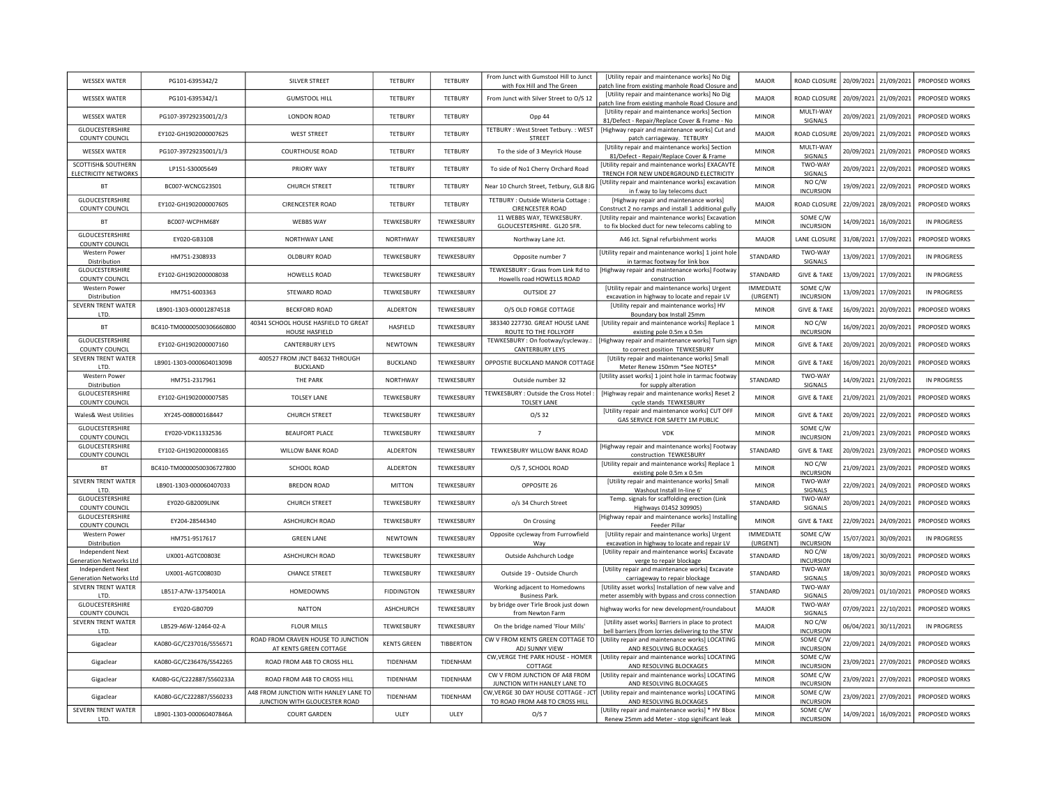| <b>WESSEX WATER</b>                                | PG101-6395342/2           | <b>SILVER STREET</b>                                                   | <b>TETBURY</b>     | <b>TETBURY</b>   | From Junct with Gumstool Hill to Junct<br>with Fox Hill and The Green | <b>IUtility repair and maintenance works] No Dig</b><br>patch line from existing manhole Road Closure and     | MAJOR                        | ROAD CLOSURE                 | 20/09/2021 | 21/09/2021            | PROPOSED WORKS        |
|----------------------------------------------------|---------------------------|------------------------------------------------------------------------|--------------------|------------------|-----------------------------------------------------------------------|---------------------------------------------------------------------------------------------------------------|------------------------------|------------------------------|------------|-----------------------|-----------------------|
| <b>WESSEX WATER</b>                                | PG101-6395342/1           | <b>GUMSTOOL HILL</b>                                                   | <b>TETBURY</b>     | TFTBURY          | From Junct with Silver Street to O/S 12                               | [Utility repair and maintenance works] No Dig<br>patch line from existing manhole Road Closure and            | MAIOR                        | <b>ROAD CLOSURE</b>          | 20/09/2021 | 21/09/2021            | PROPOSED WORKS        |
| <b>WESSEX WATER</b>                                | PG107-39729235001/2/3     | LONDON ROAD                                                            | <b>TETBURY</b>     | <b>TETBURY</b>   | Opp 44                                                                | [Utility repair and maintenance works] Section<br>81/Defect - Repair/Replace Cover & Frame - No               | <b>MINOR</b>                 | MULTI-WAY<br>SIGNALS         | 20/09/2021 | 21/09/2021            | PROPOSED WORKS        |
| GLOUCESTERSHIRE<br><b>COUNTY COUNCIL</b>           | EY102-GH1902000007625     | <b>WEST STREET</b>                                                     | TETBURY            | TETBURY          | TETBURY: West Street Tetbury.: WEST<br>STREET                         | [Highway repair and maintenance works] Cut and<br>patch carriageway. TETBURY                                  | <b>MAJOR</b>                 | ROAD CLOSURI                 | 20/09/2021 | 21/09/2021            | PROPOSED WORKS        |
| <b>WESSEX WATER</b>                                | PG107-39729235001/1/3     | <b>COURTHOUSE ROAD</b>                                                 | TETBURY            | TETBURY          | To the side of 3 Meyrick House                                        | [Utility repair and maintenance works] Section<br>81/Defect - Repair/Replace Cover & Frame                    | <b>MINOR</b>                 | MULTI-WAY<br>SIGNALS         | 20/09/2021 | 21/09/2021            | <b>PROPOSED WORKS</b> |
| SCOTTISH& SOUTHERN<br>ELECTRICITY NETWORKS         | LP151-S30005649           | <b>PRIORY WAY</b>                                                      | <b>TETBURY</b>     | TETBURY          | To side of No1 Cherry Orchard Road                                    | [Utility repair and maintenance works] EXACAVTE<br>TRENCH FOR NEW UNDERGROUND ELECTRICITY                     | <b>MINOR</b>                 | TWO-WAY<br>SIGNALS           | 20/09/2021 | 22/09/2021            | <b>PROPOSED WORKS</b> |
| <b>BT</b>                                          | BC007-WCNCG23S01          | <b>CHURCH STREET</b>                                                   | <b>TETBURY</b>     | TETBURY          | Near 10 Church Street, Tetbury, GL8 8J0                               | [Utility repair and maintenance works] excavatior<br>in f.way to lay telecoms duct                            | <b>MINOR</b>                 | NO C/W<br><b>INCURSION</b>   | 19/09/2021 | 22/09/2021            | <b>PROPOSED WORKS</b> |
| GLOUCESTERSHIRE<br>COUNTY COUNCIL                  | EY102-GH1902000007605     | <b>CIRENCESTER ROAD</b>                                                | <b>TETBURY</b>     | <b>TETBURY</b>   | TETBURY : Outside Wisteria Cottage :<br>CIRENCESTER ROAD              | [Highway repair and maintenance works]<br>Construct 2 no ramps and install 1 additional gully                 | MAJOR                        | ROAD CLOSUR                  | 22/09/2021 | 28/09/2021            | PROPOSED WORKS        |
| BT                                                 | BC007-WCPHM68Y            | <b>WEBBS WAY</b>                                                       | TEWKESBURY         | TEWKESBURY       | 11 WEBBS WAY, TEWKESBURY.<br>GLOUCESTERSHIRE. GL20 5FR.               | [Utility repair and maintenance works] Excavation<br>to fix blocked duct for new telecoms cabling to          | <b>MINOR</b>                 | SOME C/W<br><b>INCURSION</b> | 14/09/2021 | 16/09/2021            | IN PROGRESS           |
| GLOUCESTERSHIRE<br>COUNTY COUNCIL                  | EY020-GB3108              | NORTHWAY LANE                                                          | NORTHWAY           | TEWKESBURY       | Northway Lane Jct.                                                    | A46 Jct. Signal refurbishment works                                                                           | <b>MAJOR</b>                 | LANE CLOSURE                 | 31/08/2021 | 17/09/2021            | PROPOSED WORKS        |
| <b>Western Power</b><br>Distribution               | HM751-2308933             | <b>OLDBURY ROAD</b>                                                    | TEWKESBURY         | TEWKESBURY       | Opposite number 7                                                     | [Utility repair and maintenance works] 1 joint hole<br>in tarmac footway for link box                         | STANDARD                     | TWO-WAY<br>SIGNALS           | 13/09/2021 | 17/09/2021            | <b>IN PROGRESS</b>    |
| GLOUCESTERSHIRE<br>COUNTY COUNCIL                  | EY102-GH1902000008038     | <b>HOWELLS ROAD</b>                                                    | TEWKESBURY         | TEWKESBURY       | TEWKESBURY : Grass from Link Rd to<br>Howells road HOWELLS ROAD       | [Highway repair and maintenance works] Footway<br>construction                                                | STANDARD                     | <b>GIVE &amp; TAKE</b>       | 13/09/2021 | 17/09/2021            | <b>IN PROGRESS</b>    |
| <b>Western Power</b><br>Distribution               | HM751-6003363             | STEWARD ROAD                                                           | TEWKESBURY         | TEWKESBURY       | OUTSIDE 27                                                            | [Utility repair and maintenance works] Urgent<br>excavation in highway to locate and repair LV                | <b>IMMEDIATE</b><br>(URGENT) | SOME C/W<br><b>INCURSION</b> | 13/09/2021 | 17/09/2021            | <b>IN PROGRESS</b>    |
| SEVERN TRENT WATER<br>LTD.                         | LB901-1303-000012874518   | <b>BECKFORD ROAD</b>                                                   | <b>ALDERTON</b>    | TEWKESBURY       | O/S OLD FORGE COTTAGE                                                 | [Utility repair and maintenance works] HV<br>Boundary box Install 25mm                                        | <b>MINOR</b>                 | <b>GIVE &amp; TAKE</b>       | 16/09/2021 | 20/09/2021            | PROPOSED WORKS        |
| BT                                                 | BC410-TM00000500306660800 | 40341 SCHOOL HOUSE HASFIELD TO GREAT<br><b>HOUSE HASFIELD</b>          | HASFIELD           | TEWKESBURY       | 383340 227730. GREAT HOUSE LANE<br>ROUTE TO THE FOLLYOFF              | [Utility repair and maintenance works] Replace 1<br>existing pole 0.5m x 0.5m                                 | <b>MINOR</b>                 | NO C/W<br><b>INCURSION</b>   | 16/09/2021 | 20/09/2021            | PROPOSED WORKS        |
| GLOUCESTERSHIRE<br><b>COUNTY COUNCIL</b>           | EY102-GH1902000007160     | <b>CANTERBURY LEYS</b>                                                 | NEWTOWN            | TEWKESBURY       | TEWKESBURY : On footway/cycleway.:<br>CANTERBURY LEYS                 | [Highway repair and maintenance works] Turn sigr<br>to correct position TEWKESBURY                            | <b>MINOR</b>                 | <b>GIVE &amp; TAKE</b>       | 20/09/2021 | 20/09/2021            | PROPOSED WORKS        |
| SEVERN TRENT WATER<br>LTD.                         | LB901-1303-000060401309B  | 400527 FROM JNCT B4632 THROUGH<br><b>BUCKLAND</b>                      | <b>BUCKLAND</b>    | TEWKESBURY       | OPPOSTIE BUCKLAND MANOR COTTAGE                                       | [Utility repair and maintenance works] Small<br>Meter Renew 150mm *See NOTES*                                 | <b>MINOR</b>                 | <b>GIVE &amp; TAKE</b>       | 16/09/2021 | 20/09/2021            | PROPOSED WORKS        |
| <b>Western Power</b><br>Distribution               | HM751-2317961             | THE PARK                                                               | NORTHWAY           | TEWKESBURY       | Outside number 32                                                     | [Utility asset works] 1 joint hole in tarmac footway<br>for supply alteration                                 | STANDARD                     | TWO-WAY<br>SIGNALS           | 14/09/2021 | 21/09/2021            | <b>IN PROGRESS</b>    |
| GLOUCESTERSHIRE                                    | EY102-GH1902000007585     | <b>TOLSEY LANE</b>                                                     | TEWKESBURY         | TEWKESBURY       | TEWKESBURY: Outside the Cross Hotel<br><b>TOLSEY LANE</b>             | [Highway repair and maintenance works] Reset 2                                                                | <b>MINOR</b>                 | <b>GIVE &amp; TAKE</b>       | 21/09/2021 | 21/09/2021            | PROPOSED WORKS        |
| <b>COUNTY COUNCIL</b><br>Wales& West Utilities     | XY245-008000168447        | <b>CHURCH STREET</b>                                                   | TEWKESBURY         | TEWKESBURY       | $O/S$ 32                                                              | cycle stands TEWKESBURY<br>[Utility repair and maintenance works] CUT OFF<br>GAS SERVICE FOR SAFETY 1M PUBLIC | <b>MINOR</b>                 | <b>GIVE &amp; TAKE</b>       |            | 20/09/2021 22/09/2021 | PROPOSED WORKS        |
| GLOUCESTERSHIRE<br><b>COUNTY COUNCIL</b>           | EY020-VDK11332536         | <b>BEAUFORT PLACE</b>                                                  | TEWKESBURY         | TEWKESBURY       | $7\overline{ }$                                                       | <b>VDK</b>                                                                                                    | MINOR                        | SOME C/W<br><b>INCURSION</b> | 21/09/2021 | 23/09/2021            | PROPOSED WORKS        |
| GLOUCESTERSHIRE<br><b>COUNTY COUNCIL</b>           | EY102-GH1902000008165     | WILLOW BANK ROAD                                                       | ALDERTON           | TEWKESBURY       | TEWKESBURY WILLOW BANK ROAD                                           | [Highway repair and maintenance works] Footway<br>construction TEWKESBURY                                     | STANDARD                     | <b>GIVE &amp; TAKE</b>       | 20/09/2021 | 23/09/2021            | PROPOSED WORKS        |
| BT                                                 | BC410-TM00000500306727800 | SCHOOL ROAD                                                            | <b>ALDERTON</b>    | TEWKESBURY       | O/S 7, SCHOOL ROAD                                                    | [Utility repair and maintenance works] Replace 1<br>existing pole 0.5m x 0.5m                                 | <b>MINOR</b>                 | NO C/W<br><b>INCURSION</b>   | 21/09/2021 | 23/09/2021            | PROPOSED WORKS        |
| SEVERN TRENT WATER<br>LTD.                         | LB901-1303-000060407033   | <b>BREDON ROAD</b>                                                     | <b>MITTON</b>      | TEWKESBURY       | OPPOSITE 26                                                           | [Utility repair and maintenance works] Small<br>Washout Install In-line 6'                                    | <b>MINOR</b>                 | TWO-WAY<br>SIGNALS           |            | 22/09/2021 24/09/2021 | PROPOSED WORKS        |
| GLOUCESTERSHIRE<br><b>COUNTY COUNCIL</b>           | EY020-GB2009LINK          | <b>CHURCH STREET</b>                                                   | TEWKESBURY         | TEWKESBURY       | o/s 34 Church Street                                                  | Temp. signals for scaffolding erection (Link<br>Highways 01452 309905)                                        | STANDARD                     | TWO-WAY<br>SIGNALS           | 20/09/2021 | 24/09/2021            | PROPOSED WORKS        |
| GLOUCESTERSHIRE<br>COUNTY COUNCIL                  | EY204-28544340            | ASHCHURCH ROAD                                                         | TEWKESBURY         | TEWKESBURY       | On Crossing                                                           | [Highway repair and maintenance works] Installing<br>Feeder Pillar                                            | <b>MINOR</b>                 | <b>GIVE &amp; TAKE</b>       |            | 22/09/2021 24/09/2021 | PROPOSED WORKS        |
| Western Power<br>Distribution                      | HM751-9517617             | <b>GREEN LANE</b>                                                      | NEWTOWN            | TEWKESBURY       | Opposite cycleway from Furrowfield<br>Way                             | [Utility repair and maintenance works] Urgent<br>excavation in highway to locate and repair LV                | <b>IMMEDIATE</b><br>(URGENT) | SOME C/W<br><b>INCURSION</b> | 15/07/2021 | 30/09/2021            | <b>IN PROGRESS</b>    |
| Independent Next<br>Generation Networks Lt         | UX001-AGTC00803E          | ASHCHURCH ROAD                                                         | TEWKESBURY         | TEWKESBURY       | Outside Ashchurch Lodge                                               | [Utility repair and maintenance works] Excavate<br>verge to repair blockage                                   | STANDARD                     | NO C/W<br><b>INCURSION</b>   | 18/09/2021 | 30/09/2021            | PROPOSED WORKS        |
| Independent Next<br><b>Generation Networks Ltd</b> | UX001-AGTC00803D          | <b>CHANCE STREET</b>                                                   | TEWKESBURY         | TEWKESBURY       | Outside 19 - Outside Church                                           | [Utility repair and maintenance works] Excavate<br>carriageway to repair blockage                             | STANDARD                     | TWO-WAY<br>SIGNALS           | 18/09/2021 | 30/09/2021            | <b>PROPOSED WORKS</b> |
| SEVERN TRENT WATER<br>LTD.                         | LB517-A7W-13754001A       | HOMEDOWNS                                                              | <b>FIDDINGTON</b>  | TEWKESBURY       | Working adjacent to Homedowns<br><b>Business Park</b>                 | [Utility asset works] Installation of new valve and<br>meter assembly with bypass and cross connection        | STANDARD                     | TWO-WAY<br>SIGNALS           | 20/09/2021 | 01/10/2021            | <b>PROPOSED WORKS</b> |
| GLOUCESTERSHIRE<br><b>COUNTY COUNCIL</b>           | EY020-GB0709              | <b>NATTON</b>                                                          | ASHCHURCH          | TEWKESBURY       | by bridge over Tirle Brook just down<br>from Newton Farm              | highway works for new development/roundabout                                                                  | MAJOR                        | TWO-WAY<br>SIGNALS           | 07/09/2021 | 22/10/2021            | PROPOSED WORKS        |
| SEVERN TRENT WATER<br>LTD.                         | LB529-A6W-12464-02-A      | FLOUR MILLS                                                            | TEWKESBURY         | TEWKESBURY       | On the bridge named 'Flour Mills'                                     | [Utility asset works] Barriers in place to protect<br>bell barriers (from lorries delivering to the STW       | MAJOR                        | NO C/W<br><b>INCURSION</b>   | 06/04/2021 | 30/11/2021            | IN PROGRESS           |
| Gigaclear                                          | KA080-GC/C237016/S556571  | ROAD FROM CRAVEN HOUSE TO JUNCTION<br>AT KENTS GREEN COTTAGE           | <b>KENTS GREEN</b> | <b>TIBBERTON</b> | CW V FROM KENTS GREEN COTTAGE TO<br>ADJ SUNNY VIEW                    | [Utility repair and maintenance works] LOCATING<br>AND RESOLVING BLOCKAGES                                    | <b>MINOR</b>                 | SOME C/W<br><b>INCURSION</b> | 22/09/2021 | 24/09/2021            | PROPOSED WORKS        |
| Gigaclear                                          | KA080-GC/C236476/S542265  | ROAD FROM A48 TO CROSS HILL                                            | TIDENHAM           | TIDENHAM         | CW, VERGE THE PARK HOUSE - HOMER<br>COTTAGE                           | [Utility repair and maintenance works] LOCATING<br>AND RESOLVING BLOCKAGES                                    | <b>MINOR</b>                 | SOME C/W<br><b>INCURSION</b> | 23/09/2021 | 27/09/2021            | PROPOSED WORKS        |
| Gigaclear                                          | KA080-GC/C222887/S560233A | ROAD FROM A48 TO CROSS HILL                                            | TIDENHAM           | TIDENHAM         | CW V FROM JUNCTION OF A48 FROM<br>JUNCTION WITH HANLEY LANE TO        | [Utility repair and maintenance works] LOCATING<br>AND RESOLVING BLOCKAGES                                    | <b>MINOR</b>                 | SOME C/W<br><b>INCURSION</b> | 23/09/2021 | 27/09/2021            | PROPOSED WORKS        |
| Gigaclear                                          | KA080-GC/C222887/S560233  | A48 FROM JUNCTION WITH HANLEY LANE TO<br>JUNCTION WITH GLOUCESTER ROAD | TIDENHAM           | TIDENHAM         | W, VERGE 30 DAY HOUSE COTTAGE - JCT<br>TO ROAD FROM A48 TO CROSS HILL | [Utility repair and maintenance works] LOCATING<br>AND RESOLVING BLOCKAGES                                    | <b>MINOR</b>                 | SOME C/W<br><b>INCURSION</b> | 23/09/2021 | 27/09/2021            | PROPOSED WORKS        |
| SEVERN TRENT WATER<br><b>ITD</b>                   | LB901-1303-000060407846A  | <b>COURT GARDEN</b>                                                    | ULEY               | <b>ULFY</b>      | O/S 7                                                                 | [Utility repair and maintenance works] * HV Bbox<br>Renew 25mm add Meter - stop significant leak              | <b>MINOR</b>                 | SOME C/W<br><b>INCURSION</b> | 14/09/2021 | 16/09/2021            | PROPOSED WORKS        |
|                                                    |                           |                                                                        |                    |                  |                                                                       |                                                                                                               |                              |                              |            |                       |                       |